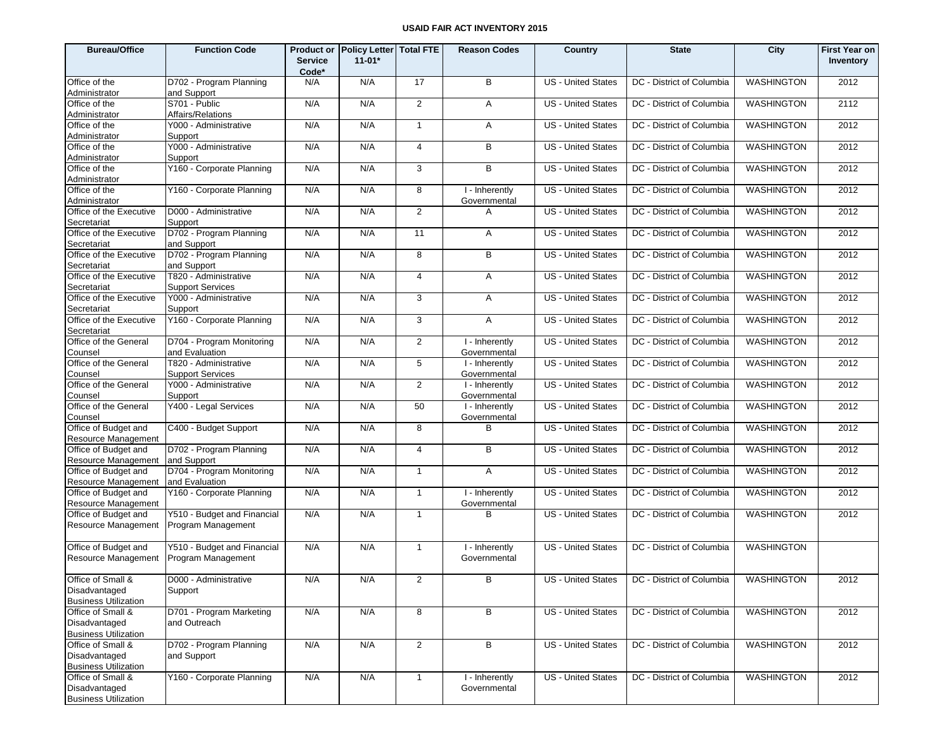| <b>Bureau/Office</b>                         | <b>Function Code</b>                   | <b>Service</b><br>Code* | Product or Policy Letter Total FTE<br>$11 - 01*$ |                | <b>Reason Codes</b>            | Country                   | <b>State</b>                                   | City              | First Year on<br>Inventory |
|----------------------------------------------|----------------------------------------|-------------------------|--------------------------------------------------|----------------|--------------------------------|---------------------------|------------------------------------------------|-------------------|----------------------------|
| Office of the                                | D702 - Program Planning                | N/A                     | N/A                                              | 17             | B                              | <b>US</b> - United States | DC - District of Columbia                      | <b>WASHINGTON</b> | 2012                       |
| Administrator                                | and Support                            |                         |                                                  |                |                                |                           |                                                |                   |                            |
| Office of the                                | S701 - Public                          | N/A                     | N/A                                              | $\overline{2}$ | A                              | US - United States        | DC - District of Columbia                      | <b>WASHINGTON</b> | 2112                       |
| Administrator                                | Affairs/Relations                      |                         |                                                  |                |                                |                           |                                                |                   |                            |
| Office of the                                | Y000 - Administrative                  | N/A                     | N/A                                              | $\mathbf{1}$   | A                              | <b>US</b> - United States | DC - District of Columbia                      | <b>WASHINGTON</b> | 2012                       |
| Administrator<br>Office of the               | Support<br>Y000 - Administrative       | N/A                     | N/A                                              | $\overline{4}$ | B                              | US - United States        | DC - District of Columbia                      | <b>WASHINGTON</b> | 2012                       |
| Administrator                                | Support                                |                         |                                                  |                |                                |                           |                                                |                   |                            |
| Office of the                                | Y160 - Corporate Planning              | N/A                     | N/A                                              | 3              | В                              | US - United States        | DC - District of Columbia                      | <b>WASHINGTON</b> | 2012                       |
| Administrator                                |                                        |                         |                                                  |                |                                |                           |                                                |                   |                            |
| Office of the                                | Y160 - Corporate Planning              | N/A                     | N/A                                              | 8              | I - Inherently                 | US - United States        | DC - District of Columbia                      | <b>WASHINGTON</b> | 2012                       |
| Administrator                                |                                        |                         |                                                  |                | Governmental                   |                           |                                                |                   |                            |
| Office of the Executive<br>Secretariat       | D000 - Administrative<br>Support       | N/A                     | N/A                                              | 2              | A                              | US - United States        | DC - District of Columbia                      | <b>WASHINGTON</b> | 2012                       |
| Office of the Executive                      | D702 - Program Planning                | N/A                     | N/A                                              | 11             | A                              | US - United States        | DC - District of Columbia                      | <b>WASHINGTON</b> | 2012                       |
| Secretariat                                  | and Support                            |                         |                                                  |                |                                |                           |                                                |                   |                            |
| Office of the Executive                      | D702 - Program Planning                | N/A                     | N/A                                              | 8              | В                              | US - United States        | DC - District of Columbia                      | <b>WASHINGTON</b> | 2012                       |
| Secretariat                                  | and Support                            |                         |                                                  |                |                                |                           |                                                |                   |                            |
| Office of the Executive                      | T820 - Administrative                  | N/A                     | N/A                                              | $\overline{4}$ | A                              | US - United States        | DC - District of Columbia                      | <b>WASHINGTON</b> | 2012                       |
| Secretariat                                  | <b>Support Services</b>                |                         |                                                  |                |                                |                           |                                                |                   |                            |
| Office of the Executive<br>Secretariat       | Y000 - Administrative<br>Support       | N/A                     | N/A                                              | 3              | A                              | US - United States        | DC - District of Columbia                      | <b>WASHINGTON</b> | 2012                       |
| Office of the Executive                      | Y160 - Corporate Planning              | N/A                     | N/A                                              | 3              | A                              | <b>US</b> - United States | DC - District of Columbia                      | <b>WASHINGTON</b> | 2012                       |
| Secretariat                                  |                                        |                         |                                                  |                |                                |                           |                                                |                   |                            |
| Office of the General                        | D704 - Program Monitoring              | N/A                     | N/A                                              | $\overline{2}$ | I - Inherently                 | US - United States        | DC - District of Columbia                      | <b>WASHINGTON</b> | 2012                       |
| Counsel                                      | and Evaluation                         |                         |                                                  |                | Governmental                   |                           |                                                |                   |                            |
| Office of the General                        | T820 - Administrative                  | N/A                     | N/A                                              | $\sqrt{5}$     | I - Inherently                 | US - United States        | DC - District of Columbia                      | <b>WASHINGTON</b> | 2012                       |
| Counsel                                      | <b>Support Services</b>                |                         |                                                  |                | Governmental                   |                           |                                                |                   |                            |
| Office of the General<br>Counsel             | Y000 - Administrative<br>Support       | N/A                     | N/A                                              | 2              | I - Inherently<br>Governmental | US - United States        | DC - District of Columbia                      | <b>WASHINGTON</b> | 2012                       |
| Office of the General                        | Y400 - Legal Services                  | N/A                     | N/A                                              | 50             | I - Inherently                 | US - United States        | DC - District of Columbia                      | <b>WASHINGTON</b> | 2012                       |
| Counsel                                      |                                        |                         |                                                  |                | Governmental                   |                           |                                                |                   |                            |
| Office of Budget and                         | C400 - Budget Support                  | N/A                     | N/A                                              | 8              | В                              | <b>US</b> - United States | DC - District of Columbia                      | <b>WASHINGTON</b> | 2012                       |
| Resource Management                          |                                        |                         |                                                  |                |                                |                           |                                                |                   |                            |
| Office of Budget and<br>Resource Management  | D702 - Program Planning<br>and Support | N/A                     | N/A                                              | $\overline{4}$ | B                              | US - United States        | DC - District of Columbia                      | <b>WASHINGTON</b> | 2012                       |
| Office of Budget and                         | D704 - Program Monitoring              | N/A                     | N/A                                              | $\mathbf{1}$   | A                              | <b>US</b> - United States | DC - District of Columbia                      | <b>WASHINGTON</b> | 2012                       |
| Resource Management                          | and Evaluation                         |                         |                                                  |                |                                |                           |                                                |                   |                            |
| Office of Budget and                         | Y160 - Corporate Planning              | N/A                     | N/A                                              | $\mathbf{1}$   | I - Inherently                 | US - United States        | DC - District of Columbia                      | <b>WASHINGTON</b> | 2012                       |
| Resource Management                          |                                        |                         |                                                  |                | Governmental                   |                           |                                                |                   |                            |
| Office of Budget and                         | Y510 - Budget and Financial            | N/A                     | N/A                                              | $\mathbf{1}$   | B                              | <b>US</b> - United States | DC - District of Columbia                      | <b>WASHINGTON</b> | 2012                       |
| Resource Management                          | Program Management                     |                         |                                                  |                |                                |                           |                                                |                   |                            |
| Office of Budget and                         | Y510 - Budget and Financial            | N/A                     | N/A                                              | $\mathbf{1}$   | I - Inherently                 | <b>US</b> - United States | DC - District of Columbia                      | <b>WASHINGTON</b> |                            |
| Resource Management                          | Program Management                     |                         |                                                  |                | Governmental                   |                           |                                                |                   |                            |
|                                              |                                        |                         |                                                  |                |                                |                           |                                                |                   |                            |
| Office of Small &                            | D000 - Administrative                  | N/A                     | N/A                                              | $\overline{2}$ | В                              |                           | US - United States   DC - District of Columbia | <b>WASHINGTON</b> | 2012                       |
| Disadvantaged                                | Support                                |                         |                                                  |                |                                |                           |                                                |                   |                            |
| <b>Business Utilization</b>                  |                                        |                         |                                                  |                |                                |                           |                                                |                   |                            |
| Office of Small &                            | D701 - Program Marketing               | N/A                     | N/A                                              | 8              | В                              | US - United States        | DC - District of Columbia                      | <b>WASHINGTON</b> | 2012                       |
| Disadvantaged                                | and Outreach                           |                         |                                                  |                |                                |                           |                                                |                   |                            |
| <b>Business Utilization</b>                  |                                        |                         |                                                  |                |                                |                           |                                                |                   |                            |
| Office of Small &                            | D702 - Program Planning                | N/A                     | N/A                                              | 2              | В                              | US - United States        | DC - District of Columbia                      | <b>WASHINGTON</b> | 2012                       |
| Disadvantaged<br><b>Business Utilization</b> | and Support                            |                         |                                                  |                |                                |                           |                                                |                   |                            |
| Office of Small &                            | Y160 - Corporate Planning              | N/A                     | N/A                                              | $\mathbf{1}$   | I - Inherently                 | US - United States        | DC - District of Columbia                      | WASHINGTON        | 2012                       |
| Disadvantaged                                |                                        |                         |                                                  |                | Governmental                   |                           |                                                |                   |                            |
| <b>Business Utilization</b>                  |                                        |                         |                                                  |                |                                |                           |                                                |                   |                            |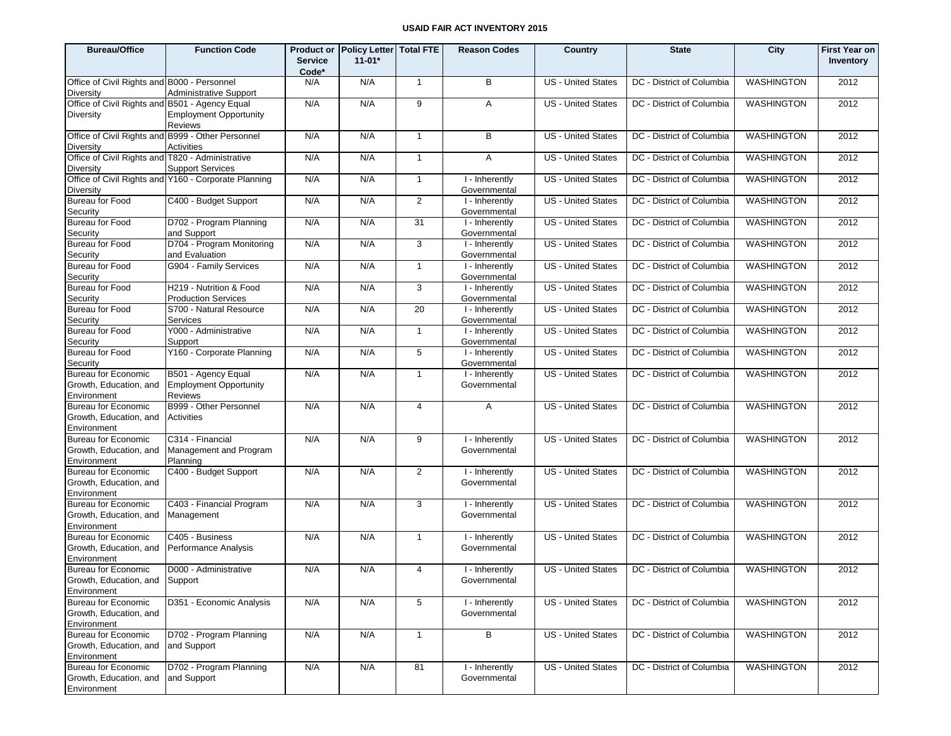| <b>Bureau/Office</b>                                                 | <b>Function Code</b>                                                   | <b>Service</b><br>Code* | Product or Policy Letter Total FTE<br>$11 - 01*$ |                | <b>Reason Codes</b>                         | Country                   | <b>State</b>              | City              | <b>First Year on</b><br>Inventory |
|----------------------------------------------------------------------|------------------------------------------------------------------------|-------------------------|--------------------------------------------------|----------------|---------------------------------------------|---------------------------|---------------------------|-------------------|-----------------------------------|
| Office of Civil Rights and B000 - Personnel<br><b>Diversity</b>      | <b>Administrative Support</b>                                          | N/A                     | N/A                                              | $\overline{1}$ | B                                           | <b>US</b> - United States | DC - District of Columbia | <b>WASHINGTON</b> | 2012                              |
| Office of Civil Rights and B501 - Agency Equal<br>Diversity          | <b>Employment Opportunity</b><br><b>Reviews</b>                        | N/A                     | N/A                                              | 9              | A                                           | <b>US</b> - United States | DC - District of Columbia | <b>WASHINGTON</b> | 2012                              |
| Office of Civil Rights and B999 - Other Personnel<br>Diversity       | Activities                                                             | N/A                     | N/A                                              | $\mathbf{1}$   | B                                           | <b>US - United States</b> | DC - District of Columbia | <b>WASHINGTON</b> | 2012                              |
| Office of Civil Rights and T820 - Administrative<br><b>Diversity</b> | <b>Support Services</b>                                                | N/A                     | N/A                                              | $\mathbf{1}$   | A                                           | <b>US - United States</b> | DC - District of Columbia | <b>WASHINGTON</b> | 2012                              |
| <b>Diversity</b>                                                     | Office of Civil Rights and Y160 - Corporate Planning                   | N/A                     | N/A                                              | $\mathbf{1}$   | I - Inherently<br>Governmental              | <b>US - United States</b> | DC - District of Columbia | <b>WASHINGTON</b> | 2012                              |
| Bureau for Food<br>Security                                          | C400 - Budget Support                                                  | N/A                     | N/A                                              | 2              | I - Inherently<br>Governmental              | <b>US</b> - United States | DC - District of Columbia | <b>WASHINGTON</b> | 2012                              |
| <b>Bureau for Food</b><br>Security                                   | D702 - Program Planning<br>and Support                                 | N/A                     | N/A                                              | 31             | I - Inherently<br>Governmental              | US - United States        | DC - District of Columbia | <b>WASHINGTON</b> | 2012                              |
| Bureau for Food<br>Security                                          | D704 - Program Monitoring<br>and Evaluation                            | N/A                     | N/A                                              | 3              | I - Inherently<br>Governmental              | <b>US - United States</b> | DC - District of Columbia | <b>WASHINGTON</b> | 2012                              |
| Bureau for Food<br>Security                                          | G904 - Family Services                                                 | N/A                     | N/A                                              | $\mathbf{1}$   | I - Inherently<br>Governmental              | US - United States        | DC - District of Columbia | <b>WASHINGTON</b> | 2012                              |
| Bureau for Food<br>Security                                          | H219 - Nutrition & Food<br><b>Production Services</b>                  | N/A                     | N/A                                              | 3              | $\overline{1}$ - Inherently<br>Governmental | <b>US</b> - United States | DC - District of Columbia | <b>WASHINGTON</b> | 2012                              |
| Bureau for Food<br>Security                                          | S700 - Natural Resource<br>Services                                    | N/A                     | N/A                                              | 20             | I - Inherently<br>Governmental              | <b>US - United States</b> | DC - District of Columbia | <b>WASHINGTON</b> | 2012                              |
| Bureau for Food<br>Security                                          | Y000 - Administrative<br>Support                                       | N/A                     | N/A                                              | $\mathbf{1}$   | I - Inherently<br>Governmental              | <b>US</b> - United States | DC - District of Columbia | <b>WASHINGTON</b> | 2012                              |
| Bureau for Food<br>Security                                          | Y160 - Corporate Planning                                              | N/A                     | N/A                                              | 5              | I - Inherently<br>Governmental              | <b>US - United States</b> | DC - District of Columbia | <b>WASHINGTON</b> | 2012                              |
| <b>Bureau for Economic</b><br>Growth, Education, and<br>Environment  | B501 - Agency Equal<br><b>Employment Opportunity</b><br><b>Reviews</b> | N/A                     | N/A                                              | $\mathbf{1}$   | I - Inherently<br>Governmental              | US - United States        | DC - District of Columbia | <b>WASHINGTON</b> | 2012                              |
| <b>Bureau for Economic</b><br>Growth, Education, and<br>Environment  | B999 - Other Personnel<br>Activities                                   | N/A                     | N/A                                              | 4              | A                                           | <b>US - United States</b> | DC - District of Columbia | <b>WASHINGTON</b> | 2012                              |
| <b>Bureau for Economic</b><br>Growth, Education, and<br>Environment  | C314 - Financial<br>Management and Program<br>Planning                 | N/A                     | N/A                                              | 9              | I - Inherently<br>Governmental              | <b>US - United States</b> | DC - District of Columbia | <b>WASHINGTON</b> | 2012                              |
| <b>Bureau for Economic</b><br>Growth, Education, and<br>Environment  | C400 - Budget Support                                                  | N/A                     | N/A                                              | $\overline{2}$ | I - Inherently<br>Governmental              | <b>US - United States</b> | DC - District of Columbia | <b>WASHINGTON</b> | 2012                              |
| <b>Bureau for Economic</b><br>Growth, Education, and<br>Environment  | C403 - Financial Program<br>Management                                 | N/A                     | N/A                                              | 3              | $\overline{I}$ -Inherently<br>Governmental  | US - United States        | DC - District of Columbia | <b>WASHINGTON</b> | 2012                              |
| <b>Bureau for Economic</b><br>Growth, Education, and<br>Environment  | C405 - Business<br>Performance Analysis                                | N/A                     | N/A                                              | $\mathbf{1}$   | I - Inherently<br>Governmental              | <b>US</b> - United States | DC - District of Columbia | <b>WASHINGTON</b> | 2012                              |
| <b>Bureau for Economic</b><br>Growth, Education, and<br>Environment  | D000 - Administrative<br>Support                                       | N/A                     | N/A                                              | $\overline{4}$ | I - Inherently<br>Governmental              | <b>US</b> - United States | DC - District of Columbia | <b>WASHINGTON</b> | 2012                              |
| Bureau for Economic<br>Growth, Education, and<br>Environment         | D351 - Economic Analysis                                               | N/A                     | N/A                                              | $\sqrt{5}$     | I - Inherently<br>Governmental              | <b>US</b> - United States | DC - District of Columbia | <b>WASHINGTON</b> | 2012                              |
| Bureau for Economic<br>Growth, Education, and<br>Environment         | D702 - Program Planning<br>and Support                                 | N/A                     | N/A                                              | $\mathbf{1}$   | В                                           | US - United States        | DC - District of Columbia | <b>WASHINGTON</b> | 2012                              |
| <b>Bureau for Economic</b><br>Growth, Education, and<br>Environment  | D702 - Program Planning<br>and Support                                 | N/A                     | N/A                                              | 81             | I - Inherently<br>Governmental              | <b>US</b> - United States | DC - District of Columbia | <b>WASHINGTON</b> | 2012                              |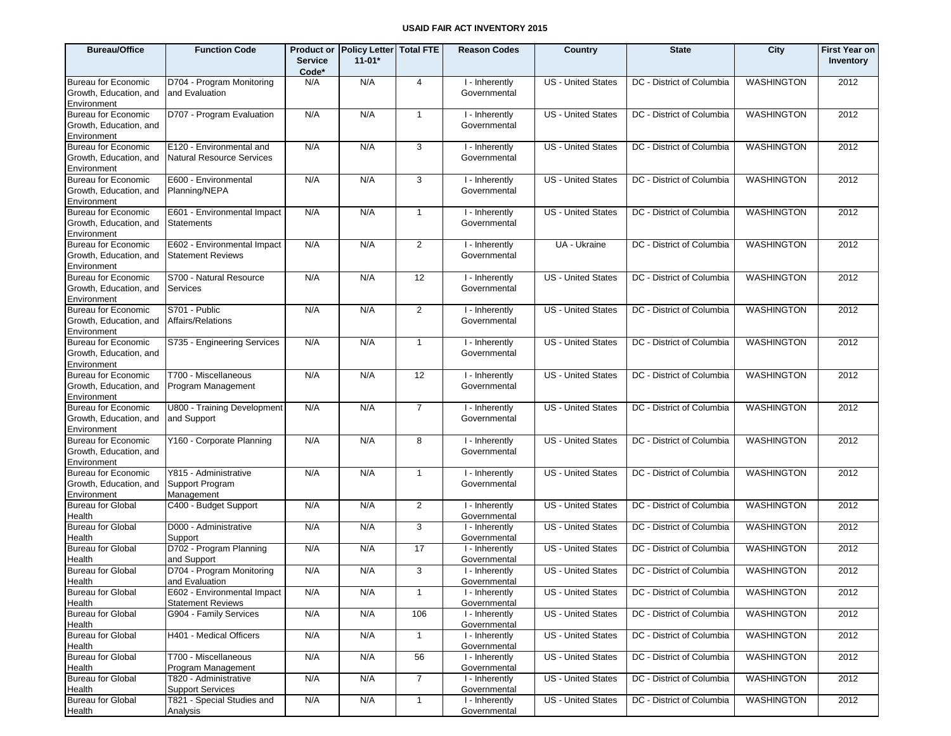| <b>Bureau/Office</b>                                                | <b>Function Code</b>                                              | <b>Service</b><br>Code* | Product or Policy Letter Total FTE<br>$11 - 01*$ |                         | <b>Reason Codes</b>                            | Country                   | <b>State</b>              | City              | <b>First Year on</b><br>Inventory |
|---------------------------------------------------------------------|-------------------------------------------------------------------|-------------------------|--------------------------------------------------|-------------------------|------------------------------------------------|---------------------------|---------------------------|-------------------|-----------------------------------|
| <b>Bureau for Economic</b><br>Growth, Education, and<br>Environment | D704 - Program Monitoring<br>and Evaluation                       | N/A                     | N/A                                              | 4                       | I - Inherently<br>Governmental                 | <b>US - United States</b> | DC - District of Columbia | <b>WASHINGTON</b> | 2012                              |
| <b>Bureau for Economic</b><br>Growth, Education, and<br>Environment | D707 - Program Evaluation                                         | N/A                     | N/A                                              | $\mathbf{1}$            | I - Inherently<br>Governmental                 | <b>US - United States</b> | DC - District of Columbia | WASHINGTON        | 2012                              |
| <b>Bureau for Economic</b><br>Growth, Education, and<br>Environment | E120 - Environmental and<br><b>Natural Resource Services</b>      | N/A                     | N/A                                              | 3                       | I - Inherently<br>Governmental                 | <b>US - United States</b> | DC - District of Columbia | <b>WASHINGTON</b> | 2012                              |
| <b>Bureau for Economic</b><br>Growth, Education, and<br>Environment | E600 - Environmental<br>Planning/NEPA                             | N/A                     | N/A                                              | 3                       | I - Inherently<br>Governmental                 | <b>US - United States</b> | DC - District of Columbia | <b>WASHINGTON</b> | 2012                              |
| <b>Bureau for Economic</b><br>Growth, Education, and<br>Environment | E601 - Environmental Impact<br><b>Statements</b>                  | N/A                     | N/A                                              | $\mathbf{1}$            | I - Inherently<br>Governmental                 | <b>US - United States</b> | DC - District of Columbia | <b>WASHINGTON</b> | 2012                              |
| <b>Bureau for Economic</b><br>Growth, Education, and<br>Environment | E602 - Environmental Impact<br><b>Statement Reviews</b>           | N/A                     | N/A                                              | $\overline{\mathbf{c}}$ | I - Inherently<br>Governmental                 | UA - Ukraine              | DC - District of Columbia | WASHINGTON        | 2012                              |
| <b>Bureau for Economic</b><br>Growth, Education, and<br>Environment | S700 - Natural Resource<br>Services                               | N/A                     | N/A                                              | 12                      | I - Inherently<br>Governmental                 | <b>US</b> - United States | DC - District of Columbia | <b>WASHINGTON</b> | 2012                              |
| <b>Bureau for Economic</b><br>Growth, Education, and<br>Environment | S701 - Public<br>Affairs/Relations                                | N/A                     | N/A                                              | 2                       | I - Inherently<br>Governmental                 | <b>US - United States</b> | DC - District of Columbia | <b>WASHINGTON</b> | 2012                              |
| <b>Bureau for Economic</b><br>Growth, Education, and<br>Environment | S735 - Engineering Services                                       | N/A                     | N/A                                              | $\mathbf{1}$            | <b>T</b> -Inherently<br>Governmental           | <b>US - United States</b> | DC - District of Columbia | <b>WASHINGTON</b> | 2012                              |
| <b>Bureau for Economic</b><br>Growth, Education, and<br>Environment | T700 - Miscellaneous<br>Program Management                        | N/A                     | N/A                                              | 12                      | I - Inherently<br>Governmental                 | <b>US - United States</b> | DC - District of Columbia | <b>WASHINGTON</b> | 2012                              |
| <b>Bureau for Economic</b><br>Growth, Education, and<br>Environment | U800 - Training Development<br>and Support                        | N/A                     | N/A                                              | $\overline{7}$          | I - Inherently<br>Governmental                 | <b>US - United States</b> | DC - District of Columbia | <b>WASHINGTON</b> | 2012                              |
| <b>Bureau for Economic</b><br>Growth, Education, and<br>Environment | Y160 - Corporate Planning                                         | N/A                     | N/A                                              | 8                       | I - Inherently<br>Governmental                 | <b>US - United States</b> | DC - District of Columbia | <b>WASHINGTON</b> | 2012                              |
| <b>Bureau for Economic</b><br>Growth, Education, and<br>Environment | Y815 - Administrative<br>Support Program<br>Management            | N/A                     | N/A                                              | $\mathbf{1}$            | I - Inherently<br>Governmental                 | <b>US - United States</b> | DC - District of Columbia | <b>WASHINGTON</b> | 2012                              |
| <b>Bureau for Global</b><br>Health                                  | C400 - Budget Support                                             | N/A                     | N/A                                              | $\overline{2}$          | I - Inherently<br>Governmental                 | <b>US - United States</b> | DC - District of Columbia | <b>WASHINGTON</b> | 2012                              |
| <b>Bureau for Global</b><br>Health                                  | D000 - Administrative<br>Support                                  | N/A                     | N/A                                              | 3                       | I - Inherently<br>Governmental                 | <b>US - United States</b> | DC - District of Columbia | <b>WASHINGTON</b> | 2012                              |
| <b>Bureau for Global</b><br>Health                                  | D702 - Program Planning<br>and Support                            | N/A                     | N/A                                              | 17                      | I - Inherently<br>Governmental                 | US - United States        | DC - District of Columbia | <b>WASHINGTON</b> | 2012                              |
| <b>Bureau for Global</b>                                            | D704 - Program Monitoring<br>and Evaluation                       | N/A                     | N/A                                              | 3                       | I - Inherently<br>Governmental                 | <b>US - United States</b> | DC - District of Columbia | <b>WASHINGTON</b> | 2012                              |
| Health<br><b>Bureau for Global</b>                                  | E602 - Environmental Impact                                       | N/A                     | N/A                                              | $\mathbf{1}$            | I - Inherently                                 | US - United States        | DC - District of Columbia | <b>WASHINGTON</b> | 2012                              |
| Health<br><b>Bureau for Global</b>                                  | <b>Statement Reviews</b><br>G904 - Family Services                | N/A                     | N/A                                              | 106                     | Governmental<br>I - Inherently                 | US - United States        | DC - District of Columbia | <b>WASHINGTON</b> | 2012                              |
| Health<br><b>Bureau for Global</b>                                  | H401 - Medical Officers                                           | N/A                     | N/A                                              | $\mathbf{1}$            | Governmental<br>I - Inherently                 | US - United States        | DC - District of Columbia | <b>WASHINGTON</b> | 2012                              |
| Health<br><b>Bureau for Global</b>                                  | T700 - Miscellaneous                                              | N/A                     | N/A                                              | 56                      | Governmental<br>I - Inherently                 | US - United States        | DC - District of Columbia | <b>WASHINGTON</b> | 2012                              |
| Health<br><b>Bureau for Global</b>                                  | Program Management<br>T820 - Administrative                       | N/A                     | N/A                                              | $\overline{7}$          | Governmental<br>I - Inherently                 | <b>US</b> - United States | DC - District of Columbia | <b>WASHINGTON</b> | 2012                              |
| Health<br><b>Bureau for Global</b><br>Health                        | <b>Support Services</b><br>T821 - Special Studies and<br>Analysis | N/A                     | N/A                                              | $\mathbf{1}$            | Governmental<br>I - Inherently<br>Governmental | US - United States        | DC - District of Columbia | <b>WASHINGTON</b> | 2012                              |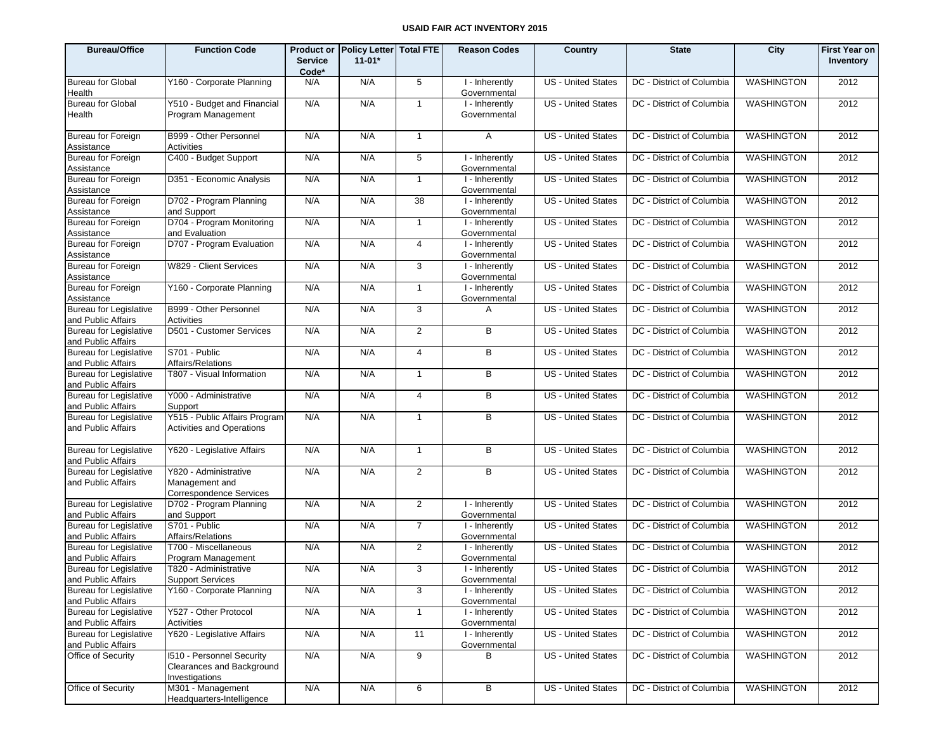| <b>Bureau/Office</b>                                | <b>Function Code</b>                                                            | <b>Service</b> | Product or Policy Letter Total FTE<br>$11 - 01*$ |                | <b>Reason Codes</b>            | Country                   | <b>State</b>              | City              | <b>First Year on</b><br>Inventory |
|-----------------------------------------------------|---------------------------------------------------------------------------------|----------------|--------------------------------------------------|----------------|--------------------------------|---------------------------|---------------------------|-------------------|-----------------------------------|
| <b>Bureau for Global</b>                            | Y160 - Corporate Planning                                                       | Code*<br>N/A   | N/A                                              | 5              | I - Inherently                 | <b>US</b> - United States | DC - District of Columbia | <b>WASHINGTON</b> | 2012                              |
| Health                                              |                                                                                 |                |                                                  |                | Governmental                   |                           |                           |                   |                                   |
| <b>Bureau for Global</b><br>Health                  | Y510 - Budget and Financial<br>Program Management                               | N/A            | N/A                                              | $\mathbf{1}$   | I - Inherently<br>Governmental | <b>US</b> - United States | DC - District of Columbia | <b>WASHINGTON</b> | 2012                              |
| <b>Bureau for Foreign</b><br>Assistance             | B999 - Other Personnel<br>Activities                                            | N/A            | N/A                                              | $\overline{1}$ | $\mathsf{A}$                   | <b>US</b> - United States | DC - District of Columbia | WASHINGTON        | 2012                              |
| Bureau for Foreign<br>Assistance                    | C400 - Budget Support                                                           | N/A            | N/A                                              | 5              | I - Inherently<br>Governmental | <b>US</b> - United States | DC - District of Columbia | WASHINGTON        | 2012                              |
| Bureau for Foreign<br>Assistance                    | D351 - Economic Analysis                                                        | N/A            | N/A                                              | $\mathbf{1}$   | I - Inherently<br>Governmental | <b>US</b> - United States | DC - District of Columbia | WASHINGTON        | 2012                              |
| Bureau for Foreign<br>Assistance                    | D702 - Program Planning<br>and Support                                          | N/A            | N/A                                              | 38             | I - Inherently<br>Governmental | <b>US</b> - United States | DC - District of Columbia | WASHINGTON        | 2012                              |
| Bureau for Foreign<br>Assistance                    | D704 - Program Monitoring<br>and Evaluation                                     | N/A            | N/A                                              | $\mathbf{1}$   | I - Inherently<br>Governmental | <b>US</b> - United States | DC - District of Columbia | WASHINGTON        | 2012                              |
| Bureau for Foreign<br>Assistance                    | D707 - Program Evaluation                                                       | N/A            | N/A                                              | 4              | I - Inherently<br>Governmental | <b>US</b> - United States | DC - District of Columbia | WASHINGTON        | 2012                              |
| Bureau for Foreign<br>Assistance                    | W829 - Client Services                                                          | N/A            | N/A                                              | 3              | I - Inherently<br>Governmental | <b>US</b> - United States | DC - District of Columbia | WASHINGTON        | 2012                              |
| Bureau for Foreign<br>Assistance                    | Y160 - Corporate Planning                                                       | N/A            | N/A                                              | $\mathbf{1}$   | I - Inherently<br>Governmental | <b>US</b> - United States | DC - District of Columbia | <b>WASHINGTON</b> | 2012                              |
| <b>Bureau for Legislative</b><br>and Public Affairs | B999 - Other Personnel<br>Activities                                            | N/A            | N/A                                              | 3              | A                              | <b>US</b> - United States | DC - District of Columbia | WASHINGTON        | 2012                              |
| <b>Bureau for Legislative</b><br>and Public Affairs | D501 - Customer Services                                                        | N/A            | N/A                                              | $\overline{2}$ | В                              | <b>US</b> - United States | DC - District of Columbia | WASHINGTON        | 2012                              |
| <b>Bureau for Legislative</b><br>and Public Affairs | S701 - Public<br>Affairs/Relations                                              | N/A            | N/A                                              | $\overline{4}$ | B                              | US - United States        | DC - District of Columbia | WASHINGTON        | 2012                              |
| <b>Bureau for Legislative</b><br>and Public Affairs | T807 - Visual Information                                                       | N/A            | N/A                                              | $\mathbf{1}$   | В                              | <b>US</b> - United States | DC - District of Columbia | WASHINGTON        | 2012                              |
| <b>Bureau for Legislative</b><br>and Public Affairs | Y000 - Administrative<br>Support                                                | N/A            | N/A                                              | $\overline{4}$ | В                              | US - United States        | DC - District of Columbia | WASHINGTON        | 2012                              |
| <b>Bureau for Legislative</b><br>and Public Affairs | Y515 - Public Affairs Program<br><b>Activities and Operations</b>               | N/A            | N/A                                              | $\mathbf{1}$   | В                              | <b>US</b> - United States | DC - District of Columbia | WASHINGTON        | 2012                              |
| <b>Bureau for Legislative</b><br>and Public Affairs | Y620 - Legislative Affairs                                                      | N/A            | N/A                                              | $\mathbf{1}$   | $\overline{B}$                 | <b>US</b> - United States | DC - District of Columbia | <b>WASHINGTON</b> | 2012                              |
| <b>Bureau for Legislative</b><br>and Public Affairs | Y820 - Administrative<br>Management and<br><b>Correspondence Services</b>       | N/A            | N/A                                              | $\overline{2}$ | B                              | <b>US</b> - United States | DC - District of Columbia | <b>WASHINGTON</b> | 2012                              |
| <b>Bureau for Legislative</b><br>and Public Affairs | D702 - Program Planning<br>and Support                                          | N/A            | N/A                                              | 2              | I - Inherently<br>Governmental | <b>US</b> - United States | DC - District of Columbia | WASHINGTON        | 2012                              |
| <b>Bureau for Legislative</b><br>and Public Affairs | S701 - Public<br>Affairs/Relations                                              | N/A            | N/A                                              | $\overline{7}$ | I - Inherently<br>Governmental | <b>US</b> - United States | DC - District of Columbia | <b>WASHINGTON</b> | 2012                              |
| <b>Bureau for Legislative</b><br>and Public Affairs | T700 - Miscellaneous<br>Program Management                                      | N/A            | N/A                                              | 2              | I - Inherently<br>Governmental | <b>US</b> - United States | DC - District of Columbia | WASHINGTON        | 2012                              |
| <b>Bureau for Legislative</b><br>and Public Affairs | T820 - Administrative<br>Support Services                                       | N/A            | N/A                                              | 3              | I - Inherently<br>Governmental | <b>US</b> - United States | DC - District of Columbia | <b>WASHINGTON</b> | 2012                              |
| <b>Bureau for Legislative</b><br>and Public Affairs | Y160 - Corporate Planning                                                       | N/A            | N/A                                              | $\mathbf{3}$   | I - Inherently<br>Governmental | US - United States        | DC - District of Columbia | WASHINGTON        | 2012                              |
| <b>Bureau for Legislative</b><br>and Public Affairs | Y527 - Other Protocol<br>Activities                                             | N/A            | N/A                                              | $\mathbf{1}$   | I - Inherently<br>Governmental | <b>US</b> - United States | DC - District of Columbia | <b>WASHINGTON</b> | 2012                              |
| <b>Bureau for Legislative</b><br>and Public Affairs | Y620 - Legislative Affairs                                                      | N/A            | N/A                                              | 11             | I - Inherently<br>Governmental | <b>US</b> - United States | DC - District of Columbia | WASHINGTON        | 2012                              |
| Office of Security                                  | <b>1510 - Personnel Security</b><br>Clearances and Background<br>Investigations | N/A            | N/A                                              | 9              | B                              | <b>US</b> - United States | DC - District of Columbia | WASHINGTON        | 2012                              |
| Office of Security                                  | M301 - Management<br>Headquarters-Intelligence                                  | N/A            | N/A                                              | 6              | B                              | <b>US</b> - United States | DC - District of Columbia | WASHINGTON        | 2012                              |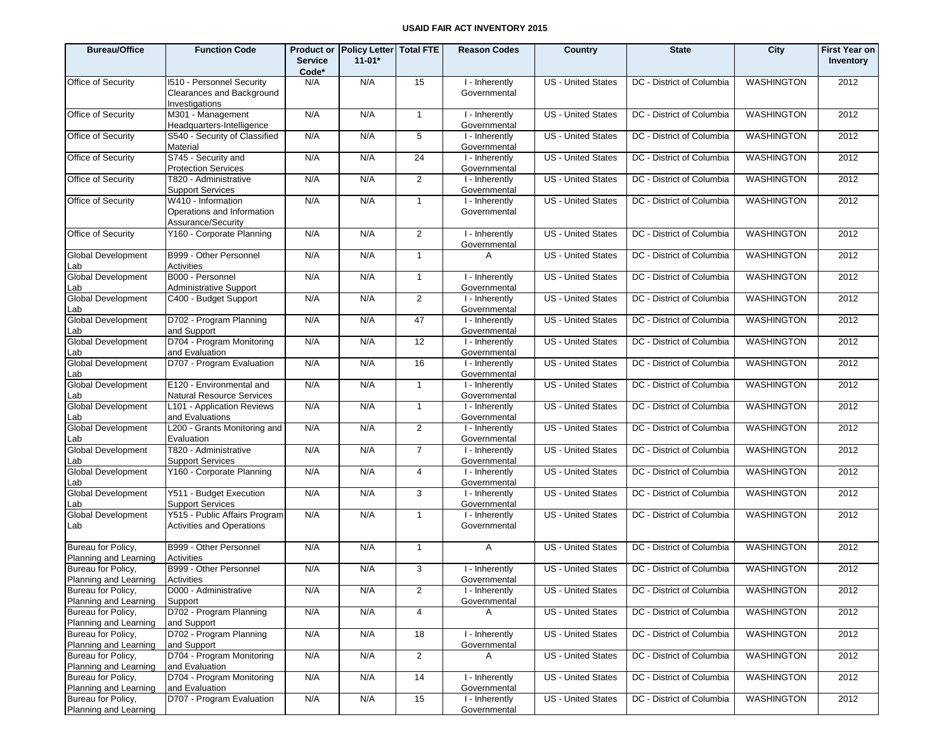| <b>Bureau/Office</b>                        | <b>Function Code</b>                                                            | <b>Service</b><br>Code* | Product or Policy Letter Total FTE<br>$11 - 01*$ |                 | <b>Reason Codes</b>                         | Country                   | <b>State</b>              | City              | <b>First Year on</b><br>Inventory |
|---------------------------------------------|---------------------------------------------------------------------------------|-------------------------|--------------------------------------------------|-----------------|---------------------------------------------|---------------------------|---------------------------|-------------------|-----------------------------------|
| Office of Security                          | <b>1510 - Personnel Security</b><br>Clearances and Background<br>Investigations | N/A                     | N/A                                              | 15              | I - Inherently<br>Governmental              | <b>US</b> - United States | DC - District of Columbia | <b>WASHINGTON</b> | 2012                              |
| Office of Security                          | M301 - Management<br>Headquarters-Intelligence                                  | N/A                     | N/A                                              | $\mathbf{1}$    | I - Inherently<br>Governmental              | <b>US</b> - United States | DC - District of Columbia | <b>WASHINGTON</b> | 2012                              |
| Office of Security                          | S540 - Security of Classified<br>Material                                       | N/A                     | N/A                                              | 5               | I - Inherently<br>Governmental              | <b>US</b> - United States | DC - District of Columbia | WASHINGTON        | 2012                              |
| Office of Security                          | S745 - Security and<br><b>Protection Services</b>                               | N/A                     | N/A                                              | $\overline{24}$ | I - Inherently<br>Governmental              | <b>US</b> - United States | DC - District of Columbia | WASHINGTON        | 2012                              |
| Office of Security                          | T820 - Administrative<br><b>Support Services</b>                                | N/A                     | N/A                                              | $\overline{2}$  | I - Inherently<br>Governmental              | <b>US</b> - United States | DC - District of Columbia | WASHINGTON        | 2012                              |
| Office of Security                          | W410 - Information<br>Operations and Information<br>Assurance/Security          | N/A                     | N/A                                              | $\mathbf{1}$    | I - Inherently<br>Governmental              | <b>US</b> - United States | DC - District of Columbia | WASHINGTON        | 2012                              |
| Office of Security                          | Y160 - Corporate Planning                                                       | N/A                     | N/A                                              | 2               | I - Inherently<br>Governmental              | <b>US</b> - United States | DC - District of Columbia | <b>WASHINGTON</b> | 2012                              |
| <b>Global Development</b><br>_ab            | B999 - Other Personnel<br>Activities                                            | N/A                     | N/A                                              | $\mathbf{1}$    | A                                           | <b>US</b> - United States | DC - District of Columbia | <b>WASHINGTON</b> | 2012                              |
| <b>Global Development</b><br>_ab            | B000 - Personnel<br><b>Administrative Support</b>                               | N/A                     | N/A                                              | $\mathbf{1}$    | $\overline{1}$ - Inherently<br>Governmental | <b>US</b> - United States | DC - District of Columbia | <b>WASHINGTON</b> | 2012                              |
| <b>Global Development</b><br>_ab            | C400 - Budget Support                                                           | N/A                     | N/A                                              | 2               | I - Inherently<br>Governmental              | <b>US</b> - United States | DC - District of Columbia | <b>WASHINGTON</b> | 2012                              |
| <b>Global Development</b><br>_ab            | D702 - Program Planning<br>and Support                                          | N/A                     | N/A                                              | 47              | I - Inherently<br>Governmental              | <b>US</b> - United States | DC - District of Columbia | <b>WASHINGTON</b> | 2012                              |
| <b>Global Development</b><br>.ab            | D704 - Program Monitoring<br>and Evaluation                                     | N/A                     | N/A                                              | $\overline{12}$ | I - Inherently<br>Governmental              | <b>US</b> - United States | DC - District of Columbia | <b>WASHINGTON</b> | 2012                              |
| <b>Global Development</b><br>_ab            | D707 - Program Evaluation                                                       | N/A                     | N/A                                              | 16              | I - Inherently<br>Governmental              | <b>US</b> - United States | DC - District of Columbia | <b>WASHINGTON</b> | 2012                              |
| <b>Global Development</b><br>.ab            | E120 - Environmental and<br>Natural Resource Services                           | N/A                     | N/A                                              | $\mathbf{1}$    | I - Inherently<br>Governmental              | <b>US</b> - United States | DC - District of Columbia | <b>WASHINGTON</b> | 2012                              |
| <b>Global Development</b><br>_ab            | L101 - Application Reviews<br>and Evaluations                                   | N/A                     | N/A                                              | $\mathbf{1}$    | I - Inherently<br>Governmental              | <b>US</b> - United States | DC - District of Columbia | <b>WASHINGTON</b> | 2012                              |
| <b>Global Development</b><br>.ab            | L200 - Grants Monitoring and<br>Evaluation                                      | N/A                     | N/A                                              | 2               | I - Inherently<br>Governmental              | <b>US</b> - United States | DC - District of Columbia | <b>WASHINGTON</b> | 2012                              |
| <b>Global Development</b><br>_ab            | T820 - Administrative<br><b>Support Services</b>                                | N/A                     | N/A                                              | $\overline{7}$  | I - Inherently<br>Governmental              | <b>US</b> - United States | DC - District of Columbia | <b>WASHINGTON</b> | 2012                              |
| <b>Global Development</b><br>_ab            | Y160 - Corporate Planning                                                       | N/A                     | N/A                                              | $\overline{4}$  | I - Inherently<br>Governmental              | <b>US</b> - United States | DC - District of Columbia | <b>WASHINGTON</b> | 2012                              |
| <b>Global Development</b><br>_ab            | Y511 - Budget Execution<br><b>Support Services</b>                              | N/A                     | N/A                                              | 3               | I - Inherently<br>Governmental              | <b>US</b> - United States | DC - District of Columbia | <b>WASHINGTON</b> | 2012                              |
| <b>Global Development</b><br>_ab            | Y515 - Public Affairs Program<br><b>Activities and Operations</b>               | N/A                     | N/A                                              | $\mathbf{1}$    | I - Inherently<br>Governmental              | <b>US</b> - United States | DC - District of Columbia | <b>WASHINGTON</b> | 2012                              |
| Bureau for Policy,<br>Planning and Learning | B999 - Other Personnel<br>Activities                                            | N/A                     | N/A                                              | $\mathbf{1}$    | A                                           | <b>US</b> - United States | DC - District of Columbia | WASHINGTON        | 2012                              |
| Bureau for Policy,<br>Planning and Learning | B999 - Other Personnel<br><b>Activities</b>                                     | N/A                     | N/A                                              | 3               | I - Inherently<br>Governmental              | <b>US</b> - United States | DC - District of Columbia | <b>WASHINGTON</b> | 2012                              |
| Bureau for Policy,<br>Planning and Learning | D000 - Administrative<br>Support                                                | N/A                     | N/A                                              | 2               | I - Inherently<br>Governmental              | US - United States        | DC - District of Columbia | WASHINGTON        | 2012                              |
| Bureau for Policy,<br>Planning and Learning | D702 - Program Planning<br>and Support                                          | N/A                     | N/A                                              | $\overline{4}$  | Α                                           | <b>US</b> - United States | DC - District of Columbia | WASHINGTON        | 2012                              |
| Bureau for Policy,<br>Planning and Learning | D702 - Program Planning<br>and Support                                          | N/A                     | N/A                                              | 18              | I - Inherently<br>Governmental              | US - United States        | DC - District of Columbia | WASHINGTON        | 2012                              |
| Bureau for Policy,<br>Planning and Learning | D704 - Program Monitoring<br>and Evaluation                                     | N/A                     | N/A                                              | $\overline{2}$  | A                                           | US - United States        | DC - District of Columbia | WASHINGTON        | 2012                              |
| Bureau for Policy,<br>Planning and Learning | D704 - Program Monitoring<br>and Evaluation                                     | N/A                     | N/A                                              | 14              | I - Inherently<br>Governmental              | <b>US</b> - United States | DC - District of Columbia | WASHINGTON        | 2012                              |
| Bureau for Policy,<br>Planning and Learning | D707 - Program Evaluation                                                       | N/A                     | N/A                                              | 15              | I - Inherently<br>Governmental              | <b>US</b> - United States | DC - District of Columbia | WASHINGTON        | 2012                              |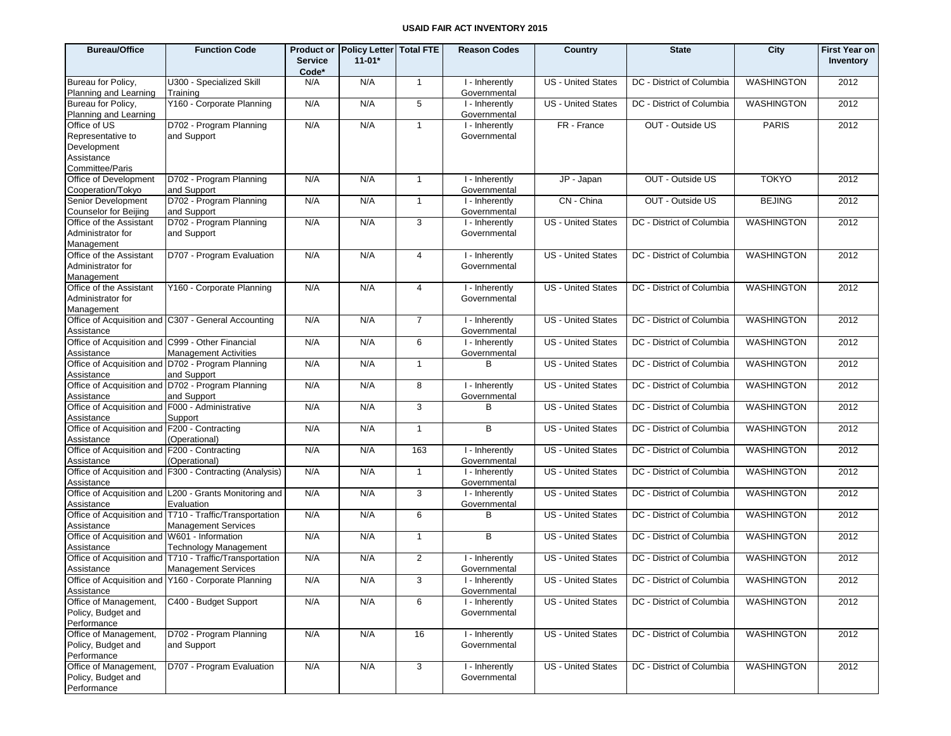| <b>Bureau/Office</b>                                                                       | <b>Function Code</b>                                                                  | <b>Service</b><br>Code* | Product or Policy Letter Total FTE<br>$11 - 01*$ |                | <b>Reason Codes</b>                            | Country                   | <b>State</b>              | City              | <b>First Year on</b><br>Inventory |
|--------------------------------------------------------------------------------------------|---------------------------------------------------------------------------------------|-------------------------|--------------------------------------------------|----------------|------------------------------------------------|---------------------------|---------------------------|-------------------|-----------------------------------|
| Bureau for Policy,<br>Planning and Learning                                                | U300 - Specialized Skill<br>Training                                                  | N/A                     | N/A                                              | $\mathbf{1}$   | I - Inherently<br>Governmental                 | <b>US</b> - United States | DC - District of Columbia | <b>WASHINGTON</b> | 2012                              |
| Bureau for Policy,<br>Planning and Learning                                                | Y160 - Corporate Planning                                                             | N/A                     | N/A                                              | 5              | I - Inherently<br>Governmental                 | <b>US - United States</b> | DC - District of Columbia | <b>WASHINGTON</b> | 2012                              |
| Office of US<br>Representative to<br>Development<br>Assistance                             | D702 - Program Planning<br>and Support                                                | N/A                     | N/A                                              | $\mathbf{1}$   | I - Inherently<br>Governmental                 | FR - France               | OUT - Outside US          | <b>PARIS</b>      | 2012                              |
| Committee/Paris<br>Office of Development<br>Cooperation/Tokyo                              | D702 - Program Planning<br>and Support                                                | N/A                     | N/A                                              | $\mathbf{1}$   | I - Inherently                                 | JP - Japan                | OUT - Outside US          | <b>TOKYO</b>      | 2012                              |
| Senior Development                                                                         | D702 - Program Planning                                                               | N/A                     | N/A                                              | $\mathbf{1}$   | Governmental<br>I - Inherently<br>Governmental | CN - China                | OUT - Outside US          | <b>BEJING</b>     | 2012                              |
| <b>Counselor for Beijing</b><br>Office of the Assistant<br>Administrator for<br>Management | and Support<br>D702 - Program Planning<br>and Support                                 | N/A                     | N/A                                              | 3              | I - Inherently<br>Governmental                 | <b>US - United States</b> | DC - District of Columbia | <b>WASHINGTON</b> | 2012                              |
| Office of the Assistant<br>Administrator for<br>Management                                 | D707 - Program Evaluation                                                             | N/A                     | N/A                                              | 4              | I - Inherently<br>Governmental                 | <b>US - United States</b> | DC - District of Columbia | <b>WASHINGTON</b> | 2012                              |
| Office of the Assistant<br>Administrator for<br>Management                                 | Y160 - Corporate Planning                                                             | N/A                     | N/A                                              | 4              | I - Inherently<br>Governmental                 | US - United States        | DC - District of Columbia | <b>WASHINGTON</b> | 2012                              |
| Assistance                                                                                 | Office of Acquisition and C307 - General Accounting                                   | N/A                     | N/A                                              | $\overline{7}$ | I - Inherently<br>Governmental                 | US - United States        | DC - District of Columbia | <b>WASHINGTON</b> | 2012                              |
| Office of Acquisition and C999 - Other Financial<br>Assistance                             | <b>Management Activities</b>                                                          | N/A                     | N/A                                              | 6              | I - Inherently<br>Governmental                 | US - United States        | DC - District of Columbia | <b>WASHINGTON</b> | 2012                              |
| Assistance                                                                                 | Office of Acquisition and D702 - Program Planning<br>and Support                      | N/A                     | N/A                                              | $\mathbf{1}$   | B                                              | US - United States        | DC - District of Columbia | <b>WASHINGTON</b> | 2012                              |
| Assistance                                                                                 | Office of Acquisition and D702 - Program Planning<br>and Support                      | N/A                     | N/A                                              | 8              | I - Inherently<br>Governmental                 | US - United States        | DC - District of Columbia | <b>WASHINGTON</b> | 2012                              |
| Office of Acquisition and F000 - Administrative<br>Assistance                              | Support                                                                               | N/A                     | N/A                                              | 3              | в                                              | US - United States        | DC - District of Columbia | <b>WASHINGTON</b> | 2012                              |
| Office of Acquisition and F200 - Contracting<br>Assistance                                 | (Operational)                                                                         | N/A                     | N/A                                              | $\mathbf{1}$   | B                                              | <b>US</b> - United States | DC - District of Columbia | <b>WASHINGTON</b> | 2012                              |
| Office of Acquisition and F200 - Contracting<br>Assistance                                 | (Operational)                                                                         | N/A                     | N/A                                              | 163            | I - Inherently<br>Governmental                 | US - United States        | DC - District of Columbia | <b>WASHINGTON</b> | 2012                              |
| Assistance                                                                                 | Office of Acquisition and F300 - Contracting (Analysis)                               | N/A                     | N/A                                              | $\mathbf{1}$   | I - Inherently<br>Governmental                 | <b>US</b> - United States | DC - District of Columbia | <b>WASHINGTON</b> | 2012                              |
| Assistance                                                                                 | Office of Acquisition and L200 - Grants Monitoring and<br>Evaluation                  | N/A                     | N/A                                              | 3              | I - Inherently<br>Governmental                 | US - United States        | DC - District of Columbia | WASHINGTON        | 2012                              |
| Assistance                                                                                 | Office of Acquisition and T710 - Traffic/Transportation<br><b>Management Services</b> | N/A                     | N/A                                              | 6              | в                                              | US - United States        | DC - District of Columbia | <b>WASHINGTON</b> | 2012                              |
| Office of Acquisition and W601 - Information<br>Assistance                                 | <b>Technology Management</b>                                                          | N/A                     | N/A                                              | $\mathbf{1}$   | B                                              | US - United States        | DC - District of Columbia | <b>WASHINGTON</b> | 2012                              |
| Assistance                                                                                 | Office of Acquisition and T710 - Traffic/Transportation<br><b>Management Services</b> | N/A                     | N/A                                              | $\overline{2}$ | I - Inherently<br>Governmental                 | <b>US</b> - United States | DC - District of Columbia | <b>WASHINGTON</b> | 2012                              |
| Assistance                                                                                 | Office of Acquisition and Y160 - Corporate Planning                                   | N/A                     | N/A                                              | $\overline{3}$ | I - Inherently<br>Governmental                 | US - United States        | DC - District of Columbia | <b>WASHINGTON</b> | 2012                              |
| Office of Management,<br>Policy, Budget and<br>Performance                                 | C400 - Budget Support                                                                 | N/A                     | N/A                                              | 6              | I - Inherently<br>Governmental                 | US - United States        | DC - District of Columbia | WASHINGTON        | 2012                              |
| Office of Management,<br>Policy, Budget and<br>Performance                                 | D702 - Program Planning<br>and Support                                                | N/A                     | N/A                                              | 16             | I - Inherently<br>Governmental                 | US - United States        | DC - District of Columbia | WASHINGTON        | 2012                              |
| Office of Management,<br>Policy, Budget and<br>Performance                                 | D707 - Program Evaluation                                                             | N/A                     | N/A                                              | $\mathbf{3}$   | I - Inherently<br>Governmental                 | US - United States        | DC - District of Columbia | <b>WASHINGTON</b> | 2012                              |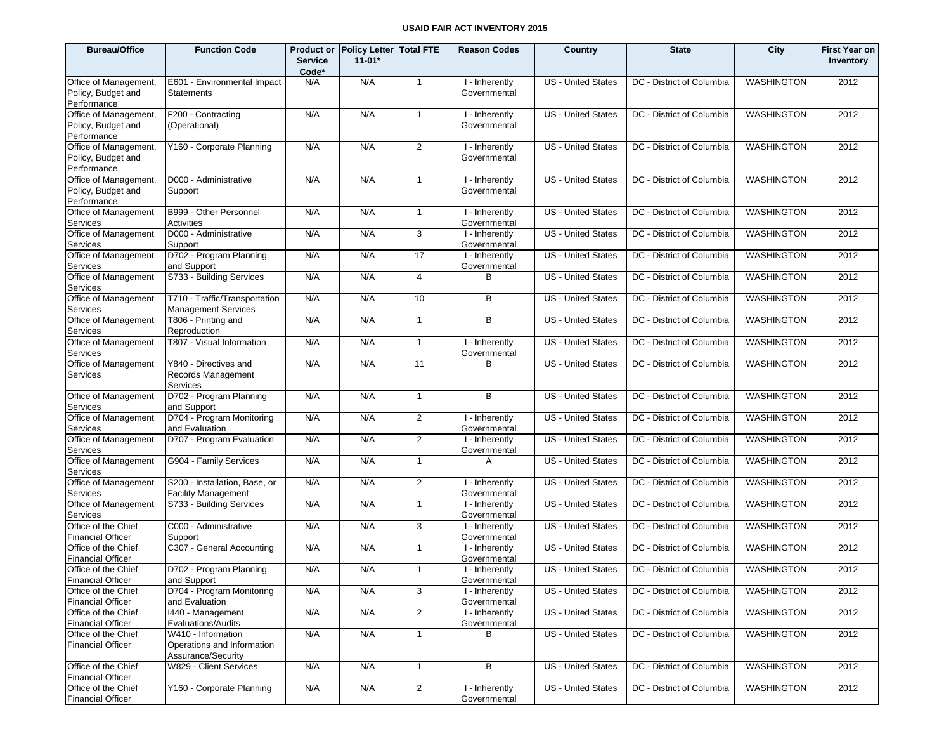| <b>Bureau/Office</b>                            | <b>Function Code</b>                                        | <b>Service</b><br>Code* | Product or Policy Letter Total FTE<br>$11 - 01*$ |                 | <b>Reason Codes</b>            | Country                   | <b>State</b>              | City              | <b>First Year on</b><br>Inventory |
|-------------------------------------------------|-------------------------------------------------------------|-------------------------|--------------------------------------------------|-----------------|--------------------------------|---------------------------|---------------------------|-------------------|-----------------------------------|
| Office of Management,                           | E601 - Environmental Impact                                 | N/A                     | N/A                                              | $\overline{1}$  | I - Inherently                 | <b>US</b> - United States | DC - District of Columbia | WASHINGTON        | 2012                              |
| Policy, Budget and<br>Performance               | <b>Statements</b>                                           |                         |                                                  |                 | Governmental                   |                           |                           |                   |                                   |
| Office of Management,                           | F200 - Contracting                                          | N/A                     | N/A                                              | $\overline{1}$  | I - Inherently                 | <b>US</b> - United States | DC - District of Columbia | WASHINGTON        | 2012                              |
| Policy, Budget and<br>Performance               | (Operational)                                               |                         |                                                  |                 | Governmental                   |                           |                           |                   |                                   |
| Office of Management,                           | Y160 - Corporate Planning                                   | N/A                     | N/A                                              | $\overline{2}$  | I - Inherently                 | <b>US</b> - United States | DC - District of Columbia | <b>WASHINGTON</b> | 2012                              |
| Policy, Budget and                              |                                                             |                         |                                                  |                 | Governmental                   |                           |                           |                   |                                   |
| Performance                                     |                                                             |                         |                                                  |                 |                                |                           |                           |                   |                                   |
| Office of Management,                           | D000 - Administrative                                       | N/A                     | N/A                                              | $\mathbf{1}$    | I - Inherently                 | <b>US - United States</b> | DC - District of Columbia | WASHINGTON        | 2012                              |
| Policy, Budget and<br>Performance               | Support                                                     |                         |                                                  |                 | Governmental                   |                           |                           |                   |                                   |
| Office of Management                            | B999 - Other Personnel                                      | N/A                     | N/A                                              | $\overline{1}$  | I - Inherently                 | <b>US</b> - United States | DC - District of Columbia | <b>WASHINGTON</b> | 2012                              |
| Services                                        | Activities                                                  |                         |                                                  |                 | Governmental                   |                           |                           |                   |                                   |
| Office of Management                            | D000 - Administrative                                       | N/A                     | N/A                                              | 3               | I - Inherently<br>Governmental | <b>US</b> - United States | DC - District of Columbia | <b>WASHINGTON</b> | 2012                              |
| Services<br>Office of Management                | Support<br>D702 - Program Planning                          | N/A                     | N/A                                              | $\overline{17}$ | I - Inherently                 | <b>US</b> - United States | DC - District of Columbia | <b>WASHINGTON</b> | 2012                              |
| Services                                        | and Support                                                 |                         |                                                  |                 | Governmental                   |                           |                           |                   |                                   |
| Office of Management                            | S733 - Building Services                                    | N/A                     | N/A                                              | $\overline{4}$  | B                              | <b>US</b> - United States | DC - District of Columbia | <b>WASHINGTON</b> | 2012                              |
| Services                                        |                                                             |                         |                                                  |                 |                                |                           |                           |                   |                                   |
| Office of Management<br>Services                | T710 - Traffic/Transportation<br><b>Management Services</b> | N/A                     | N/A                                              | 10              | B                              | <b>US</b> - United States | DC - District of Columbia | <b>WASHINGTON</b> | 2012                              |
| Office of Management                            | T806 - Printing and                                         | N/A                     | N/A                                              | $\mathbf{1}$    | B                              | <b>US</b> - United States | DC - District of Columbia | <b>WASHINGTON</b> | 2012                              |
| Services                                        | Reproduction                                                |                         |                                                  |                 |                                |                           |                           |                   |                                   |
| Office of Management<br>Services                | T807 - Visual Information                                   | N/A                     | N/A                                              | $\mathbf{1}$    | I - Inherently<br>Governmental | <b>US</b> - United States | DC - District of Columbia | <b>WASHINGTON</b> | 2012                              |
| Office of Management<br>Services                | Y840 - Directives and<br>Records Management<br>Services     | N/A                     | N/A                                              | 11              | <sub>B</sub>                   | <b>US</b> - United States | DC - District of Columbia | <b>WASHINGTON</b> | 2012                              |
| Office of Management<br>Services                | D702 - Program Planning<br>and Support                      | N/A                     | N/A                                              | $\mathbf{1}$    | B                              | <b>US - United States</b> | DC - District of Columbia | WASHINGTON        | 2012                              |
| Office of Management<br>Services                | D704 - Program Monitoring<br>and Evaluation                 | N/A                     | N/A                                              | 2               | I - Inherently<br>Governmental | <b>US - United States</b> | DC - District of Columbia | WASHINGTON        | 2012                              |
| Office of Management<br>Services                | D707 - Program Evaluation                                   | N/A                     | N/A                                              | $\overline{2}$  | I - Inherently<br>Governmental | <b>US - United States</b> | DC - District of Columbia | WASHINGTON        | 2012                              |
| Office of Management<br>Services                | G904 - Family Services                                      | N/A                     | N/A                                              | $\overline{1}$  | $\mathsf{A}$                   | <b>US - United States</b> | DC - District of Columbia | WASHINGTON        | 2012                              |
| Office of Management<br>Services                | S200 - Installation, Base, or<br><b>Facility Management</b> | N/A                     | N/A                                              | 2               | I - Inherently<br>Governmental | <b>US - United States</b> | DC - District of Columbia | WASHINGTON        | 2012                              |
| Office of Management<br>Services                | S733 - Building Services                                    | N/A                     | N/A                                              | $\overline{1}$  | I - Inherently<br>Governmental | <b>US - United States</b> | DC - District of Columbia | WASHINGTON        | 2012                              |
| Office of the Chief<br><b>Financial Officer</b> | C000 - Administrative<br>Support                            | N/A                     | N/A                                              | 3               | I - Inherently<br>Governmental | <b>US - United States</b> | DC - District of Columbia | WASHINGTON        | 2012                              |
| Office of the Chief<br>Financial Officer        | C307 - General Accounting                                   | N/A                     | N/A                                              | $\mathbf{1}$    | I - Inherently<br>Governmental | <b>US - United States</b> | DC - District of Columbia | WASHINGTON        | 2012                              |
| Office of the Chief<br><b>Financial Officer</b> | D702 - Program Planning<br>and Support                      | N/A                     | N/A                                              | $\overline{1}$  | I - Inherently<br>Governmental | <b>US</b> - United States | DC - District of Columbia | <b>WASHINGTON</b> | 2012                              |
| Office of the Chief                             | D704 - Program Monitoring                                   | N/A                     | N/A                                              | 3               | I - Inherently                 | US - United States        | DC - District of Columbia | WASHINGTON        | 2012                              |
| <b>Financial Officer</b>                        | and Evaluation                                              |                         |                                                  |                 | Governmental                   |                           |                           |                   |                                   |
| Office of the Chief<br><b>Financial Officer</b> | 1440 - Management<br>Evaluations/Audits                     | N/A                     | N/A                                              | $\overline{2}$  | I - Inherently<br>Governmental | US - United States        | DC - District of Columbia | WASHINGTON        | 2012                              |
| Office of the Chief                             | W410 - Information                                          | N/A                     | N/A                                              | $\mathbf{1}$    | B                              | <b>US</b> - United States | DC - District of Columbia | <b>WASHINGTON</b> | 2012                              |
| <b>Financial Officer</b>                        | Operations and Information<br>Assurance/Security            |                         |                                                  |                 |                                |                           |                           |                   |                                   |
| Office of the Chief<br><b>Financial Officer</b> | W829 - Client Services                                      | N/A                     | N/A                                              | $\mathbf{1}$    | B                              | US - United States        | DC - District of Columbia | WASHINGTON        | 2012                              |
| Office of the Chief<br><b>Financial Officer</b> | Y160 - Corporate Planning                                   | N/A                     | N/A                                              | $\overline{2}$  | I - Inherently<br>Governmental | US - United States        | DC - District of Columbia | <b>WASHINGTON</b> | 2012                              |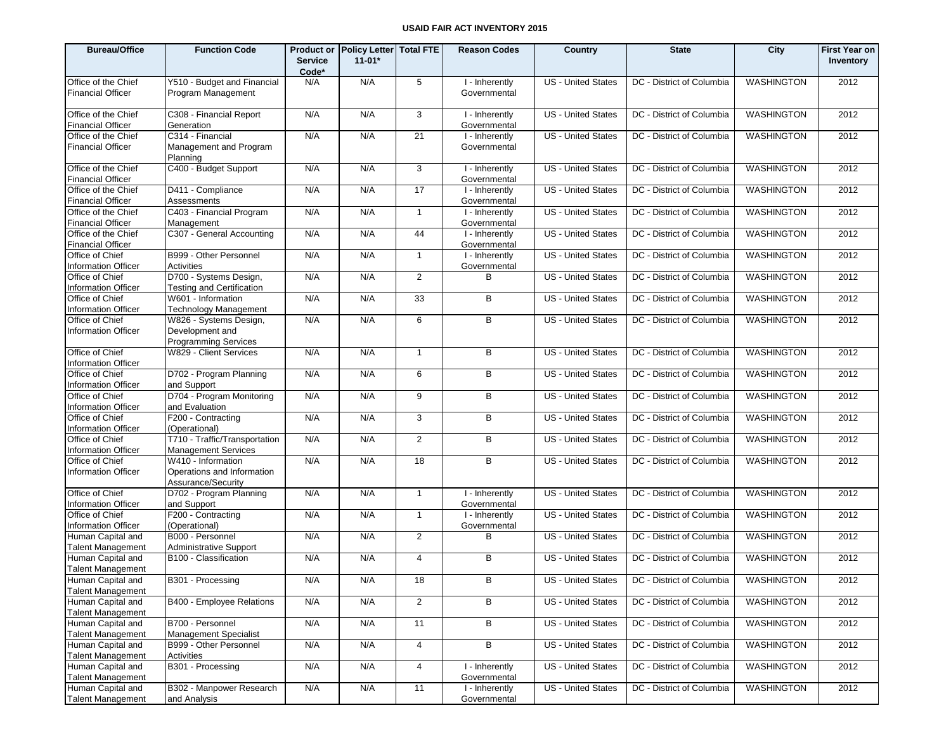| <b>Bureau/Office</b>                            | <b>Function Code</b>                                                   |                         | Product or Policy Letter Total FTE |                | <b>Reason Codes</b>            | Country                   | <b>State</b>                                   | City              | <b>First Year on</b> |
|-------------------------------------------------|------------------------------------------------------------------------|-------------------------|------------------------------------|----------------|--------------------------------|---------------------------|------------------------------------------------|-------------------|----------------------|
|                                                 |                                                                        | <b>Service</b><br>Code* | $11 - 01*$                         |                |                                |                           |                                                |                   | Inventory            |
| Office of the Chief                             | Y510 - Budget and Financial                                            | N/A                     | N/A                                | 5              | I - Inherently                 | <b>US</b> - United States | DC - District of Columbia                      | <b>WASHINGTON</b> | 2012                 |
| <b>Financial Officer</b>                        | Program Management                                                     |                         |                                    |                | Governmental                   |                           |                                                |                   |                      |
| Office of the Chief<br><b>Financial Officer</b> | C308 - Financial Report<br>Generation                                  | N/A                     | N/A                                | 3              | I - Inherently<br>Governmental | <b>US</b> - United States | DC - District of Columbia                      | WASHINGTON        | 2012                 |
| Office of the Chief                             | C314 - Financial                                                       | N/A                     | N/A                                | 21             | I - Inherently                 | <b>US</b> - United States | DC - District of Columbia                      | WASHINGTON        | 2012                 |
| <b>Financial Officer</b>                        | Management and Program<br>Planning                                     |                         |                                    |                | Governmental                   |                           |                                                |                   |                      |
| Office of the Chief<br><b>Financial Officer</b> | C400 - Budget Support                                                  | N/A                     | N/A                                | 3              | I - Inherently<br>Governmental | <b>US</b> - United States | DC - District of Columbia                      | <b>WASHINGTON</b> | 2012                 |
| Office of the Chief<br><b>Financial Officer</b> | D411 - Compliance<br>Assessments                                       | N/A                     | N/A                                | 17             | I - Inherently<br>Governmental | <b>US</b> - United States | DC - District of Columbia                      | <b>WASHINGTON</b> | 2012                 |
| Office of the Chief<br><b>Financial Officer</b> | C403 - Financial Program<br>Management                                 | N/A                     | N/A                                | $\mathbf{1}$   | I - Inherently<br>Governmental | <b>US</b> - United States | DC - District of Columbia                      | <b>WASHINGTON</b> | 2012                 |
| Office of the Chief<br><b>Financial Officer</b> | C307 - General Accounting                                              | N/A                     | N/A                                | 44             | I - Inherently<br>Governmental | <b>US</b> - United States | DC - District of Columbia                      | <b>WASHINGTON</b> | 2012                 |
| Office of Chief<br><b>Information Officer</b>   | B999 - Other Personnel<br>Activities                                   | N/A                     | N/A                                | $\overline{1}$ | I - Inherently<br>Governmental | <b>US</b> - United States | DC - District of Columbia                      | <b>WASHINGTON</b> | 2012                 |
| Office of Chief<br>Information Officer          | D700 - Systems Design,<br>Testing and Certification                    | N/A                     | N/A                                | $\overline{2}$ | B                              | <b>US</b> - United States | DC - District of Columbia                      | <b>WASHINGTON</b> | 2012                 |
| Office of Chief<br><b>Information Officer</b>   | W601 - Information<br>Technology Management                            | N/A                     | N/A                                | 33             | B                              | <b>US</b> - United States | DC - District of Columbia                      | <b>WASHINGTON</b> | 2012                 |
| Office of Chief                                 | W826 - Systems Design,                                                 | N/A                     | N/A                                | 6              | B                              | <b>US</b> - United States | DC - District of Columbia                      | <b>WASHINGTON</b> | 2012                 |
| <b>Information Officer</b>                      | Development and<br><b>Programming Services</b>                         |                         |                                    |                |                                |                           |                                                |                   |                      |
| Office of Chief<br><b>Information Officer</b>   | W829 - Client Services                                                 | N/A                     | N/A                                | $\mathbf{1}$   | B                              | <b>US</b> - United States | DC - District of Columbia                      | WASHINGTON        | 2012                 |
| Office of Chief<br><b>Information Officer</b>   | D702 - Program Planning<br>and Support                                 | N/A                     | N/A                                | 6              | B                              | <b>US</b> - United States | DC - District of Columbia                      | WASHINGTON        | 2012                 |
| Office of Chief<br><b>Information Officer</b>   | D704 - Program Monitoring<br>and Evaluation                            | N/A                     | N/A                                | 9              | B                              | <b>US</b> - United States | DC - District of Columbia                      | WASHINGTON        | 2012                 |
| Office of Chief<br><b>Information Officer</b>   | F200 - Contracting<br>(Operational)                                    | N/A                     | N/A                                | 3              | B                              | <b>US</b> - United States | DC - District of Columbia                      | <b>WASHINGTON</b> | 2012                 |
| Office of Chief<br><b>Information Officer</b>   | T710 - Traffic/Transportation<br><b>Management Services</b>            | N/A                     | N/A                                | 2              | B                              | <b>US</b> - United States | DC - District of Columbia                      | WASHINGTON        | 2012                 |
| Office of Chief<br><b>Information Officer</b>   | W410 - Information<br>Operations and Information<br>Assurance/Security | N/A                     | N/A                                | 18             | B                              | <b>US</b> - United States | DC - District of Columbia                      | <b>WASHINGTON</b> | 2012                 |
| Office of Chief<br><b>Information Officer</b>   | D702 - Program Planning<br>and Support                                 | N/A                     | N/A                                | $\overline{1}$ | I - Inherently<br>Governmental | <b>US</b> - United States | DC - District of Columbia                      | <b>WASHINGTON</b> | 2012                 |
| Office of Chief<br>Information Officer          | F200 - Contracting<br>(Operational)                                    | N/A                     | N/A                                | $\mathbf{1}$   | I - Inherently<br>Governmental | <b>US</b> - United States | DC - District of Columbia                      | <b>WASHINGTON</b> | 2012                 |
| Human Capital and<br><b>Talent Management</b>   | B000 - Personnel<br><b>Administrative Support</b>                      | N/A                     | N/A                                | 2              | B                              | <b>US</b> - United States | DC - District of Columbia                      | <b>WASHINGTON</b> | 2012                 |
| Human Capital and<br><b>Talent Management</b>   | B100 - Classification                                                  | N/A                     | N/A                                | $\overline{4}$ | B                              | <b>US</b> - United States | DC - District of Columbia                      | <b>WASHINGTON</b> | 2012                 |
| Human Capital and                               | B301 - Processing                                                      | N/A                     | N/A                                | 18             | B                              |                           | US - United States   DC - District of Columbia | WASHINGTON        | 2012                 |
| <b>Talent Management</b><br>Human Capital and   | B400 - Employee Relations                                              | N/A                     | N/A                                | $\overline{2}$ | B                              | <b>US</b> - United States | DC - District of Columbia                      | WASHINGTON        | 2012                 |
| <b>Talent Management</b><br>Human Capital and   | B700 - Personnel                                                       | N/A                     | N/A                                | 11             | В                              | <b>US</b> - United States | DC - District of Columbia                      | <b>WASHINGTON</b> | 2012                 |
| <b>Talent Management</b><br>Human Capital and   | Management Specialist<br>B999 - Other Personnel                        | N/A                     | N/A                                | $\overline{4}$ | B                              | <b>US</b> - United States | DC - District of Columbia                      | <b>WASHINGTON</b> | 2012                 |
| <b>Talent Management</b>                        | Activities                                                             |                         |                                    |                |                                |                           |                                                |                   |                      |
| Human Capital and<br><b>Talent Management</b>   | B301 - Processing                                                      | N/A                     | N/A                                | 4              | I - Inherently<br>Governmental | US - United States        | DC - District of Columbia                      | <b>WASHINGTON</b> | 2012                 |
| Human Capital and<br><b>Talent Management</b>   | B302 - Manpower Research<br>and Analysis                               | N/A                     | N/A                                | 11             | I - Inherently<br>Governmental | <b>US</b> - United States | DC - District of Columbia                      | <b>WASHINGTON</b> | 2012                 |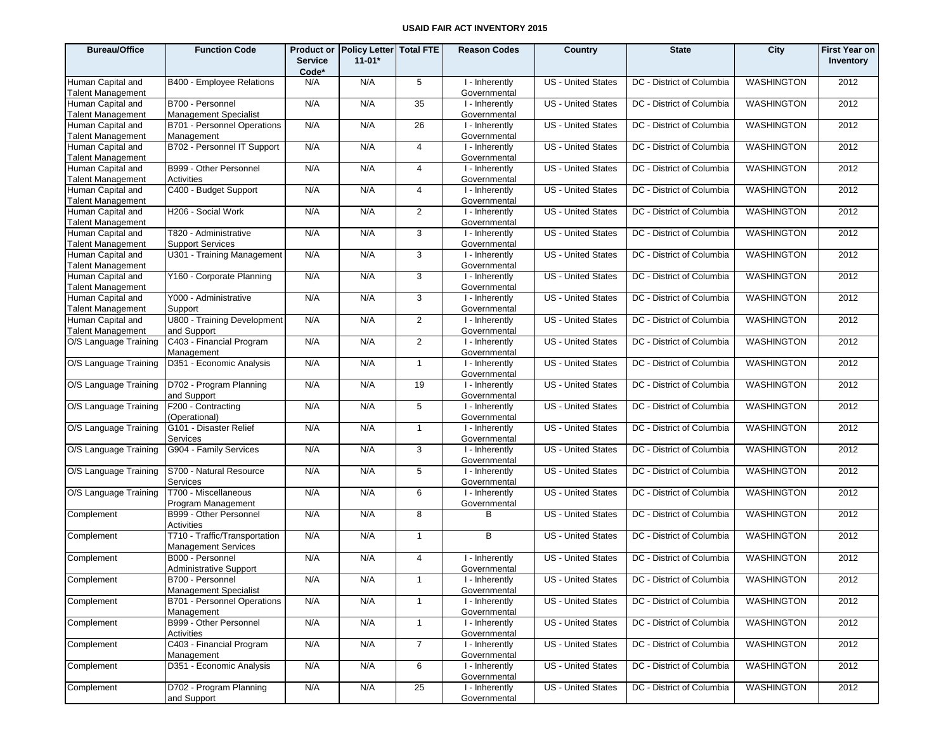| <b>Bureau/Office</b>                          | <b>Function Code</b>                                        | <b>Service</b><br>Code* | Product or Policy Letter Total FTE<br>$11 - 01*$ |                | <b>Reason Codes</b>            | Country                   | <b>State</b>              | City              | <b>First Year on</b><br>Inventory |
|-----------------------------------------------|-------------------------------------------------------------|-------------------------|--------------------------------------------------|----------------|--------------------------------|---------------------------|---------------------------|-------------------|-----------------------------------|
| Human Capital and<br><b>Talent Management</b> | B400 - Employee Relations                                   | N/A                     | N/A                                              | 5              | I - Inherently<br>Governmental | <b>US</b> - United States | DC - District of Columbia | <b>WASHINGTON</b> | 2012                              |
| Human Capital and<br><b>Talent Management</b> | B700 - Personnel<br><b>Management Specialist</b>            | N/A                     | N/A                                              | 35             | I - Inherently<br>Governmental | US - United States        | DC - District of Columbia | <b>WASHINGTON</b> | 2012                              |
| Human Capital and<br><b>Talent Management</b> | B701 - Personnel Operations<br>Management                   | N/A                     | N/A                                              | 26             | I - Inherently<br>Governmental | <b>US</b> - United States | DC - District of Columbia | <b>WASHINGTON</b> | 2012                              |
| Human Capital and<br><b>Talent Management</b> | B702 - Personnel IT Support                                 | N/A                     | N/A                                              | $\overline{4}$ | I - Inherently<br>Governmental | US - United States        | DC - District of Columbia | <b>WASHINGTON</b> | 2012                              |
| Human Capital and<br><b>Talent Management</b> | B999 - Other Personnel<br>Activities                        | N/A                     | N/A                                              | $\overline{4}$ | I - Inherently<br>Governmental | US - United States        | DC - District of Columbia | <b>WASHINGTON</b> | 2012                              |
| Human Capital and<br><b>Talent Management</b> | C400 - Budget Support                                       | N/A                     | N/A                                              | $\overline{4}$ | I - Inherently<br>Governmental | US - United States        | DC - District of Columbia | <b>WASHINGTON</b> | 2012                              |
| Human Capital and<br><b>Talent Management</b> | H206 - Social Work                                          | N/A                     | N/A                                              | $\overline{2}$ | I - Inherently<br>Governmental | US - United States        | DC - District of Columbia | <b>WASHINGTON</b> | 2012                              |
| Human Capital and<br><b>Talent Management</b> | T820 - Administrative<br><b>Support Services</b>            | N/A                     | N/A                                              | 3              | I - Inherently<br>Governmental | US - United States        | DC - District of Columbia | <b>WASHINGTON</b> | 2012                              |
| Human Capital and<br><b>Talent Management</b> | U301 - Training Management                                  | N/A                     | N/A                                              | 3              | I - Inherently<br>Governmental | US - United States        | DC - District of Columbia | <b>WASHINGTON</b> | 2012                              |
| Human Capital and<br><b>Talent Management</b> | Y160 - Corporate Planning                                   | N/A                     | N/A                                              | 3              | I - Inherently<br>Governmental | <b>US</b> - United States | DC - District of Columbia | <b>WASHINGTON</b> | 2012                              |
| Human Capital and<br><b>Talent Management</b> | Y000 - Administrative<br>Support                            | N/A                     | N/A                                              | 3              | I - Inherently<br>Governmental | US - United States        | DC - District of Columbia | <b>WASHINGTON</b> | 2012                              |
| Human Capital and<br><b>Talent Management</b> | U800 - Training Development<br>and Support                  | N/A                     | N/A                                              | $\overline{2}$ | I - Inherently<br>Governmental | US - United States        | DC - District of Columbia | <b>WASHINGTON</b> | 2012                              |
| O/S Language Training                         | C403 - Financial Program<br>Management                      | N/A                     | N/A                                              | $\overline{2}$ | I - Inherently<br>Governmental | <b>US</b> - United States | DC - District of Columbia | <b>WASHINGTON</b> | 2012                              |
| O/S Language Training                         | D351 - Economic Analysis                                    | N/A                     | N/A                                              | $\mathbf{1}$   | I - Inherently<br>Governmental | US - United States        | DC - District of Columbia | <b>WASHINGTON</b> | 2012                              |
| O/S Language Training                         | D702 - Program Planning<br>and Support                      | N/A                     | N/A                                              | 19             | I - Inherently<br>Governmental | <b>US</b> - United States | DC - District of Columbia | <b>WASHINGTON</b> | 2012                              |
| O/S Language Training                         | F200 - Contracting<br>(Operational)                         | N/A                     | N/A                                              | 5              | I - Inherently<br>Governmental | US - United States        | DC - District of Columbia | <b>WASHINGTON</b> | 2012                              |
| O/S Language Training                         | G101 - Disaster Relief<br>Services                          | N/A                     | N/A                                              | $\overline{1}$ | I - Inherently<br>Governmental | <b>US - United States</b> | DC - District of Columbia | <b>WASHINGTON</b> | 2012                              |
| O/S Language Training                         | G904 - Family Services                                      | N/A                     | N/A                                              | 3              | I - Inherently<br>Governmental | US - United States        | DC - District of Columbia | <b>WASHINGTON</b> | 2012                              |
| O/S Language Training                         | S700 - Natural Resource<br>Services                         | N/A                     | N/A                                              | 5              | I - Inherently<br>Governmental | US - United States        | DC - District of Columbia | <b>WASHINGTON</b> | 2012                              |
| O/S Language Training                         | T700 - Miscellaneous<br>Program Management                  | N/A                     | N/A                                              | 6              | I - Inherently<br>Governmental | US - United States        | DC - District of Columbia | <b>WASHINGTON</b> | 2012                              |
| Complement                                    | B999 - Other Personnel<br>Activities                        | N/A                     | N/A                                              | 8              | в                              | <b>US</b> - United States | DC - District of Columbia | <b>WASHINGTON</b> | 2012                              |
| Complement                                    | T710 - Traffic/Transportation<br><b>Management Services</b> | N/A                     | N/A                                              | $\mathbf{1}$   | B                              | US - United States        | DC - District of Columbia | <b>WASHINGTON</b> | 2012                              |
| Complement                                    | B000 - Personnel<br><b>Administrative Support</b>           | N/A                     | N/A                                              | $\overline{4}$ | I - Inherently<br>Governmental | <b>US - United States</b> | DC - District of Columbia | <b>WASHINGTON</b> | 2012                              |
| Complement                                    | B700 - Personnel<br><b>Management Specialist</b>            | N/A                     | N/A                                              | 1              | I - Inherently<br>Governmental | US - United States        | DC - District of Columbia | <b>WASHINGTON</b> | 2012                              |
| Complement                                    | B701 - Personnel Operations<br>Management                   | N/A                     | N/A                                              | $\mathbf{1}$   | I - Inherently<br>Governmental | US - United States        | DC - District of Columbia | <b>WASHINGTON</b> | 2012                              |
| Complement                                    | B999 - Other Personnel<br>Activities                        | N/A                     | N/A                                              | $\mathbf{1}$   | I - Inherently<br>Governmental | US - United States        | DC - District of Columbia | <b>WASHINGTON</b> | 2012                              |
| Complement                                    | C403 - Financial Program<br>Management                      | N/A                     | N/A                                              | $\overline{7}$ | I - Inherently<br>Governmental | <b>US</b> - United States | DC - District of Columbia | <b>WASHINGTON</b> | 2012                              |
| Complement                                    | D351 - Economic Analysis                                    | N/A                     | N/A                                              | 6              | I - Inherently<br>Governmental | US - United States        | DC - District of Columbia | <b>WASHINGTON</b> | 2012                              |
| Complement                                    | D702 - Program Planning<br>and Support                      | N/A                     | N/A                                              | 25             | I - Inherently<br>Governmental | US - United States        | DC - District of Columbia | <b>WASHINGTON</b> | 2012                              |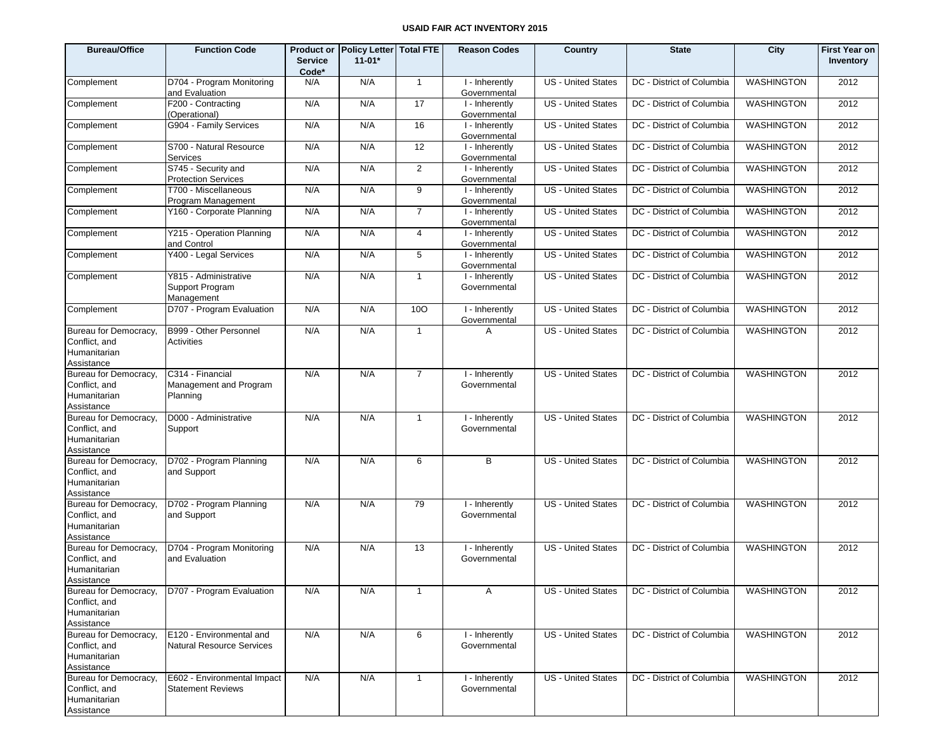| <b>Bureau/Office</b>                                                 | <b>Function Code</b>                                    | <b>Service</b><br>Code* | Product or Policy Letter Total FTE<br>$11 - 01*$ |                | <b>Reason Codes</b>            | Country                   | <b>State</b>              | City              | <b>First Year on</b><br>Inventory |
|----------------------------------------------------------------------|---------------------------------------------------------|-------------------------|--------------------------------------------------|----------------|--------------------------------|---------------------------|---------------------------|-------------------|-----------------------------------|
| Complement                                                           | D704 - Program Monitoring<br>and Evaluation             | N/A                     | N/A                                              | $\overline{1}$ | I - Inherently<br>Governmental | <b>US</b> - United States | DC - District of Columbia | <b>WASHINGTON</b> | 2012                              |
| Complement                                                           | F200 - Contracting<br>(Operational)                     | N/A                     | N/A                                              | 17             | I - Inherently<br>Governmental | <b>US</b> - United States | DC - District of Columbia | <b>WASHINGTON</b> | 2012                              |
| Complement                                                           | G904 - Family Services                                  | N/A                     | N/A                                              | 16             | I - Inherently<br>Governmental | <b>US</b> - United States | DC - District of Columbia | <b>WASHINGTON</b> | 2012                              |
| Complement                                                           | S700 - Natural Resource<br>Services                     | N/A                     | N/A                                              | 12             | I - Inherently<br>Governmental | <b>US</b> - United States | DC - District of Columbia | <b>WASHINGTON</b> | 2012                              |
| Complement                                                           | S745 - Security and<br><b>Protection Services</b>       | N/A                     | N/A                                              | 2              | I - Inherently<br>Governmental | <b>US</b> - United States | DC - District of Columbia | <b>WASHINGTON</b> | 2012                              |
| Complement                                                           | T700 - Miscellaneous<br>Program Management              | N/A                     | N/A                                              | 9              | I - Inherently<br>Governmental | <b>US</b> - United States | DC - District of Columbia | <b>WASHINGTON</b> | 2012                              |
| Complement                                                           | Y160 - Corporate Planning                               | N/A                     | N/A                                              | $\overline{7}$ | I - Inherently<br>Governmental | <b>US</b> - United States | DC - District of Columbia | <b>WASHINGTON</b> | 2012                              |
| Complement                                                           | Y215 - Operation Planning<br>and Control                | N/A                     | N/A                                              | $\overline{4}$ | I - Inherently<br>Governmental | <b>US</b> - United States | DC - District of Columbia | <b>WASHINGTON</b> | 2012                              |
| Complement                                                           | Y400 - Legal Services                                   | N/A                     | N/A                                              | 5              | I - Inherently<br>Governmental | <b>US</b> - United States | DC - District of Columbia | <b>WASHINGTON</b> | 2012                              |
| Complement                                                           | Y815 - Administrative<br>Support Program<br>Management  | N/A                     | N/A                                              | $\overline{1}$ | I - Inherently<br>Governmental | <b>US</b> - United States | DC - District of Columbia | <b>WASHINGTON</b> | 2012                              |
| Complement                                                           | D707 - Program Evaluation                               | N/A                     | N/A                                              | 100            | I - Inherently<br>Governmental | <b>US</b> - United States | DC - District of Columbia | <b>WASHINGTON</b> | 2012                              |
| Bureau for Democracy,<br>Conflict, and<br>Humanitarian<br>Assistance | B999 - Other Personnel<br><b>Activities</b>             | N/A                     | N/A                                              | $\overline{1}$ | A                              | <b>US</b> - United States | DC - District of Columbia | <b>WASHINGTON</b> | 2012                              |
| Bureau for Democracy,<br>Conflict, and<br>Humanitarian<br>Assistance | C314 - Financial<br>Management and Program<br>Planning  | N/A                     | N/A                                              | $\overline{7}$ | I - Inherently<br>Governmental | <b>US</b> - United States | DC - District of Columbia | <b>WASHINGTON</b> | 2012                              |
| Bureau for Democracy,<br>Conflict, and<br>Humanitarian<br>Assistance | D000 - Administrative<br>Support                        | N/A                     | N/A                                              | $\overline{1}$ | I - Inherently<br>Governmental | <b>US - United States</b> | DC - District of Columbia | <b>WASHINGTON</b> | 2012                              |
| Bureau for Democracy,<br>Conflict, and<br>Humanitarian<br>Assistance | D702 - Program Planning<br>and Support                  | N/A                     | N/A                                              | 6              | B                              | <b>US - United States</b> | DC - District of Columbia | WASHINGTON        | 2012                              |
| Bureau for Democracy,<br>Conflict, and<br>Humanitarian<br>Assistance | D702 - Program Planning<br>and Support                  | N/A                     | N/A                                              | 79             | I - Inherently<br>Governmental | <b>US</b> - United States | DC - District of Columbia | WASHINGTON        | 2012                              |
| Bureau for Democracy,<br>Conflict, and<br>Humanitarian<br>Assistance | D704 - Program Monitoring<br>and Evaluation             | N/A                     | N/A                                              | 13             | I - Inherently<br>Governmental | <b>US - United States</b> | DC - District of Columbia | <b>WASHINGTON</b> | 2012                              |
| Bureau for Democracy,<br>Conflict, and<br>Humanitarian<br>Assistance | D707 - Program Evaluation                               | N/A                     | N/A                                              | $\overline{1}$ | Α                              | <b>US</b> - United States | DC - District of Columbia | <b>WASHINGTON</b> | 2012                              |
| Bureau for Democracy,<br>Conflict, and<br>Humanitarian<br>Assistance | E120 - Environmental and<br>Natural Resource Services   | N/A                     | N/A                                              | 6              | I - Inherently<br>Governmental | <b>US</b> - United States | DC - District of Columbia | WASHINGTON        | 2012                              |
| Bureau for Democracy,<br>Conflict, and<br>Humanitarian<br>Assistance | E602 - Environmental Impact<br><b>Statement Reviews</b> | N/A                     | N/A                                              | $\mathbf{1}$   | I - Inherently<br>Governmental | US - United States        | DC - District of Columbia | WASHINGTON        | 2012                              |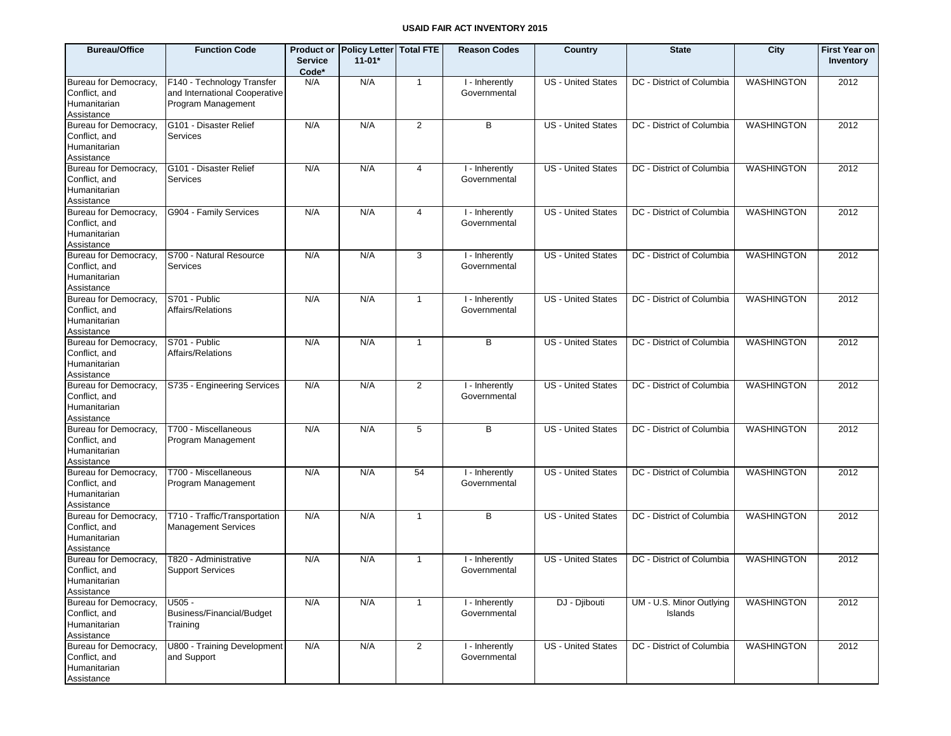| <b>Bureau/Office</b>                                                 | <b>Function Code</b>                                                              | <b>Service</b><br>Code* | Product or Policy Letter Total FTE<br>$11 - 01*$ |                | <b>Reason Codes</b>            | Country                   | <b>State</b>                        | City              | <b>First Year on</b><br>Inventory |
|----------------------------------------------------------------------|-----------------------------------------------------------------------------------|-------------------------|--------------------------------------------------|----------------|--------------------------------|---------------------------|-------------------------------------|-------------------|-----------------------------------|
| Bureau for Democracy,<br>Conflict, and<br>Humanitarian<br>Assistance | F140 - Technology Transfer<br>and International Cooperative<br>Program Management | N/A                     | N/A                                              | $\mathbf{1}$   | I - Inherently<br>Governmental | <b>US</b> - United States | DC - District of Columbia           | <b>WASHINGTON</b> | 2012                              |
| Bureau for Democracy,<br>Conflict, and<br>Humanitarian<br>Assistance | G101 - Disaster Relief<br>Services                                                | N/A                     | N/A                                              | 2              | B                              | <b>US</b> - United States | DC - District of Columbia           | <b>WASHINGTON</b> | 2012                              |
| Bureau for Democracy,<br>Conflict, and<br>Humanitarian<br>Assistance | G101 - Disaster Relief<br>Services                                                | N/A                     | N/A                                              | 4              | I - Inherently<br>Governmental | <b>US</b> - United States | DC - District of Columbia           | <b>WASHINGTON</b> | 2012                              |
| Bureau for Democracy,<br>Conflict, and<br>Humanitarian<br>Assistance | G904 - Family Services                                                            | N/A                     | N/A                                              | $\overline{4}$ | I - Inherently<br>Governmental | <b>US</b> - United States | DC - District of Columbia           | <b>WASHINGTON</b> | 2012                              |
| Bureau for Democracy,<br>Conflict, and<br>Humanitarian<br>Assistance | S700 - Natural Resource<br>Services                                               | N/A                     | N/A                                              | 3              | I - Inherently<br>Governmental | <b>US</b> - United States | DC - District of Columbia           | <b>WASHINGTON</b> | 2012                              |
| Bureau for Democracy,<br>Conflict, and<br>Humanitarian<br>Assistance | S701 - Public<br>Affairs/Relations                                                | N/A                     | N/A                                              | $\mathbf{1}$   | I - Inherently<br>Governmental | <b>US</b> - United States | DC - District of Columbia           | <b>WASHINGTON</b> | 2012                              |
| Bureau for Democracy,<br>Conflict, and<br>Humanitarian<br>Assistance | S701 - Public<br>Affairs/Relations                                                | N/A                     | N/A                                              | $\mathbf{1}$   | B                              | <b>US</b> - United States | DC - District of Columbia           | <b>WASHINGTON</b> | 2012                              |
| Bureau for Democracy,<br>Conflict, and<br>Humanitarian<br>Assistance | S735 - Engineering Services                                                       | N/A                     | N/A                                              | $\overline{2}$ | I - Inherently<br>Governmental | <b>US</b> - United States | DC - District of Columbia           | <b>WASHINGTON</b> | 2012                              |
| Bureau for Democracy,<br>Conflict, and<br>Humanitarian<br>Assistance | T700 - Miscellaneous<br>Program Management                                        | N/A                     | N/A                                              | 5              | B                              | <b>US</b> - United States | DC - District of Columbia           | <b>WASHINGTON</b> | 2012                              |
| Bureau for Democracy,<br>Conflict, and<br>Humanitarian<br>Assistance | T700 - Miscellaneous<br>Program Management                                        | N/A                     | N/A                                              | 54             | I - Inherently<br>Governmental | <b>US</b> - United States | DC - District of Columbia           | <b>WASHINGTON</b> | 2012                              |
| Bureau for Democracy,<br>Conflict, and<br>Humanitarian<br>Assistance | T710 - Traffic/Transportation<br><b>Management Services</b>                       | N/A                     | N/A                                              | $\mathbf{1}$   | B                              | <b>US</b> - United States | DC - District of Columbia           | <b>WASHINGTON</b> | 2012                              |
| Bureau for Democracy,<br>Conflict, and<br>Humanitarian<br>Assistance | T820 - Administrative<br><b>Support Services</b>                                  | N/A                     | N/A                                              | $\mathbf{1}$   | I - Inherently<br>Governmental | <b>US</b> - United States | DC - District of Columbia           | <b>WASHINGTON</b> | 2012                              |
| Bureau for Democracy,<br>Conflict, and<br>Humanitarian<br>Assistance | U505 -<br>Business/Financial/Budget<br>Training                                   | N/A                     | N/A                                              | $\mathbf{1}$   | I - Inherently<br>Governmental | DJ - Djibouti             | UM - U.S. Minor Outlying<br>Islands | <b>WASHINGTON</b> | 2012                              |
| Bureau for Democracy,<br>Conflict, and<br>Humanitarian<br>Assistance | U800 - Training Development<br>and Support                                        | N/A                     | N/A                                              | $\overline{2}$ | I - Inherently<br>Governmental | <b>US - United States</b> | DC - District of Columbia           | <b>WASHINGTON</b> | 2012                              |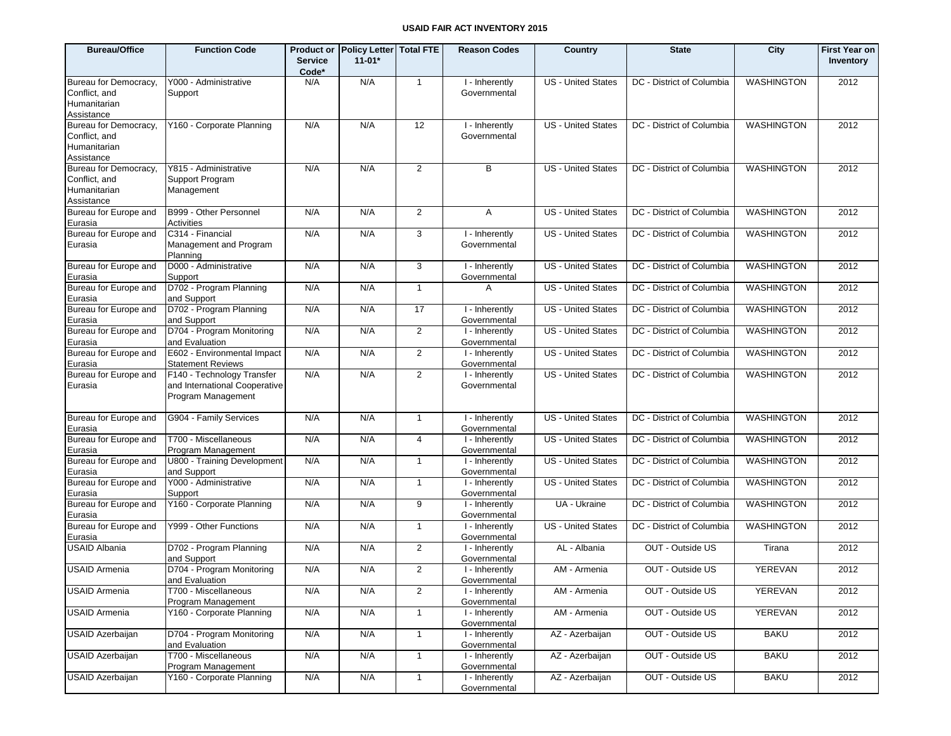| <b>Bureau/Office</b>                                                 | <b>Function Code</b>                                                              | <b>Service</b><br>Code* | Product or Policy Letter Total FTE<br>$11 - 01*$ |                | <b>Reason Codes</b>            | <b>Country</b>            | <b>State</b>              | City              | <b>First Year on</b><br>Inventory |
|----------------------------------------------------------------------|-----------------------------------------------------------------------------------|-------------------------|--------------------------------------------------|----------------|--------------------------------|---------------------------|---------------------------|-------------------|-----------------------------------|
| Bureau for Democracy,<br>Conflict, and<br>Humanitarian<br>Assistance | Y000 - Administrative<br>Support                                                  | N/A                     | N/A                                              | $\overline{1}$ | I - Inherently<br>Governmental | <b>US</b> - United States | DC - District of Columbia | <b>WASHINGTON</b> | 2012                              |
| Bureau for Democracy,<br>Conflict, and<br>Humanitarian<br>Assistance | Y160 - Corporate Planning                                                         | N/A                     | N/A                                              | 12             | I - Inherently<br>Governmental | <b>US</b> - United States | DC - District of Columbia | <b>WASHINGTON</b> | 2012                              |
| Bureau for Democracy,<br>Conflict, and<br>Humanitarian<br>Assistance | Y815 - Administrative<br>Support Program<br>Management                            | N/A                     | N/A                                              | $\overline{2}$ | B                              | <b>US</b> - United States | DC - District of Columbia | <b>WASHINGTON</b> | 2012                              |
| Bureau for Europe and<br>Eurasia                                     | B999 - Other Personnel<br>Activities                                              | N/A                     | N/A                                              | 2              | A                              | <b>US</b> - United States | DC - District of Columbia | <b>WASHINGTON</b> | 2012                              |
| Bureau for Europe and<br>Eurasia                                     | C314 - Financial<br>Management and Program<br>Planning                            | N/A                     | N/A                                              | 3              | I - Inherently<br>Governmental | <b>US - United States</b> | DC - District of Columbia | <b>WASHINGTON</b> | 2012                              |
| Bureau for Europe and<br>Eurasia                                     | D000 - Administrative<br>Support                                                  | N/A                     | N/A                                              | 3              | I - Inherently<br>Governmental | <b>US - United States</b> | DC - District of Columbia | <b>WASHINGTON</b> | 2012                              |
| Bureau for Europe and<br>Eurasia                                     | D702 - Program Planning<br>and Support                                            | N/A                     | N/A                                              | $\mathbf{1}$   | A                              | US - United States        | DC - District of Columbia | <b>WASHINGTON</b> | 2012                              |
| Bureau for Europe and<br>Eurasia                                     | D702 - Program Planning<br>and Support                                            | N/A                     | N/A                                              | 17             | I - Inherently<br>Governmental | <b>US - United States</b> | DC - District of Columbia | <b>WASHINGTON</b> | 2012                              |
| Bureau for Europe and<br>Eurasia                                     | D704 - Program Monitoring<br>and Evaluation                                       | N/A                     | N/A                                              | $\overline{2}$ | I - Inherently<br>Governmental | <b>US</b> - United States | DC - District of Columbia | <b>WASHINGTON</b> | 2012                              |
| Bureau for Europe and<br>Eurasia                                     | E602 - Environmental Impact<br><b>Statement Reviews</b>                           | N/A                     | N/A                                              | $\overline{2}$ | I - Inherently<br>Governmental | <b>US</b> - United States | DC - District of Columbia | <b>WASHINGTON</b> | 2012                              |
| Bureau for Europe and<br>Eurasia                                     | F140 - Technology Transfer<br>and International Cooperative<br>Program Management | N/A                     | N/A                                              | $\overline{2}$ | I - Inherently<br>Governmental | <b>US</b> - United States | DC - District of Columbia | <b>WASHINGTON</b> | 2012                              |
| Bureau for Europe and<br>Eurasia                                     | G904 - Family Services                                                            | N/A                     | N/A                                              | $\mathbf{1}$   | I - Inherently<br>Governmental | <b>US</b> - United States | DC - District of Columbia | <b>WASHINGTON</b> | 2012                              |
| Bureau for Europe and<br>Eurasia                                     | T700 - Miscellaneous<br>Program Management                                        | N/A                     | N/A                                              | 4              | I - Inherently<br>Governmental | US - United States        | DC - District of Columbia | <b>WASHINGTON</b> | 2012                              |
| Bureau for Europe and<br>Eurasia                                     | U800 - Training Development<br>and Support                                        | N/A                     | N/A                                              | $\mathbf{1}$   | I - Inherently<br>Governmental | <b>US</b> - United States | DC - District of Columbia | <b>WASHINGTON</b> | 2012                              |
| Bureau for Europe and<br>Eurasia                                     | Y000 - Administrative<br>Support                                                  | N/A                     | N/A                                              | $\mathbf{1}$   | I - Inherently<br>Governmental | US - United States        | DC - District of Columbia | <b>WASHINGTON</b> | 2012                              |
| Bureau for Europe and<br>Eurasia                                     | Y160 - Corporate Planning                                                         | N/A                     | N/A                                              | 9              | I - Inherently<br>Governmental | UA - Ukraine              | DC - District of Columbia | <b>WASHINGTON</b> | 2012                              |
| Bureau for Europe and<br>Eurasia                                     | Y999 - Other Functions                                                            | N/A                     | N/A                                              | $\mathbf{1}$   | I - Inherently<br>Governmental | <b>US</b> - United States | DC - District of Columbia | <b>WASHINGTON</b> | 2012                              |
| <b>USAID Albania</b>                                                 | D702 - Program Planning<br>and Support                                            | N/A                     | N/A                                              | $\overline{2}$ | I - Inherently<br>Governmental | AL - Albania              | OUT - Outside US          | Tirana            | 2012                              |
| <b>USAID Armenia</b>                                                 | D704 - Program Monitoring<br>and Evaluation                                       | N/A                     | N/A                                              | $\overline{2}$ | I - Inherently<br>Governmental | AM - Armenia              | OUT - Outside US          | <b>YEREVAN</b>    | 2012                              |
| <b>USAID Armenia</b>                                                 | T700 - Miscellaneous<br>Program Management                                        | N/A                     | N/A                                              | $\overline{2}$ | I - Inherently<br>Governmental | AM - Armenia              | OUT - Outside US          | YEREVAN           | 2012                              |
| <b>USAID Armenia</b>                                                 | Y160 - Corporate Planning                                                         | N/A                     | N/A                                              | $\mathbf{1}$   | I - Inherently<br>Governmental | AM - Armenia              | OUT - Outside US          | YEREVAN           | 2012                              |
| <b>USAID Azerbaijan</b>                                              | D704 - Program Monitoring<br>and Evaluation                                       | N/A                     | N/A                                              | $\mathbf{1}$   | I - Inherently<br>Governmental | AZ - Azerbaijan           | OUT - Outside US          | <b>BAKU</b>       | 2012                              |
| <b>USAID Azerbaijan</b>                                              | T700 - Miscellaneous<br>Program Management                                        | N/A                     | N/A                                              | $\mathbf{1}$   | I - Inherently<br>Governmental | AZ - Azerbaijan           | OUT - Outside US          | <b>BAKU</b>       | 2012                              |
| <b>USAID Azerbaijan</b>                                              | Y160 - Corporate Planning                                                         | N/A                     | N/A                                              | $\mathbf{1}$   | I - Inherently<br>Governmental | AZ - Azerbaijan           | OUT - Outside US          | <b>BAKU</b>       | 2012                              |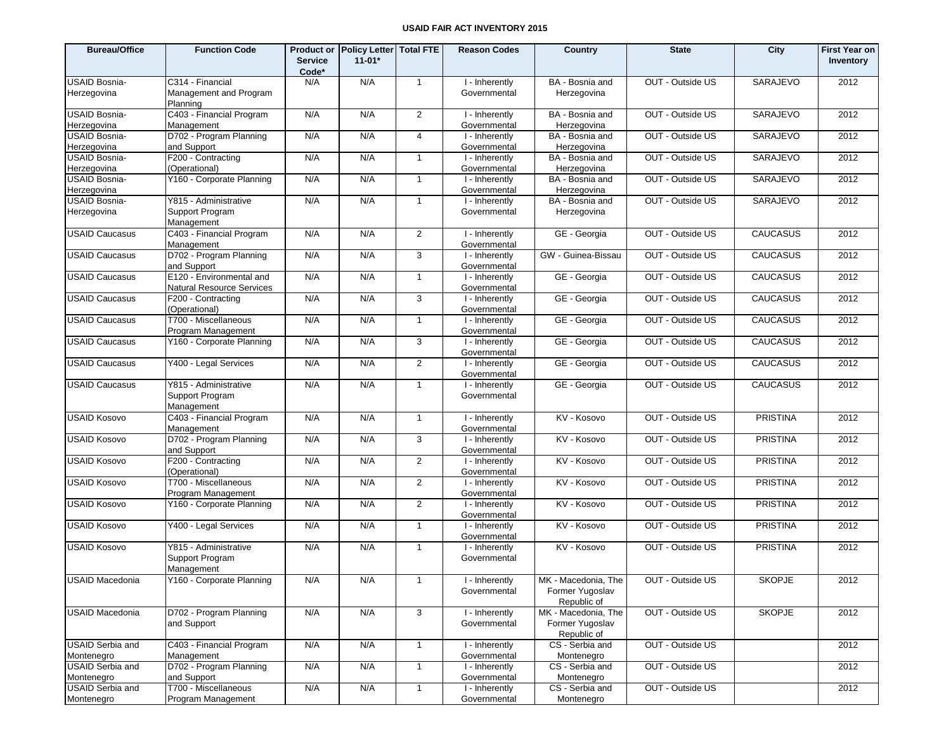| <b>Bureau/Office</b>                  | <b>Function Code</b>                                                 | <b>Service</b><br>Code* | Product or Policy Letter Total FTE<br>$11 - 01*$ |                | <b>Reason Codes</b>                         | Country                                               | <b>State</b>     | City            | <b>First Year on</b><br>Inventory |
|---------------------------------------|----------------------------------------------------------------------|-------------------------|--------------------------------------------------|----------------|---------------------------------------------|-------------------------------------------------------|------------------|-----------------|-----------------------------------|
| <b>USAID Bosnia-</b><br>Herzegovina   | C314 - Financial<br>Management and Program                           | N/A                     | N/A                                              | $\overline{1}$ | I - Inherently<br>Governmental              | BA - Bosnia and<br>Herzegovina                        | OUT - Outside US | SARAJEVO        | 2012                              |
|                                       | Planning                                                             |                         |                                                  |                |                                             |                                                       |                  |                 |                                   |
| <b>USAID Bosnia-</b><br>Herzegovina   | C403 - Financial Program<br>Management                               | N/A                     | N/A                                              | $\overline{2}$ | I - Inherently<br>Governmental              | BA - Bosnia and<br>Herzegovina                        | OUT - Outside US | <b>SARAJEVO</b> | 2012                              |
| USAID Bosnia-                         | D702 - Program Planning                                              | N/A                     | N/A                                              | 4              | I - Inherently                              | BA - Bosnia and                                       | OUT - Outside US | SARAJEVO        | 2012                              |
| Herzegovina                           | and Support                                                          |                         |                                                  |                | Governmental                                | Herzegovina                                           |                  |                 |                                   |
| <b>USAID Bosnia-</b>                  | F200 - Contracting                                                   | N/A                     | N/A                                              | $\mathbf{1}$   | $\overline{1}$ - Inherently                 | BA - Bosnia and                                       | OUT - Outside US | <b>SARAJEVO</b> | 2012                              |
| Herzegovina                           | (Operational)                                                        |                         |                                                  |                | Governmental                                | Herzegovina                                           |                  |                 |                                   |
| USAID Bosnia-                         | Y160 - Corporate Planning                                            | N/A                     | N/A                                              | $\mathbf{1}$   | I - Inherently                              | BA - Bosnia and                                       | OUT - Outside US | <b>SARAJEVO</b> | 2012                              |
| Herzegovina<br><b>USAID Bosnia-</b>   | Y815 - Administrative                                                | N/A                     | N/A                                              | $\mathbf{1}$   | Governmental<br>$\overline{1}$ - Inherently | Herzegovina<br>BA - Bosnia and                        | OUT - Outside US | SARAJEVO        | 2012                              |
| Herzegovina                           | Support Program<br>Management                                        |                         |                                                  |                | Governmental                                | Herzegovina                                           |                  |                 |                                   |
| <b>USAID Caucasus</b>                 | C403 - Financial Program<br>Management                               | N/A                     | N/A                                              | $\overline{2}$ | $\overline{1}$ - Inherently<br>Governmental | GE - Georgia                                          | OUT - Outside US | <b>CAUCASUS</b> | 2012                              |
| <b>USAID Caucasus</b>                 | D702 - Program Planning                                              | N/A                     | N/A                                              | 3              | I - Inherently<br>Governmental              | GW - Guinea-Bissau                                    | OUT - Outside US | <b>CAUCASUS</b> | 2012                              |
| <b>USAID Caucasus</b>                 | and Support<br>E120 - Environmental and<br>Natural Resource Services | N/A                     | N/A                                              | $\mathbf{1}$   | I - Inherently<br>Governmental              | GE - Georgia                                          | OUT - Outside US | <b>CAUCASUS</b> | 2012                              |
| <b>USAID Caucasus</b>                 | F200 - Contracting<br>(Operational)                                  | N/A                     | N/A                                              | 3              | I - Inherently<br>Governmental              | GE - Georgia                                          | OUT - Outside US | <b>CAUCASUS</b> | 2012                              |
| <b>USAID Caucasus</b>                 | T700 - Miscellaneous<br>Program Management                           | N/A                     | N/A                                              | $\mathbf{1}$   | I - Inherently<br>Governmental              | GE - Georgia                                          | OUT - Outside US | <b>CAUCASUS</b> | 2012                              |
| <b>USAID Caucasus</b>                 | Y160 - Corporate Planning                                            | N/A                     | N/A                                              | 3              | I - Inherently<br>Governmental              | GE - Georgia                                          | OUT - Outside US | <b>CAUCASUS</b> | 2012                              |
| <b>USAID Caucasus</b>                 | Y400 - Legal Services                                                | N/A                     | N/A                                              | $\overline{2}$ | I - Inherently<br>Governmental              | GE - Georgia                                          | OUT - Outside US | <b>CAUCASUS</b> | 2012                              |
| <b>USAID Caucasus</b>                 | Y815 - Administrative<br>Support Program<br>Management               | N/A                     | N/A                                              | $\mathbf{1}$   | I - Inherently<br>Governmental              | GE - Georgia                                          | OUT - Outside US | <b>CAUCASUS</b> | 2012                              |
| <b>USAID Kosovo</b>                   | C403 - Financial Program<br>Management                               | N/A                     | N/A                                              | $\mathbf{1}$   | I - Inherently<br>Governmental              | KV - Kosovo                                           | OUT - Outside US | <b>PRISTINA</b> | 2012                              |
| <b>USAID Kosovo</b>                   | D702 - Program Planning<br>and Support                               | N/A                     | N/A                                              | 3              | I - Inherently<br>Governmental              | KV - Kosovo                                           | OUT - Outside US | <b>PRISTINA</b> | 2012                              |
| <b>USAID Kosovo</b>                   | F200 - Contracting<br>(Operational)                                  | N/A                     | N/A                                              | $\overline{2}$ | I - Inherently<br>Governmental              | KV - Kosovo                                           | OUT - Outside US | <b>PRISTINA</b> | 2012                              |
| <b>USAID Kosovo</b>                   | $\overline{1700}$ - Miscellaneous<br>Program Management              | N/A                     | N/A                                              | $\overline{2}$ | I - Inherently<br>Governmental              | KV - Kosovo                                           | OUT - Outside US | <b>PRISTINA</b> | 2012                              |
| <b>USAID Kosovo</b>                   | Y160 - Corporate Planning                                            | N/A                     | N/A                                              | $\overline{2}$ | I - Inherently<br>Governmental              | KV - Kosovo                                           | OUT - Outside US | <b>PRISTINA</b> | 2012                              |
| <b>USAID Kosovo</b>                   | Y400 - Legal Services                                                | N/A                     | N/A                                              | $\mathbf{1}$   | I - Inherently<br>Governmental              | KV - Kosovo                                           | OUT - Outside US | PRISTINA        | 2012                              |
| <b>USAID Kosovo</b>                   | Y815 - Administrative<br>Support Program<br>Management               | N/A                     | N/A                                              | $\mathbf{1}$   | I - Inherently<br>Governmental              | KV - Kosovo                                           | OUT - Outside US | <b>PRISTINA</b> | 2012                              |
| <b>USAID Macedonia</b>                | Y160 - Corporate Planning                                            | N/A                     | N/A                                              | $\mathbf{1}$   | I - Inherently<br>Governmental              | MK - Macedonia, The<br>Former Yugoslav<br>Republic of | OUT - Outside US | <b>SKOPJE</b>   | 2012                              |
| <b>USAID Macedonia</b>                | D702 - Program Planning<br>and Support                               | N/A                     | N/A                                              | $\mathbf{3}$   | I - Inherently<br>Governmental              | MK - Macedonia, The<br>Former Yugoslav<br>Republic of | OUT - Outside US | <b>SKOPJE</b>   | 2012                              |
| <b>USAID Serbia and</b><br>Montenegro | C403 - Financial Program<br>Management                               | N/A                     | N/A                                              | $\mathbf{1}$   | I - Inherently<br>Governmental              | CS - Serbia and<br>Montenegro                         | OUT - Outside US |                 | 2012                              |
| <b>USAID Serbia and</b><br>Montenegro | D702 - Program Planning<br>and Support                               | N/A                     | N/A                                              | $\overline{1}$ | I - Inherently<br>Governmental              | CS - Serbia and<br>Montenegro                         | OUT - Outside US |                 | 2012                              |
| <b>USAID Serbia and</b><br>Montenegro | T700 - Miscellaneous<br>Program Management                           | N/A                     | N/A                                              | $\mathbf{1}$   | I - Inherently<br>Governmental              | CS - Serbia and<br>Montenegro                         | OUT - Outside US |                 | 2012                              |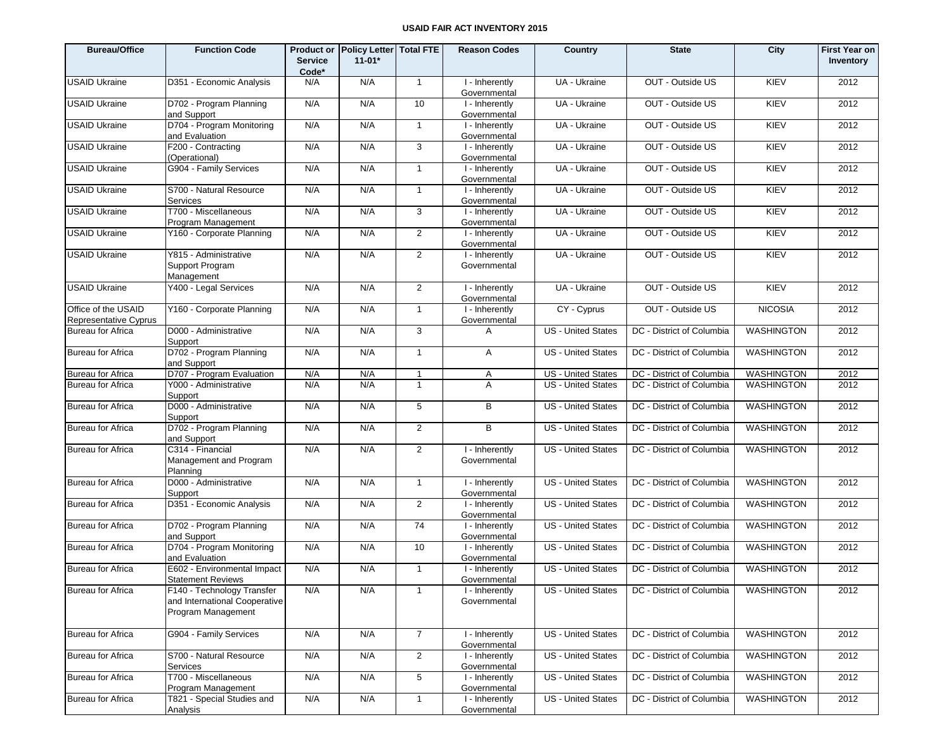| <b>Bureau/Office</b>                         | <b>Function Code</b>                                                              | <b>Service</b><br>Code* | Product or Policy Letter   Total FTE<br>$11-01*$ |                | <b>Reason Codes</b>                        | Country                   | <b>State</b>              | City              | <b>First Year on</b><br>Inventory |
|----------------------------------------------|-----------------------------------------------------------------------------------|-------------------------|--------------------------------------------------|----------------|--------------------------------------------|---------------------------|---------------------------|-------------------|-----------------------------------|
| <b>USAID Ukraine</b>                         | D351 - Economic Analysis                                                          | N/A                     | N/A                                              | $\mathbf{1}$   | I - Inherently<br>Governmental             | UA - Ukraine              | OUT - Outside US          | KIEV              | 2012                              |
| <b>USAID Ukraine</b>                         | D702 - Program Planning<br>and Support                                            | N/A                     | N/A                                              | 10             | I - Inherently<br>Governmental             | UA - Ukraine              | OUT - Outside US          | KIEV              | 2012                              |
| <b>USAID Ukraine</b>                         | D704 - Program Monitoring<br>and Evaluation                                       | N/A                     | N/A                                              | $\overline{1}$ | I - Inherently<br>Governmental             | UA - Ukraine              | OUT - Outside US          | KIEV              | 2012                              |
| <b>USAID Ukraine</b>                         | F200 - Contracting<br>(Operational)                                               | N/A                     | N/A                                              | 3              | $\overline{I}$ -Inherently<br>Governmental | UA - Ukraine              | OUT - Outside US          | KIEV              | 2012                              |
| <b>USAID Ukraine</b>                         | G904 - Family Services                                                            | N/A                     | N/A                                              | $\mathbf{1}$   | I - Inherently<br>Governmental             | UA - Ukraine              | OUT - Outside US          | KIEV              | 2012                              |
| <b>USAID Ukraine</b>                         | S700 - Natural Resource<br>Services                                               | N/A                     | N/A                                              | $\mathbf{1}$   | I - Inherently<br>Governmental             | UA - Ukraine              | OUT - Outside US          | <b>KIEV</b>       | 2012                              |
| <b>USAID Ukraine</b>                         | T700 - Miscellaneous<br>Program Management                                        | N/A                     | N/A                                              | 3              | I - Inherently<br>Governmental             | UA - Ukraine              | OUT - Outside US          | KIEV              | 2012                              |
| <b>USAID Ukraine</b>                         | Y160 - Corporate Planning                                                         | N/A                     | N/A                                              | 2              | $\overline{I}$ -Inherently<br>Governmental | UA - Ukraine              | OUT - Outside US          | <b>KIEV</b>       | 2012                              |
| <b>USAID Ukraine</b>                         | Y815 - Administrative<br>Support Program<br>Management                            | N/A                     | N/A                                              | 2              | I - Inherently<br>Governmental             | UA - Ukraine              | OUT - Outside US          | <b>KIEV</b>       | 2012                              |
| <b>USAID Ukraine</b>                         | Y400 - Legal Services                                                             | N/A                     | N/A                                              | 2              | I - Inherently<br>Governmental             | UA - Ukraine              | OUT - Outside US          | KIEV              | 2012                              |
| Office of the USAID<br>Representative Cyprus | Y160 - Corporate Planning                                                         | N/A                     | N/A                                              | $\overline{1}$ | I - Inherently<br>Governmental             | CY - Cyprus               | OUT - Outside US          | <b>NICOSIA</b>    | 2012                              |
| <b>Bureau for Africa</b>                     | D000 - Administrative<br>Support                                                  | N/A                     | N/A                                              | 3              | A                                          | <b>US - United States</b> | DC - District of Columbia | <b>WASHINGTON</b> | 2012                              |
| <b>Bureau for Africa</b>                     | D702 - Program Planning<br>and Support                                            | N/A                     | N/A                                              | $\overline{1}$ | A                                          | <b>US - United States</b> | DC - District of Columbia | WASHINGTON        | 2012                              |
| <b>Bureau for Africa</b>                     | D707 - Program Evaluation                                                         | N/A                     | N/A                                              | $\mathbf{1}$   | Α                                          | <b>US</b> - United States | DC - District of Columbia | WASHINGTON        | 2012                              |
| <b>Bureau for Africa</b>                     | Y000 - Administrative<br>Support                                                  | N/A                     | N/A                                              | $\overline{1}$ | A                                          | <b>US</b> - United States | DC - District of Columbia | <b>WASHINGTON</b> | 2012                              |
| <b>Bureau for Africa</b>                     | D000 - Administrative<br>Support                                                  | N/A                     | N/A                                              | 5              | B                                          | <b>US - United States</b> | DC - District of Columbia | <b>WASHINGTON</b> | 2012                              |
| <b>Bureau for Africa</b>                     | D702 - Program Planning<br>and Support                                            | N/A                     | N/A                                              | 2              | B                                          | <b>US - United States</b> | DC - District of Columbia | <b>WASHINGTON</b> | 2012                              |
| <b>Bureau for Africa</b>                     | C314 - Financial<br>Management and Program<br>Planning                            | N/A                     | N/A                                              | 2              | I - Inherently<br>Governmental             | <b>US - United States</b> | DC - District of Columbia | <b>WASHINGTON</b> | 2012                              |
| <b>Bureau for Africa</b>                     | D000 - Administrative<br>Support                                                  | N/A                     | N/A                                              | $\overline{1}$ | I - Inherently<br>Governmental             | <b>US - United States</b> | DC - District of Columbia | <b>WASHINGTON</b> | 2012                              |
| <b>Bureau for Africa</b>                     | D351 - Economic Analysis                                                          | N/A                     | N/A                                              | $\overline{2}$ | I - Inherently<br>Governmental             | <b>US</b> - United States | DC - District of Columbia | WASHINGTON        | 2012                              |
| <b>Bureau for Africa</b>                     | D702 - Program Planning<br>and Support                                            | N/A                     | N/A                                              | 74             | I - Inherently<br>Governmental             | <b>US</b> - United States | DC - District of Columbia | <b>WASHINGTON</b> | 2012                              |
| <b>Bureau for Africa</b>                     | D704 - Program Monitoring<br>and Evaluation                                       | N/A                     | N/A                                              | 10             | I - Inherently<br>Governmental             | US - United States        | DC - District of Columbia | WASHINGTON        | 2012                              |
| <b>Bureau for Africa</b>                     | E602 - Environmental Impact<br><b>Statement Reviews</b>                           | N/A                     | N/A                                              | $\overline{1}$ | I - Inherently<br>Governmental             | US - United States        | DC - District of Columbia | <b>WASHINGTON</b> | 2012                              |
| <b>Bureau for Africa</b>                     | F140 - Technology Transfer<br>and International Cooperative<br>Program Management | N/A                     | N/A                                              | $\mathbf{1}$   | I - Inherently<br>Governmental             | US - United States        | DC - District of Columbia | <b>WASHINGTON</b> | 2012                              |
| <b>Bureau for Africa</b>                     | G904 - Family Services                                                            | N/A                     | N/A                                              | $\overline{7}$ | I - Inherently<br>Governmental             | US - United States        | DC - District of Columbia | WASHINGTON        | 2012                              |
| <b>Bureau for Africa</b>                     | S700 - Natural Resource<br>Services                                               | N/A                     | N/A                                              | $\overline{2}$ | I - Inherently<br>Governmental             | <b>US</b> - United States | DC - District of Columbia | WASHINGTON        | 2012                              |
| <b>Bureau for Africa</b>                     | T700 - Miscellaneous<br>Program Management                                        | N/A                     | N/A                                              | $\sqrt{5}$     | I - Inherently<br>Governmental             | <b>US</b> - United States | DC - District of Columbia | <b>WASHINGTON</b> | 2012                              |
| <b>Bureau for Africa</b>                     | T821 - Special Studies and<br>Analysis                                            | N/A                     | N/A                                              | $\mathbf{1}$   | I - Inherently<br>Governmental             | US - United States        | DC - District of Columbia | WASHINGTON        | 2012                              |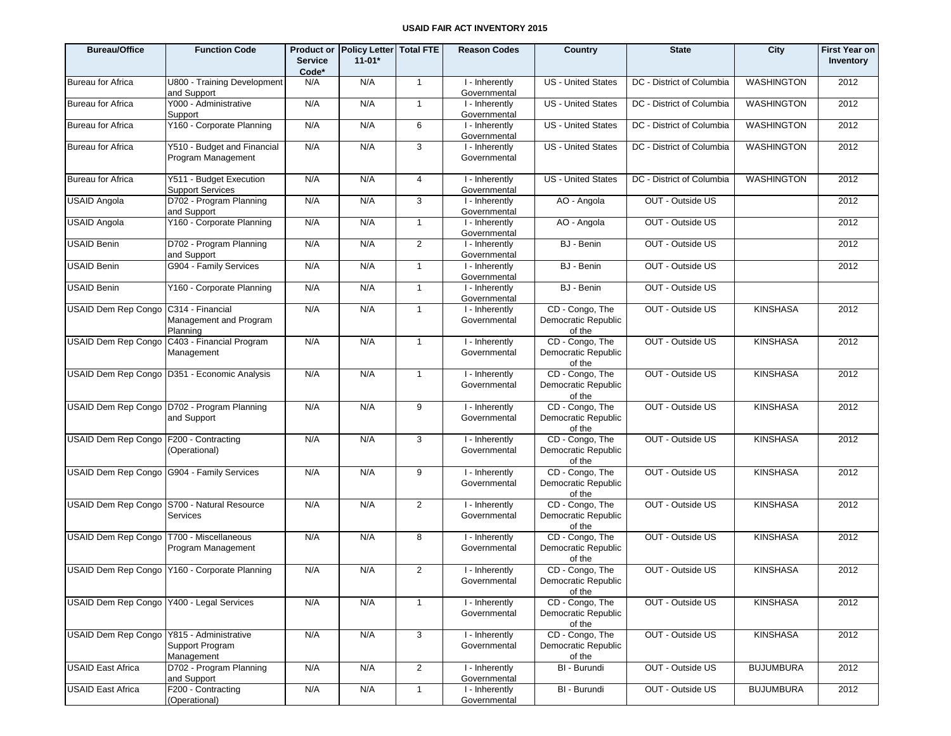| <b>Bureau/Office</b>                       | <b>Function Code</b>                                         | <b>Service</b><br>Code* | Product or Policy Letter Total FTE<br>$11 - 01*$ |                | <b>Reason Codes</b>            | Country                                          | <b>State</b>              | City              | <b>First Year on</b><br>Inventory |
|--------------------------------------------|--------------------------------------------------------------|-------------------------|--------------------------------------------------|----------------|--------------------------------|--------------------------------------------------|---------------------------|-------------------|-----------------------------------|
| <b>Bureau for Africa</b>                   | U800 - Training Development<br>and Support                   | N/A                     | N/A                                              | $\mathbf{1}$   | I - Inherently<br>Governmental | US - United States                               | DC - District of Columbia | <b>WASHINGTON</b> | 2012                              |
| <b>Bureau for Africa</b>                   | Y000 - Administrative<br>Support                             | N/A                     | N/A                                              | $\mathbf{1}$   | I - Inherently<br>Governmental | <b>US</b> - United States                        | DC - District of Columbia | <b>WASHINGTON</b> | 2012                              |
| <b>Bureau for Africa</b>                   | Y160 - Corporate Planning                                    | N/A                     | N/A                                              | 6              | I - Inherently<br>Governmental | <b>US</b> - United States                        | DC - District of Columbia | <b>WASHINGTON</b> | 2012                              |
| <b>Bureau for Africa</b>                   | Y510 - Budget and Financial<br>Program Management            | N/A                     | N/A                                              | 3              | I - Inherently<br>Governmental | <b>US</b> - United States                        | DC - District of Columbia | <b>WASHINGTON</b> | 2012                              |
| <b>Bureau for Africa</b>                   | Y511 - Budget Execution<br><b>Support Services</b>           | N/A                     | N/A                                              | 4              | I - Inherently<br>Governmental | <b>US</b> - United States                        | DC - District of Columbia | <b>WASHINGTON</b> | 2012                              |
| <b>USAID Angola</b>                        | D702 - Program Planning<br>and Support                       | N/A                     | N/A                                              | 3              | I - Inherently<br>Governmental | AO - Angola                                      | OUT - Outside US          |                   | 2012                              |
| <b>USAID Angola</b>                        | Y160 - Corporate Planning                                    | N/A                     | N/A                                              | $\overline{1}$ | I - Inherently<br>Governmental | AO - Angola                                      | OUT - Outside US          |                   | 2012                              |
| <b>USAID Benin</b>                         | D702 - Program Planning<br>and Support                       | N/A                     | N/A                                              | 2              | I - Inherently<br>Governmental | BJ - Benin                                       | OUT - Outside US          |                   | 2012                              |
| <b>USAID Benin</b>                         | G904 - Family Services                                       | N/A                     | N/A                                              | $\overline{1}$ | I - Inherently<br>Governmental | BJ - Benin                                       | OUT - Outside US          |                   | 2012                              |
| <b>USAID Benin</b>                         | Y160 - Corporate Planning                                    | N/A                     | N/A                                              | $\mathbf{1}$   | I - Inherently<br>Governmental | BJ - Benin                                       | OUT - Outside US          |                   |                                   |
| USAID Dem Rep Congo C314 - Financial       | Management and Program<br>Planning                           | N/A                     | N/A                                              | $\overline{1}$ | I - Inherently<br>Governmental | CD - Congo, The<br>Democratic Republic<br>of the | OUT - Outside US          | <b>KINSHASA</b>   | 2012                              |
|                                            | USAID Dem Rep Congo C403 - Financial Program<br>Management   | N/A                     | N/A                                              | $\mathbf{1}$   | I - Inherently<br>Governmental | CD - Congo, The<br>Democratic Republic<br>of the | OUT - Outside US          | <b>KINSHASA</b>   | 2012                              |
|                                            | USAID Dem Rep Congo   D351 - Economic Analysis               | N/A                     | N/A                                              | $\mathbf{1}$   | I - Inherently<br>Governmental | CD - Congo, The<br>Democratic Republic<br>of the | OUT - Outside US          | <b>KINSHASA</b>   | 2012                              |
|                                            | USAID Dem Rep Congo   D702 - Program Planning<br>and Support | N/A                     | N/A                                              | 9              | I - Inherently<br>Governmental | CD - Congo, The<br>Democratic Republic<br>of the | OUT - Outside US          | <b>KINSHASA</b>   | 2012                              |
| USAID Dem Rep Congo F200 - Contracting     | (Operational)                                                | N/A                     | N/A                                              | 3              | I - Inherently<br>Governmental | CD - Congo, The<br>Democratic Republic<br>of the | OUT - Outside US          | <b>KINSHASA</b>   | 2012                              |
| USAID Dem Rep Congo                        | G904 - Family Services                                       | N/A                     | N/A                                              | 9              | I - Inherently<br>Governmental | CD - Congo, The<br>Democratic Republic<br>of the | OUT - Outside US          | <b>KINSHASA</b>   | 2012                              |
|                                            | USAID Dem Rep Congo S700 - Natural Resource<br>Services      | N/A                     | N/A                                              | 2              | I - Inherently<br>Governmental | CD - Congo, The<br>Democratic Republic<br>of the | OUT - Outside US          | <b>KINSHASA</b>   | 2012                              |
| USAID Dem Rep Congo   T700 - Miscellaneous | Program Management                                           | N/A                     | N/A                                              | 8              | I - Inherently<br>Governmental | CD - Congo, The<br>Democratic Republic<br>of the | OUT - Outside US          | <b>KINSHASA</b>   | 2012                              |
|                                            | USAID Dem Rep Congo Y160 - Corporate Planning                | N/A                     | N/A                                              | 2              | I - Inherently<br>Governmental | CD - Congo, The<br>Democratic Republic<br>of the | OUT - Outside US          | <b>KINSHASA</b>   | 2012                              |
| USAID Dem Rep Congo                        | Y400 - Legal Services                                        | N/A                     | N/A                                              | $\mathbf{1}$   | I - Inherently<br>Governmental | CD - Congo, The<br>Democratic Republic<br>of the | OUT - Outside US          | <b>KINSHASA</b>   | 2012                              |
| <b>USAID Dem Rep Congo</b>                 | Y815 - Administrative<br>Support Program<br>Management       | N/A                     | N/A                                              | 3              | I - Inherently<br>Governmental | CD - Congo, The<br>Democratic Republic<br>of the | OUT - Outside US          | <b>KINSHASA</b>   | 2012                              |
| <b>USAID East Africa</b>                   | D702 - Program Planning<br>and Support                       | N/A                     | N/A                                              | $\overline{2}$ | I - Inherently<br>Governmental | BI - Burundi                                     | OUT - Outside US          | <b>BUJUMBURA</b>  | 2012                              |
| <b>USAID East Africa</b>                   | F200 - Contracting<br>(Operational)                          | N/A                     | N/A                                              | $\mathbf{1}$   | I - Inherently<br>Governmental | BI - Burundi                                     | OUT - Outside US          | <b>BUJUMBURA</b>  | 2012                              |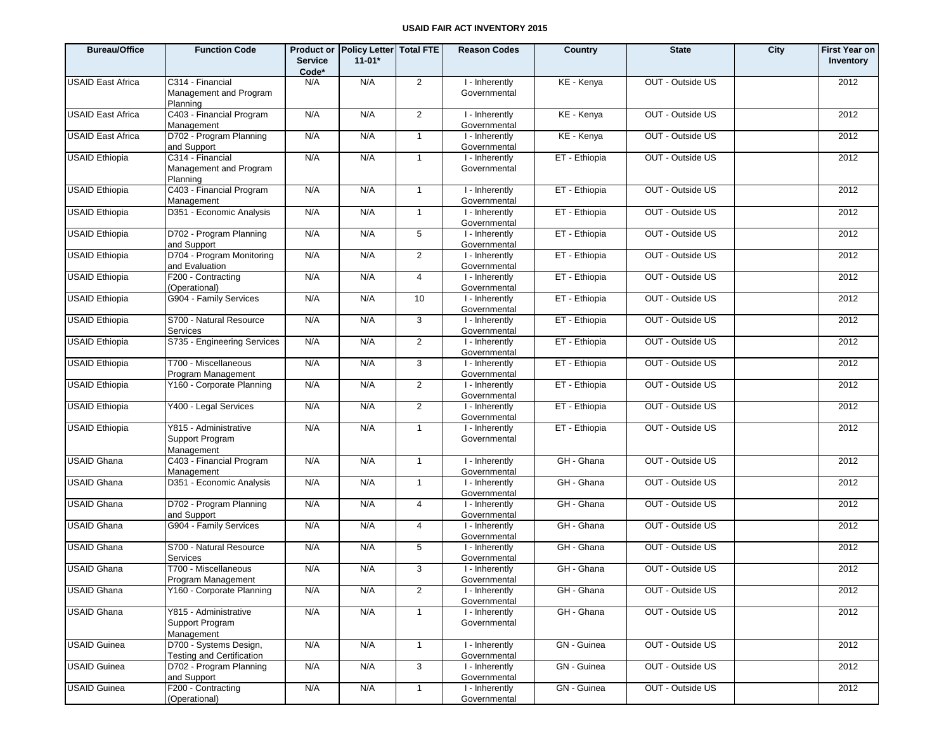| <b>Bureau/Office</b>     | <b>Function Code</b>                                       | <b>Service</b><br>Code* | <b>Product or Policy Letter Total FTE</b><br>$11-01*$ |                | <b>Reason Codes</b>            | Country       | <b>State</b>     | City | <b>First Year on</b><br>Inventory |
|--------------------------|------------------------------------------------------------|-------------------------|-------------------------------------------------------|----------------|--------------------------------|---------------|------------------|------|-----------------------------------|
| <b>USAID East Africa</b> | C314 - Financial<br>Management and Program<br>Planning     | N/A                     | N/A                                                   | $\overline{2}$ | I - Inherently<br>Governmental | KE - Kenya    | OUT - Outside US |      | 2012                              |
| <b>USAID East Africa</b> | C403 - Financial Program<br>Management                     | N/A                     | N/A                                                   | $\overline{2}$ | I - Inherently<br>Governmental | KE - Kenya    | OUT - Outside US |      | 2012                              |
| <b>USAID East Africa</b> | D702 - Program Planning<br>and Support                     | N/A                     | N/A                                                   | $\mathbf{1}$   | I - Inherently<br>Governmental | KE - Kenya    | OUT - Outside US |      | 2012                              |
| <b>USAID Ethiopia</b>    | C314 - Financial<br>Management and Program<br>Planning     | N/A                     | N/A                                                   | $\mathbf{1}$   | I - Inherently<br>Governmental | ET - Ethiopia | OUT - Outside US |      | 2012                              |
| <b>USAID Ethiopia</b>    | C403 - Financial Program<br>Management                     | N/A                     | N/A                                                   | $\mathbf{1}$   | I - Inherently<br>Governmental | ET - Ethiopia | OUT - Outside US |      | 2012                              |
| <b>USAID Ethiopia</b>    | D351 - Economic Analysis                                   | N/A                     | N/A                                                   | $\mathbf{1}$   | I - Inherently<br>Governmental | ET - Ethiopia | OUT - Outside US |      | 2012                              |
| <b>USAID Ethiopia</b>    | D702 - Program Planning<br>and Support                     | N/A                     | N/A                                                   | 5              | I - Inherently<br>Governmental | ET - Ethiopia | OUT - Outside US |      | 2012                              |
| <b>USAID Ethiopia</b>    | D704 - Program Monitoring<br>and Evaluation                | N/A                     | N/A                                                   | $\overline{2}$ | I - Inherently<br>Governmental | ET - Ethiopia | OUT - Outside US |      | 2012                              |
| <b>USAID Ethiopia</b>    | F200 - Contracting<br>(Operational)                        | N/A                     | N/A                                                   | $\overline{4}$ | I - Inherently<br>Governmental | ET - Ethiopia | OUT - Outside US |      | 2012                              |
| <b>USAID Ethiopia</b>    | G904 - Family Services                                     | N/A                     | N/A                                                   | 10             | I - Inherently<br>Governmental | ET - Ethiopia | OUT - Outside US |      | 2012                              |
| <b>USAID Ethiopia</b>    | S700 - Natural Resource<br>Services                        | N/A                     | N/A                                                   | 3              | I - Inherently<br>Governmental | ET - Ethiopia | OUT - Outside US |      | 2012                              |
| <b>USAID Ethiopia</b>    | S735 - Engineering Services                                | N/A                     | N/A                                                   | $\overline{2}$ | I - Inherently<br>Governmental | ET - Ethiopia | OUT - Outside US |      | 2012                              |
| <b>USAID Ethiopia</b>    | T700 - Miscellaneous<br>Program Management                 | N/A                     | N/A                                                   | 3              | I - Inherently<br>Governmental | ET - Ethiopia | OUT - Outside US |      | 2012                              |
| <b>USAID Ethiopia</b>    | Y160 - Corporate Planning                                  | N/A                     | N/A                                                   | $\overline{2}$ | I - Inherently<br>Governmental | ET - Ethiopia | OUT - Outside US |      | 2012                              |
| <b>USAID Ethiopia</b>    | Y400 - Legal Services                                      | N/A                     | N/A                                                   | $\overline{2}$ | I - Inherently<br>Governmental | ET - Ethiopia | OUT - Outside US |      | 2012                              |
| <b>USAID Ethiopia</b>    | Y815 - Administrative<br>Support Program<br>Management     | N/A                     | N/A                                                   | $\mathbf{1}$   | I - Inherently<br>Governmental | ET - Ethiopia | OUT - Outside US |      | 2012                              |
| <b>USAID Ghana</b>       | C403 - Financial Program<br>Management                     | N/A                     | N/A                                                   | $\mathbf{1}$   | I - Inherently<br>Governmental | GH - Ghana    | OUT - Outside US |      | 2012                              |
| <b>USAID Ghana</b>       | D351 - Economic Analysis                                   | N/A                     | N/A                                                   | $\mathbf{1}$   | I - Inherently<br>Governmental | GH - Ghana    | OUT - Outside US |      | 2012                              |
| <b>USAID Ghana</b>       | D702 - Program Planning<br>and Support                     | N/A                     | N/A                                                   | $\overline{4}$ | I - Inherently<br>Governmental | GH - Ghana    | OUT - Outside US |      | 2012                              |
| <b>USAID Ghana</b>       | G904 - Family Services                                     | N/A                     | N/A                                                   | $\overline{4}$ | I - Inherently<br>Governmental | GH - Ghana    | OUT - Outside US |      | 2012                              |
| <b>USAID Ghana</b>       | S700 - Natural Resource<br>Services                        | N/A                     | N/A                                                   | 5              | I - Inherently<br>Governmental | GH - Ghana    | OUT - Outside US |      | 2012                              |
| <b>USAID Ghana</b>       | T700 - Miscellaneous<br>Program Management                 | N/A                     | N/A                                                   | 3              | I - Inherently<br>Governmental | GH - Ghana    | OUT - Outside US |      | 2012                              |
| <b>USAID Ghana</b>       | Y160 - Corporate Planning                                  | N/A                     | N/A                                                   | $\overline{2}$ | I - Inherently<br>Governmental | GH - Ghana    | OUT - Outside US |      | 2012                              |
| <b>USAID Ghana</b>       | Y815 - Administrative<br>Support Program<br>Management     | N/A                     | N/A                                                   | $\mathbf{1}$   | I - Inherently<br>Governmental | GH - Ghana    | OUT - Outside US |      | 2012                              |
| <b>USAID Guinea</b>      | D700 - Systems Design,<br><b>Testing and Certification</b> | N/A                     | N/A                                                   | $\mathbf{1}$   | I - Inherently<br>Governmental | GN - Guinea   | OUT - Outside US |      | 2012                              |
| <b>USAID Guinea</b>      | D702 - Program Planning<br>and Support                     | N/A                     | N/A                                                   | 3              | I - Inherently<br>Governmental | GN - Guinea   | OUT - Outside US |      | 2012                              |
| <b>USAID Guinea</b>      | F200 - Contracting<br>(Operational)                        | N/A                     | N/A                                                   | $\mathbf{1}$   | I - Inherently<br>Governmental | GN - Guinea   | OUT - Outside US |      | 2012                              |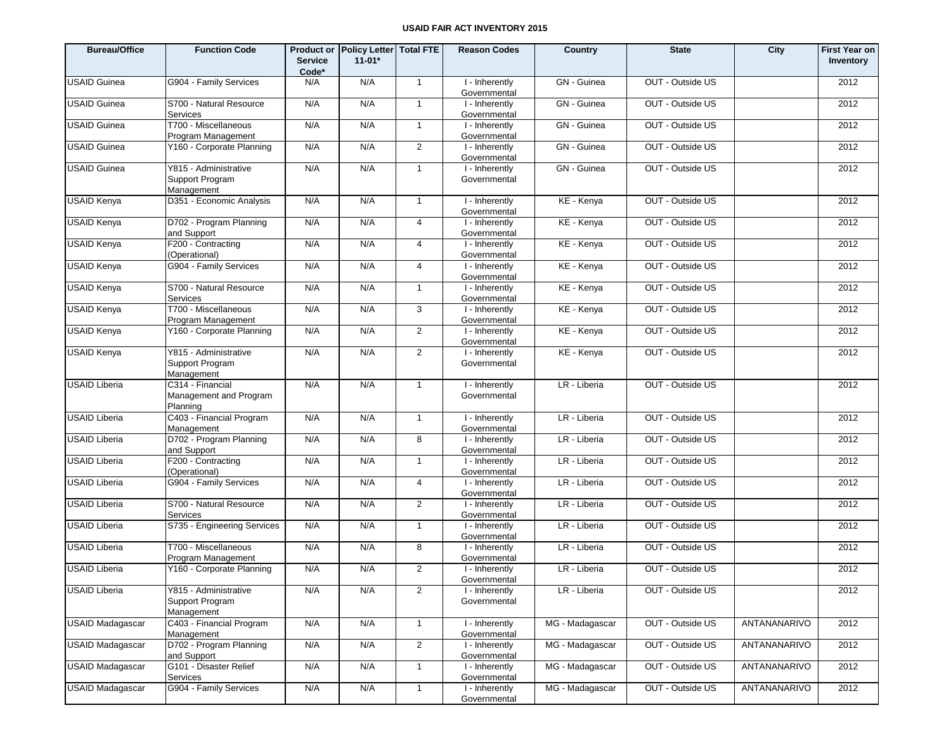| <b>Bureau/Office</b>    | <b>Function Code</b>                                   | <b>Service</b><br>Code* | Product or Policy Letter Total FTE<br>$11 - 01*$ |                | <b>Reason Codes</b>            | Country         | <b>State</b>     | <b>City</b>  | <b>First Year on</b><br>Inventory |
|-------------------------|--------------------------------------------------------|-------------------------|--------------------------------------------------|----------------|--------------------------------|-----------------|------------------|--------------|-----------------------------------|
| <b>USAID Guinea</b>     | G904 - Family Services                                 | N/A                     | N/A                                              | $\overline{1}$ | I - Inherently<br>Governmental | GN - Guinea     | OUT - Outside US |              | 2012                              |
| <b>USAID Guinea</b>     | S700 - Natural Resource<br>Services                    | N/A                     | N/A                                              | $\overline{1}$ | I - Inherently<br>Governmental | GN - Guinea     | OUT - Outside US |              | 2012                              |
| <b>USAID Guinea</b>     | T700 - Miscellaneous<br>Program Management             | N/A                     | N/A                                              | $\overline{1}$ | I - Inherently<br>Governmental | GN - Guinea     | OUT - Outside US |              | 2012                              |
| <b>USAID Guinea</b>     | Y160 - Corporate Planning                              | N/A                     | N/A                                              | $\overline{2}$ | I - Inherently<br>Governmental | GN - Guinea     | OUT - Outside US |              | 2012                              |
| <b>USAID Guinea</b>     | Y815 - Administrative<br>Support Program<br>Management | N/A                     | N/A                                              | $\mathbf{1}$   | I - Inherently<br>Governmental | GN - Guinea     | OUT - Outside US |              | 2012                              |
| <b>USAID Kenya</b>      | D351 - Economic Analysis                               | N/A                     | N/A                                              | $\mathbf{1}$   | I - Inherently<br>Governmental | KE - Kenya      | OUT - Outside US |              | 2012                              |
| <b>USAID Kenya</b>      | D702 - Program Planning<br>and Support                 | N/A                     | N/A                                              | 4              | I - Inherently<br>Governmental | KE - Kenya      | OUT - Outside US |              | 2012                              |
| <b>USAID Kenya</b>      | F200 - Contracting<br>(Operational)                    | N/A                     | N/A                                              | 4              | I - Inherently<br>Governmental | KE - Kenya      | OUT - Outside US |              | 2012                              |
| <b>USAID Kenya</b>      | G904 - Family Services                                 | N/A                     | N/A                                              | 4              | I - Inherently<br>Governmental | KE - Kenya      | OUT - Outside US |              | 2012                              |
| <b>USAID Kenya</b>      | S700 - Natural Resource<br>Services                    | N/A                     | N/A                                              | $\mathbf{1}$   | I - Inherently<br>Governmental | KE - Kenya      | OUT - Outside US |              | 2012                              |
| <b>USAID Kenya</b>      | T700 - Miscellaneous<br>Program Management             | N/A                     | N/A                                              | 3              | I - Inherently<br>Governmental | KE - Kenya      | OUT - Outside US |              | 2012                              |
| <b>USAID Kenya</b>      | Y160 - Corporate Planning                              | N/A                     | N/A                                              | $\overline{2}$ | I - Inherently<br>Governmental | KE - Kenya      | OUT - Outside US |              | 2012                              |
| <b>USAID Kenya</b>      | Y815 - Administrative<br>Support Program<br>Management | N/A                     | N/A                                              | $\overline{2}$ | I - Inherently<br>Governmental | KE - Kenya      | OUT - Outside US |              | 2012                              |
| <b>USAID Liberia</b>    | C314 - Financial<br>Management and Program<br>Planning | N/A                     | N/A                                              | $\mathbf{1}$   | I - Inherently<br>Governmental | LR - Liberia    | OUT - Outside US |              | 2012                              |
| <b>USAID Liberia</b>    | C403 - Financial Program<br>Management                 | N/A                     | N/A                                              | $\mathbf{1}$   | I - Inherently<br>Governmental | LR - Liberia    | OUT - Outside US |              | 2012                              |
| <b>USAID Liberia</b>    | D702 - Program Planning<br>and Support                 | N/A                     | N/A                                              | 8              | I - Inherently<br>Governmental | LR - Liberia    | OUT - Outside US |              | 2012                              |
| <b>USAID Liberia</b>    | F200 - Contracting<br>(Operational)                    | N/A                     | N/A                                              | $\mathbf{1}$   | I - Inherently<br>Governmental | LR - Liberia    | OUT - Outside US |              | 2012                              |
| USAID Liberia           | G904 - Family Services                                 | N/A                     | N/A                                              | 4              | I - Inherently<br>Governmental | LR - Liberia    | OUT - Outside US |              | 2012                              |
| <b>USAID Liberia</b>    | S700 - Natural Resource<br>Services                    | N/A                     | N/A                                              | $\overline{2}$ | I - Inherently<br>Governmental | LR - Liberia    | OUT - Outside US |              | 2012                              |
| <b>USAID Liberia</b>    | S735 - Engineering Services                            | N/A                     | N/A                                              | $\mathbf{1}$   | I - Inherently<br>Governmental | LR - Liberia    | OUT - Outside US |              | 2012                              |
| <b>USAID Liberia</b>    | T700 - Miscellaneous<br>Program Management             | N/A                     | N/A                                              | 8              | I - Inherently<br>Governmental | LR - Liberia    | OUT - Outside US |              | 2012                              |
| <b>USAID Liberia</b>    | Y160 - Corporate Planning                              | N/A                     | N/A                                              | 2              | I - Inherently<br>Governmental | LR - Liberia    | OUT - Outside US |              | 2012                              |
| <b>USAID Liberia</b>    | Y815 - Administrative<br>Support Program<br>Management | N/A                     | N/A                                              | $\overline{2}$ | I - Inherently<br>Governmental | LR - Liberia    | OUT - Outside US |              | 2012                              |
| <b>USAID Madagascar</b> | C403 - Financial Program<br>Management                 | N/A                     | N/A                                              | $\mathbf{1}$   | I - Inherently<br>Governmental | MG - Madagascar | OUT - Outside US | ANTANANARIVO | 2012                              |
| <b>USAID Madagascar</b> | D702 - Program Planning<br>and Support                 | N/A                     | N/A                                              | $\overline{2}$ | I - Inherently<br>Governmental | MG - Madagascar | OUT - Outside US | ANTANANARIVO | 2012                              |
| <b>USAID Madagascar</b> | G101 - Disaster Relief<br>Services                     | N/A                     | N/A                                              | $\mathbf{1}$   | I - Inherently<br>Governmental | MG - Madagascar | OUT - Outside US | ANTANANARIVO | 2012                              |
| <b>USAID Madagascar</b> | G904 - Family Services                                 | N/A                     | N/A                                              | $\mathbf{1}$   | I - Inherently<br>Governmental | MG - Madagascar | OUT - Outside US | ANTANANARIVO | 2012                              |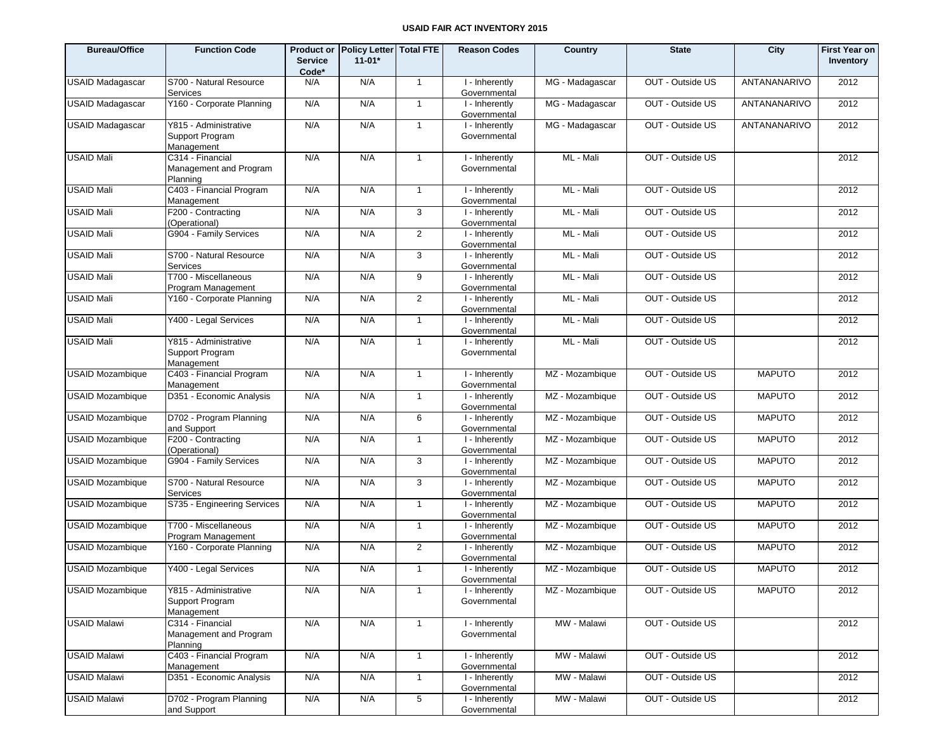| <b>Bureau/Office</b>    | <b>Function Code</b>                                   | <b>Service</b><br>Code* | Product or Policy Letter Total FTE<br>$11 - 01*$ |                | <b>Reason Codes</b>            | Country         | <b>State</b>     | City          | <b>First Year on</b><br>Inventory |
|-------------------------|--------------------------------------------------------|-------------------------|--------------------------------------------------|----------------|--------------------------------|-----------------|------------------|---------------|-----------------------------------|
| <b>USAID Madagascar</b> | S700 - Natural Resource<br><b>Services</b>             | N/A                     | N/A                                              | $\mathbf{1}$   | I - Inherently<br>Governmental | MG - Madagascar | OUT - Outside US | ANTANANARIVO  | 2012                              |
| <b>USAID Madagascar</b> | Y160 - Corporate Planning                              | N/A                     | N/A                                              | $\mathbf{1}$   | I - Inherently<br>Governmental | MG - Madagascar | OUT - Outside US | ANTANANARIVO  | 2012                              |
| <b>USAID Madagascar</b> | Y815 - Administrative<br>Support Program<br>Management | N/A                     | N/A                                              | $\mathbf{1}$   | I - Inherently<br>Governmental | MG - Madagascar | OUT - Outside US | ANTANANARIVO  | 2012                              |
| <b>USAID Mali</b>       | C314 - Financial<br>Management and Program<br>Planning | N/A                     | N/A                                              | $\overline{1}$ | I - Inherently<br>Governmental | ML - Mali       | OUT - Outside US |               | 2012                              |
| <b>USAID Mali</b>       | C403 - Financial Program<br>Management                 | N/A                     | N/A                                              | $\mathbf{1}$   | I - Inherently<br>Governmental | ML - Mali       | OUT - Outside US |               | 2012                              |
| <b>USAID Mali</b>       | F200 - Contracting<br>(Operational)                    | N/A                     | N/A                                              | 3              | I - Inherently<br>Governmental | ML - Mali       | OUT - Outside US |               | 2012                              |
| <b>USAID Mali</b>       | G904 - Family Services                                 | N/A                     | N/A                                              | 2              | I - Inherently<br>Governmental | ML - Mali       | OUT - Outside US |               | 2012                              |
| <b>USAID Mali</b>       | S700 - Natural Resource<br><b>Services</b>             | N/A                     | N/A                                              | 3              | I - Inherently<br>Governmental | ML - Mali       | OUT - Outside US |               | 2012                              |
| <b>USAID Mali</b>       | T700 - Miscellaneous<br>Program Management             | N/A                     | N/A                                              | 9              | I - Inherently<br>Governmental | ML - Mali       | OUT - Outside US |               | 2012                              |
| <b>USAID Mali</b>       | Y160 - Corporate Planning                              | N/A                     | N/A                                              | 2              | I - Inherently<br>Governmental | ML - Mali       | OUT - Outside US |               | 2012                              |
| <b>USAID Mali</b>       | Y400 - Legal Services                                  | N/A                     | N/A                                              | $\mathbf{1}$   | I - Inherently<br>Governmental | ML - Mali       | OUT - Outside US |               | 2012                              |
| <b>USAID Mali</b>       | Y815 - Administrative<br>Support Program<br>Management | N/A                     | N/A                                              | $\mathbf{1}$   | I - Inherently<br>Governmental | ML - Mali       | OUT - Outside US |               | 2012                              |
| <b>USAID Mozambique</b> | C403 - Financial Program<br>Management                 | N/A                     | N/A                                              | $\overline{1}$ | I - Inherently<br>Governmental | MZ - Mozambique | OUT - Outside US | <b>MAPUTO</b> | 2012                              |
| <b>USAID Mozambique</b> | D351 - Economic Analysis                               | N/A                     | N/A                                              | $\overline{1}$ | I - Inherently<br>Governmental | MZ - Mozambique | OUT - Outside US | <b>MAPUTO</b> | 2012                              |
| USAID Mozambique        | D702 - Program Planning<br>and Support                 | N/A                     | N/A                                              | 6              | I - Inherently<br>Governmental | MZ - Mozambique | OUT - Outside US | <b>MAPUTO</b> | 2012                              |
| <b>USAID Mozambique</b> | F200 - Contracting<br>(Operational)                    | N/A                     | N/A                                              | $\overline{1}$ | I - Inherently<br>Governmental | MZ - Mozambique | OUT - Outside US | <b>MAPUTO</b> | 2012                              |
| <b>USAID Mozambique</b> | G904 - Family Services                                 | N/A                     | N/A                                              | 3              | I - Inherently<br>Governmental | MZ - Mozambique | OUT - Outside US | <b>MAPUTO</b> | 2012                              |
| USAID Mozambique        | S700 - Natural Resource<br>Services                    | N/A                     | N/A                                              | 3              | I - Inherently<br>Governmental | MZ - Mozambique | OUT - Outside US | <b>MAPUTO</b> | 2012                              |
| <b>USAID Mozambique</b> | S735 - Engineering Services                            | N/A                     | N/A                                              | $\overline{1}$ | I - Inherently<br>Governmental | MZ - Mozambique | OUT - Outside US | <b>MAPUTO</b> | 2012                              |
| <b>USAID Mozambique</b> | T700 - Miscellaneous<br>Program Management             | N/A                     | N/A                                              | $\overline{1}$ | I - Inherently<br>Governmental | MZ - Mozambique | OUT - Outside US | <b>MAPUTO</b> | 2012                              |
| <b>USAID Mozambique</b> | Y160 - Corporate Planning                              | N/A                     | N/A                                              | 2              | I - Inherently<br>Governmental | MZ - Mozambique | OUT - Outside US | <b>MAPUTO</b> | 2012                              |
| <b>USAID Mozambique</b> | Y400 - Legal Services                                  | N/A                     | N/A                                              | $\overline{1}$ | I - Inherently<br>Governmental | MZ - Mozambique | OUT - Outside US | <b>MAPUTO</b> | 2012                              |
| <b>USAID Mozambique</b> | Y815 - Administrative<br>Support Program<br>Management | N/A                     | N/A                                              | $\overline{1}$ | I - Inherently<br>Governmental | MZ - Mozambique | OUT - Outside US | <b>MAPUTO</b> | 2012                              |
| <b>USAID Malawi</b>     | C314 - Financial<br>Management and Program<br>Planning | N/A                     | N/A                                              | $\mathbf{1}$   | I - Inherently<br>Governmental | MW - Malawi     | OUT - Outside US |               | 2012                              |
| <b>USAID Malawi</b>     | C403 - Financial Program<br>Management                 | N/A                     | N/A                                              | $\overline{1}$ | I - Inherently<br>Governmental | MW - Malawi     | OUT - Outside US |               | 2012                              |
| <b>USAID Malawi</b>     | D351 - Economic Analysis                               | N/A                     | N/A                                              | $\overline{1}$ | I - Inherently<br>Governmental | MW - Malawi     | OUT - Outside US |               | 2012                              |
| <b>USAID Malawi</b>     | D702 - Program Planning<br>and Support                 | N/A                     | N/A                                              | $\sqrt{5}$     | I - Inherently<br>Governmental | MW - Malawi     | OUT - Outside US |               | 2012                              |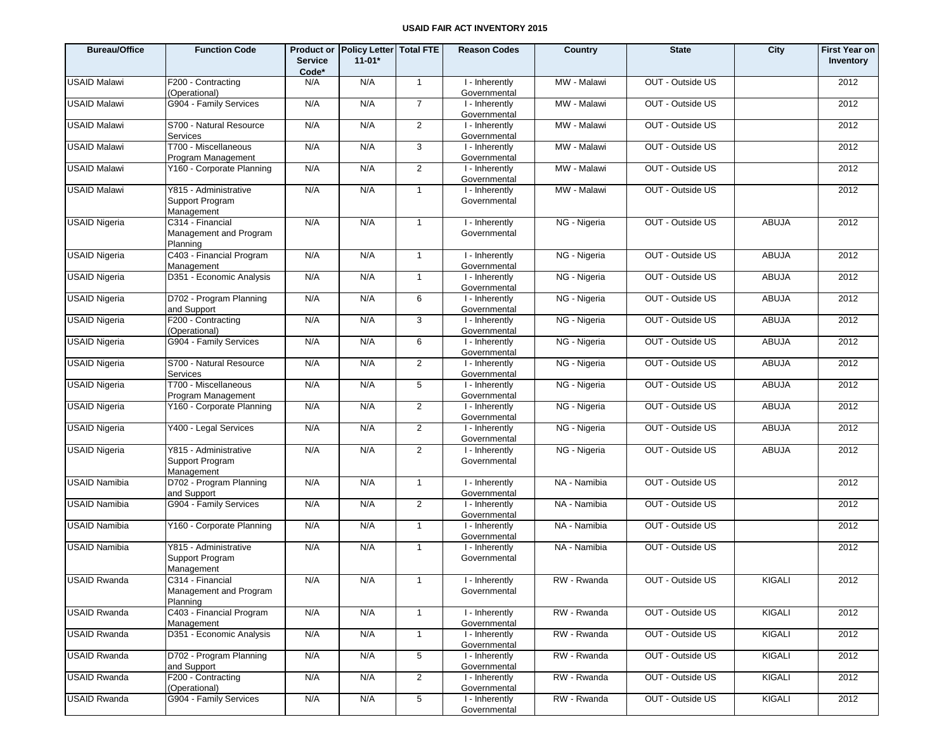| <b>Bureau/Office</b> | <b>Function Code</b>                                   | <b>Service</b><br>Code* | Product or Policy Letter Total FTE<br>$11 - 01*$ |                 | <b>Reason Codes</b>              | Country      | <b>State</b>     | City          | <b>First Year on</b><br>Inventory |
|----------------------|--------------------------------------------------------|-------------------------|--------------------------------------------------|-----------------|----------------------------------|--------------|------------------|---------------|-----------------------------------|
| <b>USAID Malawi</b>  | F200 - Contracting<br>(Operational)                    | N/A                     | N/A                                              | $\overline{1}$  | I - Inherently<br>Governmental   | MW - Malawi  | OUT - Outside US |               | 2012                              |
| <b>USAID Malawi</b>  | G904 - Family Services                                 | N/A                     | N/A                                              | $\overline{7}$  | I - Inherently<br>Governmental   | MW - Malawi  | OUT - Outside US |               | 2012                              |
| <b>USAID Malawi</b>  | S700 - Natural Resource<br>Services                    | N/A                     | N/A                                              | $\overline{2}$  | I - Inherently<br>Governmental   | MW - Malawi  | OUT - Outside US |               | 2012                              |
| <b>USAID Malawi</b>  | T700 - Miscellaneous<br>Program Management             | N/A                     | N/A                                              | 3               | I - Inherently<br>Governmental   | MW - Malawi  | OUT - Outside US |               | 2012                              |
| <b>USAID Malawi</b>  | Y160 - Corporate Planning                              | N/A                     | N/A                                              | $\overline{2}$  | I - Inherently<br>Governmental   | MW - Malawi  | OUT - Outside US |               | 2012                              |
| <b>USAID Malawi</b>  | Y815 - Administrative<br>Support Program<br>Management | N/A                     | N/A                                              | $\overline{1}$  | I - Inherently<br>Governmental   | MW - Malawi  | OUT - Outside US |               | 2012                              |
| <b>USAID Nigeria</b> | C314 - Financial<br>Management and Program<br>Planning | N/A                     | N/A                                              | $\overline{1}$  | I - Inherently<br>Governmental   | NG - Nigeria | OUT - Outside US | <b>ABUJA</b>  | 2012                              |
| <b>USAID Nigeria</b> | C403 - Financial Program<br>Management                 | N/A                     | N/A                                              | $\overline{1}$  | I - Inherently<br>Governmental   | NG - Nigeria | OUT - Outside US | <b>ABUJA</b>  | 2012                              |
| <b>USAID Nigeria</b> | D351 - Economic Analysis                               | N/A                     | N/A                                              | $\overline{1}$  | I - Inherently<br>Governmental   | NG - Nigeria | OUT - Outside US | <b>ABUJA</b>  | 2012                              |
| <b>USAID Nigeria</b> | D702 - Program Planning<br>and Support                 | N/A                     | N/A                                              | 6               | I - Inherently<br>Governmental   | NG - Nigeria | OUT - Outside US | <b>ABUJA</b>  | 2012                              |
| <b>USAID Nigeria</b> | F200 - Contracting<br>(Operational)                    | N/A                     | N/A                                              | 3               | I - Inherently<br>Governmental   | NG - Nigeria | OUT - Outside US | <b>ABUJA</b>  | 2012                              |
| <b>USAID Nigeria</b> | G904 - Family Services                                 | N/A                     | N/A                                              | 6               | I - Inherently<br>Governmental   | NG - Nigeria | OUT - Outside US | <b>ABUJA</b>  | 2012                              |
| <b>USAID Nigeria</b> | S700 - Natural Resource<br>Services                    | N/A                     | N/A                                              | 2               | I - Inherently<br>Governmental   | NG - Nigeria | OUT - Outside US | <b>ABUJA</b>  | 2012                              |
| <b>USAID Nigeria</b> | T700 - Miscellaneous<br>Program Management             | N/A                     | N/A                                              | 5               | I - Inherently<br>Governmental   | NG - Nigeria | OUT - Outside US | <b>ABUJA</b>  | 2012                              |
| <b>USAID Nigeria</b> | Y160 - Corporate Planning                              | N/A                     | N/A                                              | 2               | I - Inherently<br>Governmental   | NG - Nigeria | OUT - Outside US | <b>ABUJA</b>  | 2012                              |
| <b>USAID Nigeria</b> | Y400 - Legal Services                                  | N/A                     | N/A                                              | 2               | I - Inherently<br>Governmental   | NG - Nigeria | OUT - Outside US | <b>ABUJA</b>  | 2012                              |
| <b>USAID Nigeria</b> | Y815 - Administrative<br>Support Program<br>Management | N/A                     | N/A                                              | $\overline{2}$  | I - Inherently<br>Governmental   | NG - Nigeria | OUT - Outside US | <b>ABUJA</b>  | 2012                              |
| <b>USAID Namibia</b> | D702 - Program Planning<br>and Support                 | N/A                     | N/A                                              | $\overline{1}$  | I - Inherently<br>Governmental   | NA - Namibia | OUT - Outside US |               | 2012                              |
| <b>USAID Namibia</b> | G904 - Family Services                                 | N/A                     | N/A                                              | $\overline{2}$  | I - Inherently<br>Governmental   | NA - Namibia | OUT - Outside US |               | 2012                              |
| <b>USAID Namibia</b> | Y160 - Corporate Planning                              | N/A                     | N/A                                              | $\overline{1}$  | I - Inherently<br>Governmental   | NA - Namibia | OUT - Outside US |               | 2012                              |
| <b>USAID Namibia</b> | Y815 - Administrative<br>Support Program<br>Management | N/A                     | N/A                                              | $\overline{1}$  | I - Inherently<br>Governmental   | NA - Namibia | OUT - Outside US |               | 2012                              |
| <b>USAID Rwanda</b>  | C314 - Financial<br>Management and Program<br>Planning | N/A                     | N/A                                              | $\mathbf{1}$    | I - Inherently<br>Governmental   | RW - Rwanda  | OUT - Outside US | <b>KIGALI</b> | 2012                              |
| <b>USAID Rwanda</b>  | C403 - Financial Program<br>Management                 | N/A                     | N/A                                              | $\overline{1}$  | I - Inherently<br>Governmental   | RW - Rwanda  | OUT - Outside US | KIGALI        | 2012                              |
| <b>USAID Rwanda</b>  | D351 - Economic Analysis                               | N/A                     | N/A                                              | $\overline{1}$  | $1 -$ Inherently<br>Governmental | RW - Rwanda  | OUT - Outside US | KIGALI        | 2012                              |
| <b>USAID Rwanda</b>  | D702 - Program Planning<br>and Support                 | N/A                     | N/A                                              | 5               | I - Inherently<br>Governmental   | RW - Rwanda  | OUT - Outside US | KIGALI        | 2012                              |
| <b>USAID Rwanda</b>  | F200 - Contracting<br>(Operational)                    | N/A                     | N/A                                              | $\overline{2}$  | I - Inherently<br>Governmental   | RW - Rwanda  | OUT - Outside US | KIGALI        | 2012                              |
| <b>USAID Rwanda</b>  | G904 - Family Services                                 | N/A                     | N/A                                              | $5\phantom{.0}$ | I - Inherently<br>Governmental   | RW - Rwanda  | OUT - Outside US | KIGALI        | 2012                              |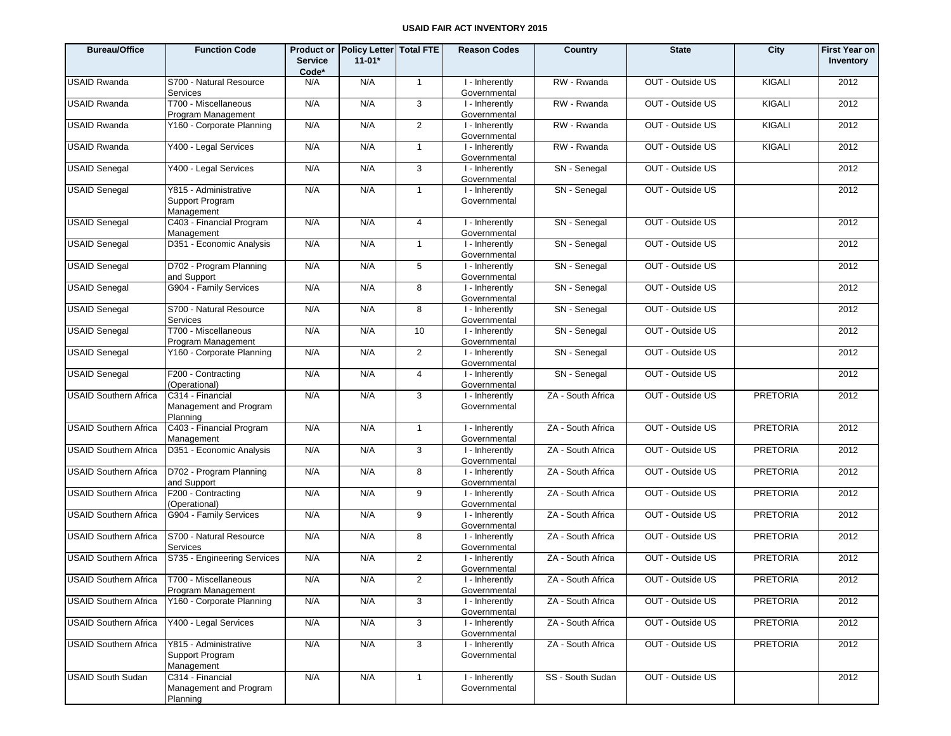| <b>Bureau/Office</b>                         | <b>Function Code</b>                                   | <b>Service</b><br>Code* | Product or Policy Letter Total FTE<br>$11-01*$ |                | <b>Reason Codes</b>            | Country           | <b>State</b>     | City            | <b>First Year on</b><br>Inventory |
|----------------------------------------------|--------------------------------------------------------|-------------------------|------------------------------------------------|----------------|--------------------------------|-------------------|------------------|-----------------|-----------------------------------|
| <b>USAID Rwanda</b>                          | S700 - Natural Resource<br>Services                    | N/A                     | N/A                                            | $\overline{1}$ | I - Inherently<br>Governmental | RW - Rwanda       | OUT - Outside US | <b>KIGALI</b>   | 2012                              |
| <b>USAID Rwanda</b>                          | T700 - Miscellaneous<br>Program Management             | N/A                     | N/A                                            | 3              | I - Inherently<br>Governmental | RW - Rwanda       | OUT - Outside US | <b>KIGALI</b>   | 2012                              |
| <b>USAID Rwanda</b>                          | Y160 - Corporate Planning                              | N/A                     | N/A                                            | $\overline{2}$ | I - Inherently<br>Governmental | RW - Rwanda       | OUT - Outside US | KIGALI          | 2012                              |
| <b>USAID Rwanda</b>                          | Y400 - Legal Services                                  | N/A                     | N/A                                            | $\mathbf{1}$   | I - Inherently<br>Governmental | RW - Rwanda       | OUT - Outside US | <b>KIGALI</b>   | 2012                              |
| <b>USAID Senegal</b>                         | Y400 - Legal Services                                  | N/A                     | N/A                                            | $\mathbf{3}$   | I - Inherently<br>Governmental | SN - Senegal      | OUT - Outside US |                 | 2012                              |
| <b>USAID Senegal</b>                         | Y815 - Administrative<br>Support Program<br>Management | N/A                     | N/A                                            | $\mathbf{1}$   | I - Inherently<br>Governmental | SN - Senegal      | OUT - Outside US |                 | 2012                              |
| <b>USAID Senegal</b>                         | C403 - Financial Program<br>Management                 | N/A                     | N/A                                            | 4              | I - Inherently<br>Governmental | SN - Senegal      | OUT - Outside US |                 | 2012                              |
| <b>USAID Senegal</b>                         | D351 - Economic Analysis                               | N/A                     | N/A                                            | $\mathbf{1}$   | I - Inherently<br>Governmental | SN - Senegal      | OUT - Outside US |                 | 2012                              |
| <b>USAID Senegal</b>                         | D702 - Program Planning<br>and Support                 | N/A                     | N/A                                            | 5              | I - Inherently<br>Governmental | SN - Senegal      | OUT - Outside US |                 | 2012                              |
| <b>USAID Senegal</b>                         | G904 - Family Services                                 | N/A                     | N/A                                            | 8              | I - Inherently<br>Governmental | SN - Senegal      | OUT - Outside US |                 | 2012                              |
| <b>USAID Senegal</b>                         | S700 - Natural Resource<br>Services                    | N/A                     | N/A                                            | 8              | I - Inherently<br>Governmental | SN - Senegal      | OUT - Outside US |                 | 2012                              |
| <b>USAID Senegal</b>                         | T700 - Miscellaneous<br>Program Management             | N/A                     | N/A                                            | 10             | I - Inherently<br>Governmental | SN - Senegal      | OUT - Outside US |                 | 2012                              |
| <b>USAID Senegal</b>                         | Y160 - Corporate Planning                              | N/A                     | N/A                                            | $\overline{2}$ | I - Inherently<br>Governmental | SN - Senegal      | OUT - Outside US |                 | 2012                              |
| <b>USAID Senegal</b>                         | F200 - Contracting<br>(Operational)                    | N/A                     | N/A                                            | $\overline{4}$ | I - Inherently<br>Governmental | SN - Senegal      | OUT - Outside US |                 | 2012                              |
| <b>USAID Southern Africa</b>                 | C314 - Financial<br>Management and Program<br>Planning | N/A                     | N/A                                            | 3              | I - Inherently<br>Governmental | ZA - South Africa | OUT - Outside US | <b>PRETORIA</b> | 2012                              |
| <b>USAID Southern Africa</b>                 | C403 - Financial Program<br>Management                 | N/A                     | N/A                                            | $\overline{1}$ | I - Inherently<br>Governmental | ZA - South Africa | OUT - Outside US | <b>PRETORIA</b> | 2012                              |
| <b>USAID Southern Africa</b>                 | D351 - Economic Analysis                               | N/A                     | N/A                                            | 3              | I - Inherently<br>Governmental | ZA - South Africa | OUT - Outside US | <b>PRETORIA</b> | 2012                              |
| <b>USAID Southern Africa</b>                 | D702 - Program Planning<br>and Support                 | N/A                     | N/A                                            | 8              | I - Inherently<br>Governmental | ZA - South Africa | OUT - Outside US | <b>PRETORIA</b> | 2012                              |
| <b>USAID Southern Africa</b>                 | F200 - Contracting<br>(Operational)                    | N/A                     | N/A                                            | 9              | I - Inherently<br>Governmental | ZA - South Africa | OUT - Outside US | <b>PRETORIA</b> | 2012                              |
| <b>USAID Southern Africa</b>                 | G904 - Family Services                                 | N/A                     | N/A                                            | 9              | I - Inherently<br>Governmental | ZA - South Africa | OUT - Outside US | <b>PRETORIA</b> | 2012                              |
| <b>USAID Southern Africa</b>                 | S700 - Natural Resource<br>Services                    | N/A                     | N/A                                            | 8              | I - Inherently<br>Governmental | ZA - South Africa | OUT - Outside US | <b>PRETORIA</b> | 2012                              |
| <b>USAID Southern Africa</b>                 | S735 - Engineering Services                            | N/A                     | N/A                                            | $\overline{2}$ | I - Inherently<br>Governmental | ZA - South Africa | OUT - Outside US | <b>PRETORIA</b> | 2012                              |
| USAID Southern Africa   T700 - Miscellaneous | Program Management                                     | N/A                     | N/A                                            | $\mathcal{P}$  | I - Inherently<br>Governmental | ZA - South Africa | OUT - Outside US | <b>PRETORIA</b> | 2012                              |
| <b>USAID Southern Africa</b>                 | Y160 - Corporate Planning                              | N/A                     | N/A                                            | 3              | I - Inherently<br>Governmental | ZA - South Africa | OUT - Outside US | <b>PRETORIA</b> | 2012                              |
| <b>USAID Southern Africa</b>                 | Y400 - Legal Services                                  | N/A                     | N/A                                            | $\mathbf{3}$   | I - Inherently<br>Governmental | ZA - South Africa | OUT - Outside US | <b>PRETORIA</b> | 2012                              |
| <b>USAID Southern Africa</b>                 | Y815 - Administrative<br>Support Program<br>Management | N/A                     | N/A                                            | $\mathbf{3}$   | I - Inherently<br>Governmental | ZA - South Africa | OUT - Outside US | <b>PRETORIA</b> | 2012                              |
| <b>USAID South Sudan</b>                     | C314 - Financial<br>Management and Program<br>Planning | N/A                     | N/A                                            | $\mathbf{1}$   | I - Inherently<br>Governmental | SS - South Sudan  | OUT - Outside US |                 | 2012                              |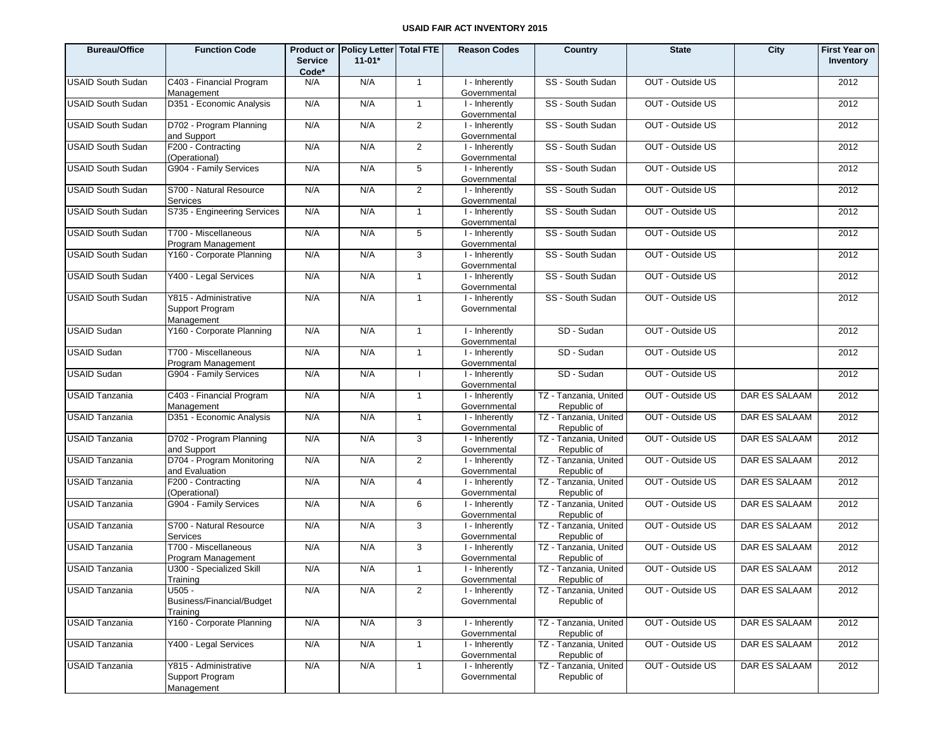| <b>Bureau/Office</b>     | <b>Function Code</b>                                   | <b>Service</b><br>Code* | Product or Policy Letter   Total FTE<br>$11 - 01*$ |                | <b>Reason Codes</b>            | Country                              | <b>State</b>     | City          | <b>First Year on</b><br>Inventory |
|--------------------------|--------------------------------------------------------|-------------------------|----------------------------------------------------|----------------|--------------------------------|--------------------------------------|------------------|---------------|-----------------------------------|
| <b>USAID South Sudan</b> | C403 - Financial Program<br>Management                 | N/A                     | N/A                                                | $\mathbf{1}$   | I - Inherently<br>Governmental | SS - South Sudan                     | OUT - Outside US |               | 2012                              |
| <b>USAID South Sudan</b> | D351 - Economic Analysis                               | N/A                     | N/A                                                | $\overline{1}$ | I - Inherently<br>Governmental | SS - South Sudan                     | OUT - Outside US |               | 2012                              |
| <b>USAID South Sudan</b> | D702 - Program Planning<br>and Support                 | N/A                     | N/A                                                | 2              | I - Inherently<br>Governmental | SS - South Sudan                     | OUT - Outside US |               | 2012                              |
| USAID South Sudan        | F200 - Contracting<br>(Operational)                    | N/A                     | N/A                                                | 2              | I - Inherently<br>Governmental | SS - South Sudan                     | OUT - Outside US |               | 2012                              |
| <b>USAID South Sudan</b> | G904 - Family Services                                 | N/A                     | N/A                                                | 5              | I - Inherently<br>Governmental | SS - South Sudan                     | OUT - Outside US |               | 2012                              |
| <b>USAID South Sudan</b> | S700 - Natural Resource<br>Services                    | N/A                     | N/A                                                | 2              | I - Inherently<br>Governmental | SS - South Sudan                     | OUT - Outside US |               | 2012                              |
| <b>USAID South Sudan</b> | S735 - Engineering Services                            | N/A                     | N/A                                                | $\overline{1}$ | I - Inherently<br>Governmental | SS - South Sudan                     | OUT - Outside US |               | 2012                              |
| <b>USAID South Sudan</b> | T700 - Miscellaneous<br>Program Management             | N/A                     | N/A                                                | 5              | I - Inherently<br>Governmental | SS - South Sudan                     | OUT - Outside US |               | 2012                              |
| <b>USAID South Sudan</b> | Y160 - Corporate Planning                              | N/A                     | N/A                                                | 3              | I - Inherently<br>Governmental | SS - South Sudan                     | OUT - Outside US |               | 2012                              |
| USAID South Sudan        | Y400 - Legal Services                                  | N/A                     | N/A                                                | $\mathbf{1}$   | I - Inherently<br>Governmental | SS - South Sudan                     | OUT - Outside US |               | 2012                              |
| <b>USAID South Sudan</b> | Y815 - Administrative<br>Support Program<br>Management | N/A                     | N/A                                                | $\overline{1}$ | I - Inherently<br>Governmental | SS - South Sudan                     | OUT - Outside US |               | 2012                              |
| <b>USAID Sudan</b>       | Y160 - Corporate Planning                              | N/A                     | N/A                                                | $\overline{1}$ | I - Inherently<br>Governmental | SD - Sudan                           | OUT - Outside US |               | 2012                              |
| <b>USAID Sudan</b>       | T700 - Miscellaneous<br>Program Management             | N/A                     | N/A                                                | $\overline{1}$ | I - Inherently<br>Governmental | SD - Sudan                           | OUT - Outside US |               | 2012                              |
| <b>USAID Sudan</b>       | G904 - Family Services                                 | N/A                     | N/A                                                | $\mathbf{I}$   | I - Inherently<br>Governmental | SD - Sudan                           | OUT - Outside US |               | 2012                              |
| <b>USAID Tanzania</b>    | C403 - Financial Program<br>Management                 | N/A                     | N/A                                                | $\overline{1}$ | I - Inherently<br>Governmental | TZ - Tanzania, United<br>Republic of | OUT - Outside US | DAR ES SALAAM | 2012                              |
| <b>USAID Tanzania</b>    | D351 - Economic Analysis                               | N/A                     | N/A                                                | $\mathbf{1}$   | I - Inherently<br>Governmental | TZ - Tanzania, United<br>Republic of | OUT - Outside US | DAR ES SALAAM | 2012                              |
| <b>USAID Tanzania</b>    | D702 - Program Planning<br>and Support                 | N/A                     | N/A                                                | 3              | I - Inherently<br>Governmental | TZ - Tanzania, United<br>Republic of | OUT - Outside US | DAR ES SALAAM | 2012                              |
| <b>USAID Tanzania</b>    | D704 - Program Monitoring<br>and Evaluation            | N/A                     | N/A                                                | 2              | I - Inherently<br>Governmental | TZ - Tanzania, United<br>Republic of | OUT - Outside US | DAR ES SALAAM | 2012                              |
| <b>USAID Tanzania</b>    | F200 - Contracting<br>(Operational)                    | N/A                     | N/A                                                | 4              | I - Inherently<br>Governmental | TZ - Tanzania, United<br>Republic of | OUT - Outside US | DAR ES SALAAM | 2012                              |
| <b>USAID Tanzania</b>    | G904 - Family Services                                 | N/A                     | N/A                                                | 6              | I - Inherently<br>Governmental | TZ - Tanzania, United<br>Republic of | OUT - Outside US | DAR ES SALAAM | 2012                              |
| <b>USAID Tanzania</b>    | S700 - Natural Resource<br>Services                    | N/A                     | N/A                                                | 3              | I - Inherently<br>Governmental | TZ - Tanzania, United<br>Republic of | OUT - Outside US | DAR ES SALAAM | 2012                              |
| <b>USAID Tanzania</b>    | T700 - Miscellaneous<br>Program Management             | N/A                     | N/A                                                | 3              | I - Inherently<br>Governmental | TZ - Tanzania, United<br>Republic of | OUT - Outside US | DAR ES SALAAM | 2012                              |
| <b>USAID Tanzania</b>    | U300 - Specialized Skill<br>Training                   | N/A                     | N/A                                                | $\overline{1}$ | I - Inherently<br>Governmental | TZ - Tanzania, United<br>Republic of | OUT - Outside US | DAR ES SALAAM | 2012                              |
| <b>USAID Tanzania</b>    | U505 -<br>Business/Financial/Budget<br>Training        | N/A                     | N/A                                                | 2              | I - Inherently<br>Governmental | TZ - Tanzania, United<br>Republic of | OUT - Outside US | DAR ES SALAAM | 2012                              |
| <b>USAID Tanzania</b>    | Y160 - Corporate Planning                              | N/A                     | N/A                                                | $\mathbf{3}$   | I - Inherently<br>Governmental | TZ - Tanzania, United<br>Republic of | OUT - Outside US | DAR ES SALAAM | 2012                              |
| <b>USAID Tanzania</b>    | Y400 - Legal Services                                  | N/A                     | N/A                                                | $\mathbf{1}$   | I - Inherently<br>Governmental | TZ - Tanzania, United<br>Republic of | OUT - Outside US | DAR ES SALAAM | 2012                              |
| <b>USAID Tanzania</b>    | Y815 - Administrative<br>Support Program<br>Management | N/A                     | N/A                                                | $\overline{1}$ | I - Inherently<br>Governmental | TZ - Tanzania, United<br>Republic of | OUT - Outside US | DAR ES SALAAM | 2012                              |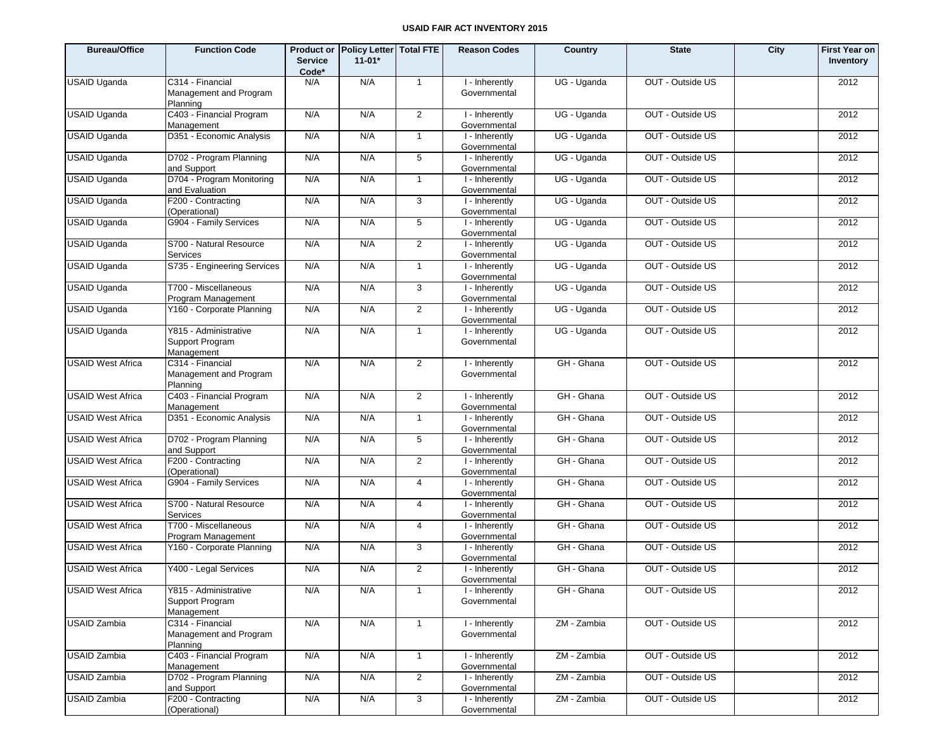| <b>Bureau/Office</b>     | <b>Function Code</b>                                   | <b>Service</b><br>Code* | Product or Policy Letter Total FTE<br>$11 - 01*$ |                | <b>Reason Codes</b>            | Country     | <b>State</b>     | City | <b>First Year on</b><br>Inventory |
|--------------------------|--------------------------------------------------------|-------------------------|--------------------------------------------------|----------------|--------------------------------|-------------|------------------|------|-----------------------------------|
| <b>USAID Uganda</b>      | C314 - Financial<br>Management and Program<br>Planning | N/A                     | N/A                                              | $\overline{1}$ | I - Inherently<br>Governmental | UG - Uganda | OUT - Outside US |      | 2012                              |
| <b>USAID Uganda</b>      | C403 - Financial Program<br>Management                 | N/A                     | N/A                                              | $\overline{2}$ | I - Inherently<br>Governmental | UG - Uganda | OUT - Outside US |      | 2012                              |
| <b>USAID Uganda</b>      | D351 - Economic Analysis                               | N/A                     | N/A                                              | $\mathbf{1}$   | I - Inherently<br>Governmental | UG - Uganda | OUT - Outside US |      | 2012                              |
| <b>USAID Uganda</b>      | D702 - Program Planning<br>and Support                 | N/A                     | N/A                                              | 5              | I - Inherently<br>Governmental | UG - Uganda | OUT - Outside US |      | 2012                              |
| <b>USAID Uganda</b>      | D704 - Program Monitoring<br>and Evaluation            | N/A                     | N/A                                              | $\mathbf{1}$   | I - Inherently<br>Governmental | UG - Uganda | OUT - Outside US |      | 2012                              |
| <b>USAID Uganda</b>      | F200 - Contracting<br>(Operational)                    | N/A                     | N/A                                              | 3              | I - Inherently<br>Governmental | UG - Uganda | OUT - Outside US |      | 2012                              |
| <b>USAID Uganda</b>      | G904 - Family Services                                 | N/A                     | N/A                                              | 5              | I - Inherently<br>Governmental | UG - Uganda | OUT - Outside US |      | 2012                              |
| <b>USAID Uganda</b>      | S700 - Natural Resource<br>Services                    | N/A                     | N/A                                              | $\overline{2}$ | I - Inherently<br>Governmental | UG - Uganda | OUT - Outside US |      | 2012                              |
| <b>USAID Uganda</b>      | S735 - Engineering Services                            | N/A                     | N/A                                              | $\mathbf{1}$   | I - Inherently<br>Governmental | UG - Uganda | OUT - Outside US |      | 2012                              |
| <b>USAID Uganda</b>      | T700 - Miscellaneous<br>Program Management             | N/A                     | N/A                                              | 3              | I - Inherently<br>Governmental | UG - Uganda | OUT - Outside US |      | 2012                              |
| <b>USAID Uganda</b>      | Y160 - Corporate Planning                              | N/A                     | N/A                                              | $\overline{2}$ | I - Inherently<br>Governmental | UG - Uganda | OUT - Outside US |      | 2012                              |
| <b>USAID Uganda</b>      | Y815 - Administrative<br>Support Program<br>Management | N/A                     | N/A                                              | $\mathbf{1}$   | I - Inherently<br>Governmental | UG - Uganda | OUT - Outside US |      | 2012                              |
| <b>USAID West Africa</b> | C314 - Financial<br>Management and Program<br>Planning | N/A                     | N/A                                              | 2              | I - Inherently<br>Governmental | GH - Ghana  | OUT - Outside US |      | 2012                              |
| <b>USAID West Africa</b> | C403 - Financial Program<br>Management                 | N/A                     | N/A                                              | $\overline{2}$ | I - Inherently<br>Governmental | GH - Ghana  | OUT - Outside US |      | 2012                              |
| <b>USAID West Africa</b> | D351 - Economic Analysis                               | N/A                     | N/A                                              | $\mathbf{1}$   | I - Inherently<br>Governmental | GH - Ghana  | OUT - Outside US |      | 2012                              |
| <b>USAID West Africa</b> | D702 - Program Planning<br>and Support                 | N/A                     | N/A                                              | 5              | I - Inherently<br>Governmental | GH - Ghana  | OUT - Outside US |      | 2012                              |
| <b>USAID West Africa</b> | F200 - Contracting<br>(Operational)                    | N/A                     | N/A                                              | $\overline{2}$ | I - Inherently<br>Governmental | GH - Ghana  | OUT - Outside US |      | 2012                              |
| <b>USAID West Africa</b> | G904 - Family Services                                 | N/A                     | N/A                                              | 4              | I - Inherently<br>Governmental | GH - Ghana  | OUT - Outside US |      | 2012                              |
| <b>USAID West Africa</b> | S700 - Natural Resource<br>Services                    | N/A                     | N/A                                              | 4              | I - Inherently<br>Governmental | GH - Ghana  | OUT - Outside US |      | 2012                              |
| <b>USAID West Africa</b> | T700 - Miscellaneous<br>Program Management             | N/A                     | N/A                                              | 4              | I - Inherently<br>Governmental | GH - Ghana  | OUT - Outside US |      | 2012                              |
| <b>USAID West Africa</b> | Y160 - Corporate Planning                              | N/A                     | N/A                                              | 3              | I - Inherently<br>Governmental | GH - Ghana  | OUT - Outside US |      | 2012                              |
| <b>USAID West Africa</b> | Y400 - Legal Services                                  | N/A                     | N/A                                              | $\overline{2}$ | I - Inherently<br>Governmental | GH - Ghana  | OUT - Outside US |      | 2012                              |
| <b>USAID West Africa</b> | Y815 - Administrative<br>Support Program<br>Management | N/A                     | N/A                                              | $\mathbf{1}$   | I - Inherently<br>Governmental | GH - Ghana  | OUT - Outside US |      | 2012                              |
| <b>USAID Zambia</b>      | C314 - Financial<br>Management and Program<br>Planning | N/A                     | N/A                                              | $\mathbf{1}$   | I - Inherently<br>Governmental | ZM - Zambia | OUT - Outside US |      | 2012                              |
| <b>USAID Zambia</b>      | C403 - Financial Program<br>Management                 | N/A                     | N/A                                              | $\mathbf{1}$   | I - Inherently<br>Governmental | ZM - Zambia | OUT - Outside US |      | 2012                              |
| <b>USAID Zambia</b>      | D702 - Program Planning<br>and Support                 | N/A                     | N/A                                              | $\overline{2}$ | I - Inherently<br>Governmental | ZM - Zambia | OUT - Outside US |      | 2012                              |
| <b>USAID Zambia</b>      | F200 - Contracting<br>(Operational)                    | N/A                     | N/A                                              | 3              | I - Inherently<br>Governmental | ZM - Zambia | OUT - Outside US |      | 2012                              |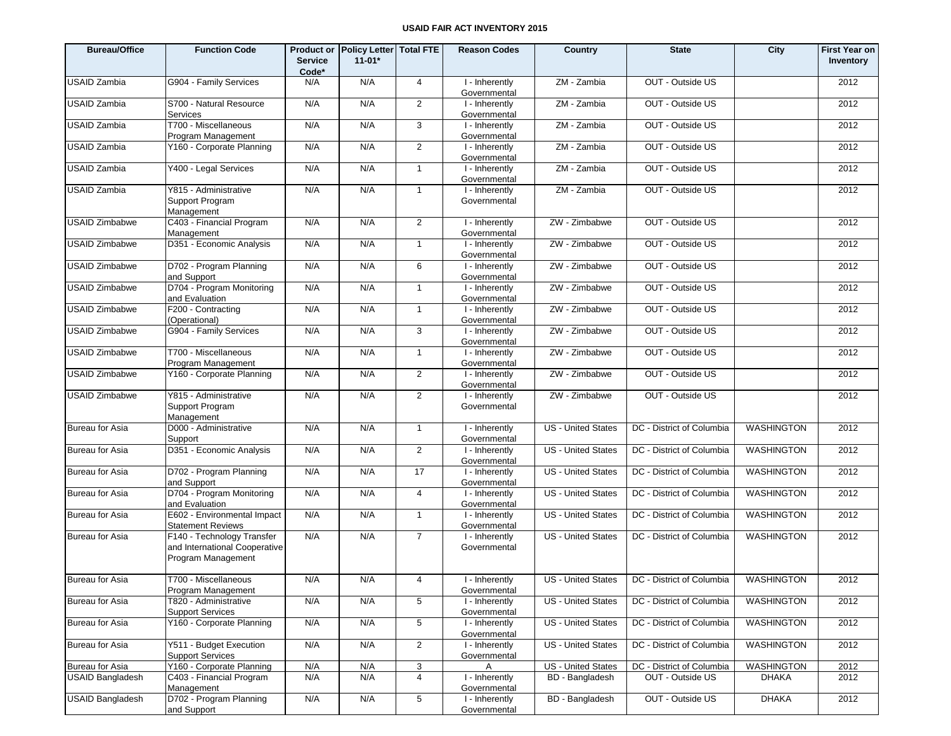| <b>Bureau/Office</b>    | <b>Function Code</b>                                                              | <b>Service</b><br>Code* | Product or Policy Letter Total FTE<br>$11-01*$ |                 | <b>Reason Codes</b>            | Country                   | <b>State</b>                                   | City              | <b>First Year on</b><br>Inventory |
|-------------------------|-----------------------------------------------------------------------------------|-------------------------|------------------------------------------------|-----------------|--------------------------------|---------------------------|------------------------------------------------|-------------------|-----------------------------------|
| <b>USAID Zambia</b>     | G904 - Family Services                                                            | N/A                     | N/A                                            | $\overline{4}$  | I - Inherently<br>Governmental | ZM - Zambia               | OUT - Outside US                               |                   | 2012                              |
| <b>USAID Zambia</b>     | S700 - Natural Resource<br>Services                                               | N/A                     | N/A                                            | 2               | I - Inherently<br>Governmental | ZM - Zambia               | OUT - Outside US                               |                   | 2012                              |
| <b>USAID Zambia</b>     | T700 - Miscellaneous<br>Program Management                                        | N/A                     | N/A                                            | $\mathbf{3}$    | I - Inherently<br>Governmental | ZM - Zambia               | OUT - Outside US                               |                   | 2012                              |
| <b>USAID Zambia</b>     | Y160 - Corporate Planning                                                         | N/A                     | N/A                                            | $\overline{2}$  | I - Inherently<br>Governmental | ZM - Zambia               | OUT - Outside US                               |                   | 2012                              |
| <b>USAID Zambia</b>     | Y400 - Legal Services                                                             | N/A                     | N/A                                            | $\mathbf{1}$    | I - Inherently<br>Governmental | ZM - Zambia               | OUT - Outside US                               |                   | 2012                              |
| <b>USAID Zambia</b>     | Y815 - Administrative<br>Support Program<br>Management                            | N/A                     | N/A                                            | $\mathbf{1}$    | I - Inherently<br>Governmental | ZM - Zambia               | OUT - Outside US                               |                   | 2012                              |
| <b>USAID Zimbabwe</b>   | C403 - Financial Program<br>Management                                            | N/A                     | N/A                                            | $\overline{2}$  | I - Inherently<br>Governmental | ZW - Zimbabwe             | OUT - Outside US                               |                   | 2012                              |
| <b>USAID Zimbabwe</b>   | D351 - Economic Analysis                                                          | N/A                     | N/A                                            | $\mathbf{1}$    | I - Inherently<br>Governmental | ZW - Zimbabwe             | OUT - Outside US                               |                   | 2012                              |
| <b>USAID Zimbabwe</b>   | D702 - Program Planning<br>and Support                                            | N/A                     | N/A                                            | 6               | I - Inherently<br>Governmental | ZW - Zimbabwe             | OUT - Outside US                               |                   | 2012                              |
| <b>USAID Zimbabwe</b>   | D704 - Program Monitoring<br>and Evaluation                                       | N/A                     | N/A                                            | $\mathbf{1}$    | I - Inherently<br>Governmental | ZW - Zimbabwe             | OUT - Outside US                               |                   | 2012                              |
| <b>USAID Zimbabwe</b>   | F200 - Contracting<br>(Operational)                                               | N/A                     | N/A                                            | $\mathbf{1}$    | I - Inherently<br>Governmental | ZW - Zimbabwe             | OUT - Outside US                               |                   | 2012                              |
| <b>USAID Zimbabwe</b>   | G904 - Family Services                                                            | N/A                     | N/A                                            | 3               | I - Inherently<br>Governmental | ZW - Zimbabwe             | OUT - Outside US                               |                   | 2012                              |
| <b>USAID Zimbabwe</b>   | T700 - Miscellaneous<br>Program Management                                        | N/A                     | N/A                                            | $\mathbf{1}$    | I - Inherently<br>Governmental | ZW - Zimbabwe             | OUT - Outside US                               |                   | 2012                              |
| <b>USAID Zimbabwe</b>   | Y160 - Corporate Planning                                                         | N/A                     | N/A                                            | $\overline{2}$  | I - Inherently<br>Governmental | ZW - Zimbabwe             | OUT - Outside US                               |                   | 2012                              |
| <b>USAID Zimbabwe</b>   | Y815 - Administrative<br>Support Program<br>Management                            | N/A                     | N/A                                            | $\overline{2}$  | I - Inherently<br>Governmental | ZW - Zimbabwe             | OUT - Outside US                               |                   | 2012                              |
| Bureau for Asia         | D000 - Administrative<br>Support                                                  | N/A                     | N/A                                            | $\mathbf{1}$    | I - Inherently<br>Governmental | <b>US</b> - United States | DC - District of Columbia                      | <b>WASHINGTON</b> | 2012                              |
| <b>Bureau for Asia</b>  | D351 - Economic Analysis                                                          | N/A                     | N/A                                            | 2               | I - Inherently<br>Governmental | US - United States        | DC - District of Columbia                      | <b>WASHINGTON</b> | 2012                              |
| <b>Bureau for Asia</b>  | D702 - Program Planning<br>and Support                                            | N/A                     | N/A                                            | 17              | I - Inherently<br>Governmental | <b>US</b> - United States | DC - District of Columbia                      | <b>WASHINGTON</b> | 2012                              |
| <b>Bureau for Asia</b>  | D704 - Program Monitoring<br>and Evaluation                                       | N/A                     | N/A                                            | $\overline{4}$  | I - Inherently<br>Governmental | <b>US</b> - United States | DC - District of Columbia                      | <b>WASHINGTON</b> | 2012                              |
| <b>Bureau for Asia</b>  | E602 - Environmental Impact<br><b>Statement Reviews</b>                           | N/A                     | N/A                                            | $\mathbf{1}$    | I - Inherently<br>Governmental | <b>US</b> - United States | DC - District of Columbia                      | <b>WASHINGTON</b> | 2012                              |
| <b>Bureau for Asia</b>  | F140 - Technology Transfer<br>and International Cooperative<br>Program Management | N/A                     | N/A                                            | $\overline{7}$  | I - Inherently<br>Governmental | US - United States        | DC - District of Columbia                      | <b>WASHINGTON</b> | 2012                              |
| <b>Bureau for Asia</b>  | T700 - Miscellaneous<br>Program Management                                        | N/A                     | N/A                                            | 4               | I - Inherently<br>Governmental |                           | US - United States   DC - District of Columbia | <b>WASHINGTON</b> | 2012                              |
| Bureau for Asia         | T820 - Administrative<br><b>Support Services</b>                                  | N/A                     | N/A                                            | 5               | I - Inherently<br>Governmental | US - United States        | DC - District of Columbia                      | <b>WASHINGTON</b> | 2012                              |
| Bureau for Asia         | Y160 - Corporate Planning                                                         | N/A                     | N/A                                            | $5\phantom{.0}$ | I - Inherently<br>Governmental | US - United States        | DC - District of Columbia                      | <b>WASHINGTON</b> | 2012                              |
| <b>Bureau for Asia</b>  | Y511 - Budget Execution<br><b>Support Services</b>                                | N/A                     | N/A                                            | $\overline{2}$  | I - Inherently<br>Governmental | US - United States        | DC - District of Columbia                      | <b>WASHINGTON</b> | 2012                              |
| Bureau for Asia         | Y160 - Corporate Planning                                                         | N/A                     | N/A                                            | 3               | A                              | US - United States        | DC - District of Columbia                      | WASHINGTON        | 2012                              |
| <b>USAID Bangladesh</b> | C403 - Financial Program<br>Management                                            | N/A                     | N/A                                            | 4               | I - Inherently<br>Governmental | BD - Bangladesh           | OUT - Outside US                               | <b>DHAKA</b>      | 2012                              |
| <b>USAID Bangladesh</b> | D702 - Program Planning<br>and Support                                            | N/A                     | N/A                                            | $\sqrt{5}$      | I - Inherently<br>Governmental | <b>BD</b> - Bangladesh    | OUT - Outside US                               | <b>DHAKA</b>      | 2012                              |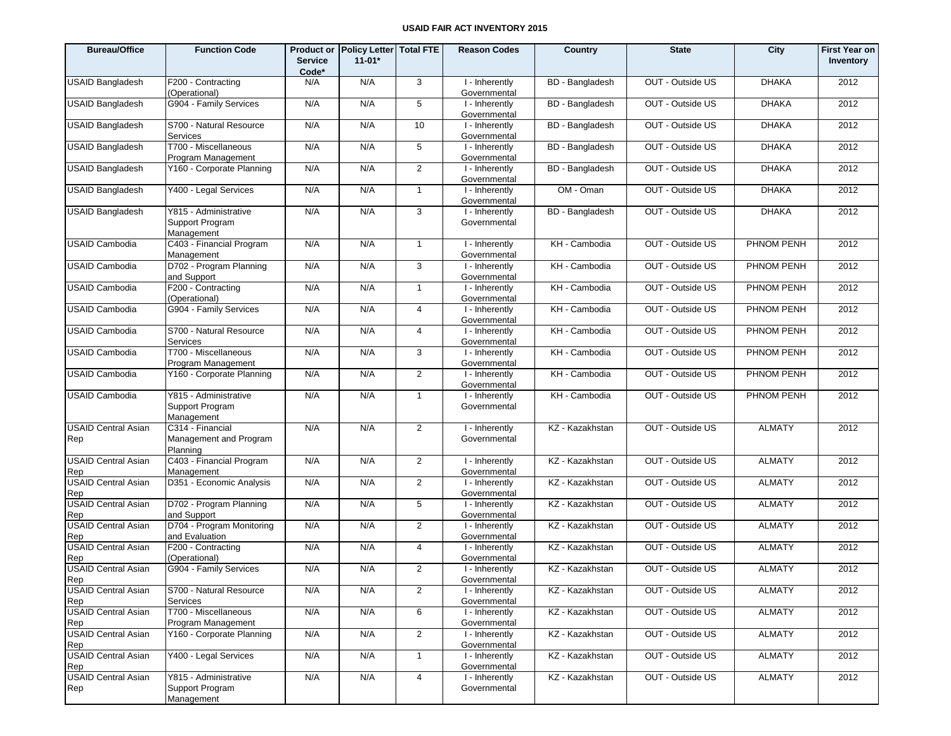| <b>Bureau/Office</b>              | <b>Function Code</b>                                   | <b>Product or</b><br><b>Service</b><br>Code* | Policy Letter   Total FTE<br>$11-01*$ |                | <b>Reason Codes</b>                         | Country                | <b>State</b>     | City          | <b>First Year on</b><br>Inventory |
|-----------------------------------|--------------------------------------------------------|----------------------------------------------|---------------------------------------|----------------|---------------------------------------------|------------------------|------------------|---------------|-----------------------------------|
| <b>USAID Bangladesh</b>           | F200 - Contracting<br>(Operational)                    | N/A                                          | N/A                                   | 3              | I - Inherently<br>Governmental              | BD - Bangladesh        | OUT - Outside US | <b>DHAKA</b>  | 2012                              |
| <b>USAID Bangladesh</b>           | G904 - Family Services                                 | N/A                                          | N/A                                   | 5              | I - Inherently<br>Governmental              | <b>BD</b> - Bangladesh | OUT - Outside US | <b>DHAKA</b>  | 2012                              |
| <b>USAID Bangladesh</b>           | S700 - Natural Resource<br>Services                    | N/A                                          | N/A                                   | 10             | I - Inherently<br>Governmental              | <b>BD</b> - Bangladesh | OUT - Outside US | <b>DHAKA</b>  | 2012                              |
| <b>USAID Bangladesh</b>           | T700 - Miscellaneous<br>Program Management             | N/A                                          | N/A                                   | 5              | I - Inherently<br>Governmental              | BD - Bangladesh        | OUT - Outside US | <b>DHAKA</b>  | 2012                              |
| <b>USAID Bangladesh</b>           | Y160 - Corporate Planning                              | N/A                                          | N/A                                   | 2              | I - Inherently<br>Governmental              | BD - Bangladesh        | OUT - Outside US | <b>DHAKA</b>  | 2012                              |
| <b>USAID Bangladesh</b>           | Y400 - Legal Services                                  | N/A                                          | N/A                                   | $\mathbf{1}$   | I - Inherently<br>Governmental              | OM - Oman              | OUT - Outside US | <b>DHAKA</b>  | 2012                              |
| <b>USAID Bangladesh</b>           | Y815 - Administrative<br>Support Program<br>Management | N/A                                          | N/A                                   | 3              | I - Inherently<br>Governmental              | BD - Bangladesh        | OUT - Outside US | <b>DHAKA</b>  | 2012                              |
| <b>USAID Cambodia</b>             | C403 - Financial Program<br>Management                 | N/A                                          | N/A                                   | $\mathbf{1}$   | I - Inherently<br>Governmental              | KH - Cambodia          | OUT - Outside US | PHNOM PENH    | 2012                              |
| <b>USAID Cambodia</b>             | D702 - Program Planning<br>and Support                 | N/A                                          | N/A                                   | 3              | I - Inherently<br>Governmental              | KH - Cambodia          | OUT - Outside US | PHNOM PENH    | 2012                              |
| <b>USAID Cambodia</b>             | F200 - Contracting<br>(Operational)                    | N/A                                          | N/A                                   | $\mathbf{1}$   | I - Inherently<br>Governmental              | KH - Cambodia          | OUT - Outside US | PHNOM PENH    | 2012                              |
| <b>USAID Cambodia</b>             | G904 - Family Services                                 | N/A                                          | N/A                                   | 4              | I - Inherently<br>Governmental              | KH - Cambodia          | OUT - Outside US | PHNOM PENH    | 2012                              |
| <b>USAID Cambodia</b>             | S700 - Natural Resource<br><b>Services</b>             | N/A                                          | N/A                                   | 4              | $\overline{1}$ - Inherently<br>Governmental | KH - Cambodia          | OUT - Outside US | PHNOM PENH    | 2012                              |
| <b>USAID Cambodia</b>             | T700 - Miscellaneous<br>Program Management             | N/A                                          | N/A                                   | 3              | I - Inherently<br>Governmental              | KH - Cambodia          | OUT - Outside US | PHNOM PENH    | 2012                              |
| <b>USAID Cambodia</b>             | Y160 - Corporate Planning                              | N/A                                          | N/A                                   | $\overline{2}$ | $\overline{1}$ - Inherently<br>Governmental | KH - Cambodia          | OUT - Outside US | PHNOM PENH    | 2012                              |
| <b>USAID Cambodia</b>             | Y815 - Administrative<br>Support Program<br>Management | N/A                                          | N/A                                   | $\mathbf{1}$   | I - Inherently<br>Governmental              | KH - Cambodia          | OUT - Outside US | PHNOM PENH    | 2012                              |
| <b>USAID Central Asian</b><br>Rep | C314 - Financial<br>Management and Program<br>Planning | N/A                                          | N/A                                   | $\overline{2}$ | I - Inherently<br>Governmental              | KZ - Kazakhstan        | OUT - Outside US | <b>ALMATY</b> | 2012                              |
| <b>USAID Central Asian</b><br>Rep | C403 - Financial Program<br>Management                 | N/A                                          | N/A                                   | $\overline{2}$ | I - Inherently<br>Governmental              | KZ - Kazakhstan        | OUT - Outside US | <b>ALMATY</b> | 2012                              |
| <b>USAID Central Asian</b><br>Rep | D351 - Economic Analysis                               | N/A                                          | N/A                                   | 2              | I - Inherently<br>Governmental              | KZ - Kazakhstan        | OUT - Outside US | <b>ALMATY</b> | 2012                              |
| <b>USAID Central Asian</b><br>Rep | D702 - Program Planning<br>and Support                 | N/A                                          | N/A                                   | 5              | I - Inherently<br>Governmental              | KZ - Kazakhstan        | OUT - Outside US | <b>ALMATY</b> | 2012                              |
| <b>USAID Central Asian</b><br>Rep | D704 - Program Monitoring<br>and Evaluation            | N/A                                          | N/A                                   | $\overline{2}$ | I - Inherently<br>Governmental              | KZ - Kazakhstan        | OUT - Outside US | <b>ALMATY</b> | 2012                              |
| <b>USAID Central Asian</b><br>Rep | F200 - Contracting<br>(Operational)                    | N/A                                          | N/A                                   | 4              | I - Inherently<br>Governmental              | KZ - Kazakhstan        | OUT - Outside US | <b>ALMATY</b> | 2012                              |
| <b>USAID Central Asian</b><br>Rep | G904 - Family Services                                 | N/A                                          | N/A                                   | $\overline{2}$ | I - Inherently<br>Governmental              | KZ - Kazakhstan        | OUT - Outside US | <b>ALMATY</b> | 2012                              |
| <b>USAID Central Asian</b><br>Rep | S700 - Natural Resource<br><b>Services</b>             | N/A                                          | N/A                                   | $\overline{2}$ | I - Inherently<br>Governmental              | KZ - Kazakhstan        | OUT - Outside US | <b>ALMATY</b> | 2012                              |
| <b>USAID Central Asian</b><br>Rep | T700 - Miscellaneous<br>Program Management             | N/A                                          | N/A                                   | 6              | I - Inherently<br>Governmental              | KZ - Kazakhstan        | OUT - Outside US | <b>ALMATY</b> | 2012                              |
| <b>USAID Central Asian</b><br>Rep | Y160 - Corporate Planning                              | N/A                                          | N/A                                   | $\overline{2}$ | I - Inherently<br>Governmental              | KZ - Kazakhstan        | OUT - Outside US | <b>ALMATY</b> | 2012                              |
| <b>USAID Central Asian</b><br>Rep | Y400 - Legal Services                                  | N/A                                          | N/A                                   | $\mathbf{1}$   | I - Inherently<br>Governmental              | KZ - Kazakhstan        | OUT - Outside US | <b>ALMATY</b> | 2012                              |
| <b>USAID Central Asian</b><br>Rep | Y815 - Administrative<br>Support Program<br>Management | N/A                                          | N/A                                   | 4              | I - Inherently<br>Governmental              | KZ - Kazakhstan        | OUT - Outside US | <b>ALMATY</b> | 2012                              |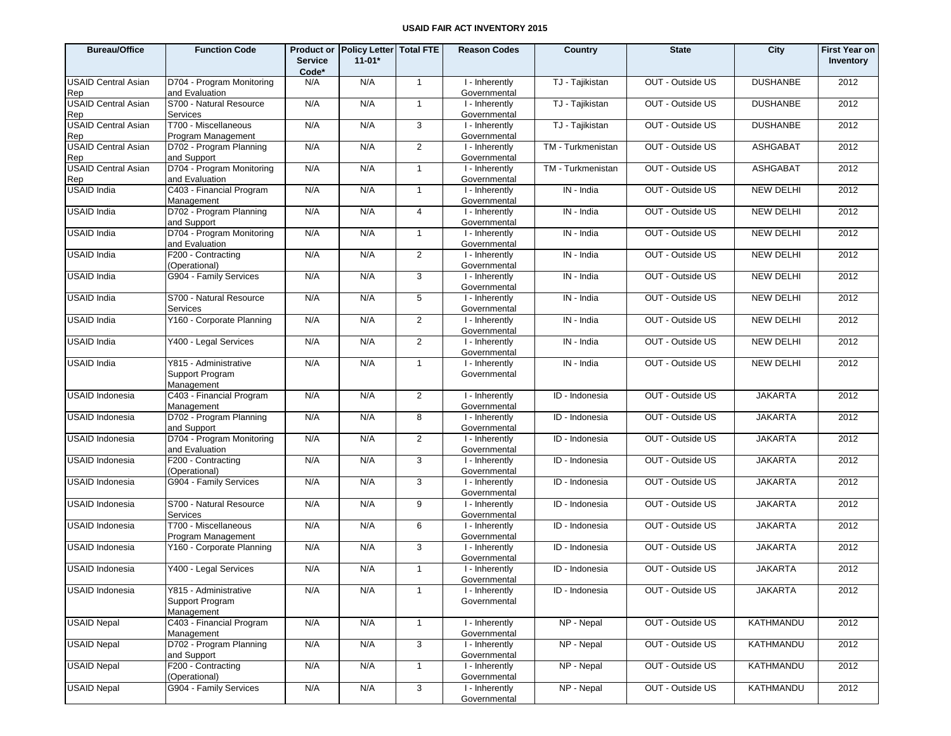| <b>Bureau/Office</b>              | <b>Function Code</b>                                   | <b>Service</b><br>Code* | Product or Policy Letter Total FTE<br>$11 - 01*$ |                | <b>Reason Codes</b>                         | Country           | <b>State</b>     | City             | <b>First Year on</b><br>Inventory |
|-----------------------------------|--------------------------------------------------------|-------------------------|--------------------------------------------------|----------------|---------------------------------------------|-------------------|------------------|------------------|-----------------------------------|
| <b>USAID Central Asian</b><br>Rep | D704 - Program Monitoring<br>and Evaluation            | N/A                     | N/A                                              | $\mathbf{1}$   | I - Inherently<br>Governmental              | TJ - Tajikistan   | OUT - Outside US | <b>DUSHANBE</b>  | 2012                              |
| <b>USAID Central Asian</b><br>Rep | S700 - Natural Resource<br>Services                    | N/A                     | N/A                                              | $\mathbf{1}$   | I - Inherently<br>Governmental              | TJ - Tajikistan   | OUT - Outside US | <b>DUSHANBE</b>  | 2012                              |
| <b>USAID Central Asian</b><br>Rep | T700 - Miscellaneous<br>Program Management             | N/A                     | N/A                                              | 3              | I - Inherently<br>Governmental              | TJ - Tajikistan   | OUT - Outside US | <b>DUSHANBE</b>  | 2012                              |
| <b>USAID Central Asian</b><br>Rep | D702 - Program Planning<br>and Support                 | N/A                     | N/A                                              | 2              | I - Inherently<br>Governmental              | TM - Turkmenistan | OUT - Outside US | <b>ASHGABAT</b>  | 2012                              |
| <b>USAID Central Asian</b><br>Rep | D704 - Program Monitoring<br>and Evaluation            | N/A                     | N/A                                              | $\mathbf{1}$   | I - Inherently<br>Governmental              | TM - Turkmenistan | OUT - Outside US | <b>ASHGABAT</b>  | 2012                              |
| USAID India                       | C403 - Financial Program<br>Management                 | N/A                     | N/A                                              | $\mathbf{1}$   | I - Inherently<br>Governmental              | IN - India        | OUT - Outside US | <b>NEW DELHI</b> | 2012                              |
| USAID India                       | D702 - Program Planning<br>and Support                 | N/A                     | N/A                                              | $\overline{4}$ | I - Inherently<br>Governmental              | IN - India        | OUT - Outside US | <b>NEW DELHI</b> | 2012                              |
| <b>USAID India</b>                | D704 - Program Monitoring<br>and Evaluation            | N/A                     | N/A                                              | $\mathbf{1}$   | I - Inherently<br>Governmental              | IN - India        | OUT - Outside US | <b>NEW DELHI</b> | 2012                              |
| USAID India                       | F200 - Contracting<br>(Operational)                    | N/A                     | N/A                                              | 2              | I - Inherently<br>Governmental              | IN - India        | OUT - Outside US | <b>NEW DELHI</b> | 2012                              |
| <b>USAID India</b>                | G904 - Family Services                                 | N/A                     | N/A                                              | 3              | I - Inherently<br>Governmental              | IN - India        | OUT - Outside US | <b>NEW DELHI</b> | 2012                              |
| USAID India                       | S700 - Natural Resource<br>Services                    | N/A                     | N/A                                              | 5              | I - Inherently<br>Governmental              | IN - India        | OUT - Outside US | <b>NEW DELHI</b> | 2012                              |
| USAID India                       | Y160 - Corporate Planning                              | N/A                     | N/A                                              | 2              | I - Inherently<br>Governmental              | IN - India        | OUT - Outside US | <b>NEW DELHI</b> | 2012                              |
| USAID India                       | Y400 - Legal Services                                  | N/A                     | N/A                                              | 2              | I - Inherently<br>Governmental              | IN - India        | OUT - Outside US | <b>NEW DELHI</b> | 2012                              |
| USAID India                       | Y815 - Administrative<br>Support Program<br>Management | N/A                     | N/A                                              | $\mathbf{1}$   | I - Inherently<br>Governmental              | IN - India        | OUT - Outside US | <b>NEW DELHI</b> | 2012                              |
| USAID Indonesia                   | C403 - Financial Program<br>Management                 | N/A                     | N/A                                              | 2              | I - Inherently<br>Governmental              | ID - Indonesia    | OUT - Outside US | <b>JAKARTA</b>   | 2012                              |
| USAID Indonesia                   | D702 - Program Planning<br>and Support                 | N/A                     | N/A                                              | 8              | I - Inherently<br>Governmental              | ID - Indonesia    | OUT - Outside US | <b>JAKARTA</b>   | 2012                              |
| USAID Indonesia                   | D704 - Program Monitoring<br>and Evaluation            | N/A                     | N/A                                              | 2              | I - Inherently<br>Governmental              | ID - Indonesia    | OUT - Outside US | <b>JAKARTA</b>   | 2012                              |
| USAID Indonesia                   | F200 - Contracting<br>(Operational)                    | N/A                     | N/A                                              | 3              | I - Inherently<br>Governmental              | ID - Indonesia    | OUT - Outside US | <b>JAKARTA</b>   | 2012                              |
| USAID Indonesia                   | G904 - Family Services                                 | N/A                     | N/A                                              | 3              | I - Inherently<br>Governmental              | ID - Indonesia    | OUT - Outside US | <b>JAKARTA</b>   | 2012                              |
| USAID Indonesia                   | S700 - Natural Resource<br>Services                    | N/A                     | N/A                                              | 9              | $\overline{1}$ - Inherently<br>Governmental | ID - Indonesia    | OUT - Outside US | <b>JAKARTA</b>   | 2012                              |
| USAID Indonesia                   | T700 - Miscellaneous<br>Program Management             | N/A                     | N/A                                              | 6              | I - Inherently<br>Governmental              | ID - Indonesia    | OUT - Outside US | <b>JAKARTA</b>   | 2012                              |
| USAID Indonesia                   | Y160 - Corporate Planning                              | N/A                     | N/A                                              | 3              | I - Inherently<br>Governmental              | ID - Indonesia    | OUT - Outside US | <b>JAKARTA</b>   | 2012                              |
| USAID Indonesia                   | Y400 - Legal Services                                  | N/A                     | N/A                                              | $\overline{1}$ | I - Inherently<br>Governmental              | ID - Indonesia    | OUT - Outside US | <b>JAKARTA</b>   | 2012                              |
| USAID Indonesia                   | Y815 - Administrative<br>Support Program<br>Management | N/A                     | N/A                                              | $\overline{1}$ | I - Inherently<br>Governmental              | ID - Indonesia    | OUT - Outside US | <b>JAKARTA</b>   | 2012                              |
| <b>USAID Nepal</b>                | C403 - Financial Program<br>Management                 | N/A                     | N/A                                              | $\mathbf{1}$   | I - Inherently<br>Governmental              | NP - Nepal        | OUT - Outside US | KATHMANDU        | 2012                              |
| <b>USAID Nepal</b>                | D702 - Program Planning<br>and Support                 | N/A                     | N/A                                              | 3              | I - Inherently<br>Governmental              | NP - Nepal        | OUT - Outside US | <b>KATHMANDU</b> | 2012                              |
| <b>USAID Nepal</b>                | F200 - Contracting<br>(Operational)                    | N/A                     | N/A                                              | $\mathbf{1}$   | I - Inherently<br>Governmental              | NP - Nepal        | OUT - Outside US | KATHMANDU        | 2012                              |
| <b>USAID Nepal</b>                | G904 - Family Services                                 | N/A                     | N/A                                              | 3              | I - Inherently<br>Governmental              | NP - Nepal        | OUT - Outside US | <b>KATHMANDU</b> | 2012                              |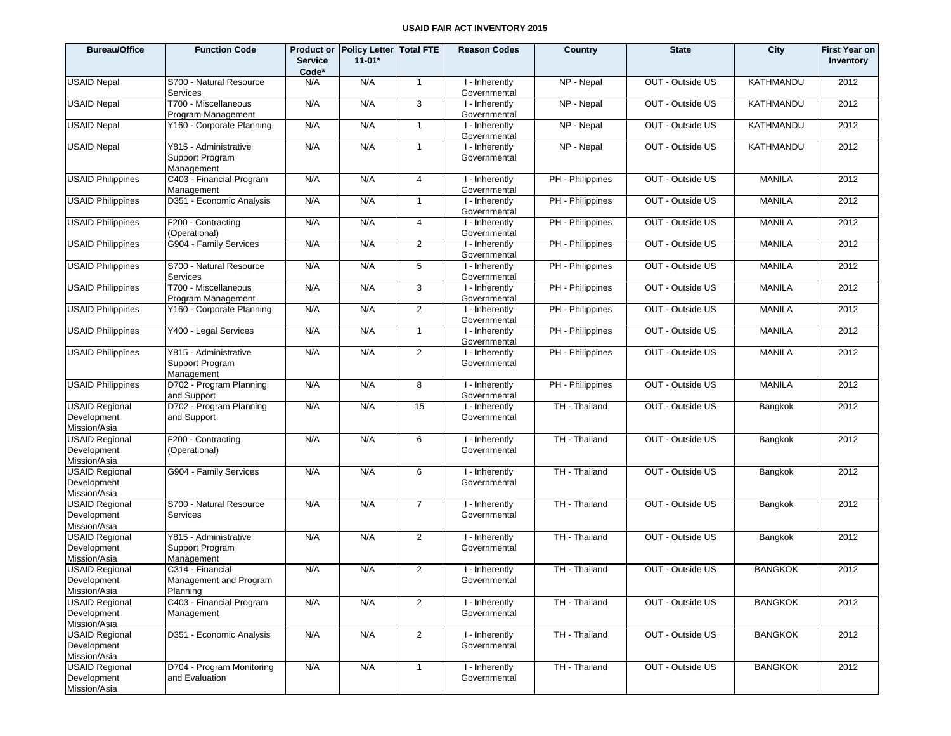| <b>Bureau/Office</b>                                 | <b>Function Code</b>                                   | <b>Service</b><br>Code* | Product or Policy Letter Total FTE<br>$11-01*$ |                | <b>Reason Codes</b>                         | Country          | <b>State</b>     | City             | <b>First Year on</b><br>Inventory |
|------------------------------------------------------|--------------------------------------------------------|-------------------------|------------------------------------------------|----------------|---------------------------------------------|------------------|------------------|------------------|-----------------------------------|
| <b>USAID Nepal</b>                                   | S700 - Natural Resource<br>Services                    | N/A                     | N/A                                            | $\overline{1}$ | I - Inherently<br>Governmental              | NP - Nepal       | OUT - Outside US | KATHMANDU        | 2012                              |
| <b>USAID Nepal</b>                                   | T700 - Miscellaneous<br>Program Management             | N/A                     | N/A                                            | 3              | I - Inherently<br>Governmental              | NP - Nepal       | OUT - Outside US | <b>KATHMANDU</b> | 2012                              |
| <b>USAID Nepal</b>                                   | Y160 - Corporate Planning                              | N/A                     | N/A                                            | $\mathbf{1}$   | I - Inherently<br>Governmental              | NP - Nepal       | OUT - Outside US | KATHMANDU        | 2012                              |
| <b>USAID Nepal</b>                                   | Y815 - Administrative<br>Support Program<br>Management | N/A                     | N/A                                            | $\mathbf{1}$   | I - Inherently<br>Governmental              | NP - Nepal       | OUT - Outside US | KATHMANDU        | 2012                              |
| <b>USAID Philippines</b>                             | C403 - Financial Program<br>Management                 | N/A                     | N/A                                            | $\overline{4}$ | I - Inherently<br>Governmental              | PH - Philippines | OUT - Outside US | <b>MANILA</b>    | 2012                              |
| <b>USAID Philippines</b>                             | D351 - Economic Analysis                               | N/A                     | N/A                                            | $\mathbf{1}$   | $\overline{1}$ - Inherently<br>Governmental | PH - Philippines | OUT - Outside US | <b>MANILA</b>    | 2012                              |
| <b>USAID Philippines</b>                             | F200 - Contracting<br>(Operational)                    | N/A                     | N/A                                            | 4              | I - Inherently<br>Governmental              | PH - Philippines | OUT - Outside US | <b>MANILA</b>    | 2012                              |
| <b>USAID Philippines</b>                             | G904 - Family Services                                 | N/A                     | N/A                                            | $\overline{2}$ | $\overline{1}$ - Inherently<br>Governmental | PH - Philippines | OUT - Outside US | <b>MANILA</b>    | 2012                              |
| <b>USAID Philippines</b>                             | S700 - Natural Resource<br>Services                    | N/A                     | N/A                                            | 5              | I - Inherently<br>Governmental              | PH - Philippines | OUT - Outside US | <b>MANILA</b>    | 2012                              |
| <b>USAID Philippines</b>                             | T700 - Miscellaneous<br>Program Management             | N/A                     | N/A                                            | 3              | $\overline{1}$ - Inherently<br>Governmental | PH - Philippines | OUT - Outside US | <b>MANILA</b>    | 2012                              |
| <b>USAID Philippines</b>                             | Y160 - Corporate Planning                              | N/A                     | N/A                                            | $\overline{2}$ | I - Inherently<br>Governmental              | PH - Philippines | OUT - Outside US | <b>MANILA</b>    | 2012                              |
| <b>USAID Philippines</b>                             | Y400 - Legal Services                                  | N/A                     | N/A                                            | $\mathbf{1}$   | $\overline{1}$ - Inherently<br>Governmental | PH - Philippines | OUT - Outside US | <b>MANILA</b>    | 2012                              |
| <b>USAID Philippines</b>                             | Y815 - Administrative<br>Support Program<br>Management | N/A                     | N/A                                            | $\overline{2}$ | $\overline{1}$ - Inherently<br>Governmental | PH - Philippines | OUT - Outside US | <b>MANILA</b>    | 2012                              |
| <b>USAID Philippines</b>                             | D702 - Program Planning<br>and Support                 | N/A                     | N/A                                            | 8              | I - Inherently<br>Governmental              | PH - Philippines | OUT - Outside US | <b>MANILA</b>    | 2012                              |
| <b>USAID Regional</b><br>Development<br>Mission/Asia | D702 - Program Planning<br>and Support                 | N/A                     | N/A                                            | 15             | I - Inherently<br>Governmental              | TH - Thailand    | OUT - Outside US | Bangkok          | 2012                              |
| <b>USAID Regional</b><br>Development<br>Mission/Asia | F200 - Contracting<br>(Operational)                    | N/A                     | N/A                                            | 6              | I - Inherently<br>Governmental              | TH - Thailand    | OUT - Outside US | Bangkok          | 2012                              |
| <b>USAID Regional</b><br>Development<br>Mission/Asia | G904 - Family Services                                 | N/A                     | N/A                                            | 6              | I - Inherently<br>Governmental              | TH - Thailand    | OUT - Outside US | Bangkok          | 2012                              |
| <b>USAID Regional</b><br>Development<br>Mission/Asia | S700 - Natural Resource<br>Services                    | N/A                     | N/A                                            | $\overline{7}$ | I - Inherently<br>Governmental              | TH - Thailand    | OUT - Outside US | Bangkok          | 2012                              |
| <b>USAID Regional</b><br>Development<br>Mission/Asia | Y815 - Administrative<br>Support Program<br>Management | N/A                     | N/A                                            | $\overline{2}$ | I - Inherently<br>Governmental              | TH - Thailand    | OUT - Outside US | Bangkok          | 2012                              |
| <b>USAID Regional</b><br>Development<br>Mission/Asia | C314 - Financial<br>Management and Program<br>Planning | N/A                     | N/A                                            | $\overline{2}$ | I - Inherently<br>Governmental              | TH - Thailand    | OUT - Outside US | <b>BANGKOK</b>   | 2012                              |
| <b>USAID Regional</b><br>Development<br>Mission/Asia | C403 - Financial Program<br>Management                 | N/A                     | N/A                                            | $\overline{2}$ | I - Inherently<br>Governmental              | TH - Thailand    | OUT - Outside US | <b>BANGKOK</b>   | 2012                              |
| <b>USAID Regional</b><br>Development<br>Mission/Asia | D351 - Economic Analysis                               | N/A                     | N/A                                            | $\overline{2}$ | I - Inherently<br>Governmental              | TH - Thailand    | OUT - Outside US | <b>BANGKOK</b>   | 2012                              |
| <b>USAID Regional</b><br>Development<br>Mission/Asia | D704 - Program Monitoring<br>and Evaluation            | N/A                     | N/A                                            | $\mathbf{1}$   | I - Inherently<br>Governmental              | TH - Thailand    | OUT - Outside US | <b>BANGKOK</b>   | 2012                              |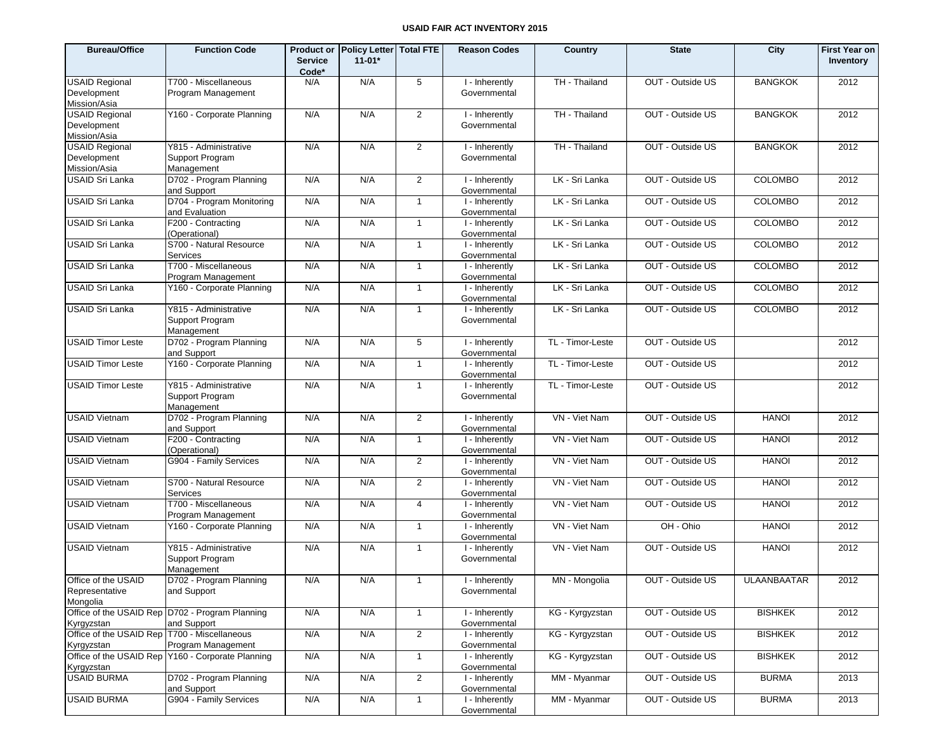| <b>Bureau/Office</b>                                         | <b>Function Code</b>                                           | <b>Product or</b><br><b>Service</b><br>Code* | <b>Policy Letter</b><br>$11 - 01*$ | <b>Total FTE</b> | <b>Reason Codes</b>            | Country          | <b>State</b>     | City               | <b>First Year on</b><br>Inventory |
|--------------------------------------------------------------|----------------------------------------------------------------|----------------------------------------------|------------------------------------|------------------|--------------------------------|------------------|------------------|--------------------|-----------------------------------|
| <b>USAID Regional</b>                                        | T700 - Miscellaneous                                           | N/A                                          | N/A                                | 5                | I - Inherently                 | TH - Thailand    | OUT - Outside US | <b>BANGKOK</b>     | 2012                              |
| Development                                                  | Program Management                                             |                                              |                                    |                  | Governmental                   |                  |                  |                    |                                   |
| Mission/Asia                                                 | Y160 - Corporate Planning                                      |                                              |                                    |                  |                                |                  | OUT - Outside US |                    | 2012                              |
| <b>USAID Regional</b><br>Development                         |                                                                | N/A                                          | N/A                                | $\overline{2}$   | I - Inherently<br>Governmental | TH - Thailand    |                  | <b>BANGKOK</b>     |                                   |
| Mission/Asia                                                 |                                                                |                                              |                                    |                  |                                |                  |                  |                    |                                   |
| <b>USAID Regional</b>                                        | Y815 - Administrative                                          | N/A                                          | N/A                                | $\overline{2}$   | I - Inherently                 | TH - Thailand    | OUT - Outside US | <b>BANGKOK</b>     | 2012                              |
| Development                                                  | Support Program                                                |                                              |                                    |                  | Governmental                   |                  |                  |                    |                                   |
| Mission/Asia                                                 | Management                                                     |                                              |                                    |                  |                                |                  |                  |                    |                                   |
| <b>USAID Sri Lanka</b>                                       | D702 - Program Planning<br>and Support                         | N/A                                          | N/A                                | $\overline{2}$   | I - Inherently<br>Governmental | LK - Sri Lanka   | OUT - Outside US | <b>COLOMBO</b>     | 2012                              |
| <b>USAID Sri Lanka</b>                                       | D704 - Program Monitoring<br>and Evaluation                    | N/A                                          | N/A                                | $\mathbf{1}$     | I - Inherently<br>Governmental | LK - Sri Lanka   | OUT - Outside US | <b>COLOMBO</b>     | 2012                              |
| <b>USAID Sri Lanka</b>                                       | F200 - Contracting<br>(Operational)                            | N/A                                          | N/A                                | $\mathbf{1}$     | I - Inherently<br>Governmental | LK - Sri Lanka   | OUT - Outside US | <b>COLOMBO</b>     | 2012                              |
| <b>USAID Sri Lanka</b>                                       | S700 - Natural Resource<br>Services                            | N/A                                          | N/A                                | $\mathbf{1}$     | I - Inherently<br>Governmental | LK - Sri Lanka   | OUT - Outside US | <b>COLOMBO</b>     | 2012                              |
| USAID Sri Lanka                                              | T700 - Miscellaneous<br>Program Management                     | N/A                                          | N/A                                | $\mathbf{1}$     | I - Inherently<br>Governmental | LK - Sri Lanka   | OUT - Outside US | COLOMBO            | 2012                              |
| <b>USAID Sri Lanka</b>                                       | Y160 - Corporate Planning                                      | N/A                                          | N/A                                | $\mathbf{1}$     | I - Inherently<br>Governmental | LK - Sri Lanka   | OUT - Outside US | <b>COLOMBO</b>     | 2012                              |
| USAID Sri Lanka                                              | Y815 - Administrative<br>Support Program<br>Management         | N/A                                          | N/A                                | $\mathbf{1}$     | I - Inherently<br>Governmental | LK - Sri Lanka   | OUT - Outside US | COLOMBO            | 2012                              |
| <b>USAID Timor Leste</b>                                     | D702 - Program Planning<br>and Support                         | N/A                                          | N/A                                | 5                | I - Inherently<br>Governmental | TL - Timor-Leste | OUT - Outside US |                    | 2012                              |
| <b>USAID Timor Leste</b>                                     | Y160 - Corporate Planning                                      | N/A                                          | N/A                                | $\mathbf{1}$     | I - Inherently<br>Governmental | TL - Timor-Leste | OUT - Outside US |                    | 2012                              |
| <b>USAID Timor Leste</b>                                     | Y815 - Administrative<br>Support Program<br>Management         | N/A                                          | N/A                                | $\mathbf{1}$     | I - Inherently<br>Governmental | TL - Timor-Leste | OUT - Outside US |                    | 2012                              |
| <b>USAID Vietnam</b>                                         | D702 - Program Planning<br>and Support                         | N/A                                          | N/A                                | $\overline{2}$   | I - Inherently<br>Governmental | VN - Viet Nam    | OUT - Outside US | <b>HANOI</b>       | 2012                              |
| <b>USAID Vietnam</b>                                         | F200 - Contracting<br>(Operational)                            | N/A                                          | N/A                                | $\mathbf{1}$     | I - Inherently<br>Governmental | VN - Viet Nam    | OUT - Outside US | <b>HANOI</b>       | 2012                              |
| <b>USAID Vietnam</b>                                         | G904 - Family Services                                         | N/A                                          | N/A                                | $\overline{2}$   | I - Inherently<br>Governmental | VN - Viet Nam    | OUT - Outside US | <b>HANOI</b>       | 2012                              |
| <b>USAID Vietnam</b>                                         | S700 - Natural Resource<br>Services                            | N/A                                          | N/A                                | $\overline{2}$   | I - Inherently<br>Governmental | VN - Viet Nam    | OUT - Outside US | <b>HANOI</b>       | 2012                              |
| <b>USAID Vietnam</b>                                         | T700 - Miscellaneous<br>Program Management                     | N/A                                          | N/A                                | $\overline{4}$   | I - Inherently<br>Governmental | VN - Viet Nam    | OUT - Outside US | <b>HANOI</b>       | 2012                              |
| <b>USAID Vietnam</b>                                         | Y160 - Corporate Planning                                      | N/A                                          | N/A                                | $\mathbf{1}$     | I - Inherently<br>Governmental | VN - Viet Nam    | OH - Ohio        | <b>HANOI</b>       | 2012                              |
| <b>USAID Vietnam</b>                                         | Y815 - Administrative<br>Support Program<br>Management         | N/A                                          | N/A                                | $\mathbf{1}$     | I - Inherently<br>Governmental | VN - Viet Nam    | OUT - Outside US | <b>HANOI</b>       | 2012                              |
| Office of the USAID<br>Representative<br>Mongolia            | D702 - Program Planning<br>and Support                         | N/A                                          | N/A                                | $\mathbf{1}$     | I - Inherently<br>Governmental | MN - Mongolia    | OUT - Outside US | <b>ULAANBAATAR</b> | 2012                              |
| Kyrgyzstan                                                   | Office of the USAID Rep D702 - Program Planning<br>and Support | N/A                                          | N/A                                | $\mathbf{1}$     | I - Inherently<br>Governmental | KG - Kyrgyzstan  | OUT - Outside US | <b>BISHKEK</b>     | 2012                              |
| Office of the USAID Rep   T700 - Miscellaneous<br>Kyrgyzstan | Program Management                                             | N/A                                          | N/A                                | $\overline{2}$   | I - Inherently<br>Governmental | KG - Kyrgyzstan  | OUT - Outside US | <b>BISHKEK</b>     | 2012                              |
| Kyrgyzstan                                                   | Office of the USAID Rep Y160 - Corporate Planning              | N/A                                          | N/A                                | $\mathbf{1}$     | I - Inherently<br>Governmental | KG - Kyrgyzstan  | OUT - Outside US | <b>BISHKEK</b>     | 2012                              |
| <b>USAID BURMA</b>                                           | D702 - Program Planning<br>and Support                         | N/A                                          | N/A                                | $\overline{2}$   | I - Inherently<br>Governmental | MM - Myanmar     | OUT - Outside US | <b>BURMA</b>       | 2013                              |
| <b>USAID BURMA</b>                                           | G904 - Family Services                                         | N/A                                          | N/A                                | $\mathbf{1}$     | I - Inherently<br>Governmental | MM - Myanmar     | OUT - Outside US | <b>BURMA</b>       | 2013                              |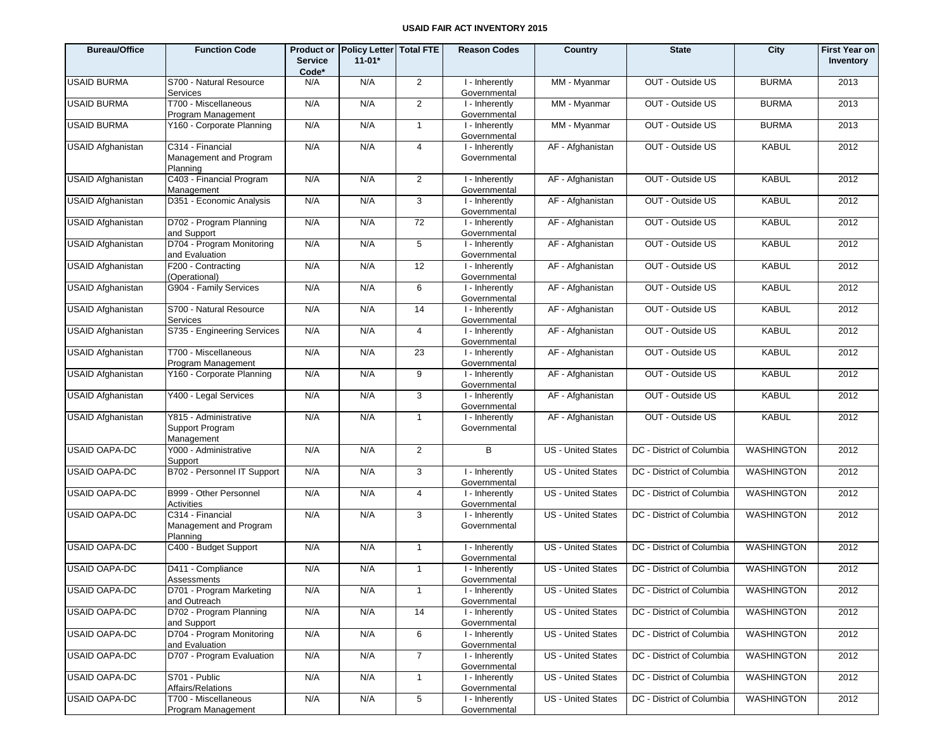| <b>Bureau/Office</b>     | <b>Function Code</b>                                   | <b>Product or</b><br><b>Service</b><br>Code* | <b>Policy Letter   Total FTE</b><br>$11-01*$ |                | <b>Reason Codes</b>            | Country                   | <b>State</b>              | City              | <b>First Year on</b><br>Inventory |
|--------------------------|--------------------------------------------------------|----------------------------------------------|----------------------------------------------|----------------|--------------------------------|---------------------------|---------------------------|-------------------|-----------------------------------|
| <b>USAID BURMA</b>       | S700 - Natural Resource<br>Services                    | N/A                                          | N/A                                          | $\overline{2}$ | I - Inherently<br>Governmental | MM - Myanmar              | OUT - Outside US          | <b>BURMA</b>      | 2013                              |
| <b>USAID BURMA</b>       | T700 - Miscellaneous<br>Program Management             | N/A                                          | N/A                                          | $\overline{2}$ | I - Inherently<br>Governmental | MM - Myanmar              | OUT - Outside US          | <b>BURMA</b>      | 2013                              |
| <b>USAID BURMA</b>       | Y160 - Corporate Planning                              | N/A                                          | N/A                                          | $\mathbf{1}$   | I - Inherently<br>Governmental | MM - Myanmar              | OUT - Outside US          | <b>BURMA</b>      | 2013                              |
| <b>USAID Afghanistan</b> | C314 - Financial<br>Management and Program<br>Planning | N/A                                          | N/A                                          | 4              | I - Inherently<br>Governmental | AF - Afghanistan          | OUT - Outside US          | <b>KABUL</b>      | 2012                              |
| <b>USAID Afghanistan</b> | C403 - Financial Program<br>Management                 | N/A                                          | N/A                                          | $\overline{2}$ | I - Inherently<br>Governmental | AF - Afghanistan          | OUT - Outside US          | <b>KABUL</b>      | 2012                              |
| <b>USAID Afghanistan</b> | D351 - Economic Analysis                               | N/A                                          | N/A                                          | 3              | I - Inherently<br>Governmental | AF - Afghanistan          | OUT - Outside US          | <b>KABUL</b>      | 2012                              |
| <b>USAID Afghanistan</b> | D702 - Program Planning<br>and Support                 | N/A                                          | N/A                                          | 72             | I - Inherently<br>Governmental | AF - Afghanistan          | OUT - Outside US          | <b>KABUL</b>      | 2012                              |
| <b>USAID Afghanistan</b> | D704 - Program Monitoring<br>and Evaluation            | N/A                                          | N/A                                          | 5              | I - Inherently<br>Governmental | AF - Afghanistan          | OUT - Outside US          | <b>KABUL</b>      | 2012                              |
| <b>USAID Afghanistan</b> | F200 - Contracting<br>(Operational)                    | N/A                                          | N/A                                          | 12             | I - Inherently<br>Governmental | AF - Afghanistan          | OUT - Outside US          | <b>KABUL</b>      | 2012                              |
| <b>USAID Afghanistan</b> | G904 - Family Services                                 | N/A                                          | N/A                                          | 6              | I - Inherently<br>Governmental | AF - Afghanistan          | OUT - Outside US          | <b>KABUL</b>      | 2012                              |
| <b>USAID Afghanistan</b> | S700 - Natural Resource<br><b>Services</b>             | N/A                                          | N/A                                          | 14             | I - Inherently<br>Governmental | AF - Afghanistan          | OUT - Outside US          | <b>KABUL</b>      | 2012                              |
| <b>USAID Afghanistan</b> | S735 - Engineering Services                            | N/A                                          | N/A                                          | $\overline{4}$ | I - Inherently<br>Governmental | AF - Afghanistan          | OUT - Outside US          | <b>KABUL</b>      | 2012                              |
| <b>USAID Afghanistan</b> | T700 - Miscellaneous<br>Program Management             | N/A                                          | N/A                                          | 23             | I - Inherently<br>Governmental | AF - Afghanistan          | OUT - Outside US          | <b>KABUL</b>      | 2012                              |
| <b>USAID Afghanistan</b> | Y160 - Corporate Planning                              | N/A                                          | N/A                                          | 9              | I - Inherently<br>Governmental | AF - Afghanistan          | OUT - Outside US          | <b>KABUL</b>      | 2012                              |
| <b>USAID Afghanistan</b> | Y400 - Legal Services                                  | N/A                                          | N/A                                          | 3              | I - Inherently<br>Governmental | AF - Afghanistan          | OUT - Outside US          | <b>KABUL</b>      | 2012                              |
| <b>USAID Afghanistan</b> | Y815 - Administrative<br>Support Program<br>Management | N/A                                          | N/A                                          | $\mathbf{1}$   | I - Inherently<br>Governmental | AF - Afghanistan          | OUT - Outside US          | <b>KABUL</b>      | 2012                              |
| <b>USAID OAPA-DC</b>     | Y000 - Administrative<br>Support                       | N/A                                          | N/A                                          | 2              | B                              | <b>US</b> - United States | DC - District of Columbia | <b>WASHINGTON</b> | 2012                              |
| <b>USAID OAPA-DC</b>     | B702 - Personnel IT Support                            | N/A                                          | N/A                                          | $\mathbf{3}$   | I - Inherently<br>Governmental | <b>US</b> - United States | DC - District of Columbia | <b>WASHINGTON</b> | 2012                              |
| <b>USAID OAPA-DC</b>     | B999 - Other Personnel<br>Activities                   | N/A                                          | N/A                                          | $\overline{4}$ | I - Inherently<br>Governmental | <b>US</b> - United States | DC - District of Columbia | WASHINGTON        | 2012                              |
| <b>USAID OAPA-DC</b>     | C314 - Financial<br>Management and Program<br>Planning | N/A                                          | N/A                                          | 3              | I - Inherently<br>Governmental | <b>US</b> - United States | DC - District of Columbia | <b>WASHINGTON</b> | 2012                              |
| <b>USAID OAPA-DC</b>     | C400 - Budget Support                                  | N/A                                          | N/A                                          | $\mathbf{1}$   | I - Inherently<br>Governmental | US - United States        | DC - District of Columbia | <b>WASHINGTON</b> | 2012                              |
| <b>USAID OAPA-DC</b>     | D411 - Compliance<br>Assessments                       | N/A                                          | N/A                                          | $\mathbf{1}$   | I - Inherently<br>Governmental | US - United States        | DC - District of Columbia | <b>WASHINGTON</b> | 2012                              |
| <b>USAID OAPA-DC</b>     | D701 - Program Marketing<br>and Outreach               | N/A                                          | N/A                                          | $\mathbf{1}$   | I - Inherently<br>Governmental | US - United States        | DC - District of Columbia | WASHINGTON        | 2012                              |
| <b>USAID OAPA-DC</b>     | D702 - Program Planning<br>and Support                 | N/A                                          | N/A                                          | 14             | I - Inherently<br>Governmental | US - United States        | DC - District of Columbia | <b>WASHINGTON</b> | 2012                              |
| <b>USAID OAPA-DC</b>     | D704 - Program Monitoring<br>and Evaluation            | N/A                                          | N/A                                          | 6              | I - Inherently<br>Governmental | US - United States        | DC - District of Columbia | <b>WASHINGTON</b> | 2012                              |
| <b>USAID OAPA-DC</b>     | D707 - Program Evaluation                              | N/A                                          | N/A                                          | $\overline{7}$ | I - Inherently<br>Governmental | US - United States        | DC - District of Columbia | <b>WASHINGTON</b> | 2012                              |
| <b>USAID OAPA-DC</b>     | S701 - Public<br>Affairs/Relations                     | N/A                                          | N/A                                          | $\mathbf{1}$   | I - Inherently<br>Governmental | US - United States        | DC - District of Columbia | <b>WASHINGTON</b> | 2012                              |
| <b>USAID OAPA-DC</b>     | T700 - Miscellaneous<br>Program Management             | N/A                                          | N/A                                          | $\overline{5}$ | I - Inherently<br>Governmental | <b>US</b> - United States | DC - District of Columbia | <b>WASHINGTON</b> | 2012                              |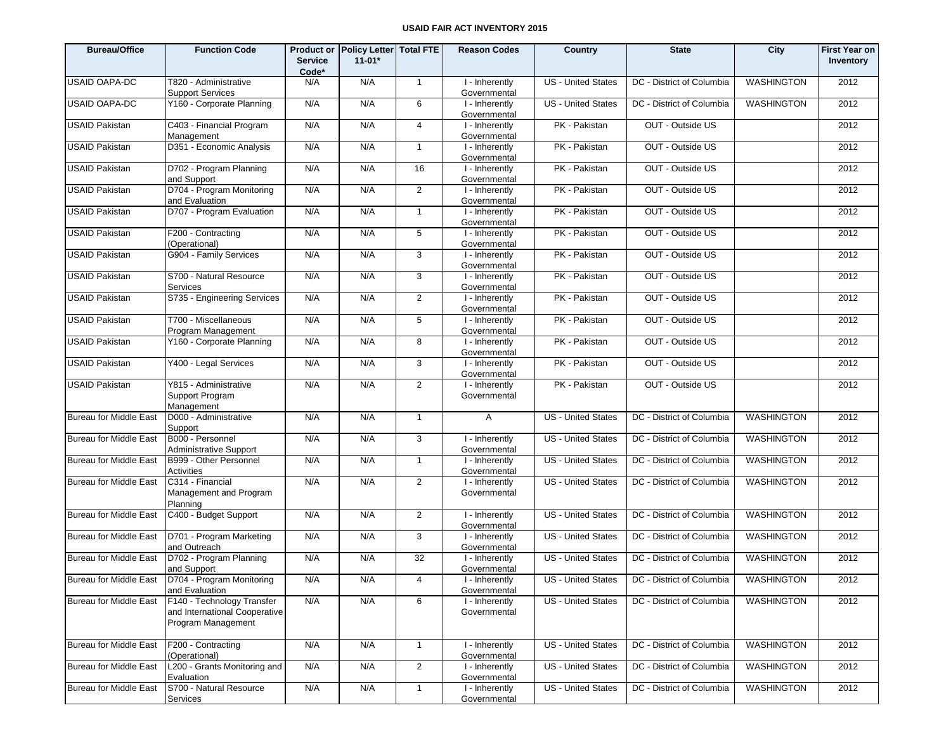| <b>Bureau/Office</b>          | <b>Function Code</b>                                                              | <b>Service</b><br>Code* | Product or Policy Letter   Total FTE<br>$11 - 01*$ |                | <b>Reason Codes</b>            | Country                   | <b>State</b>                                   | City              | <b>First Year on</b><br>Inventory |
|-------------------------------|-----------------------------------------------------------------------------------|-------------------------|----------------------------------------------------|----------------|--------------------------------|---------------------------|------------------------------------------------|-------------------|-----------------------------------|
| <b>USAID OAPA-DC</b>          | T820 - Administrative<br><b>Support Services</b>                                  | N/A                     | N/A                                                | $\overline{1}$ | I - Inherently<br>Governmental | US - United States        | DC - District of Columbia                      | <b>WASHINGTON</b> | 2012                              |
| <b>USAID OAPA-DC</b>          | Y160 - Corporate Planning                                                         | N/A                     | N/A                                                | 6              | I - Inherently<br>Governmental | <b>US - United States</b> | DC - District of Columbia                      | <b>WASHINGTON</b> | 2012                              |
| <b>USAID Pakistan</b>         | C403 - Financial Program<br>Management                                            | N/A                     | N/A                                                | $\overline{4}$ | I - Inherently<br>Governmental | PK - Pakistan             | OUT - Outside US                               |                   | 2012                              |
| <b>USAID Pakistan</b>         | D351 - Economic Analysis                                                          | N/A                     | N/A                                                | $\mathbf{1}$   | I - Inherently<br>Governmental | PK - Pakistan             | OUT - Outside US                               |                   | 2012                              |
| <b>USAID Pakistan</b>         | D702 - Program Planning<br>and Support                                            | N/A                     | N/A                                                | 16             | I - Inherently<br>Governmental | PK - Pakistan             | OUT - Outside US                               |                   | 2012                              |
| <b>USAID Pakistan</b>         | D704 - Program Monitoring<br>and Evaluation                                       | N/A                     | N/A                                                | 2              | I - Inherently<br>Governmental | PK - Pakistan             | OUT - Outside US                               |                   | 2012                              |
| <b>USAID Pakistan</b>         | D707 - Program Evaluation                                                         | N/A                     | N/A                                                | $\mathbf{1}$   | I - Inherently<br>Governmental | PK - Pakistan             | OUT - Outside US                               |                   | 2012                              |
| <b>USAID Pakistan</b>         | F200 - Contracting<br>(Operational)                                               | N/A                     | N/A                                                | 5              | I - Inherently<br>Governmental | PK - Pakistan             | OUT - Outside US                               |                   | 2012                              |
| <b>USAID Pakistan</b>         | G904 - Family Services                                                            | N/A                     | N/A                                                | 3              | I - Inherently<br>Governmental | PK - Pakistan             | OUT - Outside US                               |                   | 2012                              |
| <b>USAID Pakistan</b>         | S700 - Natural Resource<br>Services                                               | N/A                     | N/A                                                | 3              | I - Inherently<br>Governmental | PK - Pakistan             | OUT - Outside US                               |                   | 2012                              |
| <b>USAID Pakistan</b>         | S735 - Engineering Services                                                       | N/A                     | N/A                                                | 2              | I - Inherently<br>Governmental | PK - Pakistan             | OUT - Outside US                               |                   | 2012                              |
| <b>USAID Pakistan</b>         | T700 - Miscellaneous<br>Program Management                                        | N/A                     | N/A                                                | 5              | I - Inherently<br>Governmental | PK - Pakistan             | OUT - Outside US                               |                   | 2012                              |
| <b>USAID Pakistan</b>         | Y160 - Corporate Planning                                                         | N/A                     | N/A                                                | 8              | I - Inherently<br>Governmental | PK - Pakistan             | OUT - Outside US                               |                   | 2012                              |
| <b>USAID Pakistan</b>         | Y400 - Legal Services                                                             | N/A                     | N/A                                                | 3              | I - Inherently<br>Governmental | PK - Pakistan             | OUT - Outside US                               |                   | 2012                              |
| <b>USAID Pakistan</b>         | Y815 - Administrative<br>Support Program<br>Management                            | N/A                     | N/A                                                | 2              | I - Inherently<br>Governmental | PK - Pakistan             | OUT - Outside US                               |                   | 2012                              |
| <b>Bureau for Middle East</b> | D000 - Administrative<br>Support                                                  | N/A                     | N/A                                                | $\mathbf{1}$   | $\overline{A}$                 | <b>US</b> - United States | DC - District of Columbia                      | <b>WASHINGTON</b> | 2012                              |
| <b>Bureau for Middle East</b> | B000 - Personnel<br><b>Administrative Support</b>                                 | N/A                     | N/A                                                | 3              | I - Inherently<br>Governmental | <b>US - United States</b> | DC - District of Columbia                      | <b>WASHINGTON</b> | 2012                              |
| <b>Bureau for Middle East</b> | B999 - Other Personnel<br>Activities                                              | N/A                     | N/A                                                | $\mathbf{1}$   | I - Inherently<br>Governmental | US - United States        | DC - District of Columbia                      | <b>WASHINGTON</b> | 2012                              |
| <b>Bureau for Middle East</b> | C314 - Financial<br>Management and Program<br>Planning                            | N/A                     | N/A                                                | 2              | I - Inherently<br>Governmental | <b>US - United States</b> | DC - District of Columbia                      | <b>WASHINGTON</b> | 2012                              |
| Bureau for Middle East        | C400 - Budget Support                                                             | N/A                     | N/A                                                | 2              | I - Inherently<br>Governmental | <b>US</b> - United States | DC - District of Columbia                      | <b>WASHINGTON</b> | 2012                              |
| <b>Bureau for Middle East</b> | D701 - Program Marketing<br>and Outreach                                          | N/A                     | N/A                                                | 3              | I - Inherently<br>Governmental | <b>US</b> - United States | DC - District of Columbia                      | <b>WASHINGTON</b> | 2012                              |
| Bureau for Middle East        | D702 - Program Planning<br>and Support                                            | N/A                     | N/A                                                | 32             | I - Inherently<br>Governmental | <b>US</b> - United States | DC - District of Columbia                      | <b>WASHINGTON</b> | 2012                              |
|                               | Bureau for Middle East  D704 - Program Monitoring<br>and Evaluation               | N/A                     | N/A                                                | 4              | I - Inherently<br>Governmental |                           | US - United States   DC - District of Columbia | <b>WASHINGTON</b> | 2012                              |
| <b>Bureau for Middle East</b> | F140 - Technology Transfer<br>and International Cooperative<br>Program Management | N/A                     | N/A                                                | 6              | I - Inherently<br>Governmental | <b>US</b> - United States | DC - District of Columbia                      | <b>WASHINGTON</b> | 2012                              |
| Bureau for Middle East        | F200 - Contracting<br>(Operational)                                               | N/A                     | N/A                                                | $\mathbf{1}$   | I - Inherently<br>Governmental | <b>US</b> - United States | DC - District of Columbia                      | WASHINGTON        | 2012                              |
| <b>Bureau for Middle East</b> | L200 - Grants Monitoring and<br>Evaluation                                        | N/A                     | N/A                                                | $\overline{2}$ | I - Inherently<br>Governmental | <b>US</b> - United States | DC - District of Columbia                      | WASHINGTON        | 2012                              |
| <b>Bureau for Middle East</b> | S700 - Natural Resource<br>Services                                               | N/A                     | N/A                                                | $\mathbf{1}$   | I - Inherently<br>Governmental | US - United States        | DC - District of Columbia                      | WASHINGTON        | 2012                              |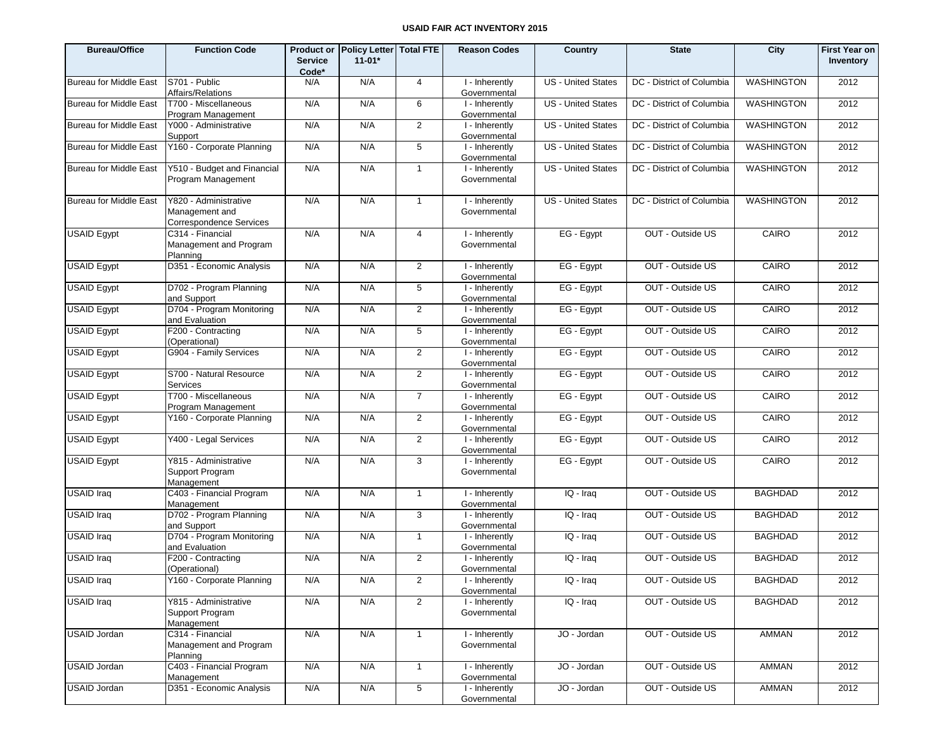| <b>Bureau/Office</b>          | <b>Function Code</b>                                               | <b>Service</b><br>Code* | Product or Policy Letter Total FTE<br>$11 - 01*$ |                 | <b>Reason Codes</b>                        | Country                   | <b>State</b>              | City              | <b>First Year on</b><br>Inventory |
|-------------------------------|--------------------------------------------------------------------|-------------------------|--------------------------------------------------|-----------------|--------------------------------------------|---------------------------|---------------------------|-------------------|-----------------------------------|
| <b>Bureau for Middle East</b> | S701 - Public<br>Affairs/Relations                                 | N/A                     | N/A                                              | $\overline{4}$  | I - Inherently<br>Governmental             | <b>US</b> - United States | DC - District of Columbia | WASHINGTON        | 2012                              |
| <b>Bureau for Middle East</b> | T700 - Miscellaneous<br>Program Management                         | N/A                     | N/A                                              | 6               | I - Inherently<br>Governmental             | <b>US</b> - United States | DC - District of Columbia | <b>WASHINGTON</b> | 2012                              |
| <b>Bureau for Middle East</b> | Y000 - Administrative<br>Support                                   | N/A                     | N/A                                              | $\overline{2}$  | I - Inherently<br>Governmental             | <b>US</b> - United States | DC - District of Columbia | <b>WASHINGTON</b> | 2012                              |
| <b>Bureau for Middle East</b> | Y160 - Corporate Planning                                          | N/A                     | N/A                                              | $5\phantom{.0}$ | I - Inherently<br>Governmental             | US - United States        | DC - District of Columbia | <b>WASHINGTON</b> | 2012                              |
| <b>Bureau for Middle East</b> | Y510 - Budget and Financial<br>Program Management                  | N/A                     | N/A                                              | $\overline{1}$  | I - Inherently<br>Governmental             | <b>US</b> - United States | DC - District of Columbia | <b>WASHINGTON</b> | 2012                              |
| <b>Bureau for Middle East</b> | Y820 - Administrative<br>Management and<br>Correspondence Services | N/A                     | N/A                                              | $\mathbf{1}$    | I - Inherently<br>Governmental             | <b>US - United States</b> | DC - District of Columbia | <b>WASHINGTON</b> | 2012                              |
| <b>USAID Egypt</b>            | C314 - Financial<br>Management and Program<br>Planning             | N/A                     | N/A                                              | 4               | $\overline{I}$ -Inherently<br>Governmental | EG - Egypt                | OUT - Outside US          | CAIRO             | 2012                              |
| <b>USAID Egypt</b>            | D351 - Economic Analysis                                           | N/A                     | N/A                                              | 2               | I - Inherently<br>Governmental             | EG - Egypt                | OUT - Outside US          | CAIRO             | 2012                              |
| <b>USAID Egypt</b>            | D702 - Program Planning<br>and Support                             | N/A                     | N/A                                              | 5               | I - Inherently<br>Governmental             | EG - Egypt                | OUT - Outside US          | CAIRO             | 2012                              |
| <b>USAID Egypt</b>            | D704 - Program Monitoring<br>and Evaluation                        | N/A                     | N/A                                              | 2               | I - Inherently<br>Governmental             | EG - Egypt                | OUT - Outside US          | CAIRO             | 2012                              |
| <b>USAID Egypt</b>            | F200 - Contracting<br>(Operational)                                | N/A                     | N/A                                              | 5               | I - Inherently<br>Governmental             | EG - Egypt                | OUT - Outside US          | CAIRO             | 2012                              |
| <b>USAID Egypt</b>            | G904 - Family Services                                             | N/A                     | N/A                                              | 2               | I - Inherently<br>Governmental             | EG - Egypt                | OUT - Outside US          | CAIRO             | 2012                              |
| <b>USAID Egypt</b>            | S700 - Natural Resource<br>Services                                | N/A                     | N/A                                              | $\overline{2}$  | I - Inherently<br>Governmental             | EG - Egypt                | OUT - Outside US          | CAIRO             | 2012                              |
| <b>USAID Egypt</b>            | T700 - Miscellaneous<br>Program Management                         | N/A                     | N/A                                              | $\overline{7}$  | I - Inherently<br>Governmental             | EG - Egypt                | OUT - Outside US          | CAIRO             | 2012                              |
| <b>USAID Egypt</b>            | Y160 - Corporate Planning                                          | N/A                     | N/A                                              | 2               | I - Inherently<br>Governmental             | EG - Egypt                | OUT - Outside US          | CAIRO             | 2012                              |
| <b>USAID Egypt</b>            | Y400 - Legal Services                                              | N/A                     | N/A                                              | $\overline{2}$  | I - Inherently<br>Governmental             | EG - Egypt                | OUT - Outside US          | CAIRO             | 2012                              |
| <b>USAID Egypt</b>            | Y815 - Administrative<br>Support Program<br>Management             | N/A                     | N/A                                              | 3               | I - Inherently<br>Governmental             | EG - Egypt                | OUT - Outside US          | CAIRO             | 2012                              |
| <b>USAID Iraq</b>             | C403 - Financial Program<br>Management                             | N/A                     | N/A                                              | $\mathbf{1}$    | I - Inherently<br>Governmental             | IQ - Iraq                 | OUT - Outside US          | <b>BAGHDAD</b>    | 2012                              |
| <b>USAID Iraq</b>             | D702 - Program Planning<br>and Support                             | N/A                     | N/A                                              | 3               | I - Inherently<br>Governmental             | $IQ - Iraq$               | OUT - Outside US          | <b>BAGHDAD</b>    | 2012                              |
| <b>USAID Iraq</b>             | D704 - Program Monitoring<br>and Evaluation                        | N/A                     | N/A                                              | $\mathbf{1}$    | I - Inherently<br>Governmental             | IQ - Iraq                 | OUT - Outside US          | <b>BAGHDAD</b>    | 2012                              |
| <b>USAID Iraq</b>             | F200 - Contracting<br>(Operational)                                | N/A                     | N/A                                              | 2               | I - Inherently<br>Governmental             | IQ - Iraq                 | OUT - Outside US          | <b>BAGHDAD</b>    | 2012                              |
| <b>USAID Iraq</b>             | Y160 - Corporate Planning                                          | N/A                     | N/A                                              | $\overline{2}$  | I - Inherently<br>Governmental             | IQ - Iraq                 | OUT - Outside US          | <b>BAGHDAD</b>    | 2012                              |
| <b>USAID Iraq</b>             | Y815 - Administrative<br>Support Program<br>Management             | N/A                     | N/A                                              | 2               | I - Inherently<br>Governmental             | IQ - Iraq                 | OUT - Outside US          | <b>BAGHDAD</b>    | 2012                              |
| <b>USAID Jordan</b>           | C314 - Financial<br>Management and Program<br>Planning             | N/A                     | N/A                                              | $\mathbf{1}$    | I - Inherently<br>Governmental             | JO - Jordan               | OUT - Outside US          | <b>AMMAN</b>      | 2012                              |
| <b>USAID Jordan</b>           | C403 - Financial Program<br>Management                             | N/A                     | N/A                                              | $\mathbf{1}$    | I - Inherently<br>Governmental             | JO - Jordan               | OUT - Outside US          | AMMAN             | 2012                              |
| <b>USAID Jordan</b>           | D351 - Economic Analysis                                           | N/A                     | N/A                                              | $\sqrt{5}$      | I - Inherently<br>Governmental             | JO - Jordan               | OUT - Outside US          | AMMAN             | 2012                              |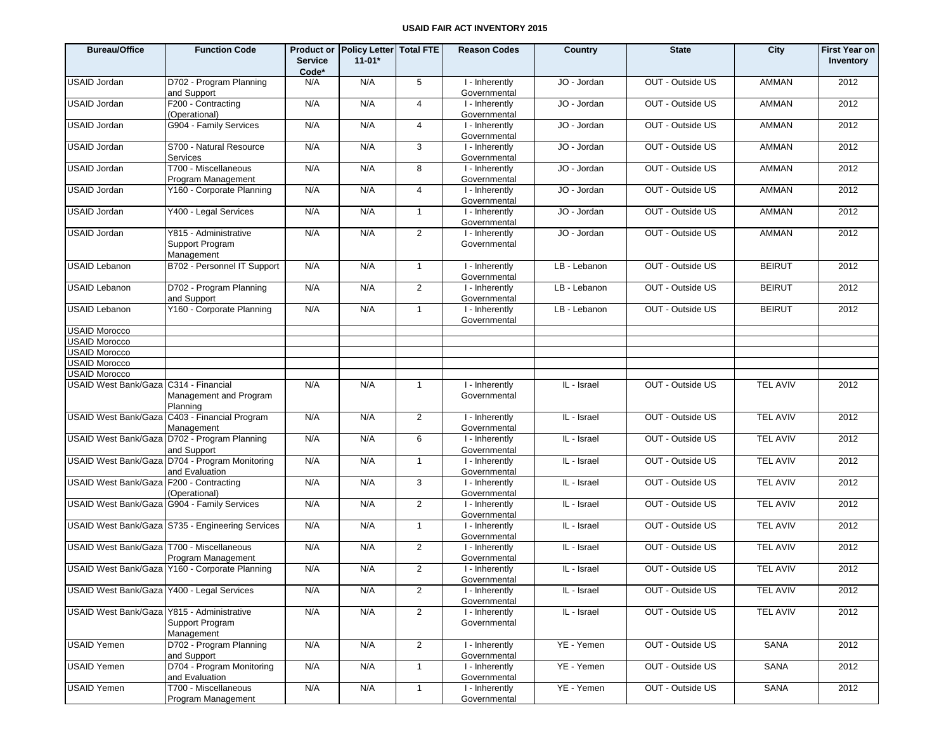| <b>Bureau/Office</b>                        | <b>Function Code</b>                                             | <b>Service</b><br>Code* | Product or Policy Letter Total FTE<br>$11 - 01*$ |                | <b>Reason Codes</b>            | Country      | <b>State</b>     | City            | <b>First Year on</b><br>Inventory |
|---------------------------------------------|------------------------------------------------------------------|-------------------------|--------------------------------------------------|----------------|--------------------------------|--------------|------------------|-----------------|-----------------------------------|
| <b>USAID Jordan</b>                         | D702 - Program Planning<br>and Support                           | N/A                     | N/A                                              | 5              | I - Inherently<br>Governmental | JO - Jordan  | OUT - Outside US | <b>AMMAN</b>    | 2012                              |
| <b>USAID Jordan</b>                         | F200 - Contracting<br>(Operational)                              | N/A                     | N/A                                              | $\overline{4}$ | I - Inherently<br>Governmental | JO - Jordan  | OUT - Outside US | <b>AMMAN</b>    | 2012                              |
| <b>USAID Jordan</b>                         | G904 - Family Services                                           | N/A                     | N/A                                              | $\overline{4}$ | I - Inherently<br>Governmental | JO - Jordan  | OUT - Outside US | <b>AMMAN</b>    | 2012                              |
| <b>USAID Jordan</b>                         | S700 - Natural Resource<br>Services                              | N/A                     | N/A                                              | 3              | I - Inherently<br>Governmental | JO - Jordan  | OUT - Outside US | <b>AMMAN</b>    | 2012                              |
| <b>USAID Jordan</b>                         | T700 - Miscellaneous<br>Program Management                       | N/A                     | N/A                                              | 8              | I - Inherently<br>Governmental | JO - Jordan  | OUT - Outside US | <b>AMMAN</b>    | 2012                              |
| <b>USAID Jordan</b>                         | Y160 - Corporate Planning                                        | N/A                     | N/A                                              | $\overline{4}$ | I - Inherently<br>Governmental | JO - Jordan  | OUT - Outside US | <b>AMMAN</b>    | 2012                              |
| <b>USAID Jordan</b>                         | Y400 - Legal Services                                            | N/A                     | N/A                                              | $\overline{1}$ | I - Inherently<br>Governmental | JO - Jordan  | OUT - Outside US | <b>AMMAN</b>    | 2012                              |
| <b>USAID Jordan</b>                         | Y815 - Administrative<br>Support Program<br>Management           | N/A                     | N/A                                              | 2              | I - Inherently<br>Governmental | JO - Jordan  | OUT - Outside US | <b>AMMAN</b>    | 2012                              |
| <b>USAID Lebanon</b>                        | B702 - Personnel IT Support                                      | N/A                     | N/A                                              | $\mathbf{1}$   | I - Inherently<br>Governmental | LB - Lebanon | OUT - Outside US | <b>BEIRUT</b>   | 2012                              |
| <b>USAID Lebanon</b>                        | D702 - Program Planning<br>and Support                           | N/A                     | N/A                                              | $\overline{2}$ | I - Inherently<br>Governmental | LB - Lebanon | OUT - Outside US | <b>BEIRUT</b>   | 2012                              |
| <b>USAID Lebanon</b>                        | Y160 - Corporate Planning                                        | N/A                     | N/A                                              | $\mathbf{1}$   | I - Inherently<br>Governmental | LB - Lebanon | OUT - Outside US | <b>BEIRUT</b>   | 2012                              |
| <b>USAID Morocco</b>                        |                                                                  |                         |                                                  |                |                                |              |                  |                 |                                   |
| <b>USAID Morocco</b>                        |                                                                  |                         |                                                  |                |                                |              |                  |                 |                                   |
| <b>USAID Morocco</b>                        |                                                                  |                         |                                                  |                |                                |              |                  |                 |                                   |
| <b>USAID Morocco</b>                        |                                                                  |                         |                                                  |                |                                |              |                  |                 |                                   |
| <b>USAID Morocco</b>                        |                                                                  |                         |                                                  |                |                                |              |                  |                 |                                   |
| USAID West Bank/Gaza C314 - Financial       | Management and Program<br>Planning                               | N/A                     | N/A                                              | $\mathbf{1}$   | I - Inherently<br>Governmental | IL - Israel  | OUT - Outside US | <b>TEL AVIV</b> | 2012                              |
|                                             | USAID West Bank/Gaza C403 - Financial Program<br>Management      | N/A                     | N/A                                              | 2              | I - Inherently<br>Governmental | IL - Israel  | OUT - Outside US | <b>TEL AVIV</b> | 2012                              |
|                                             | USAID West Bank/Gaza D702 - Program Planning<br>and Support      | N/A                     | N/A                                              | 6              | I - Inherently<br>Governmental | IL - Israel  | OUT - Outside US | <b>TEL AVIV</b> | 2012                              |
|                                             | USAID West Bank/Gaza D704 - Program Monitoring<br>and Evaluation | N/A                     | N/A                                              | $\mathbf{1}$   | I - Inherently<br>Governmental | IL - Israel  | OUT - Outside US | <b>TEL AVIV</b> | 2012                              |
| USAID West Bank/Gaza F200 - Contracting     | (Operational)                                                    | N/A                     | N/A                                              | 3              | I - Inherently<br>Governmental | IL - Israel  | OUT - Outside US | <b>TEL AVIV</b> | 2012                              |
| USAID West Bank/Gaza G904 - Family Services |                                                                  | N/A                     | N/A                                              | $\overline{2}$ | I - Inherently<br>Governmental | IL - Israel  | OUT - Outside US | <b>TEL AVIV</b> | 2012                              |
|                                             | USAID West Bank/Gaza S735 - Engineering Services                 | N/A                     | N/A                                              | $\mathbf{1}$   | I - Inherently<br>Governmental | IL - Israel  | OUT - Outside US | <b>TEL AVIV</b> | 2012                              |
| USAID West Bank/Gaza T700 - Miscellaneous   | Program Management                                               | N/A                     | N/A                                              | 2              | I - Inherently<br>Governmental | IL - Israel  | OUT - Outside US | <b>TEL AVIV</b> | 2012                              |
|                                             | USAID West Bank/Gaza Y160 - Corporate Planning                   | N/A                     | N/A                                              | $\overline{2}$ | I - Inherently<br>Governmental | IL - Israel  | OUT - Outside US | <b>TEL AVIV</b> | 2012                              |
| USAID West Bank/Gaza Y400 - Legal Services  |                                                                  | N/A                     | N/A                                              | $\overline{2}$ | I - Inherently<br>Governmental | IL - Israel  | OUT - Outside US | <b>TEL AVIV</b> | 2012                              |
| USAID West Bank/Gaza Y815 - Administrative  | Support Program<br>Management                                    | N/A                     | N/A                                              | $\overline{2}$ | I - Inherently<br>Governmental | IL - Israel  | OUT - Outside US | <b>TEL AVIV</b> | 2012                              |
| <b>USAID Yemen</b>                          | D702 - Program Planning<br>and Support                           | N/A                     | N/A                                              | $\overline{2}$ | I - Inherently<br>Governmental | YE - Yemen   | OUT - Outside US | SANA            | 2012                              |
| <b>USAID Yemen</b>                          | D704 - Program Monitoring<br>and Evaluation                      | N/A                     | N/A                                              | $\mathbf{1}$   | I - Inherently<br>Governmental | YE - Yemen   | OUT - Outside US | SANA            | 2012                              |
| <b>USAID Yemen</b>                          | T700 - Miscellaneous<br>Program Management                       | N/A                     | N/A                                              | $\mathbf{1}$   | I - Inherently<br>Governmental | YE - Yemen   | OUT - Outside US | SANA            | 2012                              |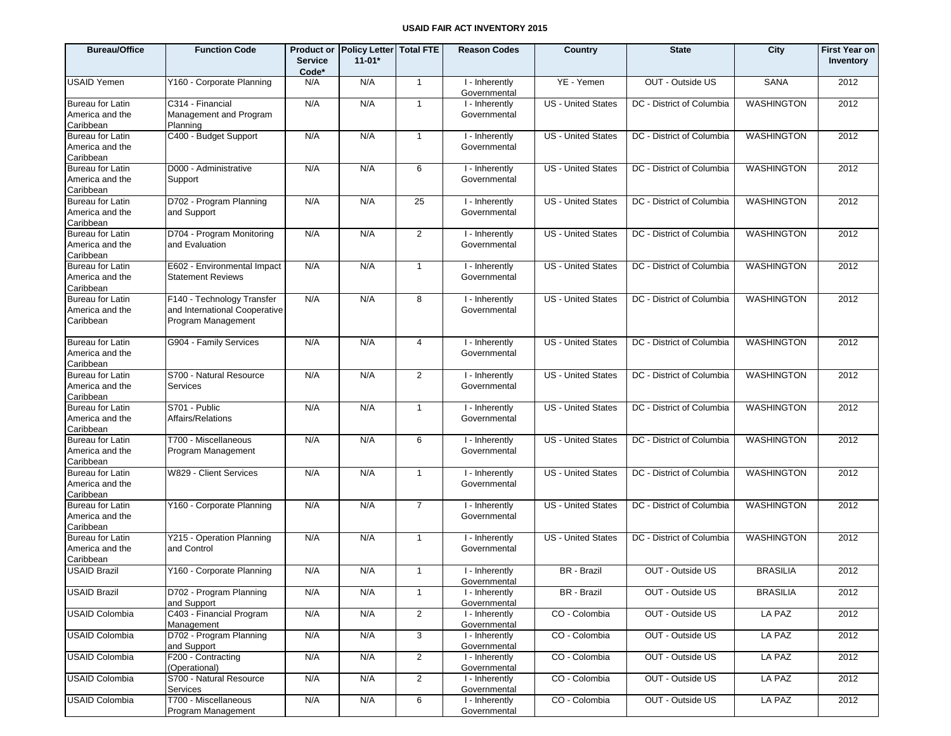| <b>Bureau/Office</b>                                    | <b>Function Code</b>                                                              | <b>Service</b><br>Code* | <b>Product or Policy Letter</b><br>$11 - 01*$ | <b>Total FTE</b> | <b>Reason Codes</b>            | <b>Country</b>            | <b>State</b>              | City              | <b>First Year on</b><br>Inventory |
|---------------------------------------------------------|-----------------------------------------------------------------------------------|-------------------------|-----------------------------------------------|------------------|--------------------------------|---------------------------|---------------------------|-------------------|-----------------------------------|
| <b>USAID Yemen</b>                                      | Y160 - Corporate Planning                                                         | N/A                     | N/A                                           | $\mathbf{1}$     | I - Inherently<br>Governmental | YE - Yemen                | OUT - Outside US          | <b>SANA</b>       | 2012                              |
| Bureau for Latin<br>America and the<br>Caribbean        | C314 - Financial<br>Management and Program<br>Planning                            | N/A                     | N/A                                           | $\mathbf{1}$     | I - Inherently<br>Governmental | <b>US</b> - United States | DC - District of Columbia | <b>WASHINGTON</b> | 2012                              |
| Bureau for Latin<br>America and the<br>Caribbean        | C400 - Budget Support                                                             | N/A                     | N/A                                           | $\mathbf{1}$     | I - Inherently<br>Governmental | <b>US</b> - United States | DC - District of Columbia | <b>WASHINGTON</b> | 2012                              |
| Bureau for Latin<br>America and the<br>Caribbean        | D000 - Administrative<br>Support                                                  | N/A                     | N/A                                           | 6                | I - Inherently<br>Governmental | <b>US</b> - United States | DC - District of Columbia | <b>WASHINGTON</b> | 2012                              |
| Bureau for Latin<br>America and the<br>Caribbean        | D702 - Program Planning<br>and Support                                            | N/A                     | N/A                                           | 25               | I - Inherently<br>Governmental | <b>US</b> - United States | DC - District of Columbia | <b>WASHINGTON</b> | 2012                              |
| Bureau for Latin<br>America and the<br>Caribbean        | D704 - Program Monitoring<br>and Evaluation                                       | N/A                     | N/A                                           | $\overline{2}$   | I - Inherently<br>Governmental | <b>US</b> - United States | DC - District of Columbia | <b>WASHINGTON</b> | 2012                              |
| <b>Bureau for Latin</b><br>America and the<br>Caribbean | E602 - Environmental Impact<br><b>Statement Reviews</b>                           | N/A                     | N/A                                           | $\mathbf{1}$     | I - Inherently<br>Governmental | <b>US</b> - United States | DC - District of Columbia | <b>WASHINGTON</b> | 2012                              |
| <b>Bureau for Latin</b><br>America and the<br>Caribbean | F140 - Technology Transfer<br>and International Cooperative<br>Program Management | N/A                     | N/A                                           | 8                | I - Inherently<br>Governmental | <b>US</b> - United States | DC - District of Columbia | <b>WASHINGTON</b> | 2012                              |
| Bureau for Latin<br>America and the<br>Caribbean        | G904 - Family Services                                                            | N/A                     | N/A                                           | $\overline{4}$   | I - Inherently<br>Governmental | <b>US</b> - United States | DC - District of Columbia | <b>WASHINGTON</b> | 2012                              |
| Bureau for Latin<br>America and the<br>Caribbean        | S700 - Natural Resource<br>Services                                               | N/A                     | N/A                                           | $\overline{2}$   | I - Inherently<br>Governmental | <b>US</b> - United States | DC - District of Columbia | <b>WASHINGTON</b> | 2012                              |
| Bureau for Latin<br>America and the<br>Caribbean        | S701 - Public<br>Affairs/Relations                                                | N/A                     | N/A                                           | $\mathbf{1}$     | I - Inherently<br>Governmental | <b>US</b> - United States | DC - District of Columbia | <b>WASHINGTON</b> | 2012                              |
| Bureau for Latin<br>America and the<br>Caribbean        | T700 - Miscellaneous<br>Program Management                                        | N/A                     | N/A                                           | 6                | I - Inherently<br>Governmental | <b>US</b> - United States | DC - District of Columbia | <b>WASHINGTON</b> | 2012                              |
| Bureau for Latin<br>America and the<br>Caribbean        | W829 - Client Services                                                            | N/A                     | N/A                                           | $\mathbf{1}$     | I - Inherently<br>Governmental | <b>US</b> - United States | DC - District of Columbia | <b>WASHINGTON</b> | 2012                              |
| Bureau for Latin<br>America and the<br>Caribbean        | Y160 - Corporate Planning                                                         | N/A                     | N/A                                           | $\overline{7}$   | I - Inherently<br>Governmental | <b>US</b> - United States | DC - District of Columbia | <b>WASHINGTON</b> | 2012                              |
| <b>Bureau for Latin</b><br>America and the<br>Caribbean | Y215 - Operation Planning<br>and Control                                          | N/A                     | N/A                                           | $\mathbf{1}$     | I - Inherently<br>Governmental | <b>US</b> - United States | DC - District of Columbia | <b>WASHINGTON</b> | 2012                              |
| USAID Brazil                                            | Y160 - Corporate Planning                                                         | N/A                     | N/A                                           | $\mathbf{1}$     | I - Inherently<br>Governmental | BR - Brazil               | OUT - Outside US          | <b>BRASILIA</b>   | 2012                              |
| <b>USAID Brazil</b>                                     | D702 - Program Planning<br>and Support                                            | N/A                     | N/A                                           | $\mathbf{1}$     | I - Inherently<br>Governmental | BR - Brazil               | OUT - Outside US          | <b>BRASILIA</b>   | 2012                              |
| <b>USAID Colombia</b>                                   | C403 - Financial Program<br>Management                                            | N/A                     | N/A                                           | $\overline{2}$   | I - Inherently<br>Governmental | CO - Colombia             | OUT - Outside US          | LA PAZ            | 2012                              |
| <b>USAID Colombia</b>                                   | D702 - Program Planning<br>and Support                                            | N/A                     | N/A                                           | 3                | I - Inherently<br>Governmental | CO - Colombia             | OUT - Outside US          | LA PAZ            | 2012                              |
| <b>USAID Colombia</b>                                   | F200 - Contracting<br>(Operational)                                               | N/A                     | N/A                                           | $\overline{2}$   | I - Inherently<br>Governmental | CO - Colombia             | OUT - Outside US          | LA PAZ            | 2012                              |
| <b>USAID Colombia</b>                                   | S700 - Natural Resource<br>Services                                               | N/A                     | N/A                                           | $\overline{2}$   | I - Inherently<br>Governmental | CO - Colombia             | OUT - Outside US          | LA PAZ            | 2012                              |
| <b>USAID Colombia</b>                                   | T700 - Miscellaneous<br>Program Management                                        | N/A                     | N/A                                           | 6                | I - Inherently<br>Governmental | CO - Colombia             | OUT - Outside US          | LA PAZ            | 2012                              |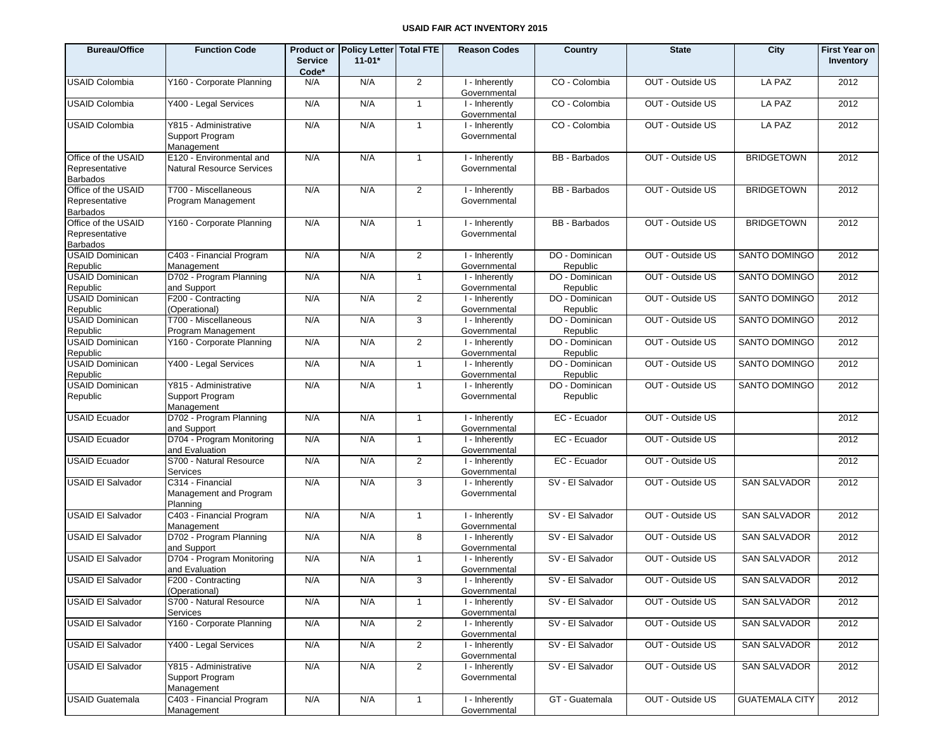| <b>Bureau/Office</b>                                     | <b>Function Code</b>                                         | <b>Service</b><br>Code* | Product or Policy Letter Total FTE<br>$11 - 01*$ |                | <b>Reason Codes</b>            | Country                    | <b>State</b>     | City                  | <b>First Year on</b><br>Inventory |
|----------------------------------------------------------|--------------------------------------------------------------|-------------------------|--------------------------------------------------|----------------|--------------------------------|----------------------------|------------------|-----------------------|-----------------------------------|
| <b>USAID Colombia</b>                                    | Y160 - Corporate Planning                                    | N/A                     | N/A                                              | 2              | I - Inherently<br>Governmental | CO - Colombia              | OUT - Outside US | LA PAZ                | 2012                              |
| <b>USAID Colombia</b>                                    | Y400 - Legal Services                                        | N/A                     | N/A                                              | $\mathbf{1}$   | I - Inherently<br>Governmental | CO - Colombia              | OUT - Outside US | LA PAZ                | 2012                              |
| <b>USAID Colombia</b>                                    | Y815 - Administrative<br>Support Program<br>Management       | N/A                     | N/A                                              | $\mathbf{1}$   | I - Inherently<br>Governmental | CO - Colombia              | OUT - Outside US | LA PAZ                | 2012                              |
| Office of the USAID<br>Representative<br>Barbados        | E120 - Environmental and<br><b>Natural Resource Services</b> | N/A                     | N/A                                              | $\overline{1}$ | I - Inherently<br>Governmental | <b>BB</b> - Barbados       | OUT - Outside US | <b>BRIDGETOWN</b>     | 2012                              |
| Office of the USAID<br>Representative<br><b>Barbados</b> | T700 - Miscellaneous<br>Program Management                   | N/A                     | N/A                                              | 2              | I - Inherently<br>Governmental | <b>BB</b> - Barbados       | OUT - Outside US | <b>BRIDGETOWN</b>     | 2012                              |
| Office of the USAID<br>Representative<br><b>Barbados</b> | Y160 - Corporate Planning                                    | N/A                     | N/A                                              | $\overline{1}$ | I - Inherently<br>Governmental | <b>BB</b> - Barbados       | OUT - Outside US | <b>BRIDGETOWN</b>     | 2012                              |
| <b>USAID Dominican</b><br>Republic                       | C403 - Financial Program<br>Management                       | N/A                     | N/A                                              | 2              | I - Inherently<br>Governmental | DO - Dominican<br>Republic | OUT - Outside US | SANTO DOMINGO         | 2012                              |
| <b>USAID Dominican</b><br>Republic                       | D702 - Program Planning<br>and Support                       | N/A                     | N/A                                              | $\overline{1}$ | I - Inherently<br>Governmental | DO - Dominican<br>Republic | OUT - Outside US | SANTO DOMINGO         | 2012                              |
| <b>USAID Dominican</b><br>Republic                       | F200 - Contracting<br>(Operational)                          | N/A                     | N/A                                              | 2              | I - Inherently<br>Governmental | DO - Dominican<br>Republic | OUT - Outside US | SANTO DOMINGO         | 2012                              |
| <b>USAID Dominican</b><br>Republic                       | T700 - Miscellaneous<br>Program Management                   | N/A                     | N/A                                              | 3              | I - Inherently<br>Governmental | DO - Dominican<br>Republic | OUT - Outside US | SANTO DOMINGO         | 2012                              |
| <b>USAID Dominican</b><br>Republic                       | Y160 - Corporate Planning                                    | N/A                     | N/A                                              | 2              | I - Inherently<br>Governmental | DO - Dominican<br>Republic | OUT - Outside US | SANTO DOMINGO         | 2012                              |
| <b>USAID Dominican</b><br>Republic                       | Y400 - Legal Services                                        | N/A                     | N/A                                              | $\mathbf{1}$   | I - Inherently<br>Governmental | DO - Dominican<br>Republic | OUT - Outside US | SANTO DOMINGO         | 2012                              |
| <b>USAID Dominican</b><br>Republic                       | Y815 - Administrative<br>Support Program<br>Management       | N/A                     | N/A                                              | $\mathbf{1}$   | I - Inherently<br>Governmental | DO - Dominican<br>Republic | OUT - Outside US | SANTO DOMINGO         | 2012                              |
| <b>USAID Ecuador</b>                                     | D702 - Program Planning<br>and Support                       | N/A                     | N/A                                              | $\overline{1}$ | I - Inherently<br>Governmental | EC - Ecuador               | OUT - Outside US |                       | 2012                              |
| <b>USAID Ecuador</b>                                     | D704 - Program Monitoring<br>and Evaluation                  | N/A                     | N/A                                              | $\overline{1}$ | I - Inherently<br>Governmental | EC - Ecuador               | OUT - Outside US |                       | 2012                              |
| <b>USAID Ecuador</b>                                     | S700 - Natural Resource<br>Services                          | N/A                     | N/A                                              | 2              | I - Inherently<br>Governmental | EC - Ecuador               | OUT - Outside US |                       | 2012                              |
| <b>USAID EI Salvador</b>                                 | C314 - Financial<br>Management and Program<br>Planning       | N/A                     | N/A                                              | 3              | I - Inherently<br>Governmental | SV - El Salvador           | OUT - Outside US | <b>SAN SALVADOR</b>   | 2012                              |
| <b>USAID EI Salvador</b>                                 | C403 - Financial Program<br>Management                       | N/A                     | N/A                                              | $\mathbf{1}$   | I - Inherently<br>Governmental | SV - El Salvador           | OUT - Outside US | <b>SAN SALVADOR</b>   | 2012                              |
| <b>USAID El Salvador</b>                                 | D702 - Program Planning<br>and Support                       | N/A                     | N/A                                              | 8              | I - Inherently<br>Governmental | SV - El Salvador           | OUT - Outside US | <b>SAN SALVADOR</b>   | 2012                              |
| <b>USAID EI Salvador</b>                                 | D704 - Program Monitoring<br>and Evaluation                  | N/A                     | N/A                                              | $\mathbf{1}$   | I - Inherently<br>Governmental | SV - El Salvador           | OUT - Outside US | <b>SAN SALVADOR</b>   | 2012                              |
| <b>USAID EI Salvador</b>                                 | F200 - Contracting<br>(Operational)                          | N/A                     | N/A                                              | $\mathcal{A}$  | I - Inherently<br>Governmental | SV - El Salvador           | OUT - Outside US | <b>SAN SALVADOR</b>   | 2012                              |
| <b>USAID EI Salvador</b>                                 | S700 - Natural Resource<br>Services                          | N/A                     | N/A                                              | $\overline{1}$ | I - Inherently<br>Governmental | SV - El Salvador           | OUT - Outside US | <b>SAN SALVADOR</b>   | 2012                              |
| USAID El Salvador                                        | Y160 - Corporate Planning                                    | N/A                     | N/A                                              | $\overline{2}$ | I - Inherently<br>Governmental | SV - El Salvador           | OUT - Outside US | <b>SAN SALVADOR</b>   | 2012                              |
| <b>USAID EI Salvador</b>                                 | Y400 - Legal Services                                        | N/A                     | N/A                                              | $\overline{2}$ | I - Inherently<br>Governmental | SV - El Salvador           | OUT - Outside US | <b>SAN SALVADOR</b>   | 2012                              |
| <b>USAID EI Salvador</b>                                 | Y815 - Administrative<br>Support Program<br>Management       | N/A                     | N/A                                              | $\overline{2}$ | I - Inherently<br>Governmental | SV - El Salvador           | OUT - Outside US | <b>SAN SALVADOR</b>   | 2012                              |
| <b>USAID Guatemala</b>                                   | C403 - Financial Program<br>Management                       | N/A                     | N/A                                              | $\mathbf{1}$   | I - Inherently<br>Governmental | GT - Guatemala             | OUT - Outside US | <b>GUATEMALA CITY</b> | 2012                              |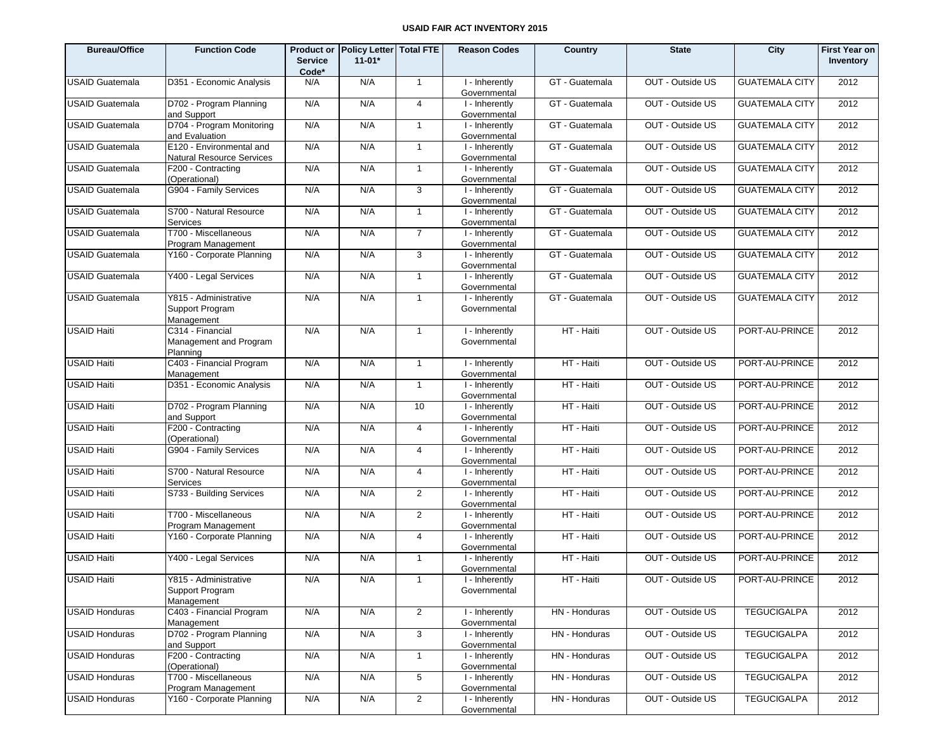| <b>Bureau/Office</b>   | <b>Function Code</b>                                   | <b>Service</b><br>Code* | Product or Policy Letter Total FTE<br>$11 - 01*$ |                 | <b>Reason Codes</b>            | Country        | <b>State</b>     | City                  | <b>First Year on</b><br>Inventory |
|------------------------|--------------------------------------------------------|-------------------------|--------------------------------------------------|-----------------|--------------------------------|----------------|------------------|-----------------------|-----------------------------------|
| <b>USAID Guatemala</b> | D351 - Economic Analysis                               | N/A                     | N/A                                              | $\overline{1}$  | I - Inherently<br>Governmental | GT - Guatemala | OUT - Outside US | <b>GUATEMALA CITY</b> | 2012                              |
| <b>USAID Guatemala</b> | D702 - Program Planning<br>and Support                 | N/A                     | N/A                                              | $\overline{4}$  | I - Inherently<br>Governmental | GT - Guatemala | OUT - Outside US | <b>GUATEMALA CITY</b> | 2012                              |
| <b>USAID Guatemala</b> | D704 - Program Monitoring<br>and Evaluation            | N/A                     | N/A                                              | $\overline{1}$  | I - Inherently<br>Governmental | GT - Guatemala | OUT - Outside US | <b>GUATEMALA CITY</b> | 2012                              |
| <b>USAID Guatemala</b> | E120 - Environmental and<br>Natural Resource Services  | N/A                     | N/A                                              | $\overline{1}$  | I - Inherently<br>Governmental | GT - Guatemala | OUT - Outside US | <b>GUATEMALA CITY</b> | 2012                              |
| <b>USAID Guatemala</b> | F200 - Contracting<br>(Operational)                    | N/A                     | N/A                                              | $\overline{1}$  | I - Inherently<br>Governmental | GT - Guatemala | OUT - Outside US | <b>GUATEMALA CITY</b> | 2012                              |
| <b>USAID Guatemala</b> | G904 - Family Services                                 | N/A                     | N/A                                              | 3               | I - Inherently<br>Governmental | GT - Guatemala | OUT - Outside US | <b>GUATEMALA CITY</b> | 2012                              |
| <b>USAID Guatemala</b> | S700 - Natural Resource<br>Services                    | N/A                     | N/A                                              | $\overline{1}$  | I - Inherently<br>Governmental | GT - Guatemala | OUT - Outside US | <b>GUATEMALA CITY</b> | 2012                              |
| <b>USAID Guatemala</b> | T700 - Miscellaneous<br>Program Management             | N/A                     | N/A                                              | $\overline{7}$  | I - Inherently<br>Governmental | GT - Guatemala | OUT - Outside US | <b>GUATEMALA CITY</b> | 2012                              |
| <b>USAID Guatemala</b> | Y160 - Corporate Planning                              | N/A                     | N/A                                              | 3               | I - Inherently<br>Governmental | GT - Guatemala | OUT - Outside US | <b>GUATEMALA CITY</b> | 2012                              |
| <b>USAID Guatemala</b> | Y400 - Legal Services                                  | N/A                     | N/A                                              | $\overline{1}$  | I - Inherently<br>Governmental | GT - Guatemala | OUT - Outside US | <b>GUATEMALA CITY</b> | 2012                              |
| <b>USAID Guatemala</b> | Y815 - Administrative<br>Support Program<br>Management | N/A                     | N/A                                              | $\overline{1}$  | I - Inherently<br>Governmental | GT - Guatemala | OUT - Outside US | <b>GUATEMALA CITY</b> | 2012                              |
| <b>USAID Haiti</b>     | C314 - Financial<br>Management and Program<br>Planning | N/A                     | N/A                                              | $\mathbf{1}$    | I - Inherently<br>Governmental | HT - Haiti     | OUT - Outside US | PORT-AU-PRINCE        | 2012                              |
| <b>USAID Haiti</b>     | C403 - Financial Program<br>Management                 | N/A                     | N/A                                              | $\mathbf{1}$    | I - Inherently<br>Governmental | HT - Haiti     | OUT - Outside US | PORT-AU-PRINCE        | 2012                              |
| <b>USAID Haiti</b>     | D351 - Economic Analysis                               | N/A                     | N/A                                              | $\mathbf{1}$    | I - Inherently<br>Governmental | HT - Haiti     | OUT - Outside US | PORT-AU-PRINCE        | 2012                              |
| <b>USAID Haiti</b>     | D702 - Program Planning<br>and Support                 | N/A                     | N/A                                              | 10              | I - Inherently<br>Governmental | HT - Haiti     | OUT - Outside US | PORT-AU-PRINCE        | 2012                              |
| <b>USAID Haiti</b>     | F200 - Contracting<br>(Operational)                    | N/A                     | N/A                                              | $\overline{4}$  | I - Inherently<br>Governmental | HT - Haiti     | OUT - Outside US | PORT-AU-PRINCE        | 2012                              |
| <b>USAID Haiti</b>     | G904 - Family Services                                 | N/A                     | N/A                                              | $\overline{4}$  | I - Inherently<br>Governmental | HT - Haiti     | OUT - Outside US | PORT-AU-PRINCE        | 2012                              |
| <b>USAID Haiti</b>     | S700 - Natural Resource<br>Services                    | N/A                     | N/A                                              | $\overline{4}$  | I - Inherently<br>Governmental | HT - Haiti     | OUT - Outside US | PORT-AU-PRINCE        | 2012                              |
| <b>USAID Haiti</b>     | S733 - Building Services                               | N/A                     | N/A                                              | 2               | I - Inherently<br>Governmental | HT - Haiti     | OUT - Outside US | PORT-AU-PRINCE        | 2012                              |
| <b>USAID Haiti</b>     | T700 - Miscellaneous<br>Program Management             | N/A                     | N/A                                              | $\overline{2}$  | I - Inherently<br>Governmental | HT - Haiti     | OUT - Outside US | PORT-AU-PRINCE        | 2012                              |
| <b>USAID Haiti</b>     | Y160 - Corporate Planning                              | N/A                     | N/A                                              | $\overline{4}$  | I - Inherently<br>Governmental | HT - Haiti     | OUT - Outside US | PORT-AU-PRINCE        | 2012                              |
| <b>USAID Haiti</b>     | Y400 - Legal Services                                  | N/A                     | N/A                                              | $\mathbf{1}$    | I - Inherently<br>Governmental | HT - Haiti     | OUT - Outside US | PORT-AU-PRINCE        | 2012                              |
| <b>USAID Haiti</b>     | Y815 - Administrative<br>Support Program<br>Management | N/A                     | N/A                                              | $\mathbf{1}$    | I - Inherently<br>Governmental | HT - Haiti     | OUT - Outside US | PORT-AU-PRINCE        | 2012                              |
| <b>USAID Honduras</b>  | C403 - Financial Program<br>Management                 | N/A                     | N/A                                              | $\overline{2}$  | I - Inherently<br>Governmental | HN - Honduras  | OUT - Outside US | <b>TEGUCIGALPA</b>    | 2012                              |
| <b>USAID Honduras</b>  | D702 - Program Planning<br>and Support                 | N/A                     | N/A                                              | 3               | I - Inherently<br>Governmental | HN - Honduras  | OUT - Outside US | <b>TEGUCIGALPA</b>    | 2012                              |
| <b>USAID Honduras</b>  | F200 - Contracting<br>(Operational)                    | N/A                     | N/A                                              | $\mathbf{1}$    | I - Inherently<br>Governmental | HN - Honduras  | OUT - Outside US | <b>TEGUCIGALPA</b>    | 2012                              |
| <b>USAID Honduras</b>  | T700 - Miscellaneous<br>Program Management             | N/A                     | N/A                                              | $5\phantom{.0}$ | I - Inherently<br>Governmental | HN - Honduras  | OUT - Outside US | <b>TEGUCIGALPA</b>    | 2012                              |
| <b>USAID Honduras</b>  | Y160 - Corporate Planning                              | N/A                     | N/A                                              | $\overline{2}$  | I - Inherently<br>Governmental | HN - Honduras  | OUT - Outside US | <b>TEGUCIGALPA</b>    | 2012                              |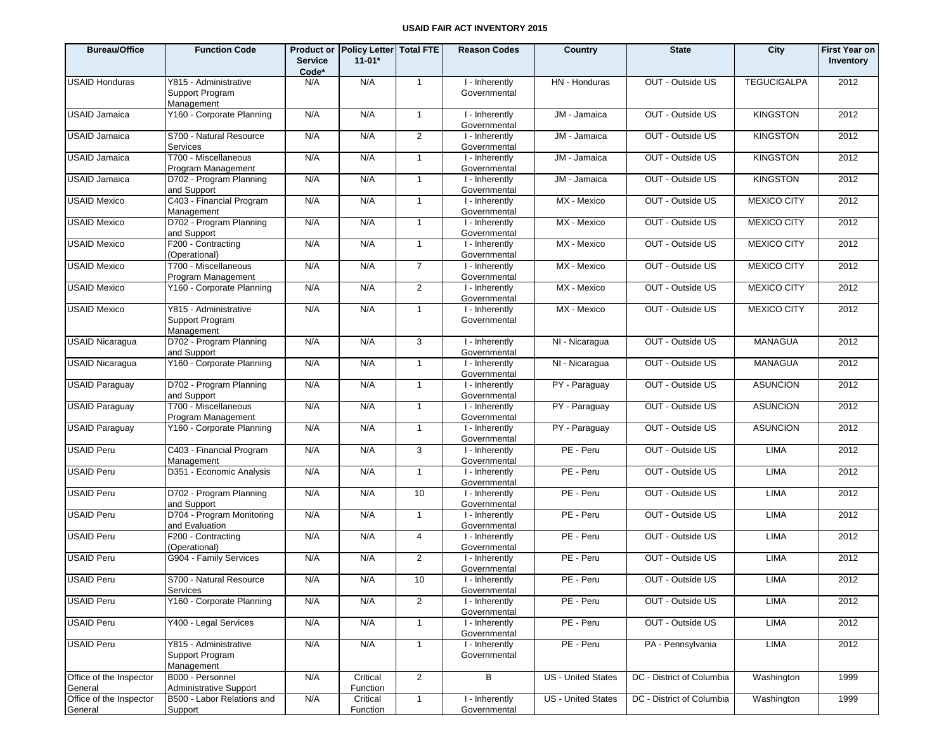| <b>Bureau/Office</b>               | <b>Function Code</b>                                   | <b>Product or</b><br><b>Service</b><br>Code* | Policy Letter   Total FTE<br>$11 - 01*$ |                | <b>Reason Codes</b>            | Country                   | <b>State</b>              | City               | <b>First Year on</b><br>Inventory |
|------------------------------------|--------------------------------------------------------|----------------------------------------------|-----------------------------------------|----------------|--------------------------------|---------------------------|---------------------------|--------------------|-----------------------------------|
| <b>USAID Honduras</b>              | Y815 - Administrative<br>Support Program<br>Management | N/A                                          | N/A                                     | $\mathbf{1}$   | I - Inherently<br>Governmental | HN - Honduras             | OUT - Outside US          | <b>TEGUCIGALPA</b> | 2012                              |
| <b>USAID Jamaica</b>               | Y160 - Corporate Planning                              | N/A                                          | N/A                                     | $\mathbf{1}$   | I - Inherently<br>Governmental | JM - Jamaica              | OUT - Outside US          | <b>KINGSTON</b>    | 2012                              |
| <b>USAID Jamaica</b>               | S700 - Natural Resource<br>Services                    | N/A                                          | N/A                                     | $\overline{2}$ | I - Inherently<br>Governmental | JM - Jamaica              | OUT - Outside US          | <b>KINGSTON</b>    | 2012                              |
| <b>USAID Jamaica</b>               | T700 - Miscellaneous<br>Program Management             | N/A                                          | N/A                                     | $\mathbf{1}$   | I - Inherently<br>Governmental | JM - Jamaica              | OUT - Outside US          | <b>KINGSTON</b>    | 2012                              |
| <b>USAID Jamaica</b>               | D702 - Program Planning<br>and Support                 | N/A                                          | N/A                                     | $\mathbf{1}$   | I - Inherently<br>Governmental | JM - Jamaica              | OUT - Outside US          | <b>KINGSTON</b>    | 2012                              |
| <b>USAID Mexico</b>                | C403 - Financial Program<br>Management                 | N/A                                          | N/A                                     | $\mathbf{1}$   | I - Inherently<br>Governmental | MX - Mexico               | OUT - Outside US          | <b>MEXICO CITY</b> | 2012                              |
| <b>USAID Mexico</b>                | D702 - Program Planning<br>and Support                 | N/A                                          | N/A                                     | $\mathbf{1}$   | I - Inherently<br>Governmental | MX - Mexico               | OUT - Outside US          | <b>MEXICO CITY</b> | 2012                              |
| <b>USAID Mexico</b>                | F200 - Contracting<br>(Operational)                    | N/A                                          | N/A                                     | $\mathbf{1}$   | I - Inherently<br>Governmental | MX - Mexico               | OUT - Outside US          | <b>MEXICO CITY</b> | 2012                              |
| <b>USAID Mexico</b>                | T700 - Miscellaneous<br>Program Management             | N/A                                          | N/A                                     | $\overline{7}$ | I - Inherently<br>Governmental | MX - Mexico               | OUT - Outside US          | <b>MEXICO CITY</b> | 2012                              |
| <b>USAID Mexico</b>                | Y160 - Corporate Planning                              | N/A                                          | N/A                                     | $\overline{2}$ | I - Inherently<br>Governmental | MX - Mexico               | OUT - Outside US          | <b>MEXICO CITY</b> | 2012                              |
| <b>USAID Mexico</b>                | Y815 - Administrative<br>Support Program<br>Management | N/A                                          | N/A                                     | $\mathbf{1}$   | I - Inherently<br>Governmental | MX - Mexico               | OUT - Outside US          | <b>MEXICO CITY</b> | 2012                              |
| <b>USAID Nicaragua</b>             | D702 - Program Planning<br>and Support                 | N/A                                          | N/A                                     | 3              | I - Inherently<br>Governmental | NI - Nicaragua            | OUT - Outside US          | <b>MANAGUA</b>     | 2012                              |
| <b>USAID Nicaragua</b>             | Y160 - Corporate Planning                              | N/A                                          | N/A                                     | $\overline{1}$ | I - Inherently<br>Governmental | NI - Nicaragua            | OUT - Outside US          | <b>MANAGUA</b>     | 2012                              |
| <b>USAID Paraguay</b>              | D702 - Program Planning<br>and Support                 | N/A                                          | N/A                                     | $\mathbf{1}$   | I - Inherently<br>Governmental | PY - Paraguay             | OUT - Outside US          | <b>ASUNCION</b>    | 2012                              |
| <b>USAID Paraguay</b>              | T700 - Miscellaneous<br>Program Management             | N/A                                          | N/A                                     | $\overline{1}$ | I - Inherently<br>Governmental | PY - Paraguay             | OUT - Outside US          | <b>ASUNCION</b>    | 2012                              |
| <b>USAID Paraguay</b>              | Y160 - Corporate Planning                              | N/A                                          | N/A                                     | $\mathbf{1}$   | I - Inherently<br>Governmental | PY - Paraguay             | OUT - Outside US          | <b>ASUNCION</b>    | 2012                              |
| <b>USAID Peru</b>                  | C403 - Financial Program<br>Management                 | N/A                                          | N/A                                     | 3              | I - Inherently<br>Governmental | PE - Peru                 | OUT - Outside US          | <b>LIMA</b>        | 2012                              |
| <b>USAID Peru</b>                  | D351 - Economic Analysis                               | N/A                                          | N/A                                     | $\mathbf{1}$   | I - Inherently<br>Governmental | PE - Peru                 | OUT - Outside US          | <b>LIMA</b>        | 2012                              |
| <b>USAID Peru</b>                  | D702 - Program Planning<br>and Support                 | N/A                                          | N/A                                     | 10             | I - Inherently<br>Governmental | PE - Peru                 | OUT - Outside US          | <b>LIMA</b>        | 2012                              |
| <b>USAID Peru</b>                  | D704 - Program Monitoring<br>and Evaluation            | N/A                                          | N/A                                     | $\mathbf{1}$   | I - Inherently<br>Governmental | PE - Peru                 | OUT - Outside US          | <b>LIMA</b>        | 2012                              |
| <b>USAID Peru</b>                  | F200 - Contracting<br>(Operational)                    | N/A                                          | N/A                                     | $\overline{4}$ | I - Inherently<br>Governmental | PE - Peru                 | OUT - Outside US          | <b>LIMA</b>        | 2012                              |
| <b>USAID Peru</b>                  | G904 - Family Services                                 | N/A                                          | N/A                                     | $\overline{2}$ | I - Inherently<br>Governmental | PE - Peru                 | OUT - Outside US          | <b>LIMA</b>        | 2012                              |
| <b>USAID Peru</b>                  | S700 - Natural Resource<br>Services                    | N/A                                          | N/A                                     | 10             | I - Inherently<br>Governmental | PE - Peru                 | OUT - Outside US          | <b>LIMA</b>        | 2012                              |
| <b>USAID Peru</b>                  | Y160 - Corporate Planning                              | N/A                                          | N/A                                     | $\overline{2}$ | I - Inherently<br>Governmental | PE - Peru                 | OUT - Outside US          | LIMA               | 2012                              |
| <b>USAID Peru</b>                  | Y400 - Legal Services                                  | N/A                                          | N/A                                     | $\mathbf{1}$   | I - Inherently<br>Governmental | PE - Peru                 | OUT - Outside US          | <b>LIMA</b>        | 2012                              |
| <b>USAID Peru</b>                  | Y815 - Administrative<br>Support Program<br>Management | N/A                                          | N/A                                     | $\overline{1}$ | I - Inherently<br>Governmental | PE - Peru                 | PA - Pennsylvania         | LIMA               | 2012                              |
| Office of the Inspector<br>General | B000 - Personnel<br>Administrative Support             | N/A                                          | Critical<br>Function                    | $\overline{2}$ | В                              | US - United States        | DC - District of Columbia | Washington         | 1999                              |
| Office of the Inspector<br>General | B500 - Labor Relations and<br>Support                  | N/A                                          | Critical<br>Function                    | $\mathbf{1}$   | I - Inherently<br>Governmental | <b>US</b> - United States | DC - District of Columbia | Washington         | 1999                              |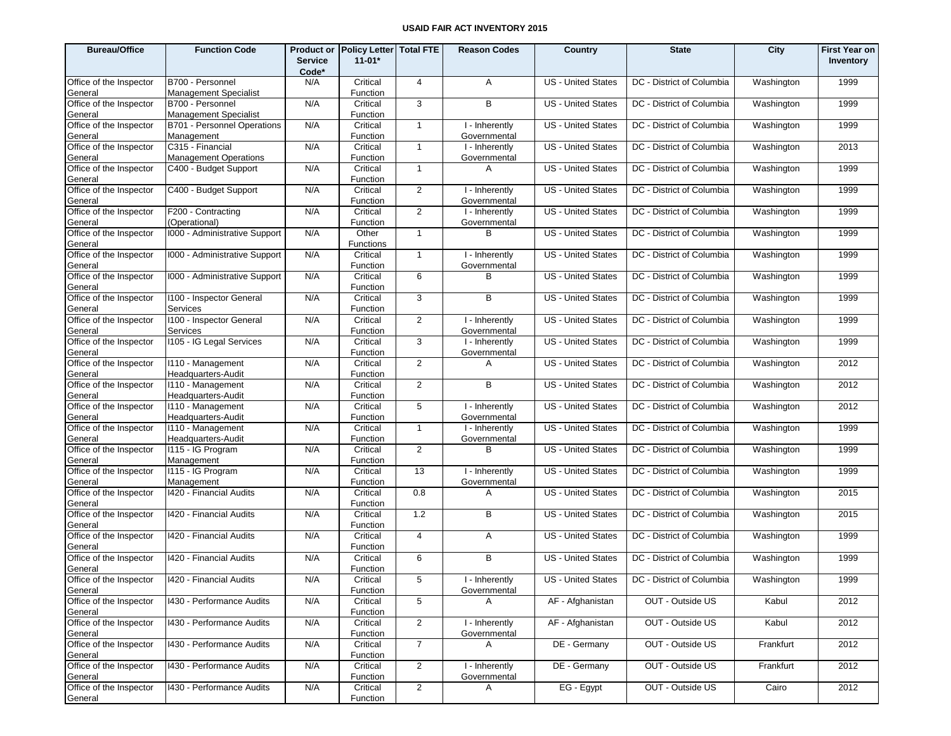| <b>Bureau/Office</b>               | <b>Function Code</b>                             | <b>Service</b><br>Code* | Product or Policy Letter Total FTE<br>$11 - 01*$ |                | <b>Reason Codes</b>            | Country                   | <b>State</b>                                   | City       | <b>First Year on</b><br>Inventory |
|------------------------------------|--------------------------------------------------|-------------------------|--------------------------------------------------|----------------|--------------------------------|---------------------------|------------------------------------------------|------------|-----------------------------------|
| Office of the Inspector<br>General | B700 - Personnel<br><b>Management Specialist</b> | N/A                     | Critical<br>Function                             | $\overline{4}$ | A                              | <b>US</b> - United States | DC - District of Columbia                      | Washington | 1999                              |
| Office of the Inspector<br>General | B700 - Personnel<br>Management Specialist        | N/A                     | Critical<br>Function                             | 3              | B                              | <b>US</b> - United States | DC - District of Columbia                      | Washington | 1999                              |
| Office of the Inspector<br>General | B701 - Personnel Operations<br>Management        | N/A                     | Critical<br>Function                             | $\overline{1}$ | I - Inherently<br>Governmental | <b>US</b> - United States | DC - District of Columbia                      | Washington | 1999                              |
| Office of the Inspector<br>General | C315 - Financial<br><b>Management Operations</b> | N/A                     | Critical<br>Function                             | $\overline{1}$ | I - Inherently<br>Governmental | <b>US</b> - United States | DC - District of Columbia                      | Washington | 2013                              |
| Office of the Inspector<br>General | C400 - Budget Support                            | N/A                     | Critical<br>Function                             | $\overline{1}$ | A                              | <b>US</b> - United States | DC - District of Columbia                      | Washington | 1999                              |
| Office of the Inspector<br>General | C400 - Budget Support                            | N/A                     | Critical<br>Function                             | 2              | I - Inherently<br>Governmental | <b>US</b> - United States | DC - District of Columbia                      | Washington | 1999                              |
| Office of the Inspector<br>General | F200 - Contracting<br>(Operational)              | N/A                     | Critical<br>Function                             | $\overline{2}$ | I - Inherently<br>Governmental | <b>US</b> - United States | DC - District of Columbia                      | Washington | 1999                              |
| Office of the Inspector<br>General | 1000 - Administrative Support                    | N/A                     | Other<br><b>Functions</b>                        | $\overline{1}$ | B                              | US - United States        | DC - District of Columbia                      | Washington | 1999                              |
| Office of the Inspector<br>General | 1000 - Administrative Support                    | N/A                     | Critical<br>Function                             | $\overline{1}$ | I - Inherently<br>Governmental | <b>US</b> - United States | DC - District of Columbia                      | Washington | 1999                              |
| Office of the Inspector<br>General | 1000 - Administrative Support                    | N/A                     | Critical<br>Function                             | 6              | в                              | US - United States        | DC - District of Columbia                      | Washington | 1999                              |
| Office of the Inspector<br>General | 1100 - Inspector General<br><b>Services</b>      | N/A                     | Critical<br>Function                             | 3              | B                              | <b>US - United States</b> | DC - District of Columbia                      | Washington | 1999                              |
| Office of the Inspector<br>General | 1100 - Inspector General<br>Services             | N/A                     | Critical<br>Function                             | 2              | I - Inherently<br>Governmental | <b>US</b> - United States | DC - District of Columbia                      | Washington | 1999                              |
| Office of the Inspector<br>General | 1105 - IG Legal Services                         | N/A                     | Critical<br>Function                             | 3              | I - Inherently<br>Governmental | <b>US</b> - United States | DC - District of Columbia                      | Washington | 1999                              |
| Office of the Inspector<br>General | I110 - Management<br>Headquarters-Audit          | N/A                     | Critical<br>Function                             | 2              | A                              | US - United States        | DC - District of Columbia                      | Washington | 2012                              |
| Office of the Inspector<br>General | I110 - Management<br>Headquarters-Audit          | N/A                     | Critical<br>Function                             | $\overline{2}$ | B                              | <b>US</b> - United States | DC - District of Columbia                      | Washington | 2012                              |
| Office of the Inspector<br>General | I110 - Management<br>Headquarters-Audit          | N/A                     | Critical<br>Function                             | 5              | I - Inherently<br>Governmental | <b>US</b> - United States | DC - District of Columbia                      | Washington | 2012                              |
| Office of the Inspector<br>General | I110 - Management<br>Headquarters-Audit          | N/A                     | Critical<br>Function                             | $\overline{1}$ | I - Inherently<br>Governmental | <b>US</b> - United States | DC - District of Columbia                      | Washington | 1999                              |
| Office of the Inspector<br>General | I115 - IG Program<br>Management                  | N/A                     | Critical<br>Function                             | $\overline{2}$ | B                              | US - United States        | DC - District of Columbia                      | Washington | 1999                              |
| Office of the Inspector<br>General | I115 - IG Program<br>Management                  | N/A                     | Critical<br>Function                             | 13             | I - Inherently<br>Governmental | <b>US</b> - United States | DC - District of Columbia                      | Washington | 1999                              |
| Office of the Inspector<br>General | 1420 - Financial Audits                          | N/A                     | Critical<br>Function                             | 0.8            | A                              | US - United States        | DC - District of Columbia                      | Washington | 2015                              |
| Office of the Inspector<br>General | 1420 - Financial Audits                          | N/A                     | Critical<br>Function                             | 1.2            | B                              | <b>US - United States</b> | DC - District of Columbia                      | Washington | 2015                              |
| Office of the Inspector<br>General | 1420 - Financial Audits                          | N/A                     | Critical<br>Function                             | $\overline{4}$ | A                              | <b>US</b> - United States | DC - District of Columbia                      | Washington | 1999                              |
| Office of the Inspector<br>General | 1420 - Financial Audits                          | N/A                     | Critical<br>Function                             | 6              | B                              | <b>US</b> - United States | DC - District of Columbia                      | Washington | 1999                              |
| Office of the Inspector<br>General | 1420 - Financial Audits                          | N/A                     | Critical<br>Function                             | 5 <sup>1</sup> | I - Inherently<br>Governmental |                           | US - United States   DC - District of Columbia | Washington | 1999                              |
| Office of the Inspector<br>General | 1430 - Performance Audits                        | N/A                     | Critical<br>Function                             | 5              | A                              | AF - Afghanistan          | OUT - Outside US                               | Kabul      | 2012                              |
| Office of the Inspector<br>General | 1430 - Performance Audits                        | N/A                     | Critical<br>Function                             | $\overline{2}$ | I - Inherently<br>Governmental | AF - Afghanistan          | OUT - Outside US                               | Kabul      | 2012                              |
| Office of the Inspector<br>General | 1430 - Performance Audits                        | N/A                     | Critical<br>Function                             | $\overline{7}$ | A                              | DE - Germany              | OUT - Outside US                               | Frankfurt  | 2012                              |
| Office of the Inspector<br>General | 1430 - Performance Audits                        | N/A                     | Critical<br>Function                             | 2              | I - Inherently<br>Governmental | DE - Germany              | OUT - Outside US                               | Frankfurt  | 2012                              |
| Office of the Inspector<br>General | 1430 - Performance Audits                        | N/A                     | Critical<br>Function                             | $\overline{2}$ | A                              | EG - Egypt                | OUT - Outside US                               | Cairo      | 2012                              |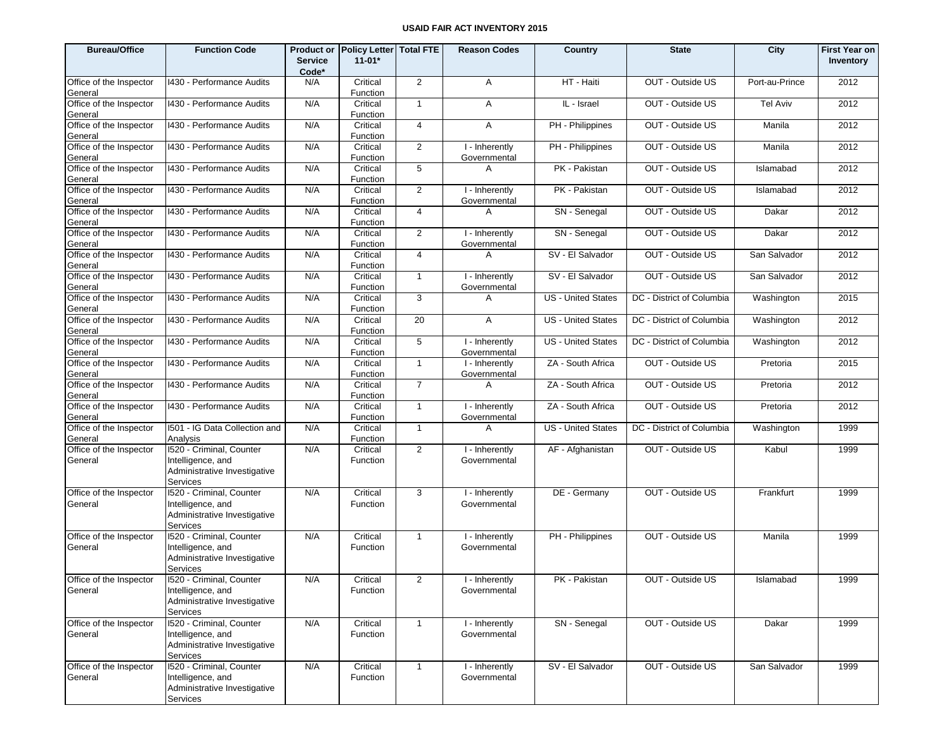| <b>Bureau/Office</b>               | <b>Function Code</b>                                                                      | <b>Product or</b><br><b>Service</b><br>Code* | <b>Policy Letter Total FTE</b><br>$11 - 01*$ |                | <b>Reason Codes</b>                         | Country                   | <b>State</b>              | City            | <b>First Year on</b><br>Inventory |
|------------------------------------|-------------------------------------------------------------------------------------------|----------------------------------------------|----------------------------------------------|----------------|---------------------------------------------|---------------------------|---------------------------|-----------------|-----------------------------------|
| Office of the Inspector<br>General | 1430 - Performance Audits                                                                 | N/A                                          | Critical<br>Function                         | 2              | A                                           | HT - Haiti                | OUT - Outside US          | Port-au-Prince  | 2012                              |
| Office of the Inspector<br>General | 1430 - Performance Audits                                                                 | N/A                                          | Critical<br>Function                         | $\mathbf{1}$   | A                                           | IL - Israel               | OUT - Outside US          | <b>Tel Aviv</b> | 2012                              |
| Office of the Inspector<br>General | 1430 - Performance Audits                                                                 | N/A                                          | Critical<br>Function                         | $\overline{4}$ | A                                           | PH - Philippines          | OUT - Outside US          | Manila          | 2012                              |
| Office of the Inspector<br>General | 1430 - Performance Audits                                                                 | N/A                                          | Critical<br>Function                         | 2              | I - Inherently<br>Governmental              | PH - Philippines          | OUT - Outside US          | Manila          | 2012                              |
| Office of the Inspector<br>General | 1430 - Performance Audits                                                                 | N/A                                          | Critical<br>Function                         | 5              | A                                           | PK - Pakistan             | OUT - Outside US          | Islamabad       | 2012                              |
| Office of the Inspector<br>General | 1430 - Performance Audits                                                                 | N/A                                          | Critical<br>Function                         | 2              | I - Inherently<br>Governmental              | PK - Pakistan             | OUT - Outside US          | Islamabad       | 2012                              |
| Office of the Inspector<br>General | 1430 - Performance Audits                                                                 | N/A                                          | Critical<br>Function                         | $\overline{4}$ | A                                           | SN - Senegal              | OUT - Outside US          | Dakar           | 2012                              |
| Office of the Inspector<br>General | 1430 - Performance Audits                                                                 | N/A                                          | Critical<br>Function                         | 2              | I - Inherently<br>Governmental              | SN - Senegal              | OUT - Outside US          | Dakar           | 2012                              |
| Office of the Inspector<br>General | 1430 - Performance Audits                                                                 | N/A                                          | Critical<br>Function                         | $\overline{4}$ | A                                           | SV - El Salvador          | OUT - Outside US          | San Salvador    | 2012                              |
| Office of the Inspector<br>General | 1430 - Performance Audits                                                                 | N/A                                          | Critical<br>Function                         | $\mathbf{1}$   | I - Inherently<br>Governmental              | SV - El Salvador          | OUT - Outside US          | San Salvador    | 2012                              |
| Office of the Inspector<br>General | 1430 - Performance Audits                                                                 | N/A                                          | Critical<br>Function                         | 3              | A                                           | <b>US</b> - United States | DC - District of Columbia | Washington      | 2015                              |
| Office of the Inspector<br>General | 1430 - Performance Audits                                                                 | N/A                                          | Critical<br>Function                         | 20             | A                                           | <b>US</b> - United States | DC - District of Columbia | Washington      | 2012                              |
| Office of the Inspector<br>General | 1430 - Performance Audits                                                                 | N/A                                          | Critical<br>Function                         | 5              | I - Inherently<br>Governmental              | <b>US</b> - United States | DC - District of Columbia | Washington      | 2012                              |
| Office of the Inspector<br>General | 1430 - Performance Audits                                                                 | N/A                                          | Critical<br>Function                         | $\mathbf{1}$   | I - Inherently<br>Governmental              | ZA - South Africa         | OUT - Outside US          | Pretoria        | 2015                              |
| Office of the Inspector<br>General | 1430 - Performance Audits                                                                 | N/A                                          | Critical<br>Function                         | $\overline{7}$ | A                                           | ZA - South Africa         | OUT - Outside US          | Pretoria        | 2012                              |
| Office of the Inspector<br>General | 1430 - Performance Audits                                                                 | N/A                                          | Critical<br>Function                         | $\mathbf{1}$   | I - Inherently<br>Governmental              | ZA - South Africa         | OUT - Outside US          | Pretoria        | 2012                              |
| Office of the Inspector<br>General | I501 - IG Data Collection and<br>Analysis                                                 | N/A                                          | Critical<br>Function                         | $\overline{1}$ | A                                           | <b>US</b> - United States | DC - District of Columbia | Washington      | 1999                              |
| Office of the Inspector<br>General | 1520 - Criminal, Counter<br>Intelligence, and<br>Administrative Investigative<br>Services | N/A                                          | Critical<br>Function                         | $\overline{2}$ | I - Inherently<br>Governmental              | AF - Afghanistan          | OUT - Outside US          | Kabul           | 1999                              |
| Office of the Inspector<br>General | 1520 - Criminal, Counter<br>Intelligence, and<br>Administrative Investigative<br>Services | N/A                                          | Critical<br>Function                         | 3              | $\overline{1}$ - Inherently<br>Governmental | DE - Germany              | OUT - Outside US          | Frankfurt       | 1999                              |
| Office of the Inspector<br>General | 1520 - Criminal, Counter<br>Intelligence, and<br>Administrative Investigative<br>Services | N/A                                          | Critical<br>Function                         | $\mathbf{1}$   | I - Inherently<br>Governmental              | PH - Philippines          | OUT - Outside US          | Manila          | 1999                              |
| Office of the Inspector<br>General | 1520 - Criminal, Counter<br>Intelligence, and<br>Administrative Investigative<br>Services | N/A                                          | Critical<br>Function                         | $\overline{2}$ | I - Inherently<br>Governmental              | PK - Pakistan             | OUT - Outside US          | Islamabad       | 1999                              |
| Office of the Inspector<br>General | 1520 - Criminal, Counter<br>Intelligence, and<br>Administrative Investigative<br>Services | N/A                                          | Critical<br>Function                         | $\mathbf{1}$   | I - Inherently<br>Governmental              | SN - Senegal              | OUT - Outside US          | Dakar           | 1999                              |
| Office of the Inspector<br>General | 1520 - Criminal, Counter<br>Intelligence, and<br>Administrative Investigative<br>Services | N/A                                          | Critical<br>Function                         | $\mathbf{1}$   | I - Inherently<br>Governmental              | SV - El Salvador          | OUT - Outside US          | San Salvador    | 1999                              |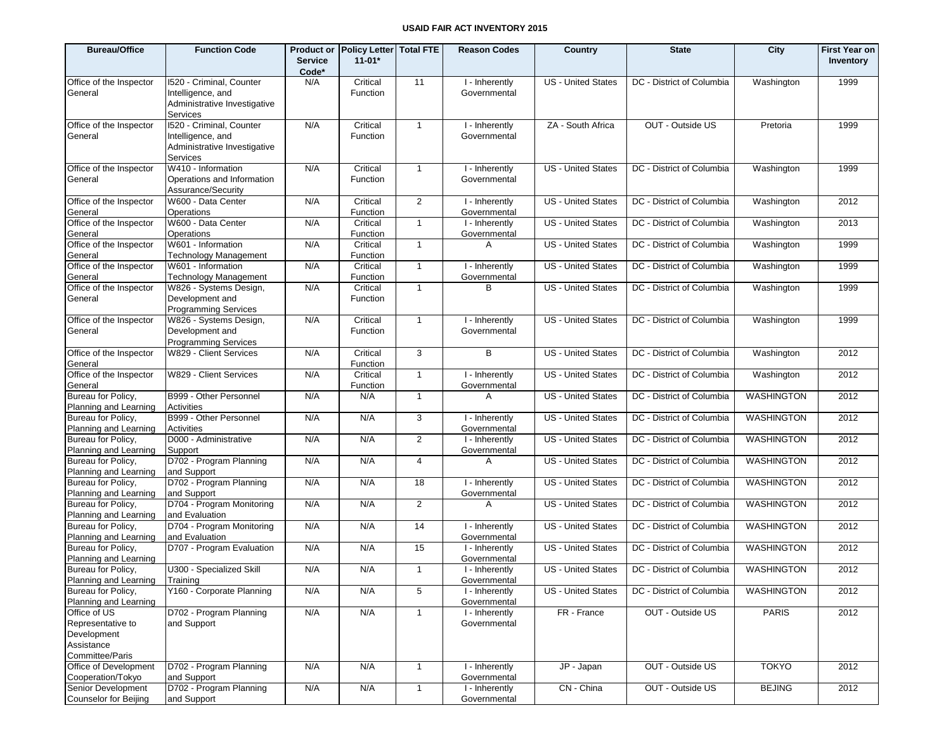| <b>Bureau/Office</b>                        | <b>Function Code</b>                               |                         | Product or Policy Letter Total FTE |                | <b>Reason Codes</b>            | Country                   | <b>State</b>              | City              | <b>First Year on</b> |
|---------------------------------------------|----------------------------------------------------|-------------------------|------------------------------------|----------------|--------------------------------|---------------------------|---------------------------|-------------------|----------------------|
|                                             |                                                    | <b>Service</b><br>Code* | $11 - 01*$                         |                |                                |                           |                           |                   | Inventory            |
| Office of the Inspector                     | 1520 - Criminal, Counter                           | N/A                     | Critical                           | 11             | I - Inherently                 | <b>US</b> - United States | DC - District of Columbia | Washington        | 1999                 |
| General                                     | Intelligence, and                                  |                         | Function                           |                | Governmental                   |                           |                           |                   |                      |
|                                             | Administrative Investigative<br>Services           |                         |                                    |                |                                |                           |                           |                   |                      |
| Office of the Inspector                     | 1520 - Criminal, Counter                           | N/A                     | Critical                           | $\mathbf{1}$   | I - Inherently                 | ZA - South Africa         | OUT - Outside US          | Pretoria          | 1999                 |
| General                                     | Intelligence, and                                  |                         | Function                           |                | Governmental                   |                           |                           |                   |                      |
|                                             | Administrative Investigative<br>Services           |                         |                                    |                |                                |                           |                           |                   |                      |
| Office of the Inspector                     | W410 - Information                                 | N/A                     | Critical                           | $\mathbf{1}$   | I - Inherently                 | <b>US</b> - United States | DC - District of Columbia | Washington        | 1999                 |
| General                                     | Operations and Information<br>Assurance/Security   |                         | Function                           |                | Governmental                   |                           |                           |                   |                      |
| Office of the Inspector                     | W600 - Data Center                                 | N/A                     | Critical                           | 2              | I - Inherently                 | <b>US</b> - United States | DC - District of Columbia | Washington        | 2012                 |
| General                                     | Operations                                         |                         | Function                           |                | Governmental                   |                           |                           |                   |                      |
| Office of the Inspector                     | W600 - Data Center                                 | N/A                     | Critical                           | $\mathbf{1}$   | I - Inherently                 | <b>US</b> - United States | DC - District of Columbia | Washington        | 2013                 |
| General                                     | Operations                                         |                         | Function                           |                | Governmental                   |                           |                           |                   |                      |
| Office of the Inspector<br>General          | W601 - Information<br><b>Technology Management</b> | N/A                     | Critical<br>Function               | $\mathbf{1}$   | A                              | <b>US</b> - United States | DC - District of Columbia | Washington        | 1999                 |
| Office of the Inspector                     | W601 - Information                                 | N/A                     | Critical                           | $\overline{1}$ | I - Inherently                 | <b>US</b> - United States | DC - District of Columbia | Washington        | 1999                 |
| General                                     | <b>Technology Management</b>                       |                         | Function                           |                | Governmental                   |                           |                           |                   |                      |
| Office of the Inspector                     | W826 - Systems Design,                             | N/A                     | Critical                           | $\mathbf{1}$   | В                              | <b>US</b> - United States | DC - District of Columbia | Washington        | 1999                 |
| General                                     | Development and<br>Programming Services            |                         | Function                           |                |                                |                           |                           |                   |                      |
| Office of the Inspector                     | W826 - Systems Design,                             | N/A                     | Critical                           | $\overline{1}$ | I - Inherently                 | <b>US</b> - United States | DC - District of Columbia | Washington        | 1999                 |
| General                                     | Development and<br><b>Programming Services</b>     |                         | Function                           |                | Governmental                   |                           |                           |                   |                      |
| Office of the Inspector                     | W829 - Client Services                             | N/A                     | Critical                           | 3              | B                              | <b>US</b> - United States | DC - District of Columbia | Washington        | 2012                 |
| General                                     |                                                    |                         | Function                           |                |                                |                           |                           |                   |                      |
| Office of the Inspector                     | W829 - Client Services                             | N/A                     | Critical                           | $\overline{1}$ | I - Inherently                 | <b>US</b> - United States | DC - District of Columbia | Washington        | 2012                 |
| General                                     |                                                    |                         | Function                           |                | Governmental                   |                           |                           |                   |                      |
| Bureau for Policy,<br>Planning and Learning | B999 - Other Personnel<br>Activities               | N/A                     | N/A                                | $\mathbf{1}$   | A                              | <b>US</b> - United States | DC - District of Columbia | <b>WASHINGTON</b> | 2012                 |
| Bureau for Policy,                          | B999 - Other Personnel                             | N/A                     | N/A                                | 3              | I - Inherently                 | <b>US</b> - United States | DC - District of Columbia | WASHINGTON        | 2012                 |
| Planning and Learning                       | Activities                                         |                         |                                    |                | Governmental                   |                           |                           |                   |                      |
| Bureau for Policy,                          | D000 - Administrative                              | N/A                     | N/A                                | 2              | I - Inherently                 | <b>US</b> - United States | DC - District of Columbia | WASHINGTON        | 2012                 |
| Planning and Learning                       | Support                                            |                         |                                    |                | Governmental                   |                           |                           |                   |                      |
| Bureau for Policy,                          | D702 - Program Planning                            | N/A                     | N/A                                | 4              | A                              | <b>US</b> - United States | DC - District of Columbia | WASHINGTON        | 2012                 |
| Planning and Learning                       | and Support                                        |                         |                                    |                |                                |                           |                           |                   |                      |
| Bureau for Policy,                          | D702 - Program Planning                            | N/A                     | N/A                                | 18             | I - Inherently                 | <b>US</b> - United States | DC - District of Columbia | WASHINGTON        | 2012                 |
| Planning and Learning                       | and Support                                        |                         |                                    |                | Governmental                   |                           |                           |                   |                      |
| Bureau for Policy,<br>Planning and Learning | D704 - Program Monitoring<br>and Evaluation        | N/A                     | N/A                                | 2              | A                              | <b>US</b> - United States | DC - District of Columbia | WASHINGTON        | 2012                 |
| Bureau for Policy,                          | D704 - Program Monitoring                          | N/A                     | N/A                                | 14             | I - Inherently                 | <b>US</b> - United States | DC - District of Columbia | <b>WASHINGTON</b> | 2012                 |
| Planning and Learning                       | and Evaluation                                     |                         |                                    |                | Governmental                   |                           |                           |                   |                      |
| Bureau for Policy,                          | D707 - Program Evaluation                          | N/A                     | N/A                                | 15             | I - Inherently                 | <b>US</b> - United States | DC - District of Columbia | <b>WASHINGTON</b> | 2012                 |
| Planning and Learning                       |                                                    |                         |                                    |                | Governmental                   |                           |                           |                   |                      |
| Bureau for Policy,                          | U300 - Specialized Skill                           | N/A                     | N/A                                | $\overline{1}$ | I - Inherently                 | <b>US</b> - United States | DC - District of Columbia | WASHINGTON        | 2012                 |
| Planning and Learning                       | Training                                           |                         |                                    |                | Governmental                   |                           |                           |                   |                      |
| Bureau for Policy,                          | Y160 - Corporate Planning                          | N/A                     | N/A                                | 5              | I - Inherently                 | US - United States        | DC - District of Columbia | WASHINGTON        | 2012                 |
| Planning and Learning<br>Office of US       | D702 - Program Planning                            | N/A                     | N/A                                |                | Governmental<br>I - Inherently | FR - France               | OUT - Outside US          | <b>PARIS</b>      | 2012                 |
| Representative to                           | and Support                                        |                         |                                    | $\mathbf{1}$   | Governmental                   |                           |                           |                   |                      |
| Development                                 |                                                    |                         |                                    |                |                                |                           |                           |                   |                      |
| Assistance                                  |                                                    |                         |                                    |                |                                |                           |                           |                   |                      |
| Committee/Paris                             |                                                    |                         |                                    |                |                                |                           |                           |                   |                      |
| Office of Development                       | D702 - Program Planning                            | N/A                     | N/A                                | $\overline{1}$ | I - Inherently                 | JP - Japan                | OUT - Outside US          | <b>TOKYO</b>      | 2012                 |
| Cooperation/Tokyo                           | and Support                                        |                         |                                    |                | Governmental                   |                           |                           |                   |                      |
| Senior Development                          | D702 - Program Planning                            | N/A                     | N/A                                | $\overline{1}$ | I - Inherently                 | CN - China                | OUT - Outside US          | <b>BEJING</b>     | 2012                 |
| Counselor for Beijing                       | and Support                                        |                         |                                    |                | Governmental                   |                           |                           |                   |                      |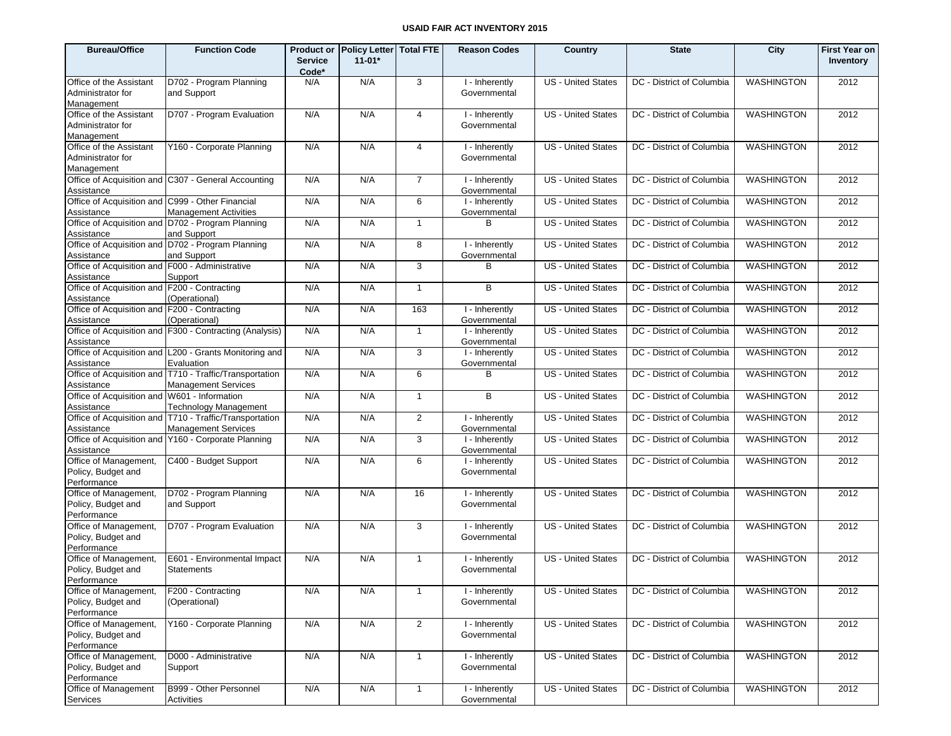| <b>Bureau/Office</b>                                           | <b>Function Code</b>                                                                  | <b>Product or</b><br><b>Service</b><br>Code* | Policy Letter Total FTE<br>$11-01*$ |                | <b>Reason Codes</b>            | Country                   | <b>State</b>              | City              | <b>First Year on</b><br>Inventory |
|----------------------------------------------------------------|---------------------------------------------------------------------------------------|----------------------------------------------|-------------------------------------|----------------|--------------------------------|---------------------------|---------------------------|-------------------|-----------------------------------|
| Office of the Assistant<br>Administrator for<br>Management     | D702 - Program Planning<br>and Support                                                | N/A                                          | N/A                                 | 3              | I - Inherently<br>Governmental | <b>US</b> - United States | DC - District of Columbia | <b>WASHINGTON</b> | 2012                              |
| Office of the Assistant<br>Administrator for<br>Management     | D707 - Program Evaluation                                                             | N/A                                          | N/A                                 | 4              | I - Inherently<br>Governmental | <b>US</b> - United States | DC - District of Columbia | <b>WASHINGTON</b> | 2012                              |
| Office of the Assistant<br>Administrator for<br>Management     | Y160 - Corporate Planning                                                             | N/A                                          | N/A                                 | $\overline{4}$ | I - Inherently<br>Governmental | <b>US</b> - United States | DC - District of Columbia | <b>WASHINGTON</b> | 2012                              |
| Assistance                                                     | Office of Acquisition and C307 - General Accounting                                   | N/A                                          | N/A                                 | $\overline{7}$ | I - Inherently<br>Governmental | <b>US</b> - United States | DC - District of Columbia | WASHINGTON        | 2012                              |
| Office of Acquisition and C999 - Other Financial<br>Assistance | <b>Management Activities</b>                                                          | N/A                                          | N/A                                 | 6              | I - Inherently<br>Governmental | <b>US - United States</b> | DC - District of Columbia | <b>WASHINGTON</b> | 2012                              |
| Assistance                                                     | Office of Acquisition and D702 - Program Planning<br>and Support                      | N/A                                          | N/A                                 | $\mathbf{1}$   | B                              | US - United States        | DC - District of Columbia | WASHINGTON        | 2012                              |
| Assistance                                                     | Office of Acquisition and D702 - Program Planning<br>and Support                      | N/A                                          | N/A                                 | 8              | I - Inherently<br>Governmental | <b>US - United States</b> | DC - District of Columbia | <b>WASHINGTON</b> | 2012                              |
| Office of Acquisition and F000 - Administrative<br>Assistance  | Support                                                                               | N/A                                          | N/A                                 | 3              | B                              | US - United States        | DC - District of Columbia | WASHINGTON        | 2012                              |
| Office of Acquisition and F200 - Contracting<br>Assistance     | (Operational)                                                                         | N/A                                          | N/A                                 | $\mathbf{1}$   | B                              | <b>US</b> - United States | DC - District of Columbia | <b>WASHINGTON</b> | 2012                              |
| Office of Acquisition and F200 - Contracting<br>Assistance     | (Operational)                                                                         | N/A                                          | N/A                                 | 163            | I - Inherently<br>Governmental | <b>US</b> - United States | DC - District of Columbia | WASHINGTON        | 2012                              |
| Assistance                                                     | Office of Acquisition and F300 - Contracting (Analysis)                               | N/A                                          | N/A                                 | $\mathbf{1}$   | I - Inherently<br>Governmental | <b>US - United States</b> | DC - District of Columbia | WASHINGTON        | 2012                              |
| Assistance                                                     | Office of Acquisition and L200 - Grants Monitoring and<br>Evaluation                  | N/A                                          | N/A                                 | 3              | I - Inherently<br>Governmental | <b>US - United States</b> | DC - District of Columbia | <b>WASHINGTON</b> | 2012                              |
| Assistance                                                     | Office of Acquisition and T710 - Traffic/Transportation<br><b>Management Services</b> | N/A                                          | N/A                                 | 6              | B                              | <b>US</b> - United States | DC - District of Columbia | WASHINGTON        | 2012                              |
| Office of Acquisition and W601 - Information<br>Assistance     | <b>Technology Management</b>                                                          | N/A                                          | N/A                                 | $\mathbf{1}$   | B                              | <b>US</b> - United States | DC - District of Columbia | <b>WASHINGTON</b> | 2012                              |
| Assistance                                                     | Office of Acquisition and T710 - Traffic/Transportation<br>Management Services        | N/A                                          | N/A                                 | $\overline{2}$ | I - Inherently<br>Governmental | <b>US - United States</b> | DC - District of Columbia | <b>WASHINGTON</b> | 2012                              |
| Assistance                                                     | Office of Acquisition and Y160 - Corporate Planning                                   | N/A                                          | N/A                                 | 3              | I - Inherently<br>Governmental | <b>US</b> - United States | DC - District of Columbia | <b>WASHINGTON</b> | 2012                              |
| Office of Management,<br>Policy, Budget and<br>Performance     | C400 - Budget Support                                                                 | N/A                                          | N/A                                 | 6              | I - Inherently<br>Governmental | <b>US</b> - United States | DC - District of Columbia | <b>WASHINGTON</b> | 2012                              |
| Office of Management,<br>Policy, Budget and<br>Performance     | D702 - Program Planning<br>and Support                                                | N/A                                          | N/A                                 | 16             | I - Inherently<br>Governmental | <b>US</b> - United States | DC - District of Columbia | <b>WASHINGTON</b> | 2012                              |
| Office of Management,<br>Policy, Budget and<br>Performance     | D707 - Program Evaluation                                                             | N/A                                          | N/A                                 | 3              | I - Inherently<br>Governmental | <b>US</b> - United States | DC - District of Columbia | <b>WASHINGTON</b> | 2012                              |
| Office of Management,<br>Policy, Budget and<br>Performance     | E601 - Environmental Impact<br><b>Statements</b>                                      | N/A                                          | N/A                                 | $\mathbf{1}$   | I - Inherently<br>Governmental | <b>US</b> - United States | DC - District of Columbia | <b>WASHINGTON</b> | 2012                              |
| Office of Management,<br>Policy, Budget and<br>Performance     | F200 - Contracting<br>(Operational)                                                   | N/A                                          | N/A                                 | $\mathbf{1}$   | I - Inherently<br>Governmental | <b>US</b> - United States | DC - District of Columbia | <b>WASHINGTON</b> | 2012                              |
| Office of Management,<br>Policy, Budget and<br>Performance     | Y160 - Corporate Planning                                                             | N/A                                          | N/A                                 | $\overline{2}$ | I - Inherently<br>Governmental | <b>US</b> - United States | DC - District of Columbia | <b>WASHINGTON</b> | 2012                              |
| Office of Management,<br>Policy, Budget and<br>Performance     | D000 - Administrative<br>Support                                                      | N/A                                          | N/A                                 | $\mathbf{1}$   | I - Inherently<br>Governmental | US - United States        | DC - District of Columbia | <b>WASHINGTON</b> | 2012                              |
| Office of Management<br>Services                               | B999 - Other Personnel<br>Activities                                                  | N/A                                          | N/A                                 | $\mathbf{1}$   | I - Inherently<br>Governmental | US - United States        | DC - District of Columbia | <b>WASHINGTON</b> | 2012                              |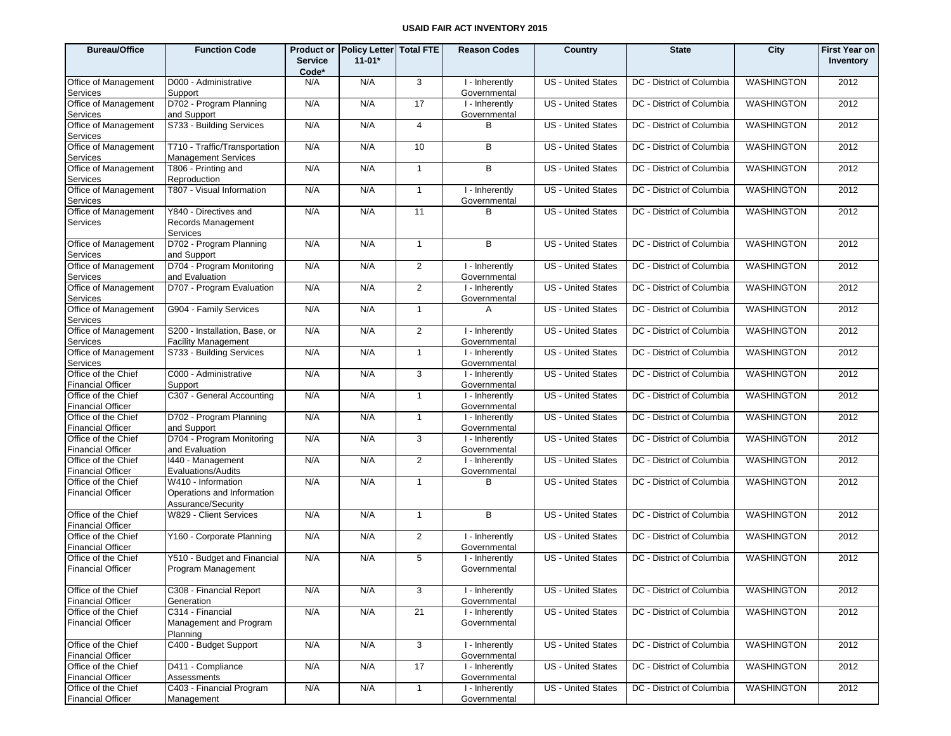| <b>Bureau/Office</b>                            | <b>Function Code</b>                                        |                         | Product or Policy Letter Total FTE |                | <b>Reason Codes</b>            | Country                   | <b>State</b>              | City              | <b>First Year on</b> |
|-------------------------------------------------|-------------------------------------------------------------|-------------------------|------------------------------------|----------------|--------------------------------|---------------------------|---------------------------|-------------------|----------------------|
|                                                 |                                                             | <b>Service</b><br>Code* | $11 - 01*$                         |                |                                |                           |                           |                   | Inventory            |
| Office of Management                            | D000 - Administrative                                       | N/A                     | N/A                                | 3              | I - Inherently                 | <b>US</b> - United States | DC - District of Columbia | <b>WASHINGTON</b> | 2012                 |
| Services                                        | Support                                                     |                         |                                    |                | Governmental                   |                           |                           |                   |                      |
| Office of Management<br>Services                | D702 - Program Planning<br>and Support                      | N/A                     | N/A                                | 17             | I - Inherently<br>Governmental | <b>US</b> - United States | DC - District of Columbia | <b>WASHINGTON</b> | 2012                 |
| Office of Management<br>Services                | S733 - Building Services                                    | N/A                     | N/A                                | $\overline{4}$ | B                              | <b>US</b> - United States | DC - District of Columbia | <b>WASHINGTON</b> | 2012                 |
| Office of Management<br>Services                | T710 - Traffic/Transportation<br><b>Management Services</b> | N/A                     | N/A                                | 10             | B                              | <b>US</b> - United States | DC - District of Columbia | <b>WASHINGTON</b> | 2012                 |
| Office of Management<br>Services                | T806 - Printing and<br>Reproduction                         | N/A                     | N/A                                | $\mathbf{1}$   | B                              | <b>US</b> - United States | DC - District of Columbia | <b>WASHINGTON</b> | 2012                 |
| Office of Management<br>Services                | T807 - Visual Information                                   | N/A                     | N/A                                | $\mathbf{1}$   | I - Inherently<br>Governmental | <b>US</b> - United States | DC - District of Columbia | <b>WASHINGTON</b> | 2012                 |
| Office of Management<br>Services                | Y840 - Directives and<br>Records Management<br>Services     | N/A                     | N/A                                | 11             | в                              | <b>US</b> - United States | DC - District of Columbia | <b>WASHINGTON</b> | 2012                 |
| Office of Management<br>Services                | D702 - Program Planning<br>and Support                      | N/A                     | N/A                                | $\mathbf{1}$   | B                              | <b>US</b> - United States | DC - District of Columbia | <b>WASHINGTON</b> | 2012                 |
| Office of Management<br>Services                | D704 - Program Monitoring<br>and Evaluation                 | N/A                     | N/A                                | 2              | I - Inherently<br>Governmental | <b>US</b> - United States | DC - District of Columbia | WASHINGTON        | 2012                 |
| Office of Management<br>Services                | D707 - Program Evaluation                                   | N/A                     | N/A                                | 2              | I - Inherently<br>Governmental | <b>US</b> - United States | DC - District of Columbia | WASHINGTON        | 2012                 |
| Office of Management<br>Services                | G904 - Family Services                                      | N/A                     | N/A                                | $\mathbf{1}$   | A                              | <b>US</b> - United States | DC - District of Columbia | <b>WASHINGTON</b> | 2012                 |
| Office of Management<br>Services                | S200 - Installation, Base, or<br><b>Facility Management</b> | N/A                     | N/A                                | 2              | I - Inherently<br>Governmental | <b>US</b> - United States | DC - District of Columbia | <b>WASHINGTON</b> | 2012                 |
| Office of Management<br>Services                | S733 - Building Services                                    | N/A                     | N/A                                | $\mathbf{1}$   | I - Inherently<br>Governmental | <b>US</b> - United States | DC - District of Columbia | <b>WASHINGTON</b> | 2012                 |
| Office of the Chief<br><b>Financial Officer</b> | C000 - Administrative<br>Support                            | N/A                     | N/A                                | 3              | I - Inherently<br>Governmental | <b>US</b> - United States | DC - District of Columbia | WASHINGTON        | 2012                 |
| Office of the Chief<br><b>Financial Officer</b> | C307 - General Accounting                                   | N/A                     | N/A                                | $\mathbf{1}$   | I - Inherently<br>Governmental | <b>US</b> - United States | DC - District of Columbia | <b>WASHINGTON</b> | 2012                 |
| Office of the Chief                             | D702 - Program Planning                                     | N/A                     | N/A                                | $\mathbf{1}$   | I - Inherently                 | <b>US</b> - United States | DC - District of Columbia | WASHINGTON        | 2012                 |
| <b>Financial Officer</b><br>Office of the Chief | and Support<br>D704 - Program Monitoring                    | N/A                     | N/A                                | 3              | Governmental<br>I - Inherently | <b>US</b> - United States | DC - District of Columbia | <b>WASHINGTON</b> | 2012                 |
| <b>Financial Officer</b><br>Office of the Chief | and Evaluation<br>1440 - Management                         | N/A                     | N/A                                | 2              | Governmental<br>I - Inherently | <b>US</b> - United States | DC - District of Columbia | <b>WASHINGTON</b> | 2012                 |
| <b>Financial Officer</b><br>Office of the Chief | Evaluations/Audits<br>W410 - Information                    | N/A                     | N/A                                | $\mathbf{1}$   | Governmental<br>B              | <b>US</b> - United States | DC - District of Columbia | <b>WASHINGTON</b> | 2012                 |
| <b>Financial Officer</b>                        | Operations and Information<br>Assurance/Security            |                         |                                    |                |                                |                           |                           |                   |                      |
| Office of the Chief<br><b>Financial Officer</b> | W829 - Client Services                                      | N/A                     | N/A                                | $\mathbf{1}$   | B                              | <b>US</b> - United States | DC - District of Columbia | <b>WASHINGTON</b> | 2012                 |
| Office of the Chief<br><b>Financial Officer</b> | Y160 - Corporate Planning                                   | N/A                     | N/A                                | 2              | I - Inherently<br>Governmental | <b>US</b> - United States | DC - District of Columbia | <b>WASHINGTON</b> | 2012                 |
| Office of the Chief                             | Y510 - Budget and Financial                                 | N/A                     | N/A                                | 5              | I - Inherently                 | <b>US</b> - United States | DC - District of Columbia | <b>WASHINGTON</b> | 2012                 |
| <b>Financial Officer</b>                        | Program Management                                          |                         |                                    |                | Governmental                   |                           |                           |                   |                      |
| Office of the Chief<br><b>Financial Officer</b> | C308 - Financial Report<br>Generation                       | N/A                     | N/A                                | 3              | I - Inherently<br>Governmental | US - United States        | DC - District of Columbia | WASHINGTON        | 2012                 |
| Office of the Chief<br><b>Financial Officer</b> | C314 - Financial<br>Management and Program<br>Planning      | N/A                     | N/A                                | 21             | I - Inherently<br>Governmental | <b>US</b> - United States | DC - District of Columbia | WASHINGTON        | 2012                 |
| Office of the Chief<br><b>Financial Officer</b> | C400 - Budget Support                                       | N/A                     | N/A                                | 3              | I - Inherently<br>Governmental | <b>US</b> - United States | DC - District of Columbia | <b>WASHINGTON</b> | 2012                 |
| Office of the Chief<br><b>Financial Officer</b> | D411 - Compliance<br>Assessments                            | N/A                     | N/A                                | 17             | I - Inherently<br>Governmental | US - United States        | DC - District of Columbia | <b>WASHINGTON</b> | 2012                 |
| Office of the Chief<br><b>Financial Officer</b> | C403 - Financial Program<br>Management                      | N/A                     | N/A                                | $\mathbf{1}$   | I - Inherently<br>Governmental | <b>US</b> - United States | DC - District of Columbia | WASHINGTON        | 2012                 |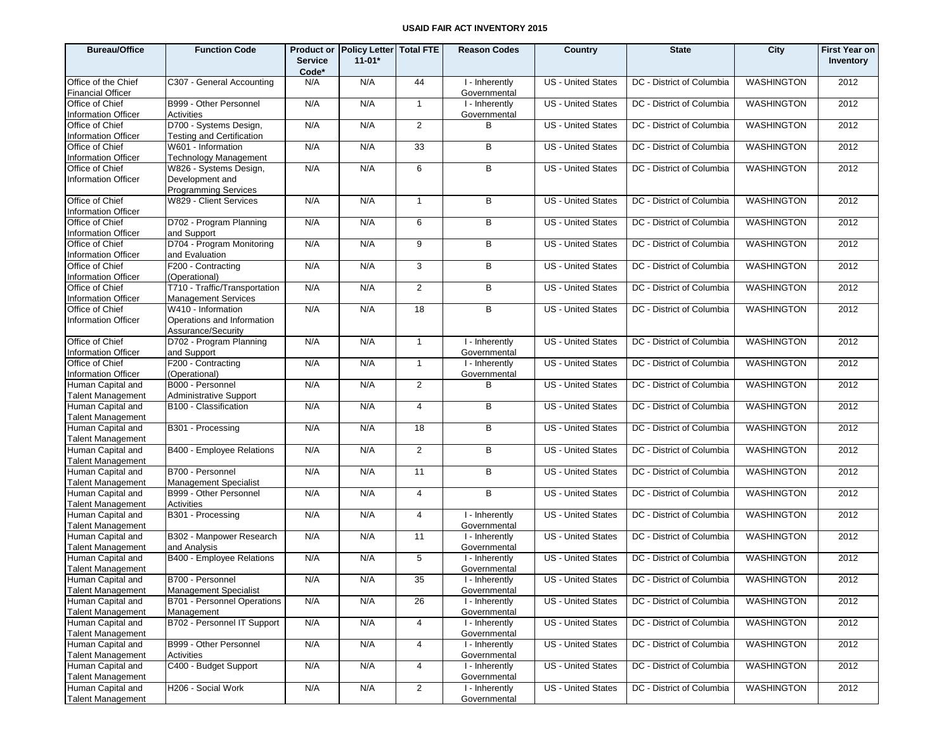| <b>Bureau/Office</b>                                                        | <b>Function Code</b>                                                   |                         | Product or Policy Letter Total FTE |                | <b>Reason Codes</b>                         | Country                   | <b>State</b>                                   | City              | <b>First Year on</b> |
|-----------------------------------------------------------------------------|------------------------------------------------------------------------|-------------------------|------------------------------------|----------------|---------------------------------------------|---------------------------|------------------------------------------------|-------------------|----------------------|
|                                                                             |                                                                        | <b>Service</b><br>Code* | $11 - 01*$                         |                |                                             |                           |                                                |                   | Inventory            |
| Office of the Chief<br><b>Financial Officer</b>                             | C307 - General Accounting                                              | N/A                     | N/A                                | 44             | I - Inherently<br>Governmental              | <b>US</b> - United States | DC - District of Columbia                      | <b>WASHINGTON</b> | 2012                 |
| Office of Chief<br><b>Information Officer</b>                               | B999 - Other Personnel<br>Activities                                   | N/A                     | N/A                                | $\mathbf{1}$   | I - Inherently<br>Governmental              | <b>US</b> - United States | DC - District of Columbia                      | <b>WASHINGTON</b> | 2012                 |
| Office of Chief<br><b>Information Officer</b>                               | D700 - Systems Design,<br><b>Testing and Certification</b>             | N/A                     | N/A                                | 2              | B                                           | <b>US</b> - United States | DC - District of Columbia                      | <b>WASHINGTON</b> | 2012                 |
| Office of Chief<br><b>Information Officer</b>                               | W601 - Information<br><b>Technology Management</b>                     | N/A                     | N/A                                | 33             | B                                           | <b>US - United States</b> | DC - District of Columbia                      | <b>WASHINGTON</b> | 2012                 |
| Office of Chief<br><b>Information Officer</b>                               | W826 - Systems Design,<br>Development and                              | N/A                     | N/A                                | 6              | B                                           | <b>US - United States</b> | DC - District of Columbia                      | <b>WASHINGTON</b> | 2012                 |
| Office of Chief<br><b>Information Officer</b>                               | <b>Programming Services</b><br>W829 - Client Services                  | N/A                     | N/A                                | $\overline{1}$ | В                                           | <b>US - United States</b> | DC - District of Columbia                      | WASHINGTON        | 2012                 |
| Office of Chief                                                             | D702 - Program Planning                                                | N/A                     | N/A                                | 6              | B                                           | <b>US</b> - United States | DC - District of Columbia                      | WASHINGTON        | 2012                 |
| <b>Information Officer</b><br>Office of Chief                               | and Support<br>D704 - Program Monitoring<br>and Evaluation             | N/A                     | N/A                                | 9              | В                                           | <b>US - United States</b> | DC - District of Columbia                      | <b>WASHINGTON</b> | 2012                 |
| <b>Information Officer</b><br>Office of Chief<br><b>Information Officer</b> | F200 - Contracting<br>(Operational)                                    | N/A                     | N/A                                | 3              | B                                           | <b>US</b> - United States | DC - District of Columbia                      | WASHINGTON        | 2012                 |
| Office of Chief<br><b>Information Officer</b>                               | T710 - Traffic/Transportation<br><b>Management Services</b>            | N/A                     | N/A                                | 2              | B                                           | <b>US - United States</b> | DC - District of Columbia                      | <b>WASHINGTON</b> | 2012                 |
| Office of Chief<br><b>Information Officer</b>                               | W410 - Information<br>Operations and Information<br>Assurance/Security | N/A                     | N/A                                | 18             | B                                           | <b>US</b> - United States | DC - District of Columbia                      | <b>WASHINGTON</b> | 2012                 |
| Office of Chief<br><b>Information Officer</b>                               | D702 - Program Planning<br>and Support                                 | N/A                     | N/A                                | $\overline{1}$ | I - Inherently<br>Governmental              | <b>US</b> - United States | DC - District of Columbia                      | <b>WASHINGTON</b> | 2012                 |
| Office of Chief<br>Information Officer                                      | F200 - Contracting<br>(Operational)                                    | N/A                     | N/A                                | $\mathbf{1}$   | I - Inherently<br>Governmental              | <b>US</b> - United States | DC - District of Columbia                      | <b>WASHINGTON</b> | 2012                 |
| Human Capital and<br><b>Talent Management</b>                               | B000 - Personnel<br><b>Administrative Support</b>                      | N/A                     | N/A                                | 2              | В                                           | <b>US - United States</b> | DC - District of Columbia                      | <b>WASHINGTON</b> | 2012                 |
| Human Capital and<br><b>Talent Management</b>                               | B100 - Classification                                                  | N/A                     | N/A                                | $\overline{4}$ | B                                           | <b>US - United States</b> | DC - District of Columbia                      | <b>WASHINGTON</b> | 2012                 |
| Human Capital and<br><b>Talent Management</b>                               | B301 - Processing                                                      | N/A                     | N/A                                | 18             | B                                           | <b>US - United States</b> | DC - District of Columbia                      | <b>WASHINGTON</b> | 2012                 |
| Human Capital and<br><b>Talent Management</b>                               | B400 - Employee Relations                                              | N/A                     | N/A                                | 2              | B                                           | <b>US - United States</b> | DC - District of Columbia                      | <b>WASHINGTON</b> | 2012                 |
| Human Capital and<br><b>Talent Management</b>                               | B700 - Personnel<br><b>Management Specialist</b>                       | N/A                     | N/A                                | 11             | B                                           | <b>US - United States</b> | DC - District of Columbia                      | <b>WASHINGTON</b> | 2012                 |
| Human Capital and<br><b>Talent Management</b>                               | B999 - Other Personnel<br>Activities                                   | N/A                     | N/A                                | $\overline{4}$ | B                                           | <b>US - United States</b> | DC - District of Columbia                      | <b>WASHINGTON</b> | 2012                 |
| Human Capital and<br><b>Talent Management</b>                               | B301 - Processing                                                      | N/A                     | N/A                                | 4              | $\overline{1}$ - Inherently<br>Governmental | <b>US</b> - United States | DC - District of Columbia                      | <b>WASHINGTON</b> | 2012                 |
| Human Capital and<br><b>Talent Management</b>                               | B302 - Manpower Research<br>and Analysis                               | N/A                     | N/A                                | 11             | I - Inherently<br>Governmental              | <b>US</b> - United States | DC - District of Columbia                      | <b>WASHINGTON</b> | 2012                 |
| Human Capital and<br><b>Talent Management</b>                               | B400 - Employee Relations                                              | N/A                     | N/A                                | 5              | I - Inherently<br>Governmental              | <b>US - United States</b> | DC - District of Columbia                      | <b>WASHINGTON</b> | 2012                 |
| Human Capital and<br><b>Talent Management</b>                               | B700 - Personnel<br><b>Management Specialist</b>                       | N/A                     | N/A                                | 35             | I - Inherently<br>Governmental              |                           | US - United States   DC - District of Columbia | <b>WASHINGTON</b> | 2012                 |
| Human Capital and<br><b>Talent Management</b>                               | B701 - Personnel Operations<br>Management                              | N/A                     | N/A                                | 26             | I - Inherently<br>Governmental              | <b>US</b> - United States | DC - District of Columbia                      | <b>WASHINGTON</b> | 2012                 |
| Human Capital and<br><b>Talent Management</b>                               | B702 - Personnel IT Support                                            | N/A                     | N/A                                | $\overline{4}$ | I - Inherently<br>Governmental              | <b>US</b> - United States | DC - District of Columbia                      | <b>WASHINGTON</b> | 2012                 |
| Human Capital and<br><b>Talent Management</b>                               | B999 - Other Personnel<br>Activities                                   | N/A                     | N/A                                | $\overline{4}$ | I - Inherently<br>Governmental              | <b>US</b> - United States | DC - District of Columbia                      | <b>WASHINGTON</b> | 2012                 |
| Human Capital and<br><b>Talent Management</b>                               | C400 - Budget Support                                                  | N/A                     | N/A                                | $\overline{4}$ | I - Inherently<br>Governmental              | US - United States        | DC - District of Columbia                      | <b>WASHINGTON</b> | 2012                 |
| Human Capital and<br><b>Talent Management</b>                               | H206 - Social Work                                                     | N/A                     | N/A                                | $\overline{2}$ | I - Inherently<br>Governmental              | US - United States        | DC - District of Columbia                      | <b>WASHINGTON</b> | 2012                 |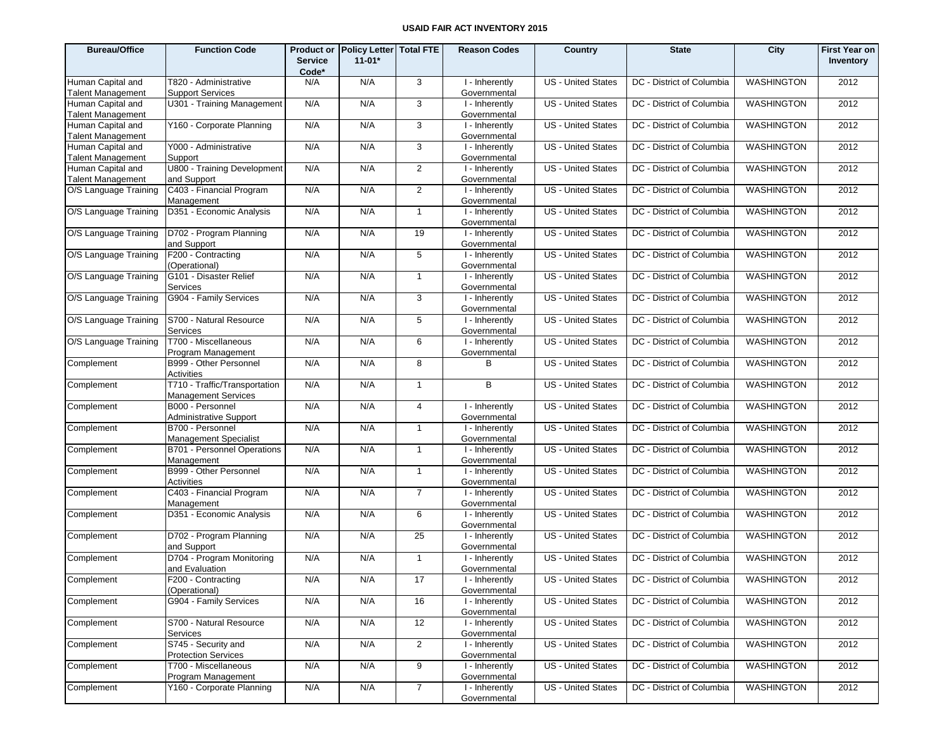| <b>Bureau/Office</b>                          | <b>Function Code</b>                                        | <b>Service</b><br>Code* | Product or Policy Letter   Total FTE<br>$11 - 01*$ |                | <b>Reason Codes</b>            | Country                   | <b>State</b>              | City              | <b>First Year on</b><br>Inventory |
|-----------------------------------------------|-------------------------------------------------------------|-------------------------|----------------------------------------------------|----------------|--------------------------------|---------------------------|---------------------------|-------------------|-----------------------------------|
| Human Capital and<br><b>Talent Management</b> | T820 - Administrative<br><b>Support Services</b>            | N/A                     | N/A                                                | 3              | I - Inherently<br>Governmental | <b>US</b> - United States | DC - District of Columbia | <b>WASHINGTON</b> | 2012                              |
| Human Capital and<br><b>Talent Management</b> | U301 - Training Management                                  | N/A                     | N/A                                                | 3              | I - Inherently<br>Governmental | US - United States        | DC - District of Columbia | <b>WASHINGTON</b> | 2012                              |
| Human Capital and<br><b>Talent Management</b> | Y160 - Corporate Planning                                   | N/A                     | N/A                                                | 3              | I - Inherently<br>Governmental | US - United States        | DC - District of Columbia | <b>WASHINGTON</b> | 2012                              |
| Human Capital and<br><b>Talent Management</b> | Y000 - Administrative<br>Support                            | N/A                     | N/A                                                | 3              | I - Inherently<br>Governmental | US - United States        | DC - District of Columbia | <b>WASHINGTON</b> | 2012                              |
| Human Capital and<br><b>Talent Management</b> | U800 - Training Development<br>and Support                  | N/A                     | N/A                                                | $\overline{2}$ | I - Inherently<br>Governmental | US - United States        | DC - District of Columbia | <b>WASHINGTON</b> | 2012                              |
| O/S Language Training                         | C403 - Financial Program<br>Management                      | N/A                     | N/A                                                | $\overline{2}$ | I - Inherently<br>Governmental | US - United States        | DC - District of Columbia | <b>WASHINGTON</b> | 2012                              |
| O/S Language Training                         | D351 - Economic Analysis                                    | N/A                     | N/A                                                | $\mathbf{1}$   | I - Inherently<br>Governmental | US - United States        | DC - District of Columbia | <b>WASHINGTON</b> | 2012                              |
| O/S Language Training                         | D702 - Program Planning<br>and Support                      | N/A                     | N/A                                                | 19             | I - Inherently<br>Governmental | US - United States        | DC - District of Columbia | <b>WASHINGTON</b> | 2012                              |
| O/S Language Training                         | F200 - Contracting<br>(Operational)                         | N/A                     | N/A                                                | 5              | I - Inherently<br>Governmental | US - United States        | DC - District of Columbia | <b>WASHINGTON</b> | 2012                              |
| O/S Language Training                         | G101 - Disaster Relief<br>Services                          | N/A                     | N/A                                                | $\mathbf{1}$   | I - Inherently<br>Governmental | US - United States        | DC - District of Columbia | <b>WASHINGTON</b> | 2012                              |
| O/S Language Training                         | G904 - Family Services                                      | N/A                     | N/A                                                | 3              | I - Inherently<br>Governmental | US - United States        | DC - District of Columbia | <b>WASHINGTON</b> | 2012                              |
| O/S Language Training                         | S700 - Natural Resource<br>Services                         | N/A                     | N/A                                                | 5              | I - Inherently<br>Governmental | US - United States        | DC - District of Columbia | <b>WASHINGTON</b> | 2012                              |
| O/S Language Training                         | T700 - Miscellaneous<br>Program Management                  | N/A                     | N/A                                                | 6              | I - Inherently<br>Governmental | <b>US</b> - United States | DC - District of Columbia | <b>WASHINGTON</b> | 2012                              |
| Complement                                    | B999 - Other Personnel<br>Activities                        | N/A                     | N/A                                                | 8              | в                              | US - United States        | DC - District of Columbia | <b>WASHINGTON</b> | 2012                              |
| Complement                                    | T710 - Traffic/Transportation<br><b>Management Services</b> | N/A                     | N/A                                                | $\mathbf{1}$   | B                              | US - United States        | DC - District of Columbia | <b>WASHINGTON</b> | 2012                              |
| Complement                                    | B000 - Personnel<br>Administrative Support                  | N/A                     | N/A                                                | $\overline{4}$ | I - Inherently<br>Governmental | US - United States        | DC - District of Columbia | <b>WASHINGTON</b> | 2012                              |
| Complement                                    | B700 - Personnel<br>Management Specialist                   | N/A                     | N/A                                                | $\mathbf{1}$   | I - Inherently<br>Governmental | <b>US</b> - United States | DC - District of Columbia | <b>WASHINGTON</b> | 2012                              |
| Complement                                    | B701 - Personnel Operations<br>Management                   | N/A                     | N/A                                                | $\mathbf{1}$   | I - Inherently<br>Governmental | US - United States        | DC - District of Columbia | <b>WASHINGTON</b> | 2012                              |
| Complement                                    | B999 - Other Personnel<br>Activities                        | N/A                     | N/A                                                | $\mathbf{1}$   | I - Inherently<br>Governmental | US - United States        | DC - District of Columbia | <b>WASHINGTON</b> | 2012                              |
| Complement                                    | C403 - Financial Program<br>Management                      | N/A                     | N/A                                                | $\overline{7}$ | I - Inherently<br>Governmental | US - United States        | DC - District of Columbia | <b>WASHINGTON</b> | 2012                              |
| Complement                                    | D351 - Economic Analysis                                    | N/A                     | N/A                                                | 6              | I - Inherently<br>Governmental | US - United States        | DC - District of Columbia | <b>WASHINGTON</b> | 2012                              |
| Complement                                    | D702 - Program Planning<br>and Support                      | N/A                     | N/A                                                | 25             | I - Inherently<br>Governmental | US - United States        | DC - District of Columbia | <b>WASHINGTON</b> | 2012                              |
| Complement                                    | D704 - Program Monitoring<br>and Evaluation                 | N/A                     | N/A                                                | $\mathbf{1}$   | I - Inherently<br>Governmental | US - United States        | DC - District of Columbia | <b>WASHINGTON</b> | 2012                              |
| Complement                                    | F200 - Contracting<br>(Operational)                         | N/A                     | N/A                                                | 17             | I - Inherently<br>Governmental | US - United States        | DC - District of Columbia | <b>WASHINGTON</b> | 2012                              |
| Complement                                    | G904 - Family Services                                      | N/A                     | N/A                                                | 16             | I - Inherently<br>Governmental | US - United States        | DC - District of Columbia | <b>WASHINGTON</b> | 2012                              |
| Complement                                    | S700 - Natural Resource<br>Services                         | N/A                     | N/A                                                | 12             | I - Inherently<br>Governmental | US - United States        | DC - District of Columbia | WASHINGTON        | 2012                              |
| Complement                                    | S745 - Security and<br><b>Protection Services</b>           | N/A                     | N/A                                                | $\overline{2}$ | I - Inherently<br>Governmental | <b>US</b> - United States | DC - District of Columbia | <b>WASHINGTON</b> | 2012                              |
| Complement                                    | T700 - Miscellaneous<br>Program Management                  | N/A                     | N/A                                                | 9              | I - Inherently<br>Governmental | US - United States        | DC - District of Columbia | <b>WASHINGTON</b> | 2012                              |
| Complement                                    | Y160 - Corporate Planning                                   | N/A                     | N/A                                                | $\overline{7}$ | I - Inherently<br>Governmental | US - United States        | DC - District of Columbia | <b>WASHINGTON</b> | 2012                              |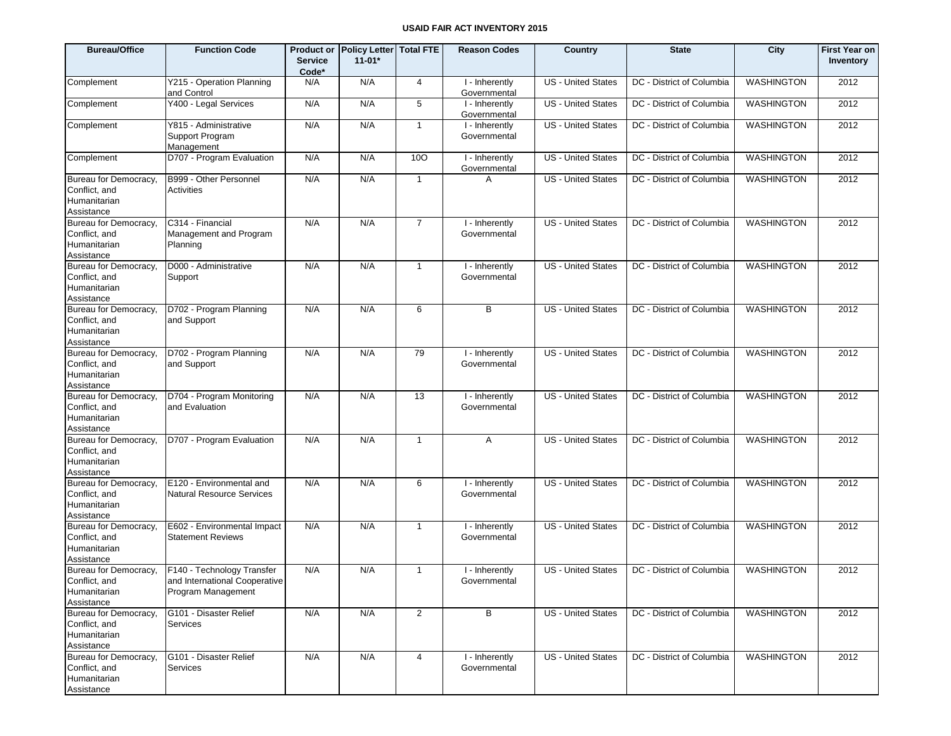| <b>Bureau/Office</b>                                                 | <b>Function Code</b>                                                              | <b>Service</b><br>Code* | Product or Policy Letter Total FTE<br>$11 - 01*$ |                | <b>Reason Codes</b>            | Country                   | <b>State</b>              | City              | <b>First Year on</b><br>Inventory |
|----------------------------------------------------------------------|-----------------------------------------------------------------------------------|-------------------------|--------------------------------------------------|----------------|--------------------------------|---------------------------|---------------------------|-------------------|-----------------------------------|
| Complement                                                           | Y215 - Operation Planning<br>and Control                                          | N/A                     | N/A                                              | $\overline{4}$ | I - Inherently<br>Governmental | <b>US</b> - United States | DC - District of Columbia | <b>WASHINGTON</b> | 2012                              |
| Complement                                                           | Y400 - Legal Services                                                             | N/A                     | N/A                                              | 5              | I - Inherently<br>Governmental | <b>US</b> - United States | DC - District of Columbia | <b>WASHINGTON</b> | 2012                              |
| Complement                                                           | Y815 - Administrative<br>Support Program<br>Management                            | N/A                     | N/A                                              | $\mathbf{1}$   | I - Inherently<br>Governmental | <b>US</b> - United States | DC - District of Columbia | <b>WASHINGTON</b> | 2012                              |
| Complement                                                           | D707 - Program Evaluation                                                         | N/A                     | N/A                                              | 100            | I - Inherently<br>Governmental | <b>US</b> - United States | DC - District of Columbia | <b>WASHINGTON</b> | 2012                              |
| Bureau for Democracy,<br>Conflict, and<br>Humanitarian<br>Assistance | B999 - Other Personnel<br>Activities                                              | N/A                     | N/A                                              | $\mathbf{1}$   | A                              | <b>US</b> - United States | DC - District of Columbia | <b>WASHINGTON</b> | 2012                              |
| Bureau for Democracy,<br>Conflict, and<br>Humanitarian<br>Assistance | C314 - Financial<br>Management and Program<br>Planning                            | N/A                     | N/A                                              | $\overline{7}$ | I - Inherently<br>Governmental | <b>US</b> - United States | DC - District of Columbia | <b>WASHINGTON</b> | 2012                              |
| Bureau for Democracy,<br>Conflict, and<br>Humanitarian<br>Assistance | D000 - Administrative<br>Support                                                  | N/A                     | N/A                                              | $\overline{1}$ | I - Inherently<br>Governmental | <b>US</b> - United States | DC - District of Columbia | <b>WASHINGTON</b> | 2012                              |
| Bureau for Democracy,<br>Conflict, and<br>Humanitarian<br>Assistance | D702 - Program Planning<br>and Support                                            | N/A                     | N/A                                              | 6              | B                              | <b>US</b> - United States | DC - District of Columbia | <b>WASHINGTON</b> | 2012                              |
| Bureau for Democracy,<br>Conflict, and<br>Humanitarian<br>Assistance | D702 - Program Planning<br>and Support                                            | N/A                     | N/A                                              | 79             | I - Inherently<br>Governmental | <b>US</b> - United States | DC - District of Columbia | WASHINGTON        | 2012                              |
| Bureau for Democracy,<br>Conflict, and<br>Humanitarian<br>Assistance | D704 - Program Monitoring<br>and Evaluation                                       | N/A                     | N/A                                              | 13             | I - Inherently<br>Governmental | <b>US</b> - United States | DC - District of Columbia | <b>WASHINGTON</b> | 2012                              |
| Bureau for Democracy,<br>Conflict, and<br>Humanitarian<br>Assistance | D707 - Program Evaluation                                                         | N/A                     | N/A                                              | $\mathbf{1}$   | A                              | US - United States        | DC - District of Columbia | <b>WASHINGTON</b> | 2012                              |
| Bureau for Democracy,<br>Conflict, and<br>Humanitarian<br>Assistance | E120 - Environmental and<br><b>Natural Resource Services</b>                      | N/A                     | N/A                                              | 6              | I - Inherently<br>Governmental | <b>US</b> - United States | DC - District of Columbia | <b>WASHINGTON</b> | 2012                              |
| Bureau for Democracy,<br>Conflict, and<br>Humanitarian<br>Assistance | E602 - Environmental Impact<br><b>Statement Reviews</b>                           | N/A                     | N/A                                              | $\mathbf{1}$   | I - Inherently<br>Governmental | <b>US</b> - United States | DC - District of Columbia | <b>WASHINGTON</b> | 2012                              |
| Bureau for Democracy,<br>Conflict, and<br>Humanitarian<br>Assistance | F140 - Technology Transfer<br>and International Cooperative<br>Program Management | N/A                     | N/A                                              | $\mathbf{1}$   | I - Inherently<br>Governmental | <b>US</b> - United States | DC - District of Columbia | <b>WASHINGTON</b> | 2012                              |
| Bureau for Democracy,<br>Conflict, and<br>Humanitarian<br>Assistance | G101 - Disaster Relief<br><b>Services</b>                                         | N/A                     | N/A                                              | $\overline{2}$ | B                              | <b>US</b> - United States | DC - District of Columbia | WASHINGTON        | 2012                              |
| Bureau for Democracy,<br>Conflict, and<br>Humanitarian<br>Assistance | G101 - Disaster Relief<br><b>Services</b>                                         | N/A                     | N/A                                              | 4              | I - Inherently<br>Governmental | <b>US</b> - United States | DC - District of Columbia | <b>WASHINGTON</b> | 2012                              |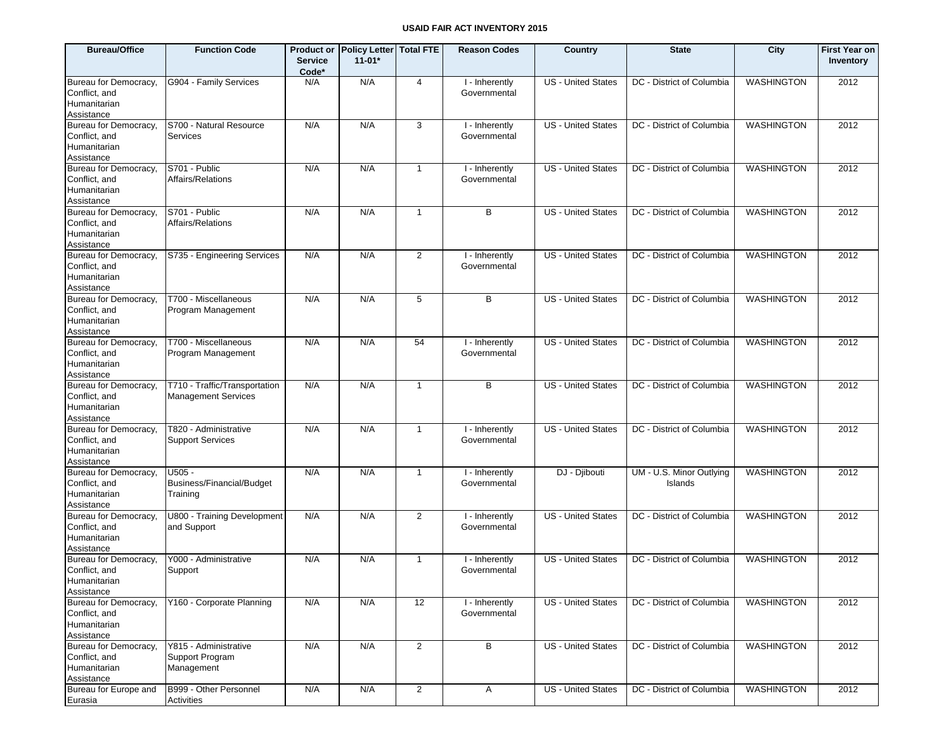| <b>Bureau/Office</b>                                                 | <b>Function Code</b>                                        | <b>Service</b><br>Code* | Product or   Policy Letter  Total FTE<br>$11-01*$ |                | <b>Reason Codes</b>            | Country                   | <b>State</b>                        | City              | <b>First Year on</b><br>Inventory |
|----------------------------------------------------------------------|-------------------------------------------------------------|-------------------------|---------------------------------------------------|----------------|--------------------------------|---------------------------|-------------------------------------|-------------------|-----------------------------------|
| Bureau for Democracy,<br>Conflict, and<br>Humanitarian<br>Assistance | G904 - Family Services                                      | N/A                     | N/A                                               | 4              | I - Inherently<br>Governmental | US - United States        | DC - District of Columbia           | <b>WASHINGTON</b> | 2012                              |
| Bureau for Democracy,<br>Conflict, and<br>Humanitarian<br>Assistance | S700 - Natural Resource<br>Services                         | N/A                     | N/A                                               | 3              | I - Inherently<br>Governmental | US - United States        | DC - District of Columbia           | <b>WASHINGTON</b> | 2012                              |
| Bureau for Democracy,<br>Conflict, and<br>Humanitarian<br>Assistance | S701 - Public<br>Affairs/Relations                          | N/A                     | N/A                                               | $\mathbf{1}$   | I - Inherently<br>Governmental | US - United States        | DC - District of Columbia           | <b>WASHINGTON</b> | 2012                              |
| Bureau for Democracy,<br>Conflict, and<br>Humanitarian<br>Assistance | S701 - Public<br>Affairs/Relations                          | N/A                     | N/A                                               | $\mathbf{1}$   | B                              | <b>US</b> - United States | DC - District of Columbia           | <b>WASHINGTON</b> | 2012                              |
| Bureau for Democracy,<br>Conflict, and<br>Humanitarian<br>Assistance | S735 - Engineering Services                                 | N/A                     | N/A                                               | $\overline{2}$ | I - Inherently<br>Governmental | <b>US</b> - United States | DC - District of Columbia           | <b>WASHINGTON</b> | 2012                              |
| Bureau for Democracy,<br>Conflict, and<br>Humanitarian<br>Assistance | T700 - Miscellaneous<br>Program Management                  | N/A                     | N/A                                               | 5              | B                              | <b>US</b> - United States | DC - District of Columbia           | <b>WASHINGTON</b> | 2012                              |
| Bureau for Democracy,<br>Conflict, and<br>Humanitarian<br>Assistance | T700 - Miscellaneous<br>Program Management                  | N/A                     | N/A                                               | 54             | I - Inherently<br>Governmental | <b>US</b> - United States | DC - District of Columbia           | <b>WASHINGTON</b> | 2012                              |
| Bureau for Democracy,<br>Conflict, and<br>Humanitarian<br>Assistance | T710 - Traffic/Transportation<br><b>Management Services</b> | N/A                     | N/A                                               | $\mathbf{1}$   | B                              | <b>US</b> - United States | DC - District of Columbia           | <b>WASHINGTON</b> | 2012                              |
| Bureau for Democracy,<br>Conflict, and<br>Humanitarian<br>Assistance | T820 - Administrative<br><b>Support Services</b>            | N/A                     | N/A                                               | $\mathbf{1}$   | I - Inherently<br>Governmental | <b>US</b> - United States | DC - District of Columbia           | <b>WASHINGTON</b> | 2012                              |
| Bureau for Democracy,<br>Conflict, and<br>Humanitarian<br>Assistance | $U505 -$<br>Business/Financial/Budget<br>Training           | N/A                     | N/A                                               | $\mathbf{1}$   | I - Inherently<br>Governmental | DJ - Djibouti             | UM - U.S. Minor Outlying<br>Islands | <b>WASHINGTON</b> | 2012                              |
| Bureau for Democracy,<br>Conflict, and<br>Humanitarian<br>Assistance | U800 - Training Development<br>and Support                  | N/A                     | N/A                                               | $\overline{2}$ | I - Inherently<br>Governmental | <b>US</b> - United States | DC - District of Columbia           | <b>WASHINGTON</b> | 2012                              |
| Bureau for Democracy,<br>Conflict, and<br>Humanitarian<br>Assistance | Y000 - Administrative<br>Support                            | N/A                     | N/A                                               | $\overline{1}$ | I - Inherently<br>Governmental | <b>US</b> - United States | DC - District of Columbia           | <b>WASHINGTON</b> | 2012                              |
| Bureau for Democracy,<br>Conflict, and<br>Humanitarian<br>Assistance | Y160 - Corporate Planning                                   | N/A                     | N/A                                               | 12             | I - Inherently<br>Governmental | <b>US - United States</b> | DC - District of Columbia           | <b>WASHINGTON</b> | 2012                              |
| Bureau for Democracy,<br>Conflict, and<br>Humanitarian<br>Assistance | Y815 - Administrative<br>Support Program<br>Management      | N/A                     | N/A                                               | $\overline{2}$ | В                              | <b>US - United States</b> | DC - District of Columbia           | <b>WASHINGTON</b> | 2012                              |
| Bureau for Europe and<br>Eurasia                                     | B999 - Other Personnel<br>Activities                        | N/A                     | N/A                                               | $\overline{2}$ | A                              | <b>US - United States</b> | DC - District of Columbia           | <b>WASHINGTON</b> | 2012                              |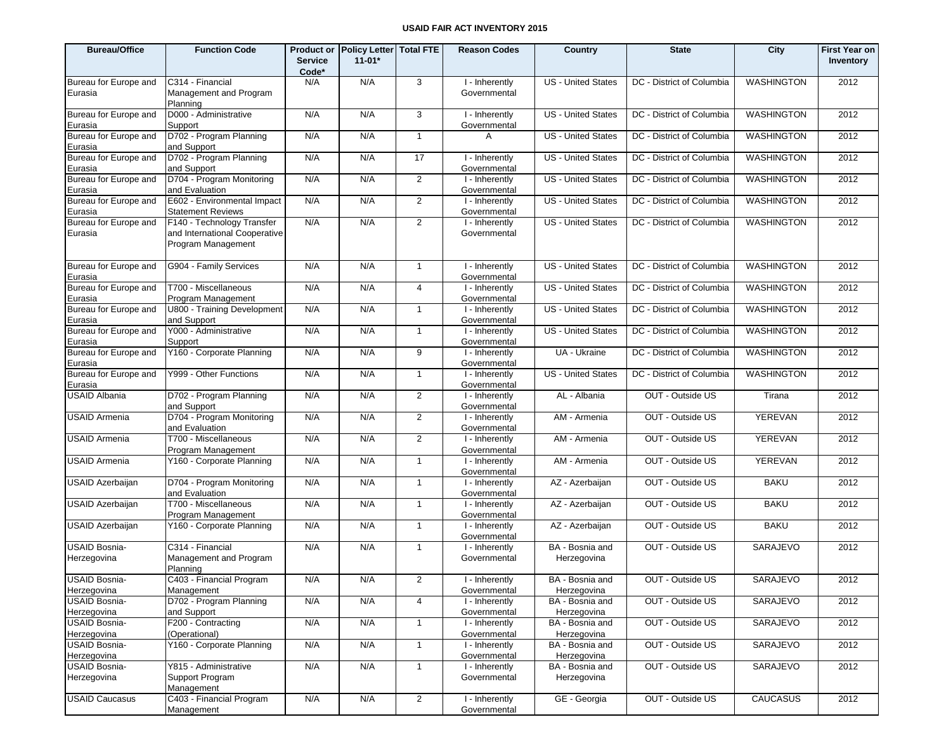| <b>Bureau/Office</b>                               | <b>Function Code</b>                                                              | <b>Service</b><br>Code* | Product or   Policy Letter  Total FTE<br>$11 - 01*$ |                | <b>Reason Codes</b>                            | Country                                       | <b>State</b>              | City              | <b>First Year on</b><br>Inventory |
|----------------------------------------------------|-----------------------------------------------------------------------------------|-------------------------|-----------------------------------------------------|----------------|------------------------------------------------|-----------------------------------------------|---------------------------|-------------------|-----------------------------------|
| Bureau for Europe and<br>Eurasia                   | C314 - Financial<br>Management and Program<br>Planning                            | N/A                     | N/A                                                 | 3              | $\overline{I}$ -Inherently<br>Governmental     | <b>US</b> - United States                     | DC - District of Columbia | <b>WASHINGTON</b> | 2012                              |
| Bureau for Europe and<br>Eurasia                   | D000 - Administrative<br>Support                                                  | N/A                     | N/A                                                 | 3              | I - Inherently<br>Governmental                 | <b>US</b> - United States                     | DC - District of Columbia | <b>WASHINGTON</b> | 2012                              |
| Bureau for Europe and<br>Eurasia                   | D702 - Program Planning<br>and Support                                            | N/A                     | N/A                                                 | $\mathbf{1}$   | A                                              | US - United States                            | DC - District of Columbia | <b>WASHINGTON</b> | 2012                              |
| Bureau for Europe and<br>Eurasia                   | D702 - Program Planning<br>and Support                                            | N/A                     | N/A                                                 | 17             | I - Inherently<br>Governmental                 | <b>US - United States</b>                     | DC - District of Columbia | <b>WASHINGTON</b> | 2012                              |
| Bureau for Europe and<br>Eurasia                   | D704 - Program Monitoring<br>and Evaluation                                       | N/A                     | N/A                                                 | 2              | I - Inherently<br>Governmental                 | US - United States                            | DC - District of Columbia | <b>WASHINGTON</b> | 2012                              |
| Bureau for Europe and<br>Eurasia                   | E602 - Environmental Impact<br><b>Statement Reviews</b>                           | N/A                     | N/A                                                 | 2              | I - Inherently<br>Governmental                 | US - United States                            | DC - District of Columbia | <b>WASHINGTON</b> | 2012                              |
| Bureau for Europe and<br>Eurasia                   | F140 - Technology Transfer<br>and International Cooperative<br>Program Management | N/A                     | N/A                                                 | 2              | I - Inherently<br>Governmental                 | <b>US - United States</b>                     | DC - District of Columbia | <b>WASHINGTON</b> | 2012                              |
| Bureau for Europe and<br>Eurasia                   | G904 - Family Services                                                            | N/A                     | N/A                                                 | $\mathbf{1}$   | I - Inherently<br>Governmental                 | <b>US</b> - United States                     | DC - District of Columbia | <b>WASHINGTON</b> | 2012                              |
| Bureau for Europe and<br>Eurasia                   | T700 - Miscellaneous<br>Program Management                                        | N/A                     | N/A                                                 | $\overline{4}$ | I - Inherently<br>Governmental                 | US - United States                            | DC - District of Columbia | <b>WASHINGTON</b> | 2012                              |
| Bureau for Europe and<br>Eurasia                   | U800 - Training Development<br>and Support                                        | N/A                     | N/A                                                 | $\mathbf{1}$   | I - Inherently<br>Governmental                 | US - United States                            | DC - District of Columbia | <b>WASHINGTON</b> | 2012                              |
| Bureau for Europe and<br>Eurasia                   | Y000 - Administrative<br>Support                                                  | N/A                     | N/A                                                 | $\mathbf{1}$   | I - Inherently<br>Governmental                 | US - United States                            | DC - District of Columbia | <b>WASHINGTON</b> | 2012                              |
| Bureau for Europe and<br>Eurasia                   | Y160 - Corporate Planning                                                         | N/A                     | N/A                                                 | 9              | I - Inherently<br>Governmental                 | UA - Ukraine                                  | DC - District of Columbia | <b>WASHINGTON</b> | 2012                              |
| Bureau for Europe and<br>Eurasia                   | Y999 - Other Functions                                                            | N/A                     | N/A                                                 | $\mathbf{1}$   | I - Inherently<br>Governmental                 | <b>US - United States</b>                     | DC - District of Columbia | <b>WASHINGTON</b> | 2012                              |
| <b>USAID Albania</b>                               | D702 - Program Planning<br>and Support                                            | N/A                     | N/A                                                 | 2              | I - Inherently<br>Governmental                 | AL - Albania                                  | OUT - Outside US          | Tirana            | 2012                              |
| <b>USAID Armenia</b>                               | D704 - Program Monitoring<br>and Evaluation                                       | N/A                     | N/A                                                 | 2              | I - Inherently<br>Governmental                 | AM - Armenia                                  | OUT - Outside US          | <b>YEREVAN</b>    | 2012                              |
| <b>USAID Armenia</b>                               | T700 - Miscellaneous<br>Program Management                                        | N/A                     | N/A                                                 | 2              | I - Inherently<br>Governmental                 | AM - Armenia                                  | OUT - Outside US          | <b>YEREVAN</b>    | 2012                              |
| <b>USAID Armenia</b>                               | Y160 - Corporate Planning                                                         | N/A                     | N/A                                                 | $\mathbf{1}$   | I - Inherently<br>Governmental                 | AM - Armenia                                  | OUT - Outside US          | <b>YEREVAN</b>    | 2012                              |
| <b>USAID Azerbaijan</b>                            | D704 - Program Monitoring<br>and Evaluation                                       | N/A                     | N/A                                                 | $\mathbf{1}$   | I - Inherently<br>Governmental                 | AZ - Azerbaijan                               | OUT - Outside US          | <b>BAKU</b>       | 2012                              |
| <b>USAID Azerbaijan</b>                            | T700 - Miscellaneous<br>Program Management                                        | N/A                     | N/A                                                 | $\mathbf{1}$   | I - Inherently<br>Governmental                 | AZ - Azerbaijan                               | OUT - Outside US          | <b>BAKU</b>       | 2012                              |
| <b>USAID Azerbaijan</b>                            | Y160 - Corporate Planning                                                         | N/A                     | N/A                                                 | $\mathbf{1}$   | I - Inherently<br>Governmental                 | AZ - Azerbaijan                               | OUT - Outside US          | <b>BAKU</b>       | 2012                              |
| USAID Bosnia-<br>Herzegovina                       | C314 - Financial<br>Management and Program<br>Planning                            | N/A                     | N/A                                                 | $\mathbf{1}$   | I - Inherently<br>Governmental                 | BA - Bosnia and<br>Herzegovina                | OUT - Outside US          | <b>SARAJEVO</b>   | 2012                              |
| USAID Bosnia-<br>Herzegovina                       | C403 - Financial Program<br>Management                                            | N/A                     | N/A                                                 | $\overline{2}$ | I - Inherently<br>Governmental                 | BA - Bosnia and<br>Herzegovina                | OUT - Outside US          | SARAJEVO          | 2012                              |
| <b>USAID Bosnia-</b><br>Herzegovina                | D702 - Program Planning<br>and Support                                            | N/A                     | N/A                                                 | $\overline{4}$ | I - Inherently<br>Governmental                 | BA - Bosnia and<br>Herzegovina                | OUT - Outside US          | SARAJEVO          | 2012                              |
| <b>USAID Bosnia-</b><br>Herzegovina                | F200 - Contracting<br>(Operational)                                               | N/A                     | N/A                                                 | $\mathbf{1}$   | I - Inherently<br>Governmental                 | BA - Bosnia and                               | OUT - Outside US          | SARAJEVO          | 2012                              |
| <b>USAID Bosnia-</b>                               | Y160 - Corporate Planning                                                         | N/A                     | N/A                                                 | $\mathbf{1}$   | I - Inherently                                 | Herzegovina<br>BA - Bosnia and                | OUT - Outside US          | SARAJEVO          | 2012                              |
| Herzegovina<br><b>USAID Bosnia-</b><br>Herzegovina | Y815 - Administrative<br>Support Program                                          | N/A                     | N/A                                                 | $\mathbf{1}$   | Governmental<br>I - Inherently<br>Governmental | Herzegovina<br>BA - Bosnia and<br>Herzegovina | OUT - Outside US          | SARAJEVO          | 2012                              |
| <b>USAID Caucasus</b>                              | Management<br>C403 - Financial Program<br>Management                              | N/A                     | N/A                                                 | $\overline{2}$ | I - Inherently<br>Governmental                 | GE - Georgia                                  | OUT - Outside US          | <b>CAUCASUS</b>   | 2012                              |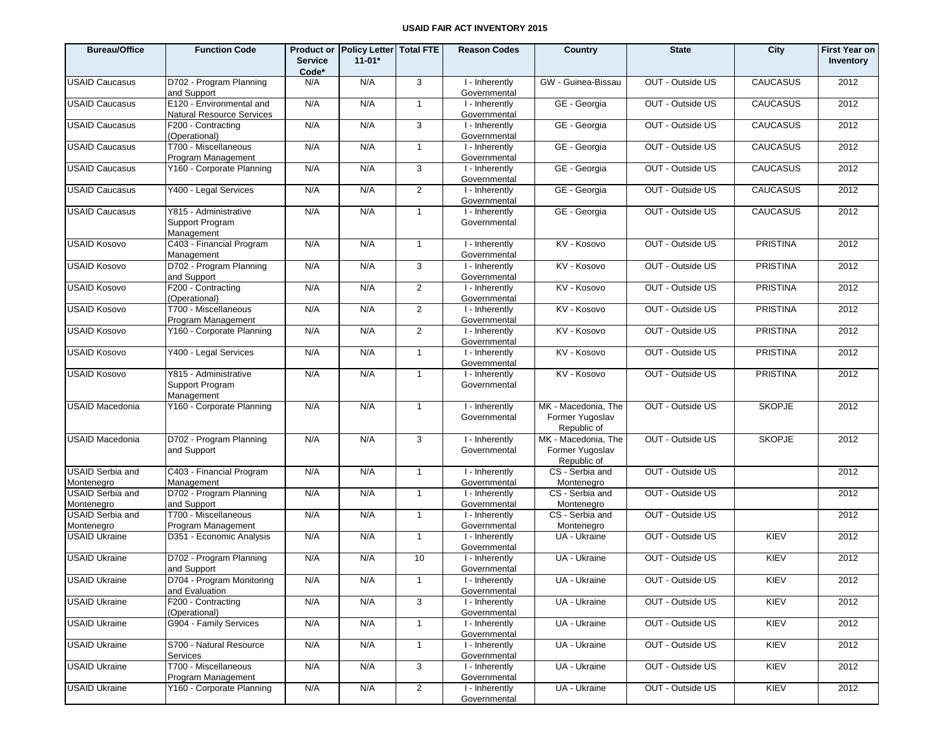| <b>Bureau/Office</b>                  | <b>Function Code</b>                                   | <b>Service</b><br>Code* | Product or Policy Letter Total FTE<br>$11-01*$ |                     | <b>Reason Codes</b>            | Country                                               | <b>State</b>     | City            | <b>First Year on</b><br>Inventory |
|---------------------------------------|--------------------------------------------------------|-------------------------|------------------------------------------------|---------------------|--------------------------------|-------------------------------------------------------|------------------|-----------------|-----------------------------------|
| <b>USAID Caucasus</b>                 | D702 - Program Planning<br>and Support                 | N/A                     | N/A                                            | 3                   | I - Inherently<br>Governmental | GW - Guinea-Bissau                                    | OUT - Outside US | <b>CAUCASUS</b> | 2012                              |
| <b>USAID Caucasus</b>                 | E120 - Environmental and<br>Natural Resource Services  | N/A                     | N/A                                            | $\overline{1}$      | I - Inherently<br>Governmental | GE - Georgia                                          | OUT - Outside US | <b>CAUCASUS</b> | 2012                              |
| <b>USAID Caucasus</b>                 | F200 - Contracting<br>(Operational)                    | N/A                     | N/A                                            | $\mathbf{3}$        | I - Inherently<br>Governmental | GE - Georgia                                          | OUT - Outside US | <b>CAUCASUS</b> | 2012                              |
| <b>USAID Caucasus</b>                 | T700 - Miscellaneous<br>Program Management             | N/A                     | N/A                                            | $\overline{1}$      | I - Inherently<br>Governmental | GE - Georgia                                          | OUT - Outside US | <b>CAUCASUS</b> | 2012                              |
| <b>USAID Caucasus</b>                 | Y160 - Corporate Planning                              | N/A                     | N/A                                            | 3                   | I - Inherently<br>Governmental | GE - Georgia                                          | OUT - Outside US | <b>CAUCASUS</b> | 2012                              |
| <b>USAID Caucasus</b>                 | Y400 - Legal Services                                  | N/A                     | N/A                                            | 2                   | I - Inherently<br>Governmental | GE - Georgia                                          | OUT - Outside US | <b>CAUCASUS</b> | 2012                              |
| <b>USAID Caucasus</b>                 | Y815 - Administrative<br>Support Program<br>Management | N/A                     | N/A                                            | $\overline{1}$      | I - Inherently<br>Governmental | GE - Georgia                                          | OUT - Outside US | <b>CAUCASUS</b> | 2012                              |
| <b>USAID Kosovo</b>                   | C403 - Financial Program<br>Management                 | N/A                     | N/A                                            | $\mathbf{1}$        | I - Inherently<br>Governmental | KV - Kosovo                                           | OUT - Outside US | <b>PRISTINA</b> | 2012                              |
| <b>USAID Kosovo</b>                   | D702 - Program Planning<br>and Support                 | N/A                     | N/A                                            | 3                   | I - Inherently<br>Governmental | KV - Kosovo                                           | OUT - Outside US | <b>PRISTINA</b> | 2012                              |
| <b>USAID Kosovo</b>                   | F200 - Contracting<br>(Operational)                    | N/A                     | N/A                                            | $\overline{2}$      | I - Inherently<br>Governmental | KV - Kosovo                                           | OUT - Outside US | <b>PRISTINA</b> | 2012                              |
| <b>USAID Kosovo</b>                   | T700 - Miscellaneous<br>Program Management             | N/A                     | N/A                                            | $\overline{2}$      | I - Inherently<br>Governmental | KV - Kosovo                                           | OUT - Outside US | <b>PRISTINA</b> | 2012                              |
| <b>USAID Kosovo</b>                   | Y160 - Corporate Planning                              | N/A                     | N/A                                            | $\overline{2}$      | I - Inherently<br>Governmental | KV - Kosovo                                           | OUT - Outside US | <b>PRISTINA</b> | 2012                              |
| <b>USAID Kosovo</b>                   | Y400 - Legal Services                                  | N/A                     | N/A                                            | $\mathbf{1}$        | I - Inherently<br>Governmental | KV - Kosovo                                           | OUT - Outside US | <b>PRISTINA</b> | 2012                              |
| <b>USAID Kosovo</b>                   | Y815 - Administrative<br>Support Program<br>Management | N/A                     | N/A                                            | $\mathbf{1}$        | I - Inherently<br>Governmental | KV - Kosovo                                           | OUT - Outside US | <b>PRISTINA</b> | 2012                              |
| <b>USAID Macedonia</b>                | Y160 - Corporate Planning                              | N/A                     | N/A                                            | $\mathbf{1}$        | I - Inherently<br>Governmental | MK - Macedonia, The<br>Former Yugoslav<br>Republic of | OUT - Outside US | <b>SKOPJE</b>   | 2012                              |
| <b>USAID Macedonia</b>                | D702 - Program Planning<br>and Support                 | N/A                     | N/A                                            | 3                   | I - Inherently<br>Governmental | MK - Macedonia, The<br>Former Yugoslav<br>Republic of | OUT - Outside US | <b>SKOPJE</b>   | 2012                              |
| <b>USAID Serbia and</b><br>Montenegro | C403 - Financial Program<br>Management                 | N/A                     | N/A                                            | $\mathbf{1}$        | I - Inherently<br>Governmental | CS - Serbia and<br>Montenegro                         | OUT - Outside US |                 | 2012                              |
| <b>USAID Serbia and</b><br>Montenegro | D702 - Program Planning<br>and Support                 | N/A                     | N/A                                            | $\mathbf{1}$        | I - Inherently<br>Governmental | CS - Serbia and<br>Montenegro                         | OUT - Outside US |                 | 2012                              |
| <b>USAID Serbia and</b><br>Montenegro | T700 - Miscellaneous<br>Program Management             | N/A                     | N/A                                            | $\mathbf{1}$        | I - Inherently<br>Governmental | CS - Serbia and<br>Montenegro                         | OUT - Outside US |                 | 2012                              |
| <b>USAID Ukraine</b>                  | D351 - Economic Analysis                               | N/A                     | N/A                                            | $\overline{1}$      | I - Inherently<br>Governmental | UA - Ukraine                                          | OUT - Outside US | KIEV            | 2012                              |
| <b>USAID Ukraine</b>                  | D702 - Program Planning<br>and Support                 | N/A                     | N/A                                            | 10                  | I - Inherently<br>Governmental | UA - Ukraine                                          | OUT - Outside US | KIEV            | 2012                              |
| <b>USAID Ukraine</b>                  | D704 - Program Monitoring<br>and Evaluation            | N/A                     | N/A                                            | $\mathbf{1}$        | I - Inherently<br>Governmental | UA - Ukraine                                          | OUT - Outside US | KIEV            | 2012                              |
| <b>USAID Ukraine</b>                  | F200 - Contracting<br>(Operational)                    | N/A                     | N/A                                            | 3                   | I - Inherently<br>Governmental | UA - Ukraine                                          | OUT - Outside US | KIEV            | 2012                              |
| <b>USAID Ukraine</b>                  | G904 - Family Services                                 | N/A                     | N/A                                            | $\mathbf{1}$        | I - Inherently<br>Governmental | UA - Ukraine                                          | OUT - Outside US | KIEV            | 2012                              |
| <b>USAID Ukraine</b>                  | S700 - Natural Resource<br>Services                    | N/A                     | N/A                                            | $\mathbf{1}$        | I - Inherently<br>Governmental | UA - Ukraine                                          | OUT - Outside US | KIEV            | 2012                              |
| <b>USAID Ukraine</b>                  | T700 - Miscellaneous<br>Program Management             | N/A                     | N/A                                            | $\overline{\omega}$ | I - Inherently<br>Governmental | UA - Ukraine                                          | OUT - Outside US | KIEV            | 2012                              |
| <b>USAID Ukraine</b>                  | Y160 - Corporate Planning                              | N/A                     | N/A                                            | $\overline{2}$      | I - Inherently<br>Governmental | UA - Ukraine                                          | OUT - Outside US | KIEV            | 2012                              |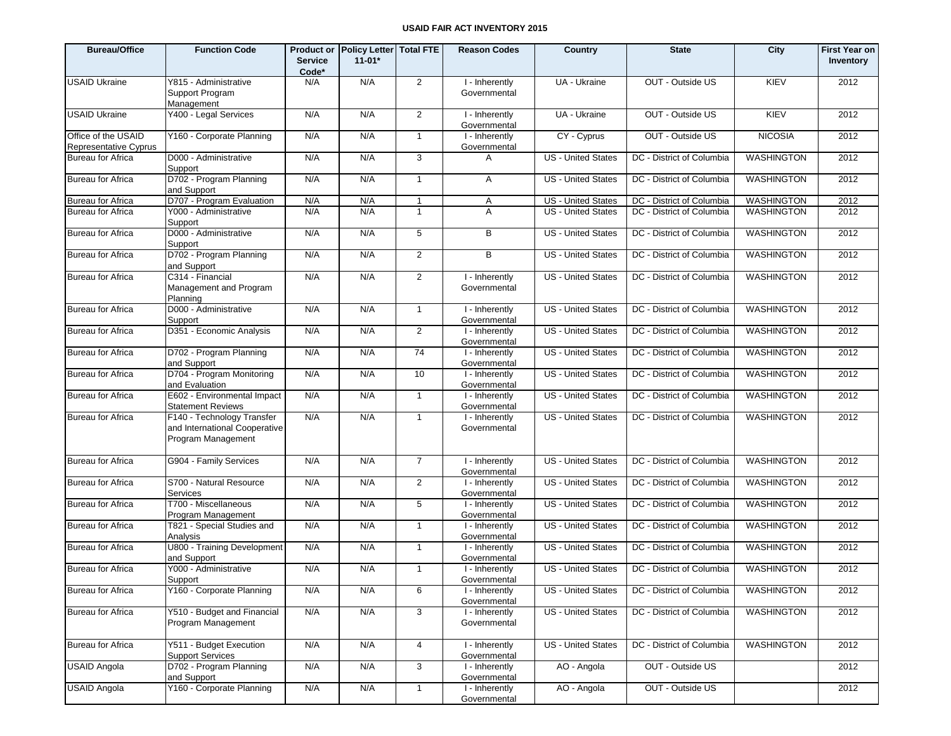| <b>Bureau/Office</b>                         | <b>Function Code</b>                                                              | <b>Service</b><br>Code* | Product or Policy Letter   Total FTE<br>$11 - 01*$ |                | <b>Reason Codes</b>            | Country                   | <b>State</b>              | City              | <b>First Year on</b><br>Inventory |
|----------------------------------------------|-----------------------------------------------------------------------------------|-------------------------|----------------------------------------------------|----------------|--------------------------------|---------------------------|---------------------------|-------------------|-----------------------------------|
| <b>USAID Ukraine</b>                         | Y815 - Administrative<br>Support Program<br>Management                            | N/A                     | N/A                                                | $\overline{2}$ | I - Inherently<br>Governmental | UA - Ukraine              | OUT - Outside US          | KIEV              | 2012                              |
| <b>USAID Ukraine</b>                         | Y400 - Legal Services                                                             | N/A                     | N/A                                                | $\overline{2}$ | I - Inherently<br>Governmental | UA - Ukraine              | OUT - Outside US          | KIEV              | 2012                              |
| Office of the USAID<br>Representative Cyprus | Y160 - Corporate Planning                                                         | N/A                     | N/A                                                | 1              | I - Inherently<br>Governmental | CY - Cyprus               | OUT - Outside US          | <b>NICOSIA</b>    | 2012                              |
| <b>Bureau for Africa</b>                     | D000 - Administrative<br>Support                                                  | N/A                     | N/A                                                | 3              | A                              | <b>US</b> - United States | DC - District of Columbia | <b>WASHINGTON</b> | 2012                              |
| <b>Bureau for Africa</b>                     | D702 - Program Planning<br>and Support                                            | N/A                     | N/A                                                | 1              | A                              | US - United States        | DC - District of Columbia | WASHINGTON        | 2012                              |
| <b>Bureau for Africa</b>                     | D707 - Program Evaluation                                                         | N/A                     | N/A                                                | $\mathbf{1}$   | A                              | US - United States        | DC - District of Columbia | <b>WASHINGTON</b> | 2012                              |
| Bureau for Africa                            | Y000 - Administrative<br>Support                                                  | N/A                     | N/A                                                | $\mathbf{1}$   | A                              | <b>US</b> - United States | DC - District of Columbia | <b>WASHINGTON</b> | 2012                              |
| <b>Bureau for Africa</b>                     | D000 - Administrative<br>Support                                                  | N/A                     | N/A                                                | 5              | B                              | US - United States        | DC - District of Columbia | <b>WASHINGTON</b> | 2012                              |
| <b>Bureau for Africa</b>                     | D702 - Program Planning<br>and Support                                            | N/A                     | N/A                                                | $\overline{2}$ | B                              | <b>US</b> - United States | DC - District of Columbia | <b>WASHINGTON</b> | 2012                              |
| <b>Bureau for Africa</b>                     | C314 - Financial<br>Management and Program<br>Planning                            | N/A                     | N/A                                                | $\overline{2}$ | I - Inherently<br>Governmental | US - United States        | DC - District of Columbia | <b>WASHINGTON</b> | 2012                              |
| <b>Bureau for Africa</b>                     | D000 - Administrative<br>Support                                                  | N/A                     | N/A                                                | $\mathbf{1}$   | I - Inherently<br>Governmental | US - United States        | DC - District of Columbia | <b>WASHINGTON</b> | 2012                              |
| <b>Bureau for Africa</b>                     | D351 - Economic Analysis                                                          | N/A                     | N/A                                                | $\overline{2}$ | I - Inherently<br>Governmental | US - United States        | DC - District of Columbia | <b>WASHINGTON</b> | 2012                              |
| Bureau for Africa                            | D702 - Program Planning<br>and Support                                            | N/A                     | N/A                                                | 74             | I - Inherently<br>Governmental | US - United States        | DC - District of Columbia | WASHINGTON        | 2012                              |
| <b>Bureau for Africa</b>                     | D704 - Program Monitoring<br>and Evaluation                                       | N/A                     | N/A                                                | 10             | I - Inherently<br>Governmental | US - United States        | DC - District of Columbia | <b>WASHINGTON</b> | 2012                              |
| <b>Bureau for Africa</b>                     | E602 - Environmental Impact<br><b>Statement Reviews</b>                           | N/A                     | N/A                                                | $\mathbf{1}$   | I - Inherently<br>Governmental | US - United States        | DC - District of Columbia | WASHINGTON        | 2012                              |
| <b>Bureau for Africa</b>                     | F140 - Technology Transfer<br>and International Cooperative<br>Program Management | N/A                     | N/A                                                | $\mathbf{1}$   | I - Inherently<br>Governmental | <b>US</b> - United States | DC - District of Columbia | <b>WASHINGTON</b> | 2012                              |
| <b>Bureau for Africa</b>                     | G904 - Family Services                                                            | N/A                     | N/A                                                | $\overline{7}$ | I - Inherently<br>Governmental | US - United States        | DC - District of Columbia | <b>WASHINGTON</b> | 2012                              |
| <b>Bureau for Africa</b>                     | S700 - Natural Resource<br>Services                                               | N/A                     | N/A                                                | $\overline{2}$ | I - Inherently<br>Governmental | US - United States        | DC - District of Columbia | WASHINGTON        | 2012                              |
| <b>Bureau for Africa</b>                     | T700 - Miscellaneous<br>Program Management                                        | N/A                     | N/A                                                | 5              | I - Inherently<br>Governmental | US - United States        | DC - District of Columbia | WASHINGTON        | 2012                              |
| <b>Bureau for Africa</b>                     | T821 - Special Studies and<br>Analysis                                            | N/A                     | N/A                                                | $\mathbf{1}$   | I - Inherently<br>Governmental | US - United States        | DC - District of Columbia | WASHINGTON        | 2012                              |
| <b>Bureau for Africa</b>                     | U800 - Training Development<br>and Support                                        | N/A                     | N/A                                                | $\mathbf{1}$   | I - Inherently<br>Governmental | US - United States        | DC - District of Columbia | WASHINGTON        | 2012                              |
| Bureau for Africa                            | Y000 - Administrative<br>Support                                                  | N/A                     | N/A                                                | $\mathbf{1}$   | I - Inherently<br>Governmental | US - United States        | DC - District of Columbia | WASHINGTON        | 2012                              |
| <b>Bureau for Africa</b>                     | Y160 - Corporate Planning                                                         | N/A                     | N/A                                                | 6              | I - Inherently<br>Governmental | US - United States        | DC - District of Columbia | WASHINGTON        | 2012                              |
| <b>Bureau for Africa</b>                     | Y510 - Budget and Financial<br>Program Management                                 | N/A                     | N/A                                                | 3              | I - Inherently<br>Governmental | US - United States        | DC - District of Columbia | WASHINGTON        | 2012                              |
| Bureau for Africa                            | Y511 - Budget Execution<br><b>Support Services</b>                                | N/A                     | N/A                                                | $\overline{4}$ | I - Inherently<br>Governmental | US - United States        | DC - District of Columbia | WASHINGTON        | 2012                              |
| <b>USAID Angola</b>                          | D702 - Program Planning<br>and Support                                            | N/A                     | N/A                                                | 3              | I - Inherently<br>Governmental | AO - Angola               | OUT - Outside US          |                   | 2012                              |
| <b>USAID Angola</b>                          | Y160 - Corporate Planning                                                         | N/A                     | N/A                                                | $\mathbf{1}$   | I - Inherently<br>Governmental | AO - Angola               | OUT - Outside US          |                   | 2012                              |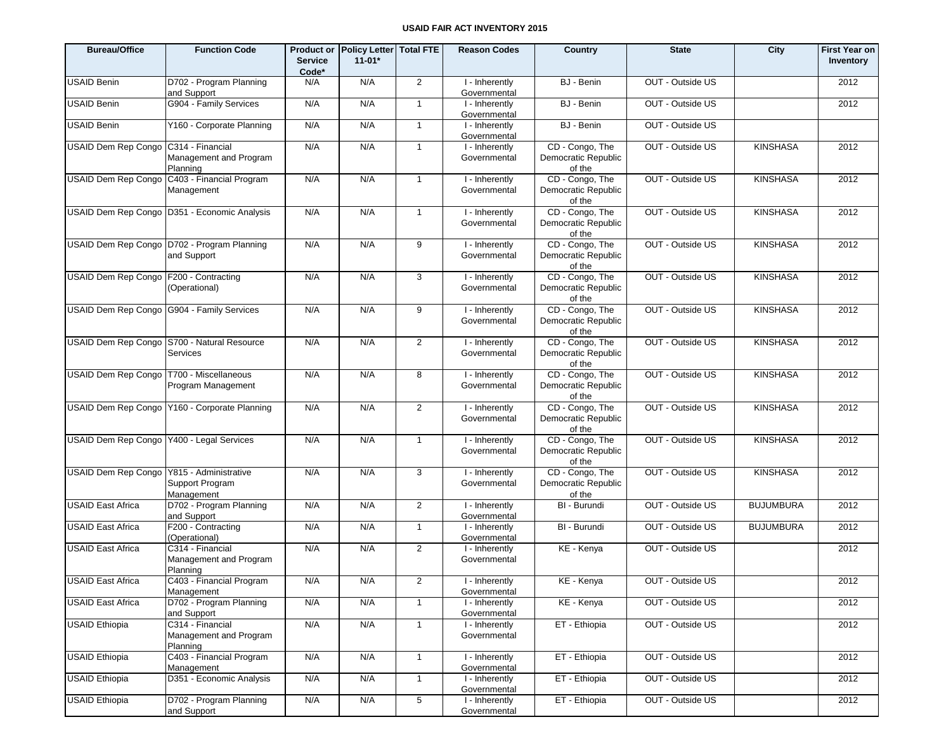| <b>Bureau/Office</b>                        | <b>Function Code</b>                                         | <b>Service</b><br>Code* | Product or Policy Letter Total FTE<br>$11 - 01*$ |                | <b>Reason Codes</b>            | Country                                          | <b>State</b>     | City             | <b>First Year on</b><br>Inventory |
|---------------------------------------------|--------------------------------------------------------------|-------------------------|--------------------------------------------------|----------------|--------------------------------|--------------------------------------------------|------------------|------------------|-----------------------------------|
| USAID Benin                                 | D702 - Program Planning<br>and Support                       | N/A                     | N/A                                              | $\overline{2}$ | I - Inherently<br>Governmental | BJ - Benin                                       | OUT - Outside US |                  | 2012                              |
| USAID Benin                                 | G904 - Family Services                                       | N/A                     | N/A                                              | $\mathbf{1}$   | I - Inherently<br>Governmental | BJ - Benin                                       | OUT - Outside US |                  | 2012                              |
| USAID Benin                                 | Y160 - Corporate Planning                                    | N/A                     | N/A                                              | $\mathbf{1}$   | I - Inherently<br>Governmental | BJ - Benin                                       | OUT - Outside US |                  |                                   |
| USAID Dem Rep Congo C314 - Financial        | Management and Program<br>Planning                           | N/A                     | N/A                                              | $\mathbf{1}$   | I - Inherently<br>Governmental | CD - Congo, The<br>Democratic Republic<br>of the | OUT - Outside US | <b>KINSHASA</b>  | 2012                              |
|                                             | USAID Dem Rep Congo C403 - Financial Program<br>Management   | N/A                     | N/A                                              | $\mathbf{1}$   | I - Inherently<br>Governmental | CD - Congo, The<br>Democratic Republic<br>of the | OUT - Outside US | <b>KINSHASA</b>  | 2012                              |
|                                             | USAID Dem Rep Congo   D351 - Economic Analysis               | N/A                     | N/A                                              | $\mathbf{1}$   | I - Inherently<br>Governmental | CD - Congo, The<br>Democratic Republic<br>of the | OUT - Outside US | <b>KINSHASA</b>  | 2012                              |
|                                             | USAID Dem Rep Congo   D702 - Program Planning<br>and Support | N/A                     | N/A                                              | 9              | I - Inherently<br>Governmental | CD - Congo, The<br>Democratic Republic<br>of the | OUT - Outside US | <b>KINSHASA</b>  | 2012                              |
| USAID Dem Rep Congo F200 - Contracting      | (Operational)                                                | N/A                     | N/A                                              | 3              | I - Inherently<br>Governmental | CD - Congo, The<br>Democratic Republic<br>of the | OUT - Outside US | <b>KINSHASA</b>  | 2012                              |
|                                             | USAID Dem Rep Congo G904 - Family Services                   | N/A                     | N/A                                              | 9              | I - Inherently<br>Governmental | CD - Congo, The<br>Democratic Republic<br>of the | OUT - Outside US | <b>KINSHASA</b>  | 2012                              |
|                                             | USAID Dem Rep Congo S700 - Natural Resource<br>Services      | N/A                     | N/A                                              | 2              | I - Inherently<br>Governmental | CD - Congo, The<br>Democratic Republic<br>of the | OUT - Outside US | <b>KINSHASA</b>  | 2012                              |
| USAID Dem Rep Congo   T700 - Miscellaneous  | Program Management                                           | N/A                     | N/A                                              | 8              | I - Inherently<br>Governmental | CD - Congo, The<br>Democratic Republic<br>of the | OUT - Outside US | <b>KINSHASA</b>  | 2012                              |
|                                             | USAID Dem Rep Congo   Y160 - Corporate Planning              | N/A                     | N/A                                              | 2              | I - Inherently<br>Governmental | CD - Congo, The<br>Democratic Republic<br>of the | OUT - Outside US | <b>KINSHASA</b>  | 2012                              |
| USAID Dem Rep Congo Y400 - Legal Services   |                                                              | N/A                     | N/A                                              | $\mathbf{1}$   | I - Inherently<br>Governmental | CD - Congo, The<br>Democratic Republic<br>of the | OUT - Outside US | <b>KINSHASA</b>  | 2012                              |
| USAID Dem Rep Congo   Y815 - Administrative | Support Program<br>Management                                | N/A                     | N/A                                              | 3              | I - Inherently<br>Governmental | CD - Congo, The<br>Democratic Republic<br>of the | OUT - Outside US | <b>KINSHASA</b>  | 2012                              |
| <b>USAID East Africa</b>                    | D702 - Program Planning<br>and Support                       | N/A                     | N/A                                              | 2              | I - Inherently<br>Governmental | BI - Burundi                                     | OUT - Outside US | <b>BUJUMBURA</b> | 2012                              |
| <b>USAID East Africa</b>                    | F200 - Contracting<br>(Operational)                          | N/A                     | N/A                                              | $\mathbf{1}$   | I - Inherently<br>Governmental | BI - Burundi                                     | OUT - Outside US | <b>BUJUMBURA</b> | 2012                              |
| <b>USAID East Africa</b>                    | C314 - Financial<br>Management and Program<br>Planning       | N/A                     | N/A                                              | 2              | I - Inherently<br>Governmental | KE - Kenya                                       | OUT - Outside US |                  | 2012                              |
| <b>USAID East Africa</b>                    | C403 - Financial Program<br>Management                       | N/A                     | N/A                                              | $\overline{2}$ | I - Inherently<br>Governmental | KE - Kenya                                       | OUT - Outside US |                  | 2012                              |
| <b>USAID East Africa</b>                    | D702 - Program Planning<br>and Support                       | N/A                     | N/A                                              | $\mathbf{1}$   | I - Inherently<br>Governmental | KE - Kenya                                       | OUT - Outside US |                  | 2012                              |
| <b>USAID Ethiopia</b>                       | C314 - Financial<br>Management and Program<br>Planning       | N/A                     | N/A                                              | $\mathbf{1}$   | I - Inherently<br>Governmental | ET - Ethiopia                                    | OUT - Outside US |                  | 2012                              |
| <b>USAID Ethiopia</b>                       | C403 - Financial Program<br>Management                       | N/A                     | N/A                                              | $\mathbf{1}$   | I - Inherently<br>Governmental | ET - Ethiopia                                    | OUT - Outside US |                  | 2012                              |
| <b>USAID Ethiopia</b>                       | D351 - Economic Analysis                                     | N/A                     | N/A                                              | $\mathbf{1}$   | I - Inherently<br>Governmental | ET - Ethiopia                                    | OUT - Outside US |                  | 2012                              |
| <b>USAID Ethiopia</b>                       | D702 - Program Planning<br>and Support                       | N/A                     | N/A                                              | 5 <sup>5</sup> | I - Inherently<br>Governmental | ET - Ethiopia                                    | OUT - Outside US |                  | 2012                              |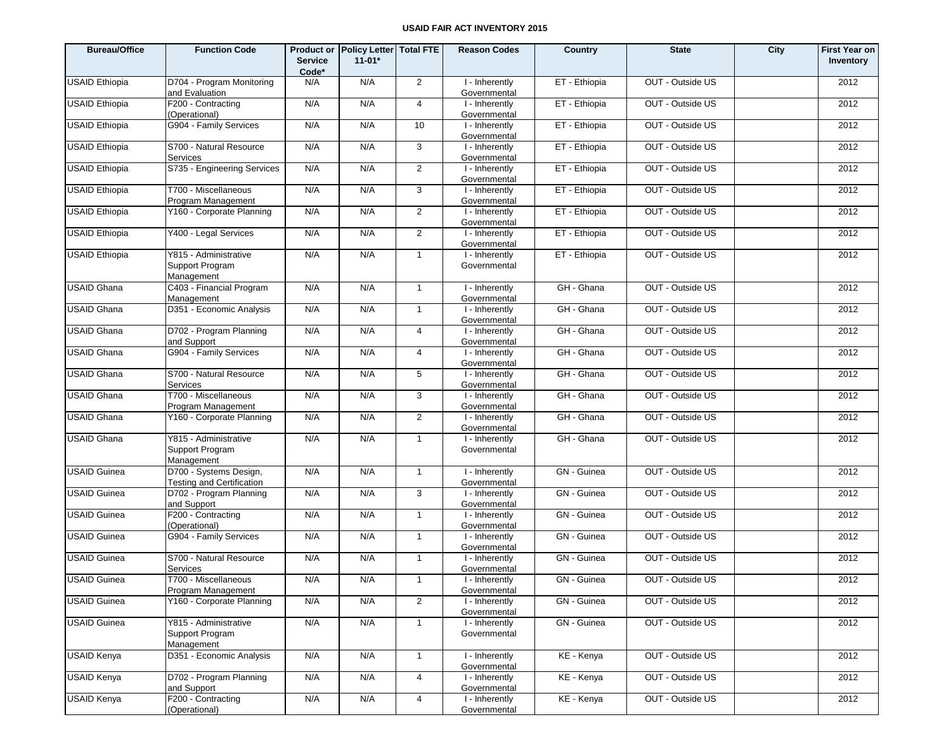| <b>Bureau/Office</b>  | <b>Function Code</b>                                   | <b>Service</b><br>Code* | Product or Policy Letter Total FTE<br>$11-01*$ |                | <b>Reason Codes</b>            | Country       | <b>State</b>     | City | <b>First Year on</b><br>Inventory |
|-----------------------|--------------------------------------------------------|-------------------------|------------------------------------------------|----------------|--------------------------------|---------------|------------------|------|-----------------------------------|
| <b>USAID Ethiopia</b> | D704 - Program Monitoring<br>and Evaluation            | N/A                     | N/A                                            | 2              | I - Inherently<br>Governmental | ET - Ethiopia | OUT - Outside US |      | 2012                              |
| <b>USAID Ethiopia</b> | F200 - Contracting<br>(Operational)                    | N/A                     | N/A                                            | $\overline{4}$ | I - Inherently<br>Governmental | ET - Ethiopia | OUT - Outside US |      | 2012                              |
| <b>USAID Ethiopia</b> | G904 - Family Services                                 | N/A                     | N/A                                            | 10             | I - Inherently<br>Governmental | ET - Ethiopia | OUT - Outside US |      | 2012                              |
| <b>USAID Ethiopia</b> | S700 - Natural Resource<br>Services                    | N/A                     | N/A                                            | $\mathbf{3}$   | I - Inherently<br>Governmental | ET - Ethiopia | OUT - Outside US |      | 2012                              |
| <b>USAID Ethiopia</b> | S735 - Engineering Services                            | N/A                     | N/A                                            | $\overline{2}$ | I - Inherently<br>Governmental | ET - Ethiopia | OUT - Outside US |      | 2012                              |
| <b>USAID Ethiopia</b> | T700 - Miscellaneous<br>Program Management             | N/A                     | N/A                                            | $\mathbf{3}$   | I - Inherently<br>Governmental | ET - Ethiopia | OUT - Outside US |      | 2012                              |
| <b>USAID Ethiopia</b> | Y160 - Corporate Planning                              | N/A                     | N/A                                            | $\overline{2}$ | I - Inherently<br>Governmental | ET - Ethiopia | OUT - Outside US |      | 2012                              |
| <b>USAID Ethiopia</b> | Y400 - Legal Services                                  | N/A                     | N/A                                            | 2              | I - Inherently<br>Governmental | ET - Ethiopia | OUT - Outside US |      | 2012                              |
| <b>USAID Ethiopia</b> | Y815 - Administrative<br>Support Program<br>Management | N/A                     | N/A                                            | $\overline{1}$ | I - Inherently<br>Governmental | ET - Ethiopia | OUT - Outside US |      | 2012                              |
| <b>USAID Ghana</b>    | C403 - Financial Program<br>Management                 | N/A                     | N/A                                            | $\mathbf{1}$   | I - Inherently<br>Governmental | GH - Ghana    | OUT - Outside US |      | 2012                              |
| <b>USAID Ghana</b>    | D351 - Economic Analysis                               | N/A                     | N/A                                            | $\mathbf{1}$   | I - Inherently<br>Governmental | GH - Ghana    | OUT - Outside US |      | 2012                              |
| <b>USAID Ghana</b>    | D702 - Program Planning<br>and Support                 | N/A                     | N/A                                            | 4              | I - Inherently<br>Governmental | GH - Ghana    | OUT - Outside US |      | 2012                              |
| <b>USAID Ghana</b>    | G904 - Family Services                                 | N/A                     | N/A                                            | $\overline{4}$ | I - Inherently<br>Governmental | GH - Ghana    | OUT - Outside US |      | 2012                              |
| <b>USAID Ghana</b>    | S700 - Natural Resource<br>Services                    | N/A                     | N/A                                            | 5              | I - Inherently<br>Governmental | GH - Ghana    | OUT - Outside US |      | 2012                              |
| <b>USAID Ghana</b>    | T700 - Miscellaneous<br>Program Management             | N/A                     | N/A                                            | 3              | I - Inherently<br>Governmental | GH - Ghana    | OUT - Outside US |      | 2012                              |
| <b>USAID Ghana</b>    | Y160 - Corporate Planning                              | N/A                     | N/A                                            | $\overline{2}$ | I - Inherently<br>Governmental | GH - Ghana    | OUT - Outside US |      | 2012                              |
| <b>USAID Ghana</b>    | Y815 - Administrative<br>Support Program<br>Management | N/A                     | N/A                                            | $\mathbf{1}$   | I - Inherently<br>Governmental | GH - Ghana    | OUT - Outside US |      | 2012                              |
| <b>USAID Guinea</b>   | D700 - Systems Design,<br>Testing and Certification    | N/A                     | N/A                                            | $\overline{1}$ | I - Inherently<br>Governmental | GN - Guinea   | OUT - Outside US |      | 2012                              |
| <b>USAID Guinea</b>   | D702 - Program Planning<br>and Support                 | N/A                     | N/A                                            | 3              | I - Inherently<br>Governmental | GN - Guinea   | OUT - Outside US |      | 2012                              |
| <b>USAID Guinea</b>   | F200 - Contracting<br>(Operational)                    | N/A                     | N/A                                            | $\mathbf{1}$   | I - Inherently<br>Governmental | GN - Guinea   | OUT - Outside US |      | 2012                              |
| <b>USAID Guinea</b>   | G904 - Family Services                                 | N/A                     | N/A                                            | $\mathbf{1}$   | I - Inherently<br>Governmental | GN - Guinea   | OUT - Outside US |      | 2012                              |
| <b>USAID Guinea</b>   | S700 - Natural Resource<br>Services                    | N/A                     | N/A                                            | $\overline{1}$ | I - Inherently<br>Governmental | GN - Guinea   | OUT - Outside US |      | 2012                              |
| <b>USAID Guinea</b>   | T700 - Miscellaneous<br>Program Management             | N/A                     | N/A                                            | $\mathbf{1}$   | I - Inherently<br>Governmental | GN - Guinea   | OUT - Outside US |      | 2012                              |
| <b>USAID Guinea</b>   | Y160 - Corporate Planning                              | N/A                     | N/A                                            | 2              | I - Inherently<br>Governmental | GN - Guinea   | OUT - Outside US |      | 2012                              |
| <b>USAID Guinea</b>   | Y815 - Administrative<br>Support Program<br>Management | N/A                     | N/A                                            | $\mathbf{1}$   | I - Inherently<br>Governmental | GN - Guinea   | OUT - Outside US |      | 2012                              |
| <b>USAID Kenya</b>    | D351 - Economic Analysis                               | N/A                     | N/A                                            | $\mathbf{1}$   | I - Inherently<br>Governmental | KE - Kenya    | OUT - Outside US |      | 2012                              |
| <b>USAID Kenya</b>    | D702 - Program Planning<br>and Support                 | N/A                     | N/A                                            | 4              | I - Inherently<br>Governmental | KE - Kenya    | OUT - Outside US |      | 2012                              |
| <b>USAID Kenya</b>    | F200 - Contracting<br>(Operational)                    | N/A                     | N/A                                            | $\overline{4}$ | I - Inherently<br>Governmental | KE - Kenya    | OUT - Outside US |      | 2012                              |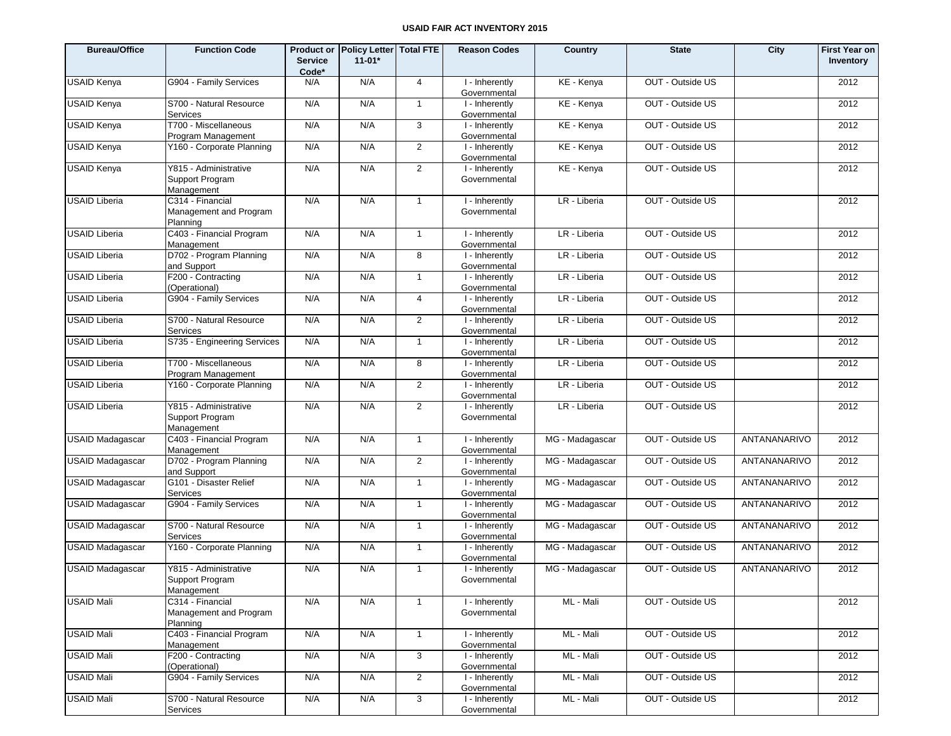| <b>Bureau/Office</b>    | <b>Function Code</b>                                   | <b>Service</b><br>Code* | Product or Policy Letter Total FTE<br>$11 - 01*$ |                | <b>Reason Codes</b>            | Country         | <b>State</b>     | City         | <b>First Year on</b><br>Inventory |
|-------------------------|--------------------------------------------------------|-------------------------|--------------------------------------------------|----------------|--------------------------------|-----------------|------------------|--------------|-----------------------------------|
| <b>USAID Kenya</b>      | G904 - Family Services                                 | N/A                     | N/A                                              | $\overline{4}$ | I - Inherently<br>Governmental | KE - Kenya      | OUT - Outside US |              | 2012                              |
| <b>USAID Kenya</b>      | S700 - Natural Resource<br>Services                    | N/A                     | N/A                                              | $\mathbf{1}$   | I - Inherently<br>Governmental | KE - Kenya      | OUT - Outside US |              | 2012                              |
| <b>USAID Kenya</b>      | T700 - Miscellaneous<br>Program Management             | N/A                     | N/A                                              | 3              | I - Inherently<br>Governmental | KE - Kenya      | OUT - Outside US |              | 2012                              |
| USAID Kenya             | Y160 - Corporate Planning                              | N/A                     | N/A                                              | 2              | I - Inherently<br>Governmental | KE - Kenya      | OUT - Outside US |              | 2012                              |
| <b>USAID Kenya</b>      | Y815 - Administrative<br>Support Program<br>Management | N/A                     | N/A                                              | 2              | I - Inherently<br>Governmental | KE - Kenya      | OUT - Outside US |              | 2012                              |
| <b>USAID Liberia</b>    | C314 - Financial<br>Management and Program<br>Planning | N/A                     | N/A                                              | $\mathbf{1}$   | I - Inherently<br>Governmental | LR - Liberia    | OUT - Outside US |              | 2012                              |
| <b>USAID Liberia</b>    | C403 - Financial Program<br>Management                 | N/A                     | N/A                                              | $\mathbf{1}$   | I - Inherently<br>Governmental | LR - Liberia    | OUT - Outside US |              | 2012                              |
| <b>USAID Liberia</b>    | D702 - Program Planning<br>and Support                 | N/A                     | N/A                                              | 8              | I - Inherently<br>Governmental | LR - Liberia    | OUT - Outside US |              | 2012                              |
| <b>USAID Liberia</b>    | F200 - Contracting<br>(Operational)                    | N/A                     | N/A                                              | $\mathbf{1}$   | I - Inherently<br>Governmental | LR - Liberia    | OUT - Outside US |              | 2012                              |
| <b>USAID Liberia</b>    | G904 - Family Services                                 | N/A                     | N/A                                              | $\overline{4}$ | I - Inherently<br>Governmental | LR - Liberia    | OUT - Outside US |              | 2012                              |
| <b>USAID Liberia</b>    | S700 - Natural Resource<br>Services                    | N/A                     | N/A                                              | $\overline{2}$ | I - Inherently<br>Governmental | LR - Liberia    | OUT - Outside US |              | 2012                              |
| <b>USAID Liberia</b>    | S735 - Engineering Services                            | N/A                     | N/A                                              | $\mathbf{1}$   | I - Inherently<br>Governmental | LR - Liberia    | OUT - Outside US |              | 2012                              |
| <b>USAID Liberia</b>    | T700 - Miscellaneous<br>Program Management             | N/A                     | N/A                                              | 8              | I - Inherently<br>Governmental | LR - Liberia    | OUT - Outside US |              | 2012                              |
| <b>USAID Liberia</b>    | Y160 - Corporate Planning                              | N/A                     | N/A                                              | 2              | I - Inherently<br>Governmental | LR - Liberia    | OUT - Outside US |              | 2012                              |
| <b>USAID Liberia</b>    | Y815 - Administrative<br>Support Program<br>Management | N/A                     | N/A                                              | $\overline{2}$ | I - Inherently<br>Governmental | LR - Liberia    | OUT - Outside US |              | 2012                              |
| <b>USAID Madagascar</b> | C403 - Financial Program<br>Management                 | N/A                     | N/A                                              | $\mathbf{1}$   | I - Inherently<br>Governmental | MG - Madagascar | OUT - Outside US | ANTANANARIVO | 2012                              |
| <b>USAID Madagascar</b> | D702 - Program Planning<br>and Support                 | N/A                     | N/A                                              | $\overline{2}$ | I - Inherently<br>Governmental | MG - Madagascar | OUT - Outside US | ANTANANARIVO | 2012                              |
| <b>USAID Madagascar</b> | G101 - Disaster Relief<br>Services                     | N/A                     | N/A                                              | 1              | I - Inherently<br>Governmental | MG - Madagascar | OUT - Outside US | ANTANANARIVO | 2012                              |
| <b>USAID Madagascar</b> | G904 - Family Services                                 | N/A                     | N/A                                              | $\mathbf{1}$   | I - Inherently<br>Governmental | MG - Madagascar | OUT - Outside US | ANTANANARIVO | 2012                              |
| <b>USAID Madagascar</b> | S700 - Natural Resource<br>Services                    | N/A                     | N/A                                              | $\mathbf{1}$   | I - Inherently<br>Governmental | MG - Madagascar | OUT - Outside US | ANTANANARIVO | 2012                              |
| <b>USAID Madagascar</b> | Y160 - Corporate Planning                              | N/A                     | N/A                                              | $\mathbf{1}$   | I - Inherently<br>Governmental | MG - Madagascar | OUT - Outside US | ANTANANARIVO | 2012                              |
| <b>USAID Madagascar</b> | Y815 - Administrative<br>Support Program<br>Management | N/A                     | N/A                                              | $\mathbf{1}$   | I - Inherently<br>Governmental | MG - Madagascar | OUT - Outside US | ANTANANARIVO | 2012                              |
| <b>USAID Mali</b>       | C314 - Financial<br>Management and Program<br>Planning | N/A                     | N/A                                              | $\mathbf{1}$   | I - Inherently<br>Governmental | ML - Mali       | OUT - Outside US |              | 2012                              |
| <b>USAID Mali</b>       | C403 - Financial Program<br>Management                 | N/A                     | N/A                                              | $\mathbf{1}$   | I - Inherently<br>Governmental | ML - Mali       | OUT - Outside US |              | 2012                              |
| <b>USAID Mali</b>       | F200 - Contracting<br>(Operational)                    | N/A                     | N/A                                              | 3              | I - Inherently<br>Governmental | ML - Mali       | OUT - Outside US |              | 2012                              |
| <b>USAID Mali</b>       | G904 - Family Services                                 | N/A                     | N/A                                              | $\overline{2}$ | I - Inherently<br>Governmental | ML - Mali       | OUT - Outside US |              | 2012                              |
| <b>USAID Mali</b>       | S700 - Natural Resource<br>Services                    | N/A                     | N/A                                              | 3              | I - Inherently<br>Governmental | ML - Mali       | OUT - Outside US |              | 2012                              |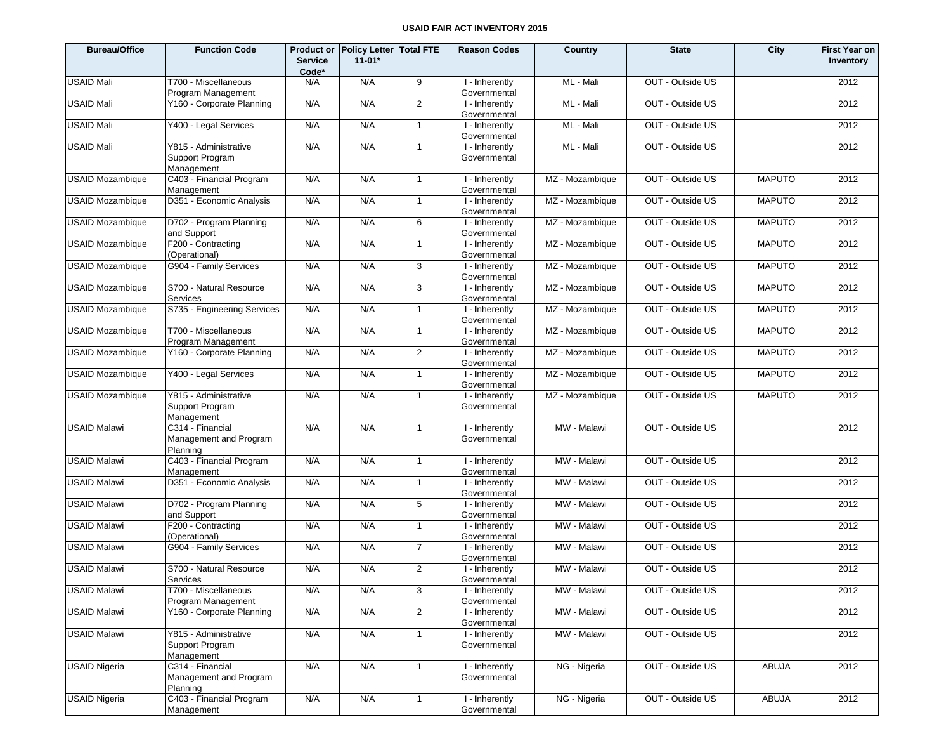| <b>Bureau/Office</b>    | <b>Function Code</b>                                   | <b>Service</b><br>Code* | Product or Policy Letter   Total FTE<br>$11 - 01*$ |                | <b>Reason Codes</b>            | Country         | <b>State</b>     | City          | <b>First Year on</b><br>Inventory |
|-------------------------|--------------------------------------------------------|-------------------------|----------------------------------------------------|----------------|--------------------------------|-----------------|------------------|---------------|-----------------------------------|
| <b>USAID Mali</b>       | T700 - Miscellaneous<br>Program Management             | N/A                     | N/A                                                | 9              | I - Inherently<br>Governmental | ML - Mali       | OUT - Outside US |               | 2012                              |
| <b>USAID Mali</b>       | Y160 - Corporate Planning                              | N/A                     | N/A                                                | 2              | I - Inherently<br>Governmental | ML - Mali       | OUT - Outside US |               | 2012                              |
| <b>USAID Mali</b>       | Y400 - Legal Services                                  | N/A                     | N/A                                                | $\overline{1}$ | I - Inherently<br>Governmental | ML - Mali       | OUT - Outside US |               | 2012                              |
| <b>USAID Mali</b>       | Y815 - Administrative<br>Support Program<br>Management | N/A                     | N/A                                                | $\mathbf{1}$   | I - Inherently<br>Governmental | ML - Mali       | OUT - Outside US |               | 2012                              |
| <b>USAID Mozambique</b> | C403 - Financial Program<br>Management                 | N/A                     | N/A                                                | $\mathbf{1}$   | I - Inherently<br>Governmental | MZ - Mozambique | OUT - Outside US | <b>MAPUTO</b> | 2012                              |
| <b>USAID Mozambique</b> | D351 - Economic Analysis                               | N/A                     | N/A                                                | $\mathbf{1}$   | I - Inherently<br>Governmental | MZ - Mozambique | OUT - Outside US | <b>MAPUTO</b> | 2012                              |
| <b>USAID Mozambique</b> | D702 - Program Planning<br>and Support                 | N/A                     | N/A                                                | 6              | I - Inherently<br>Governmental | MZ - Mozambique | OUT - Outside US | <b>MAPUTO</b> | 2012                              |
| <b>USAID Mozambique</b> | F200 - Contracting<br>(Operational)                    | N/A                     | N/A                                                | $\mathbf{1}$   | I - Inherently<br>Governmental | MZ - Mozambique | OUT - Outside US | <b>MAPUTO</b> | 2012                              |
| <b>USAID Mozambique</b> | G904 - Family Services                                 | N/A                     | N/A                                                | 3              | I - Inherently<br>Governmental | MZ - Mozambique | OUT - Outside US | <b>MAPUTO</b> | 2012                              |
| <b>USAID Mozambique</b> | S700 - Natural Resource<br><b>Services</b>             | N/A                     | N/A                                                | 3              | I - Inherently<br>Governmental | MZ - Mozambique | OUT - Outside US | <b>MAPUTO</b> | 2012                              |
| <b>USAID Mozambique</b> | S735 - Engineering Services                            | N/A                     | N/A                                                | $\mathbf{1}$   | I - Inherently<br>Governmental | MZ - Mozambique | OUT - Outside US | <b>MAPUTO</b> | 2012                              |
| <b>USAID Mozambique</b> | T700 - Miscellaneous<br>Program Management             | N/A                     | N/A                                                | $\mathbf{1}$   | I - Inherently<br>Governmental | MZ - Mozambique | OUT - Outside US | <b>MAPUTO</b> | 2012                              |
| <b>USAID Mozambique</b> | Y160 - Corporate Planning                              | N/A                     | N/A                                                | $\overline{2}$ | I - Inherently<br>Governmental | MZ - Mozambique | OUT - Outside US | <b>MAPUTO</b> | 2012                              |
| <b>USAID Mozambique</b> | Y400 - Legal Services                                  | N/A                     | N/A                                                | $\mathbf{1}$   | I - Inherently<br>Governmental | MZ - Mozambique | OUT - Outside US | <b>MAPUTO</b> | 2012                              |
| <b>USAID Mozambique</b> | Y815 - Administrative<br>Support Program<br>Management | N/A                     | N/A                                                | 1              | I - Inherently<br>Governmental | MZ - Mozambique | OUT - Outside US | <b>MAPUTO</b> | 2012                              |
| <b>USAID Malawi</b>     | C314 - Financial<br>Management and Program<br>Planning | N/A                     | N/A                                                | $\mathbf{1}$   | I - Inherently<br>Governmental | MW - Malawi     | OUT - Outside US |               | 2012                              |
| <b>USAID Malawi</b>     | C403 - Financial Program<br>Management                 | N/A                     | N/A                                                | $\mathbf{1}$   | I - Inherently<br>Governmental | MW - Malawi     | OUT - Outside US |               | 2012                              |
| <b>USAID Malawi</b>     | D351 - Economic Analysis                               | N/A                     | N/A                                                | 1              | I - Inherently<br>Governmental | MW - Malawi     | OUT - Outside US |               | 2012                              |
| <b>USAID Malawi</b>     | D702 - Program Planning<br>and Support                 | N/A                     | N/A                                                | 5              | I - Inherently<br>Governmental | MW - Malawi     | OUT - Outside US |               | 2012                              |
| <b>USAID Malawi</b>     | F200 - Contracting<br>(Operational)                    | N/A                     | N/A                                                | $\mathbf{1}$   | I - Inherently<br>Governmental | MW - Malawi     | OUT - Outside US |               | 2012                              |
| <b>USAID Malawi</b>     | G904 - Family Services                                 | N/A                     | N/A                                                | $\overline{7}$ | I - Inherently<br>Governmental | MW - Malawi     | OUT - Outside US |               | 2012                              |
| <b>USAID Malawi</b>     | S700 - Natural Resource<br>Services                    | N/A                     | N/A                                                | $\overline{2}$ | I - Inherently<br>Governmental | MW - Malawi     | OUT - Outside US |               | 2012                              |
| <b>USAID Malawi</b>     | T700 - Miscellaneous<br>Program Management             | N/A                     | N/A                                                | 3              | I - Inherently<br>Governmental | MW - Malawi     | OUT - Outside US |               | 2012                              |
| <b>USAID Malawi</b>     | Y160 - Corporate Planning                              | N/A                     | N/A                                                | $\overline{2}$ | I - Inherently<br>Governmental | MW - Malawi     | OUT - Outside US |               | 2012                              |
| <b>USAID Malawi</b>     | Y815 - Administrative<br>Support Program<br>Management | N/A                     | N/A                                                | $\mathbf{1}$   | I - Inherently<br>Governmental | MW - Malawi     | OUT - Outside US |               | 2012                              |
| <b>USAID Nigeria</b>    | C314 - Financial<br>Management and Program<br>Planning | N/A                     | N/A                                                | $\overline{1}$ | I - Inherently<br>Governmental | NG - Nigeria    | OUT - Outside US | <b>ABUJA</b>  | 2012                              |
| <b>USAID Nigeria</b>    | C403 - Financial Program<br>Management                 | N/A                     | N/A                                                | $\mathbf{1}$   | I - Inherently<br>Governmental | NG - Nigeria    | OUT - Outside US | ABUJA         | 2012                              |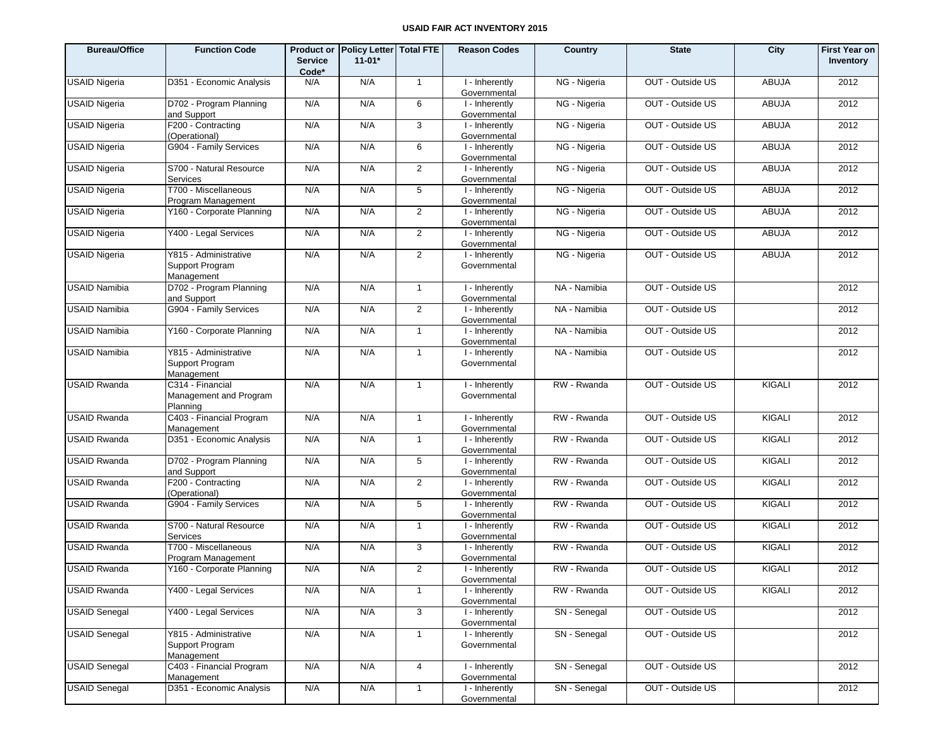| <b>Bureau/Office</b> | <b>Function Code</b>                                   | <b>Service</b><br>Code* | Product or Policy Letter Total FTE<br>$11 - 01*$ |                | <b>Reason Codes</b>                         | Country      | <b>State</b>     | City          | <b>First Year on</b><br>Inventory |
|----------------------|--------------------------------------------------------|-------------------------|--------------------------------------------------|----------------|---------------------------------------------|--------------|------------------|---------------|-----------------------------------|
| <b>USAID Nigeria</b> | D351 - Economic Analysis                               | N/A                     | N/A                                              | $\mathbf{1}$   | I - Inherently<br>Governmental              | NG - Nigeria | OUT - Outside US | ABUJA         | 2012                              |
| <b>USAID Nigeria</b> | D702 - Program Planning<br>and Support                 | N/A                     | N/A                                              | 6              | I - Inherently<br>Governmental              | NG - Nigeria | OUT - Outside US | <b>ABUJA</b>  | 2012                              |
| <b>USAID Nigeria</b> | F200 - Contracting<br>(Operational)                    | N/A                     | N/A                                              | 3              | I - Inherently<br>Governmental              | NG - Nigeria | OUT - Outside US | ABUJA         | 2012                              |
| <b>USAID Nigeria</b> | G904 - Family Services                                 | N/A                     | N/A                                              | 6              | I - Inherently<br>Governmental              | NG - Nigeria | OUT - Outside US | <b>ABUJA</b>  | 2012                              |
| <b>USAID Nigeria</b> | S700 - Natural Resource<br>Services                    | N/A                     | N/A                                              | $\overline{2}$ | I - Inherently<br>Governmental              | NG - Nigeria | OUT - Outside US | ABUJA         | 2012                              |
| <b>USAID Nigeria</b> | T700 - Miscellaneous<br>Program Management             | N/A                     | N/A                                              | 5              | I - Inherently<br>Governmental              | NG - Nigeria | OUT - Outside US | <b>ABUJA</b>  | 2012                              |
| <b>USAID Nigeria</b> | Y160 - Corporate Planning                              | N/A                     | N/A                                              | $\overline{2}$ | I - Inherently<br>Governmental              | NG - Nigeria | OUT - Outside US | <b>ABUJA</b>  | 2012                              |
| <b>USAID Nigeria</b> | Y400 - Legal Services                                  | N/A                     | N/A                                              | 2              | I - Inherently<br>Governmental              | NG - Nigeria | OUT - Outside US | ABUJA         | 2012                              |
| <b>USAID Nigeria</b> | Y815 - Administrative<br>Support Program<br>Management | N/A                     | N/A                                              | $\overline{2}$ | I - Inherently<br>Governmental              | NG - Nigeria | OUT - Outside US | <b>ABUJA</b>  | 2012                              |
| <b>USAID Namibia</b> | D702 - Program Planning<br>and Support                 | N/A                     | N/A                                              | $\mathbf{1}$   | I - Inherently<br>Governmental              | NA - Namibia | OUT - Outside US |               | 2012                              |
| <b>USAID Namibia</b> | G904 - Family Services                                 | N/A                     | N/A                                              | $\overline{2}$ | I - Inherently<br>Governmental              | NA - Namibia | OUT - Outside US |               | 2012                              |
| <b>USAID Namibia</b> | Y160 - Corporate Planning                              | N/A                     | N/A                                              | $\mathbf{1}$   | I - Inherently<br>Governmental              | NA - Namibia | OUT - Outside US |               | 2012                              |
| <b>USAID Namibia</b> | Y815 - Administrative<br>Support Program<br>Management | N/A                     | N/A                                              | $\mathbf{1}$   | $\overline{1}$ - Inherently<br>Governmental | NA - Namibia | OUT - Outside US |               | 2012                              |
| <b>USAID Rwanda</b>  | C314 - Financial<br>Management and Program<br>Planning | N/A                     | N/A                                              | $\mathbf{1}$   | I - Inherently<br>Governmental              | RW - Rwanda  | OUT - Outside US | KIGALI        | 2012                              |
| <b>USAID Rwanda</b>  | C403 - Financial Program<br>Management                 | N/A                     | N/A                                              | $\mathbf{1}$   | I - Inherently<br>Governmental              | RW - Rwanda  | OUT - Outside US | <b>KIGALI</b> | 2012                              |
| <b>USAID Rwanda</b>  | D351 - Economic Analysis                               | N/A                     | N/A                                              | 1              | I - Inherently<br>Governmental              | RW - Rwanda  | OUT - Outside US | <b>KIGALI</b> | 2012                              |
| <b>USAID Rwanda</b>  | D702 - Program Planning<br>and Support                 | N/A                     | N/A                                              | 5              | I - Inherently<br>Governmental              | RW - Rwanda  | OUT - Outside US | <b>KIGALI</b> | 2012                              |
| <b>USAID Rwanda</b>  | F200 - Contracting<br>(Operational)                    | N/A                     | N/A                                              | $\overline{2}$ | I - Inherently<br>Governmental              | RW - Rwanda  | OUT - Outside US | <b>KIGALI</b> | 2012                              |
| <b>USAID Rwanda</b>  | G904 - Family Services                                 | N/A                     | N/A                                              | 5              | I - Inherently<br>Governmental              | RW - Rwanda  | OUT - Outside US | <b>KIGALI</b> | 2012                              |
| <b>USAID Rwanda</b>  | S700 - Natural Resource<br>Services                    | N/A                     | N/A                                              | 1              | I - Inherently<br>Governmental              | RW - Rwanda  | OUT - Outside US | <b>KIGALI</b> | 2012                              |
| <b>USAID Rwanda</b>  | T700 - Miscellaneous<br>Program Management             | N/A                     | N/A                                              | 3              | I - Inherently<br>Governmental              | RW - Rwanda  | OUT - Outside US | KIGALI        | 2012                              |
| <b>USAID Rwanda</b>  | Y160 - Corporate Planning                              | N/A                     | N/A                                              | $\overline{2}$ | I - Inherently<br>Governmental              | RW - Rwanda  | OUT - Outside US | KIGALI        | 2012                              |
| <b>USAID Rwanda</b>  | Y400 - Legal Services                                  | N/A                     | N/A                                              | $\mathbf{1}$   | I - Inherently<br>Governmental              | RW - Rwanda  | OUT - Outside US | KIGALI        | 2012                              |
| <b>USAID Senegal</b> | Y400 - Legal Services                                  | N/A                     | N/A                                              | 3              | I - Inherently<br>Governmental              | SN - Senegal | OUT - Outside US |               | 2012                              |
| <b>USAID Senegal</b> | Y815 - Administrative<br>Support Program<br>Management | N/A                     | N/A                                              | $\mathbf{1}$   | I - Inherently<br>Governmental              | SN - Senegal | OUT - Outside US |               | 2012                              |
| <b>USAID Senegal</b> | C403 - Financial Program<br>Management                 | N/A                     | N/A                                              | $\overline{4}$ | I - Inherently<br>Governmental              | SN - Senegal | OUT - Outside US |               | 2012                              |
| <b>USAID Senegal</b> | D351 - Economic Analysis                               | N/A                     | N/A                                              | $\mathbf{1}$   | I - Inherently<br>Governmental              | SN - Senegal | OUT - Outside US |               | 2012                              |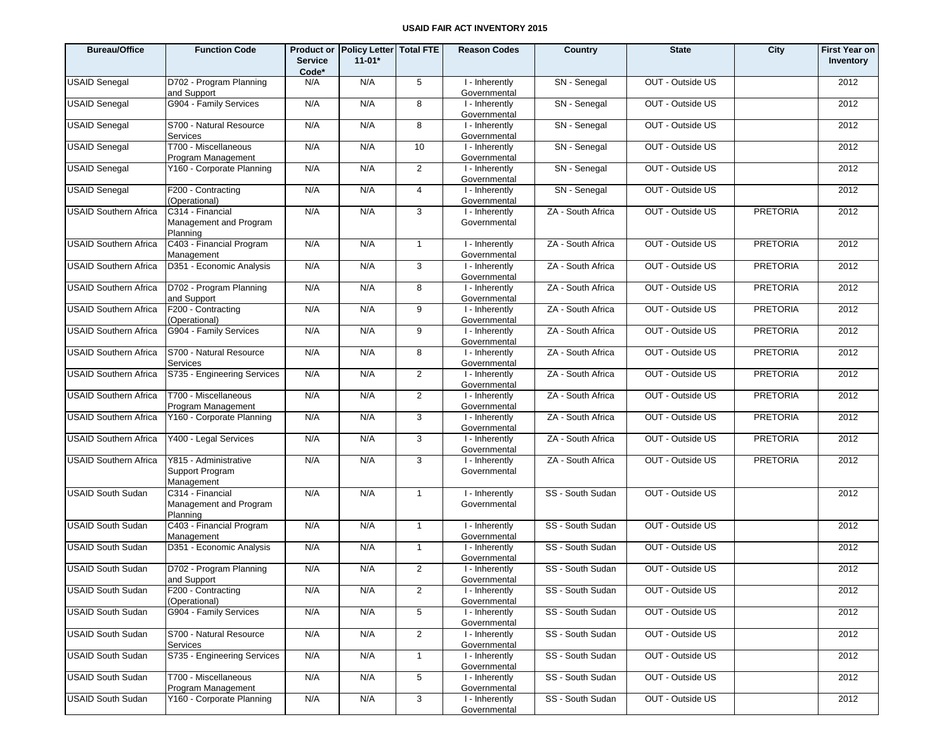| <b>Bureau/Office</b>         | <b>Function Code</b>                                   | <b>Service</b><br>Code* | Product or Policy Letter Total FTE<br>$11-01*$ |                 | <b>Reason Codes</b>            | Country           | <b>State</b>     | City            | <b>First Year on</b><br>Inventory |
|------------------------------|--------------------------------------------------------|-------------------------|------------------------------------------------|-----------------|--------------------------------|-------------------|------------------|-----------------|-----------------------------------|
| <b>USAID Senegal</b>         | D702 - Program Planning<br>and Support                 | N/A                     | N/A                                            | $5\overline{5}$ | I - Inherently<br>Governmental | SN - Senegal      | OUT - Outside US |                 | 2012                              |
| <b>USAID Senegal</b>         | G904 - Family Services                                 | N/A                     | N/A                                            | 8               | I - Inherently<br>Governmental | SN - Senegal      | OUT - Outside US |                 | 2012                              |
| <b>USAID Senegal</b>         | S700 - Natural Resource<br>Services                    | N/A                     | N/A                                            | 8               | I - Inherently<br>Governmental | SN - Senegal      | OUT - Outside US |                 | 2012                              |
| <b>USAID Senegal</b>         | T700 - Miscellaneous<br>Program Management             | N/A                     | N/A                                            | 10              | I - Inherently<br>Governmental | SN - Senegal      | OUT - Outside US |                 | 2012                              |
| <b>USAID Senegal</b>         | Y160 - Corporate Planning                              | N/A                     | N/A                                            | $\overline{2}$  | I - Inherently<br>Governmental | SN - Senegal      | OUT - Outside US |                 | 2012                              |
| <b>USAID Senegal</b>         | F200 - Contracting<br>(Operational)                    | N/A                     | N/A                                            | $\overline{4}$  | I - Inherently<br>Governmental | SN - Senegal      | OUT - Outside US |                 | 2012                              |
| <b>USAID Southern Africa</b> | C314 - Financial<br>Management and Program<br>Planning | N/A                     | N/A                                            | 3               | I - Inherently<br>Governmental | ZA - South Africa | OUT - Outside US | <b>PRETORIA</b> | 2012                              |
| <b>USAID Southern Africa</b> | C403 - Financial Program<br>Management                 | N/A                     | N/A                                            | $\mathbf{1}$    | I - Inherently<br>Governmental | ZA - South Africa | OUT - Outside US | <b>PRETORIA</b> | 2012                              |
| <b>USAID Southern Africa</b> | D351 - Economic Analysis                               | N/A                     | N/A                                            | 3               | I - Inherently<br>Governmental | ZA - South Africa | OUT - Outside US | <b>PRETORIA</b> | 2012                              |
| <b>USAID Southern Africa</b> | D702 - Program Planning<br>and Support                 | N/A                     | N/A                                            | 8               | I - Inherently<br>Governmental | ZA - South Africa | OUT - Outside US | <b>PRETORIA</b> | 2012                              |
| <b>USAID Southern Africa</b> | F200 - Contracting<br>(Operational)                    | N/A                     | N/A                                            | 9               | I - Inherently<br>Governmental | ZA - South Africa | OUT - Outside US | <b>PRETORIA</b> | 2012                              |
| <b>USAID Southern Africa</b> | G904 - Family Services                                 | N/A                     | N/A                                            | 9               | I - Inherently<br>Governmental | ZA - South Africa | OUT - Outside US | <b>PRETORIA</b> | 2012                              |
| <b>USAID Southern Africa</b> | S700 - Natural Resource<br>Services                    | N/A                     | N/A                                            | 8               | I - Inherently<br>Governmental | ZA - South Africa | OUT - Outside US | <b>PRETORIA</b> | 2012                              |
| <b>USAID Southern Africa</b> | S735 - Engineering Services                            | N/A                     | N/A                                            | 2               | I - Inherently<br>Governmental | ZA - South Africa | OUT - Outside US | <b>PRETORIA</b> | 2012                              |
| <b>USAID Southern Africa</b> | T700 - Miscellaneous<br>Program Management             | N/A                     | N/A                                            | $\overline{2}$  | I - Inherently<br>Governmental | ZA - South Africa | OUT - Outside US | <b>PRETORIA</b> | 2012                              |
| <b>USAID Southern Africa</b> | Y160 - Corporate Planning                              | N/A                     | N/A                                            | 3               | I - Inherently<br>Governmental | ZA - South Africa | OUT - Outside US | <b>PRETORIA</b> | 2012                              |
| <b>USAID Southern Africa</b> | Y400 - Legal Services                                  | N/A                     | N/A                                            | 3               | I - Inherently<br>Governmental | ZA - South Africa | OUT - Outside US | <b>PRETORIA</b> | 2012                              |
| <b>USAID Southern Africa</b> | Y815 - Administrative<br>Support Program<br>Management | N/A                     | N/A                                            | 3               | I - Inherently<br>Governmental | ZA - South Africa | OUT - Outside US | <b>PRETORIA</b> | 2012                              |
| <b>USAID South Sudan</b>     | C314 - Financial<br>Management and Program<br>Planning | N/A                     | N/A                                            | $\mathbf{1}$    | I - Inherently<br>Governmental | SS - South Sudan  | OUT - Outside US |                 | 2012                              |
| <b>USAID South Sudan</b>     | C403 - Financial Program<br>Management                 | N/A                     | N/A                                            | $\mathbf{1}$    | I - Inherently<br>Governmental | SS - South Sudan  | OUT - Outside US |                 | 2012                              |
| <b>USAID South Sudan</b>     | D351 - Economic Analysis                               | N/A                     | N/A                                            | $\mathbf{1}$    | I - Inherently<br>Governmental | SS - South Sudan  | OUT - Outside US |                 | 2012                              |
| <b>USAID South Sudan</b>     | D702 - Program Planning<br>and Support                 | N/A                     | N/A                                            | $\overline{2}$  | I - Inherently<br>Governmental | SS - South Sudan  | OUT - Outside US |                 | 2012                              |
| <b>USAID South Sudan</b>     | F200 - Contracting<br>(Operational)                    | N/A                     | N/A                                            | $\overline{2}$  | I - Inherently<br>Governmental | SS - South Sudan  | OUT - Outside US |                 | 2012                              |
| <b>USAID South Sudan</b>     | G904 - Family Services                                 | N/A                     | N/A                                            | 5               | I - Inherently<br>Governmental | SS - South Sudan  | OUT - Outside US |                 | 2012                              |
| <b>USAID South Sudan</b>     | S700 - Natural Resource<br>Services                    | N/A                     | N/A                                            | $\overline{2}$  | I - Inherently<br>Governmental | SS - South Sudan  | OUT - Outside US |                 | 2012                              |
| <b>USAID South Sudan</b>     | S735 - Engineering Services                            | N/A                     | N/A                                            | $\mathbf{1}$    | I - Inherently<br>Governmental | SS - South Sudan  | OUT - Outside US |                 | 2012                              |
| <b>USAID South Sudan</b>     | T700 - Miscellaneous<br>Program Management             | N/A                     | N/A                                            | 5               | I - Inherently<br>Governmental | SS - South Sudan  | OUT - Outside US |                 | 2012                              |
| <b>USAID South Sudan</b>     | Y160 - Corporate Planning                              | N/A                     | N/A                                            | 3               | I - Inherently<br>Governmental | SS - South Sudan  | OUT - Outside US |                 | 2012                              |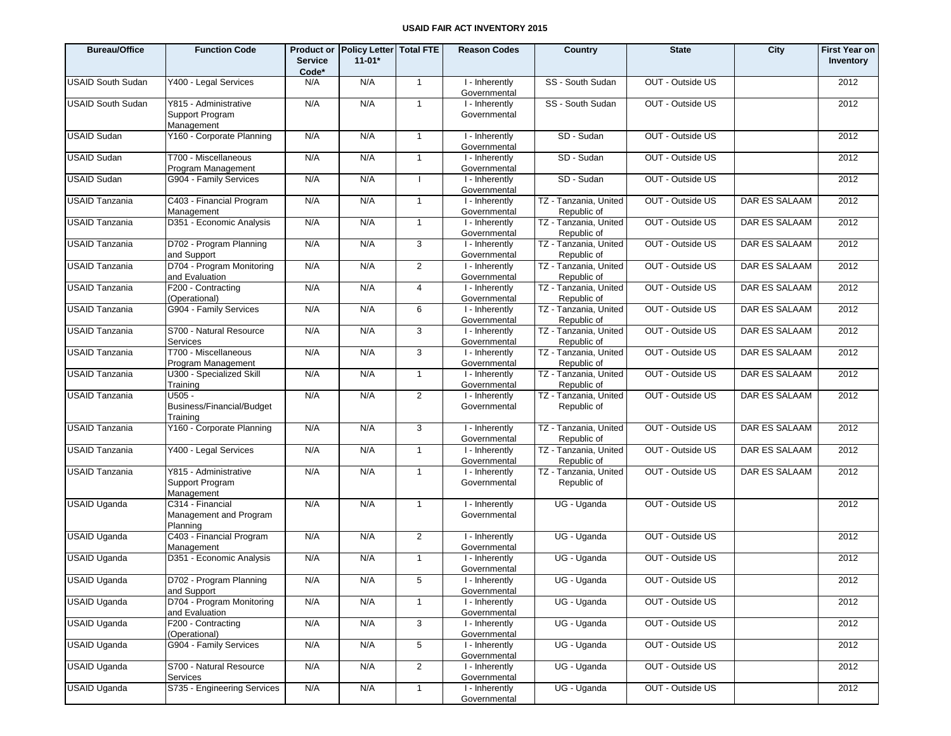| <b>Bureau/Office</b>     | <b>Function Code</b>                                   | <b>Service</b><br>Code* | Product or Policy Letter   Total FTE<br>$11 - 01*$ |                | <b>Reason Codes</b>            | Country                              | <b>State</b>     | City                 | <b>First Year on</b><br>Inventory |
|--------------------------|--------------------------------------------------------|-------------------------|----------------------------------------------------|----------------|--------------------------------|--------------------------------------|------------------|----------------------|-----------------------------------|
| <b>USAID South Sudan</b> | Y400 - Legal Services                                  | N/A                     | N/A                                                | $\overline{1}$ | I - Inherently<br>Governmental | SS - South Sudan                     | OUT - Outside US |                      | 2012                              |
| <b>USAID South Sudan</b> | Y815 - Administrative<br>Support Program<br>Management | N/A                     | N/A                                                | $\mathbf{1}$   | I - Inherently<br>Governmental | SS - South Sudan                     | OUT - Outside US |                      | 2012                              |
| <b>USAID Sudan</b>       | Y160 - Corporate Planning                              | N/A                     | N/A                                                | $\mathbf{1}$   | I - Inherently<br>Governmental | SD - Sudan                           | OUT - Outside US |                      | 2012                              |
| <b>USAID Sudan</b>       | T700 - Miscellaneous<br>Program Management             | N/A                     | N/A                                                | $\mathbf{1}$   | I - Inherently<br>Governmental | SD - Sudan                           | OUT - Outside US |                      | 2012                              |
| <b>USAID Sudan</b>       | G904 - Family Services                                 | N/A                     | N/A                                                |                | I - Inherently<br>Governmental | SD - Sudan                           | OUT - Outside US |                      | 2012                              |
| <b>USAID Tanzania</b>    | C403 - Financial Program<br>Management                 | N/A                     | N/A                                                | $\mathbf{1}$   | I - Inherently<br>Governmental | TZ - Tanzania, United<br>Republic of | OUT - Outside US | DAR ES SALAAM        | 2012                              |
| <b>USAID Tanzania</b>    | D351 - Economic Analysis                               | N/A                     | N/A                                                | $\mathbf{1}$   | I - Inherently<br>Governmental | TZ - Tanzania, United<br>Republic of | OUT - Outside US | DAR ES SALAAM        | 2012                              |
| <b>USAID Tanzania</b>    | D702 - Program Planning<br>and Support                 | N/A                     | N/A                                                | 3              | I - Inherently<br>Governmental | TZ - Tanzania, United<br>Republic of | OUT - Outside US | DAR ES SALAAM        | 2012                              |
| <b>USAID Tanzania</b>    | D704 - Program Monitoring<br>and Evaluation            | N/A                     | N/A                                                | $\overline{2}$ | I - Inherently<br>Governmental | TZ - Tanzania, United<br>Republic of | OUT - Outside US | DAR ES SALAAM        | 2012                              |
| <b>USAID Tanzania</b>    | F200 - Contracting<br>(Operational)                    | N/A                     | N/A                                                | $\overline{4}$ | I - Inherently<br>Governmental | TZ - Tanzania, United<br>Republic of | OUT - Outside US | DAR ES SALAAM        | 2012                              |
| <b>USAID Tanzania</b>    | G904 - Family Services                                 | N/A                     | N/A                                                | 6              | I - Inherently<br>Governmental | TZ - Tanzania, United<br>Republic of | OUT - Outside US | DAR ES SALAAM        | 2012                              |
| <b>USAID Tanzania</b>    | S700 - Natural Resource<br>Services                    | N/A                     | N/A                                                | 3              | I - Inherently<br>Governmental | TZ - Tanzania, United<br>Republic of | OUT - Outside US | DAR ES SALAAM        | 2012                              |
| <b>USAID Tanzania</b>    | T700 - Miscellaneous<br>Program Management             | N/A                     | N/A                                                | 3              | I - Inherently<br>Governmental | TZ - Tanzania, United<br>Republic of | OUT - Outside US | DAR ES SALAAM        | 2012                              |
| <b>USAID Tanzania</b>    | U300 - Specialized Skill<br>Training                   | N/A                     | N/A                                                | $\mathbf{1}$   | I - Inherently<br>Governmental | TZ - Tanzania, United<br>Republic of | OUT - Outside US | DAR ES SALAAM        | 2012                              |
| <b>USAID Tanzania</b>    | U505 -<br><b>Business/Financial/Budget</b><br>Training | N/A                     | N/A                                                | $\overline{2}$ | I - Inherently<br>Governmental | TZ - Tanzania, United<br>Republic of | OUT - Outside US | DAR ES SALAAM        | 2012                              |
| <b>USAID Tanzania</b>    | Y160 - Corporate Planning                              | N/A                     | N/A                                                | 3              | I - Inherently<br>Governmental | TZ - Tanzania, United<br>Republic of | OUT - Outside US | DAR ES SALAAM        | 2012                              |
| <b>USAID Tanzania</b>    | Y400 - Legal Services                                  | N/A                     | N/A                                                | $\mathbf{1}$   | I - Inherently<br>Governmental | TZ - Tanzania, United<br>Republic of | OUT - Outside US | DAR ES SALAAM        | 2012                              |
| <b>USAID Tanzania</b>    | Y815 - Administrative<br>Support Program<br>Management | N/A                     | N/A                                                | $\mathbf{1}$   | I - Inherently<br>Governmental | TZ - Tanzania, United<br>Republic of | OUT - Outside US | <b>DAR ES SALAAM</b> | 2012                              |
| <b>USAID Uganda</b>      | C314 - Financial<br>Management and Program<br>Planning | N/A                     | N/A                                                | $\mathbf{1}$   | I - Inherently<br>Governmental | UG - Uganda                          | OUT - Outside US |                      | 2012                              |
| <b>USAID Uganda</b>      | C403 - Financial Program<br>Management                 | N/A                     | N/A                                                | $\overline{2}$ | I - Inherently<br>Governmental | UG - Uganda                          | OUT - Outside US |                      | 2012                              |
| <b>USAID Uganda</b>      | D351 - Economic Analysis                               | N/A                     | N/A                                                | $\mathbf{1}$   | I - Inherently<br>Governmental | UG - Uganda                          | OUT - Outside US |                      | 2012                              |
| <b>USAID Uganda</b>      | D702 - Program Planning<br>and Support                 | N/A                     | N/A                                                | 5 <sup>5</sup> | I - Inherently<br>Governmental | UG - Uganda                          | OUT - Outside US |                      | 2012                              |
| <b>USAID Uganda</b>      | D704 - Program Monitoring<br>and Evaluation            | N/A                     | N/A                                                | $\overline{1}$ | I - Inherently<br>Governmental | UG - Uganda                          | OUT - Outside US |                      | 2012                              |
| <b>USAID Uganda</b>      | F200 - Contracting<br>(Operational)                    | N/A                     | N/A                                                | 3              | I - Inherently<br>Governmental | UG - Uganda                          | OUT - Outside US |                      | 2012                              |
| <b>USAID Uganda</b>      | G904 - Family Services                                 | N/A                     | N/A                                                | 5              | I - Inherently<br>Governmental | UG - Uganda                          | OUT - Outside US |                      | 2012                              |
| <b>USAID Uganda</b>      | S700 - Natural Resource<br>Services                    | N/A                     | N/A                                                | $\overline{2}$ | I - Inherently<br>Governmental | UG - Uganda                          | OUT - Outside US |                      | 2012                              |
| <b>USAID Uganda</b>      | S735 - Engineering Services                            | N/A                     | N/A                                                | $\mathbf{1}$   | I - Inherently<br>Governmental | UG - Uganda                          | OUT - Outside US |                      | 2012                              |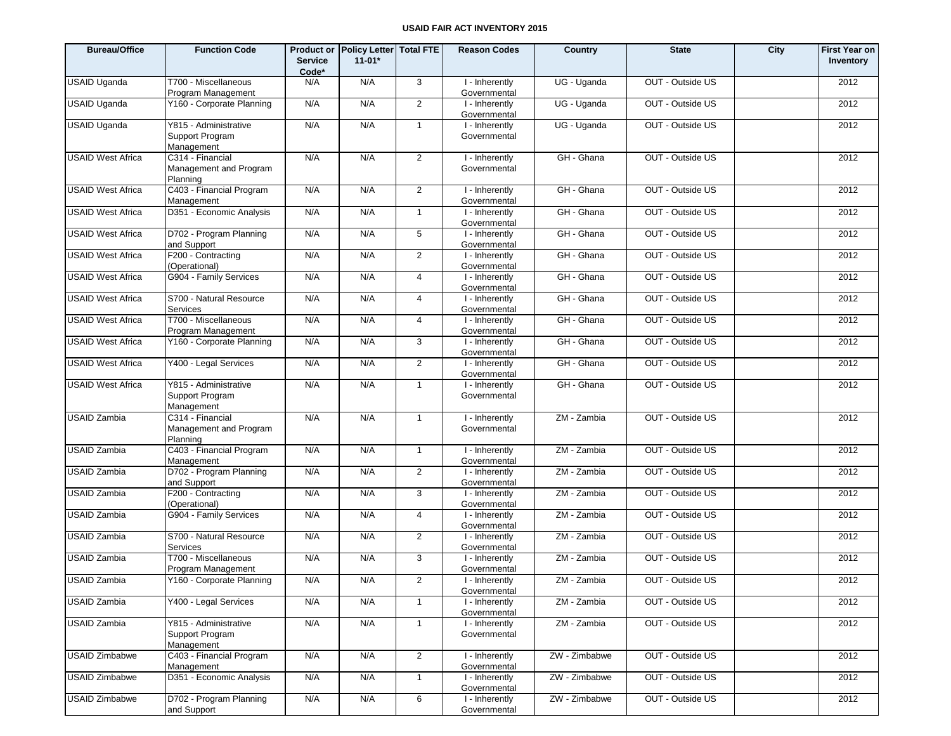| <b>Bureau/Office</b>     | <b>Function Code</b>                                   | <b>Service</b><br>Code* | Product or Policy Letter   Total FTE<br>$11 - 01*$ |                | <b>Reason Codes</b>            | Country       | <b>State</b>     | City | <b>First Year on</b><br>Inventory |
|--------------------------|--------------------------------------------------------|-------------------------|----------------------------------------------------|----------------|--------------------------------|---------------|------------------|------|-----------------------------------|
| <b>USAID Uganda</b>      | T700 - Miscellaneous<br>Program Management             | N/A                     | N/A                                                | 3              | I - Inherently<br>Governmental | UG - Uganda   | OUT - Outside US |      | 2012                              |
| <b>USAID Uganda</b>      | Y160 - Corporate Planning                              | N/A                     | N/A                                                | $\overline{2}$ | I - Inherently<br>Governmental | UG - Uganda   | OUT - Outside US |      | 2012                              |
| <b>USAID Uganda</b>      | Y815 - Administrative<br>Support Program<br>Management | N/A                     | N/A                                                | $\mathbf{1}$   | I - Inherently<br>Governmental | UG - Uganda   | OUT - Outside US |      | 2012                              |
| <b>USAID West Africa</b> | C314 - Financial<br>Management and Program<br>Planning | N/A                     | N/A                                                | $\overline{2}$ | I - Inherently<br>Governmental | GH - Ghana    | OUT - Outside US |      | 2012                              |
| <b>USAID West Africa</b> | C403 - Financial Program<br>Management                 | N/A                     | N/A                                                | $\overline{2}$ | I - Inherently<br>Governmental | GH - Ghana    | OUT - Outside US |      | 2012                              |
| <b>USAID West Africa</b> | D351 - Economic Analysis                               | N/A                     | N/A                                                | $\mathbf{1}$   | I - Inherently<br>Governmental | GH - Ghana    | OUT - Outside US |      | 2012                              |
| <b>USAID West Africa</b> | D702 - Program Planning<br>and Support                 | N/A                     | N/A                                                | 5              | I - Inherently<br>Governmental | GH - Ghana    | OUT - Outside US |      | 2012                              |
| <b>USAID West Africa</b> | F200 - Contracting<br>(Operational)                    | N/A                     | N/A                                                | $\overline{2}$ | I - Inherently<br>Governmental | GH - Ghana    | OUT - Outside US |      | 2012                              |
| <b>USAID West Africa</b> | G904 - Family Services                                 | N/A                     | N/A                                                | $\overline{4}$ | I - Inherently<br>Governmental | GH - Ghana    | OUT - Outside US |      | 2012                              |
| <b>USAID West Africa</b> | S700 - Natural Resource<br><b>Services</b>             | N/A                     | N/A                                                | $\overline{4}$ | I - Inherently<br>Governmental | GH - Ghana    | OUT - Outside US |      | 2012                              |
| <b>USAID West Africa</b> | T700 - Miscellaneous<br>Program Management             | N/A                     | N/A                                                | $\overline{4}$ | I - Inherently<br>Governmental | GH - Ghana    | OUT - Outside US |      | 2012                              |
| <b>USAID West Africa</b> | Y160 - Corporate Planning                              | N/A                     | N/A                                                | 3              | I - Inherently<br>Governmental | GH - Ghana    | OUT - Outside US |      | 2012                              |
| <b>USAID West Africa</b> | Y400 - Legal Services                                  | N/A                     | N/A                                                | $\overline{2}$ | I - Inherently<br>Governmental | GH - Ghana    | OUT - Outside US |      | 2012                              |
| <b>USAID West Africa</b> | Y815 - Administrative<br>Support Program<br>Management | N/A                     | N/A                                                | $\mathbf{1}$   | I - Inherently<br>Governmental | GH - Ghana    | OUT - Outside US |      | 2012                              |
| <b>USAID Zambia</b>      | C314 - Financial<br>Management and Program<br>Planning | N/A                     | N/A                                                | $\mathbf{1}$   | I - Inherently<br>Governmental | ZM - Zambia   | OUT - Outside US |      | 2012                              |
| <b>USAID Zambia</b>      | C403 - Financial Program<br>Management                 | N/A                     | N/A                                                | $\mathbf{1}$   | I - Inherently<br>Governmental | ZM - Zambia   | OUT - Outside US |      | 2012                              |
| <b>USAID Zambia</b>      | D702 - Program Planning<br>and Support                 | N/A                     | N/A                                                | $\overline{2}$ | I - Inherently<br>Governmental | ZM - Zambia   | OUT - Outside US |      | 2012                              |
| <b>USAID Zambia</b>      | F200 - Contracting<br>(Operational)                    | N/A                     | N/A                                                | 3              | I - Inherently<br>Governmental | ZM - Zambia   | OUT - Outside US |      | 2012                              |
| <b>USAID Zambia</b>      | G904 - Family Services                                 | N/A                     | N/A                                                | $\overline{4}$ | I - Inherently<br>Governmental | ZM - Zambia   | OUT - Outside US |      | 2012                              |
| <b>USAID Zambia</b>      | S700 - Natural Resource<br><b>Services</b>             | N/A                     | N/A                                                | $\overline{2}$ | I - Inherently<br>Governmental | ZM - Zambia   | OUT - Outside US |      | 2012                              |
| <b>USAID Zambia</b>      | T700 - Miscellaneous<br>Program Management             | N/A                     | N/A                                                | 3              | I - Inherently<br>Governmental | ZM - Zambia   | OUT - Outside US |      | 2012                              |
| <b>USAID Zambia</b>      | Y160 - Corporate Planning                              | N/A                     | N/A                                                | $\overline{2}$ | I - Inherently<br>Governmental | ZM - Zambia   | OUT - Outside US |      | 2012                              |
| <b>USAID Zambia</b>      | Y400 - Legal Services                                  | N/A                     | N/A                                                | $\mathbf{1}$   | I - Inherently<br>Governmental | ZM - Zambia   | OUT - Outside US |      | 2012                              |
| <b>USAID Zambia</b>      | Y815 - Administrative<br>Support Program<br>Management | N/A                     | N/A                                                | $\mathbf{1}$   | I - Inherently<br>Governmental | ZM - Zambia   | OUT - Outside US |      | 2012                              |
| <b>USAID Zimbabwe</b>    | C403 - Financial Program<br>Management                 | N/A                     | N/A                                                | $\overline{2}$ | I - Inherently<br>Governmental | ZW - Zimbabwe | OUT - Outside US |      | 2012                              |
| <b>USAID Zimbabwe</b>    | D351 - Economic Analysis                               | N/A                     | N/A                                                | $\mathbf{1}$   | I - Inherently<br>Governmental | ZW - Zimbabwe | OUT - Outside US |      | 2012                              |
| <b>USAID Zimbabwe</b>    | D702 - Program Planning<br>and Support                 | N/A                     | N/A                                                | 6              | I - Inherently<br>Governmental | ZW - Zimbabwe | OUT - Outside US |      | 2012                              |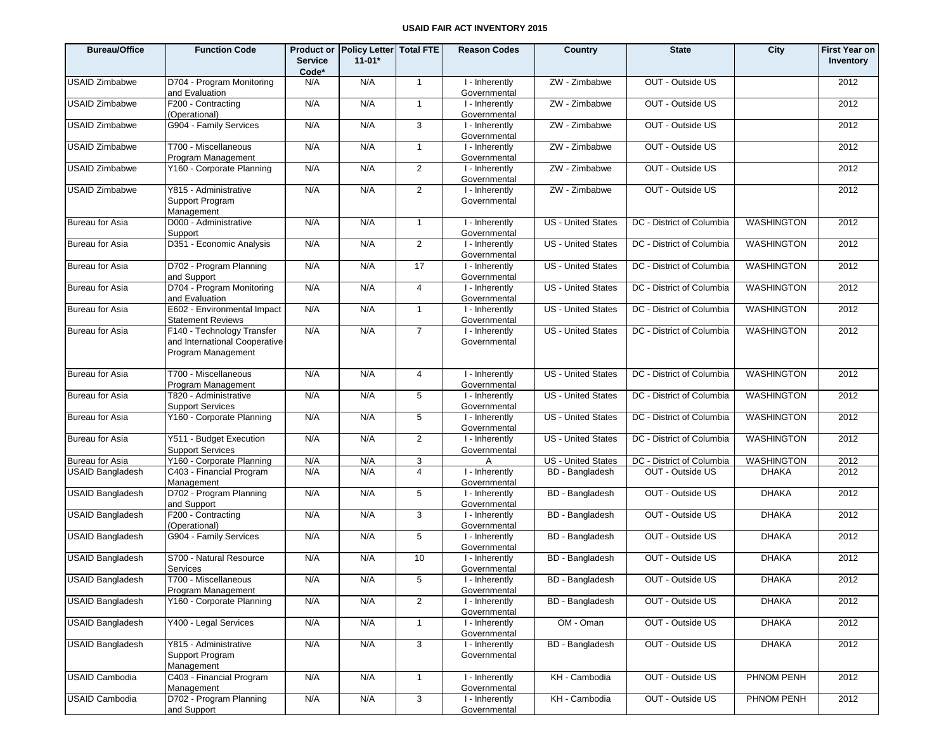| <b>Bureau/Office</b>    | <b>Function Code</b>                                                              | <b>Product or</b><br><b>Service</b><br>Code* | Policy Letter   Total FTE<br>$11-01*$ |                | <b>Reason Codes</b>            | Country                    | <b>State</b>              | City              | <b>First Year on</b><br>Inventory |
|-------------------------|-----------------------------------------------------------------------------------|----------------------------------------------|---------------------------------------|----------------|--------------------------------|----------------------------|---------------------------|-------------------|-----------------------------------|
| <b>USAID Zimbabwe</b>   | D704 - Program Monitoring<br>and Evaluation                                       | N/A                                          | N/A                                   | $\overline{1}$ | I - Inherently<br>Governmental | ZW - Zimbabwe              | OUT - Outside US          |                   | 2012                              |
| <b>USAID Zimbabwe</b>   | F200 - Contracting<br>(Operational)                                               | N/A                                          | N/A                                   | $\mathbf{1}$   | I - Inherently<br>Governmental | ZW - Zimbabwe              | OUT - Outside US          |                   | 2012                              |
| <b>USAID Zimbabwe</b>   | G904 - Family Services                                                            | N/A                                          | N/A                                   | $\mathbf{3}$   | I - Inherently<br>Governmental | ZW - Zimbabwe              | OUT - Outside US          |                   | 2012                              |
| <b>USAID Zimbabwe</b>   | T700 - Miscellaneous<br>Program Management                                        | N/A                                          | N/A                                   | $\mathbf{1}$   | I - Inherently<br>Governmental | ZW - Zimbabwe              | OUT - Outside US          |                   | 2012                              |
| <b>USAID Zimbabwe</b>   | Y160 - Corporate Planning                                                         | N/A                                          | N/A                                   | 2              | I - Inherently<br>Governmental | ZW - Zimbabwe              | OUT - Outside US          |                   | 2012                              |
| <b>USAID Zimbabwe</b>   | Y815 - Administrative<br>Support Program<br>Management                            | N/A                                          | N/A                                   | 2              | I - Inherently<br>Governmental | $\overline{ZW}$ - Zimbabwe | OUT - Outside US          |                   | 2012                              |
| <b>Bureau for Asia</b>  | D000 - Administrative<br>Support                                                  | N/A                                          | N/A                                   | $\mathbf{1}$   | I - Inherently<br>Governmental | <b>US - United States</b>  | DC - District of Columbia | <b>WASHINGTON</b> | 2012                              |
| Bureau for Asia         | D351 - Economic Analysis                                                          | N/A                                          | N/A                                   | $\overline{2}$ | I - Inherently<br>Governmental | <b>US - United States</b>  | DC - District of Columbia | <b>WASHINGTON</b> | 2012                              |
| <b>Bureau for Asia</b>  | D702 - Program Planning<br>and Support                                            | N/A                                          | N/A                                   | 17             | I - Inherently<br>Governmental | US - United States         | DC - District of Columbia | <b>WASHINGTON</b> | 2012                              |
| Bureau for Asia         | D704 - Program Monitoring<br>and Evaluation                                       | N/A                                          | N/A                                   | 4              | I - Inherently<br>Governmental | <b>US - United States</b>  | DC - District of Columbia | <b>WASHINGTON</b> | 2012                              |
| <b>Bureau for Asia</b>  | E602 - Environmental Impact<br><b>Statement Reviews</b>                           | N/A                                          | N/A                                   | $\mathbf{1}$   | I - Inherently<br>Governmental | US - United States         | DC - District of Columbia | WASHINGTON        | 2012                              |
| <b>Bureau for Asia</b>  | F140 - Technology Transfer<br>and International Cooperative<br>Program Management | N/A                                          | N/A                                   | $\overline{7}$ | I - Inherently<br>Governmental | <b>US</b> - United States  | DC - District of Columbia | <b>WASHINGTON</b> | 2012                              |
| <b>Bureau for Asia</b>  | T700 - Miscellaneous<br>Program Management                                        | N/A                                          | N/A                                   | 4              | I - Inherently<br>Governmental | <b>US</b> - United States  | DC - District of Columbia | <b>WASHINGTON</b> | 2012                              |
| <b>Bureau for Asia</b>  | T820 - Administrative<br><b>Support Services</b>                                  | N/A                                          | N/A                                   | 5              | I - Inherently<br>Governmental | <b>US</b> - United States  | DC - District of Columbia | <b>WASHINGTON</b> | 2012                              |
| Bureau for Asia         | Y160 - Corporate Planning                                                         | N/A                                          | N/A                                   | 5              | I - Inherently<br>Governmental | <b>US - United States</b>  | DC - District of Columbia | <b>WASHINGTON</b> | 2012                              |
| <b>Bureau for Asia</b>  | Y511 - Budget Execution<br><b>Support Services</b>                                | N/A                                          | N/A                                   | $\overline{2}$ | I - Inherently<br>Governmental | <b>US</b> - United States  | DC - District of Columbia | <b>WASHINGTON</b> | 2012                              |
| <b>Bureau for Asia</b>  | Y160 - Corporate Planning                                                         | N/A                                          | N/A                                   | 3              | A                              | US - United States         | DC - District of Columbia | <b>WASHINGTON</b> | 2012                              |
| <b>USAID Bangladesh</b> | C403 - Financial Program<br>Management                                            | N/A                                          | N/A                                   | $\overline{4}$ | I - Inherently<br>Governmental | <b>BD</b> - Bangladesh     | OUT - Outside US          | <b>DHAKA</b>      | 2012                              |
| <b>USAID Bangladesh</b> | D702 - Program Planning<br>and Support                                            | N/A                                          | N/A                                   | 5              | I - Inherently<br>Governmental | BD - Bangladesh            | OUT - Outside US          | <b>DHAKA</b>      | 2012                              |
| <b>USAID Bangladesh</b> | F200 - Contracting<br>(Operational)                                               | N/A                                          | N/A                                   | 3              | I - Inherently<br>Governmental | <b>BD</b> - Bangladesh     | OUT - Outside US          | <b>DHAKA</b>      | 2012                              |
| <b>USAID Bangladesh</b> | G904 - Family Services                                                            | N/A                                          | N/A                                   | 5              | I - Inherently<br>Governmental | BD - Bangladesh            | OUT - Outside US          | <b>DHAKA</b>      | 2012                              |
| <b>USAID Bangladesh</b> | S700 - Natural Resource<br>Services                                               | N/A                                          | N/A                                   | 10             | I - Inherently<br>Governmental | <b>BD</b> - Bangladesh     | OUT - Outside US          | <b>DHAKA</b>      | 2012                              |
| <b>USAID Bangladesh</b> | T700 - Miscellaneous<br>Program Management                                        | N/A                                          | N/A                                   | 5              | I - Inherently<br>Governmental | <b>BD</b> - Bangladesh     | OUT - Outside US          | <b>DHAKA</b>      | 2012                              |
| <b>USAID Bangladesh</b> | Y160 - Corporate Planning                                                         | N/A                                          | N/A                                   | $\overline{2}$ | I - Inherently<br>Governmental | <b>BD</b> - Bangladesh     | OUT - Outside US          | <b>DHAKA</b>      | 2012                              |
| <b>USAID Bangladesh</b> | Y400 - Legal Services                                                             | N/A                                          | N/A                                   | $\mathbf{1}$   | I - Inherently<br>Governmental | OM - Oman                  | OUT - Outside US          | <b>DHAKA</b>      | 2012                              |
| <b>USAID Bangladesh</b> | Y815 - Administrative<br>Support Program<br>Management                            | N/A                                          | N/A                                   | $\mathbf{3}$   | I - Inherently<br>Governmental | <b>BD</b> - Bangladesh     | OUT - Outside US          | <b>DHAKA</b>      | 2012                              |
| <b>USAID Cambodia</b>   | C403 - Financial Program<br>Management                                            | N/A                                          | N/A                                   | $\mathbf{1}$   | I - Inherently<br>Governmental | KH - Cambodia              | OUT - Outside US          | PHNOM PENH        | 2012                              |
| <b>USAID Cambodia</b>   | D702 - Program Planning<br>and Support                                            | N/A                                          | N/A                                   | $\mathbf{3}$   | I - Inherently<br>Governmental | KH - Cambodia              | OUT - Outside US          | PHNOM PENH        | 2012                              |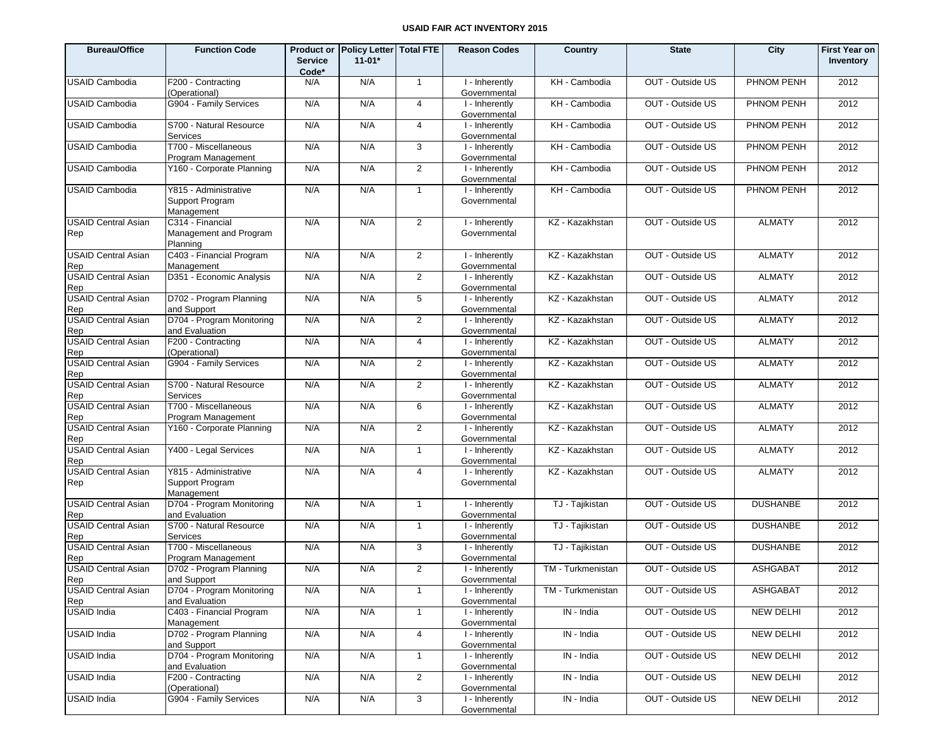| <b>Bureau/Office</b>              | <b>Function Code</b>                                   | <b>Service</b> | Product or Policy Letter Total FTE<br>$11 - 01*$ |                | <b>Reason Codes</b>            | Country           | <b>State</b>     | City             | First Year on<br><b>Inventory</b> |
|-----------------------------------|--------------------------------------------------------|----------------|--------------------------------------------------|----------------|--------------------------------|-------------------|------------------|------------------|-----------------------------------|
|                                   |                                                        | Code*          | N/A                                              |                |                                |                   |                  |                  |                                   |
| <b>USAID Cambodia</b>             | F200 - Contracting<br>(Operational)                    | N/A            |                                                  | $\overline{1}$ | I - Inherently<br>Governmental | KH - Cambodia     | OUT - Outside US | PHNOM PENH       | 2012                              |
| <b>USAID Cambodia</b>             | G904 - Family Services                                 | N/A            | N/A                                              | $\overline{4}$ | I - Inherently<br>Governmental | KH - Cambodia     | OUT - Outside US | PHNOM PENH       | 2012                              |
| <b>USAID Cambodia</b>             | S700 - Natural Resource<br><b>Services</b>             | N/A            | N/A                                              | $\overline{4}$ | I - Inherently<br>Governmental | KH - Cambodia     | OUT - Outside US | PHNOM PENH       | 2012                              |
| <b>USAID Cambodia</b>             | T700 - Miscellaneous<br>Program Management             | N/A            | N/A                                              | 3              | I - Inherently<br>Governmental | KH - Cambodia     | OUT - Outside US | PHNOM PENH       | 2012                              |
| <b>USAID Cambodia</b>             | Y160 - Corporate Planning                              | N/A            | N/A                                              | 2              | I - Inherently<br>Governmental | KH - Cambodia     | OUT - Outside US | PHNOM PENH       | 2012                              |
| <b>USAID Cambodia</b>             | Y815 - Administrative<br>Support Program<br>Management | N/A            | N/A                                              | $\mathbf{1}$   | I - Inherently<br>Governmental | KH - Cambodia     | OUT - Outside US | PHNOM PENH       | 2012                              |
| <b>USAID Central Asian</b><br>Rep | C314 - Financial<br>Management and Program<br>Planning | N/A            | N/A                                              | $\overline{2}$ | I - Inherently<br>Governmental | KZ - Kazakhstan   | OUT - Outside US | <b>ALMATY</b>    | 2012                              |
| <b>USAID Central Asian</b><br>Rep | C403 - Financial Program<br>Management                 | N/A            | N/A                                              | 2              | I - Inherently<br>Governmental | KZ - Kazakhstan   | OUT - Outside US | <b>ALMATY</b>    | 2012                              |
| <b>USAID Central Asian</b><br>Rep | D351 - Economic Analysis                               | N/A            | N/A                                              | 2              | I - Inherently<br>Governmental | KZ - Kazakhstan   | OUT - Outside US | <b>ALMATY</b>    | 2012                              |
| <b>USAID Central Asian</b><br>Rep | D702 - Program Planning<br>and Support                 | N/A            | N/A                                              | 5              | I - Inherently<br>Governmental | KZ - Kazakhstan   | OUT - Outside US | <b>ALMATY</b>    | 2012                              |
| <b>USAID Central Asian</b><br>Rep | D704 - Program Monitoring<br>and Evaluation            | N/A            | N/A                                              | $\overline{2}$ | I - Inherently<br>Governmental | KZ - Kazakhstan   | OUT - Outside US | <b>ALMATY</b>    | 2012                              |
| <b>USAID Central Asian</b><br>Rep | F200 - Contracting<br>(Operational)                    | N/A            | N/A                                              | $\overline{4}$ | I - Inherently<br>Governmental | KZ - Kazakhstan   | OUT - Outside US | <b>ALMATY</b>    | 2012                              |
| <b>USAID Central Asian</b><br>Rep | G904 - Family Services                                 | N/A            | N/A                                              | 2              | I - Inherently<br>Governmental | KZ - Kazakhstan   | OUT - Outside US | <b>ALMATY</b>    | 2012                              |
| <b>USAID Central Asian</b><br>Rep | S700 - Natural Resource<br>Services                    | N/A            | N/A                                              | 2              | I - Inherently<br>Governmental | KZ - Kazakhstan   | OUT - Outside US | <b>ALMATY</b>    | 2012                              |
| <b>USAID Central Asian</b><br>Rep | T700 - Miscellaneous<br>Program Management             | N/A            | N/A                                              | 6              | I - Inherently<br>Governmental | KZ - Kazakhstan   | OUT - Outside US | <b>ALMATY</b>    | 2012                              |
| <b>USAID Central Asian</b><br>Rep | Y160 - Corporate Planning                              | N/A            | N/A                                              | 2              | I - Inherently<br>Governmental | KZ - Kazakhstan   | OUT - Outside US | <b>ALMATY</b>    | 2012                              |
| <b>USAID Central Asian</b><br>Rep | Y400 - Legal Services                                  | N/A            | N/A                                              | $\mathbf{1}$   | I - Inherently<br>Governmental | KZ - Kazakhstan   | OUT - Outside US | <b>ALMATY</b>    | 2012                              |
| <b>USAID Central Asian</b><br>Rep | Y815 - Administrative<br>Support Program<br>Management | N/A            | N/A                                              | $\overline{4}$ | I - Inherently<br>Governmental | KZ - Kazakhstan   | OUT - Outside US | <b>ALMATY</b>    | 2012                              |
| <b>USAID Central Asian</b><br>Rep | D704 - Program Monitoring<br>and Evaluation            | N/A            | N/A                                              | $\mathbf{1}$   | I - Inherently<br>Governmental | TJ - Tajikistan   | OUT - Outside US | <b>DUSHANBE</b>  | 2012                              |
| <b>USAID Central Asian</b><br>Rep | S700 - Natural Resource<br>Services                    | N/A            | N/A                                              | $\overline{1}$ | I - Inherently<br>Governmental | TJ - Tajikistan   | OUT - Outside US | <b>DUSHANBE</b>  | 2012                              |
| <b>USAID Central Asian</b><br>Rep | T700 - Miscellaneous<br>Program Management             | N/A            | N/A                                              | 3              | I - Inherently<br>Governmental | TJ - Taiikistan   | OUT - Outside US | <b>DUSHANBE</b>  | 2012                              |
| <b>USAID Central Asian</b><br>Rep | D702 - Program Planning<br>and Support                 | N/A            | N/A                                              | $\overline{2}$ | I - Inherently<br>Governmental | TM - Turkmenistan | OUT - Outside US | <b>ASHGABAT</b>  | 2012                              |
| <b>USAID Central Asian</b><br>Rep | D704 - Program Monitoring<br>and Evaluation            | N/A            | N/A                                              | $\mathbf{1}$   | I - Inherently<br>Governmental | TM - Turkmenistan | OUT - Outside US | ASHGABAT         | 2012                              |
| USAID India                       | C403 - Financial Program<br>Management                 | N/A            | N/A                                              | $\mathbf{1}$   | I - Inherently<br>Governmental | IN - India        | OUT - Outside US | <b>NEW DELHI</b> | 2012                              |
| USAID India                       | D702 - Program Planning<br>and Support                 | N/A            | N/A                                              | $\overline{4}$ | I - Inherently<br>Governmental | IN - India        | OUT - Outside US | <b>NEW DELHI</b> | 2012                              |
| USAID India                       | D704 - Program Monitoring<br>and Evaluation            | N/A            | N/A                                              | $\mathbf{1}$   | I - Inherently<br>Governmental | IN - India        | OUT - Outside US | <b>NEW DELHI</b> | 2012                              |
| USAID India                       | F200 - Contracting<br>(Operational)                    | N/A            | N/A                                              | $\overline{2}$ | I - Inherently<br>Governmental | IN - India        | OUT - Outside US | <b>NEW DELHI</b> | 2012                              |
| USAID India                       | G904 - Family Services                                 | N/A            | N/A                                              | 3              | I - Inherently<br>Governmental | IN - India        | OUT - Outside US | <b>NEW DELHI</b> | 2012                              |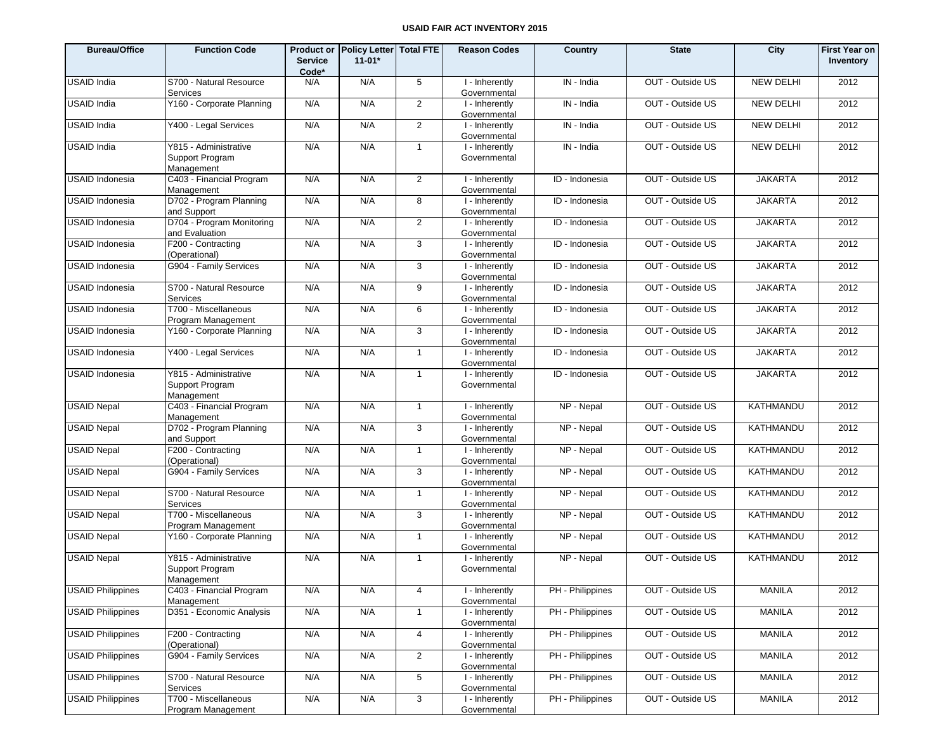| <b>Bureau/Office</b>     | <b>Function Code</b>                                   | <b>Service</b><br>Code* | Product or Policy Letter Total FTE<br>$11 - 01*$ |                 | <b>Reason Codes</b>            | Country                     | <b>State</b>     | City             | <b>First Year on</b><br>Inventory |
|--------------------------|--------------------------------------------------------|-------------------------|--------------------------------------------------|-----------------|--------------------------------|-----------------------------|------------------|------------------|-----------------------------------|
| <b>USAID</b> India       | S700 - Natural Resource<br>Services                    | N/A                     | N/A                                              | 5               | I - Inherently<br>Governmental | IN - India                  | OUT - Outside US | <b>NEW DELHI</b> | 2012                              |
| <b>USAID India</b>       | Y160 - Corporate Planning                              | N/A                     | N/A                                              | $\overline{2}$  | I - Inherently<br>Governmental | IN - India                  | OUT - Outside US | <b>NEW DELHI</b> | 2012                              |
| <b>USAID India</b>       | Y400 - Legal Services                                  | N/A                     | N/A                                              | 2               | I - Inherently<br>Governmental | IN - India                  | OUT - Outside US | <b>NEW DELHI</b> | 2012                              |
| USAID India              | Y815 - Administrative<br>Support Program<br>Management | N/A                     | N/A                                              | $\overline{1}$  | I - Inherently<br>Governmental | IN - India                  | OUT - Outside US | <b>NEW DELHI</b> | 2012                              |
| <b>USAID Indonesia</b>   | C403 - Financial Program<br>Management                 | N/A                     | N/A                                              | $\overline{2}$  | I - Inherently<br>Governmental | ID - Indonesia              | OUT - Outside US | <b>JAKARTA</b>   | 2012                              |
| USAID Indonesia          | D702 - Program Planning<br>and Support                 | N/A                     | N/A                                              | 8               | I - Inherently<br>Governmental | $\overline{ID}$ - Indonesia | OUT - Outside US | <b>JAKARTA</b>   | 2012                              |
| USAID Indonesia          | D704 - Program Monitoring<br>and Evaluation            | N/A                     | N/A                                              | $\overline{2}$  | I - Inherently<br>Governmental | ID - Indonesia              | OUT - Outside US | <b>JAKARTA</b>   | 2012                              |
| <b>USAID Indonesia</b>   | F200 - Contracting<br>(Operational)                    | N/A                     | N/A                                              | 3               | I - Inherently<br>Governmental | ID - Indonesia              | OUT - Outside US | <b>JAKARTA</b>   | 2012                              |
| USAID Indonesia          | G904 - Family Services                                 | N/A                     | N/A                                              | 3               | I - Inherently<br>Governmental | ID - Indonesia              | OUT - Outside US | <b>JAKARTA</b>   | 2012                              |
| <b>USAID Indonesia</b>   | S700 - Natural Resource<br>Services                    | N/A                     | N/A                                              | 9               | I - Inherently<br>Governmental | ID - Indonesia              | OUT - Outside US | <b>JAKARTA</b>   | 2012                              |
| USAID Indonesia          | T700 - Miscellaneous<br>Program Management             | N/A                     | N/A                                              | 6               | I - Inherently<br>Governmental | ID - Indonesia              | OUT - Outside US | <b>JAKARTA</b>   | 2012                              |
| <b>USAID Indonesia</b>   | Y160 - Corporate Planning                              | N/A                     | N/A                                              | 3               | I - Inherently<br>Governmental | ID - Indonesia              | OUT - Outside US | <b>JAKARTA</b>   | 2012                              |
| USAID Indonesia          | Y400 - Legal Services                                  | N/A                     | N/A                                              | $\mathbf{1}$    | I - Inherently<br>Governmental | ID - Indonesia              | OUT - Outside US | <b>JAKARTA</b>   | 2012                              |
| <b>USAID Indonesia</b>   | Y815 - Administrative<br>Support Program<br>Management | N/A                     | N/A                                              | $\mathbf{1}$    | I - Inherently<br>Governmental | ID - Indonesia              | OUT - Outside US | <b>JAKARTA</b>   | 2012                              |
| <b>USAID Nepal</b>       | C403 - Financial Program<br>Management                 | N/A                     | N/A                                              | $\overline{1}$  | I - Inherently<br>Governmental | NP - Nepal                  | OUT - Outside US | <b>KATHMANDU</b> | 2012                              |
| <b>USAID Nepal</b>       | D702 - Program Planning<br>and Support                 | N/A                     | N/A                                              | 3               | I - Inherently<br>Governmental | NP - Nepal                  | OUT - Outside US | <b>KATHMANDU</b> | 2012                              |
| <b>USAID Nepal</b>       | F200 - Contracting<br>(Operational)                    | N/A                     | N/A                                              | $\overline{1}$  | I - Inherently<br>Governmental | NP - Nepal                  | OUT - Outside US | <b>KATHMANDU</b> | 2012                              |
| <b>USAID Nepal</b>       | G904 - Family Services                                 | N/A                     | N/A                                              | 3               | I - Inherently<br>Governmental | NP - Nepal                  | OUT - Outside US | <b>KATHMANDU</b> | 2012                              |
| <b>USAID Nepal</b>       | S700 - Natural Resource<br>Services                    | N/A                     | N/A                                              | $\overline{1}$  | I - Inherently<br>Governmental | NP - Nepal                  | OUT - Outside US | <b>KATHMANDU</b> | 2012                              |
| <b>USAID Nepal</b>       | T700 - Miscellaneous<br>Program Management             | N/A                     | N/A                                              | 3               | I - Inherently<br>Governmental | NP - Nepal                  | OUT - Outside US | <b>KATHMANDU</b> | 2012                              |
| <b>USAID Nepal</b>       | Y160 - Corporate Planning                              | N/A                     | N/A                                              | $\overline{1}$  | I - Inherently<br>Governmental | NP - Nepal                  | OUT - Outside US | KATHMANDU        | 2012                              |
| <b>USAID Nepal</b>       | Y815 - Administrative<br>Support Program<br>Management | N/A                     | N/A                                              | $\mathbf{1}$    | I - Inherently<br>Governmental | NP - Nepal                  | OUT - Outside US | <b>KATHMANDU</b> | 2012                              |
| <b>USAID Philippines</b> | C403 - Financial Program<br>Management                 | N/A                     | N/A                                              | 4               | I - Inherently<br>Governmental | PH - Philippines            | OUT - Outside US | <b>MANILA</b>    | 2012                              |
| <b>USAID Philippines</b> | D351 - Economic Analysis                               | N/A                     | N/A                                              | $\overline{1}$  | I - Inherently<br>Governmental | PH - Philippines            | OUT - Outside US | <b>MANILA</b>    | 2012                              |
| <b>USAID Philippines</b> | F200 - Contracting<br>(Operational)                    | N/A                     | N/A                                              | 4               | I - Inherently<br>Governmental | PH - Philippines            | OUT - Outside US | <b>MANILA</b>    | 2012                              |
| <b>USAID Philippines</b> | G904 - Family Services                                 | N/A                     | N/A                                              | $\overline{2}$  | I - Inherently<br>Governmental | PH - Philippines            | OUT - Outside US | <b>MANILA</b>    | 2012                              |
| <b>USAID Philippines</b> | S700 - Natural Resource<br>Services                    | N/A                     | N/A                                              | $5\phantom{.0}$ | I - Inherently<br>Governmental | PH - Philippines            | OUT - Outside US | <b>MANILA</b>    | 2012                              |
| <b>USAID Philippines</b> | T700 - Miscellaneous<br>Program Management             | N/A                     | N/A                                              | 3               | I - Inherently<br>Governmental | PH - Philippines            | OUT - Outside US | MANILA           | 2012                              |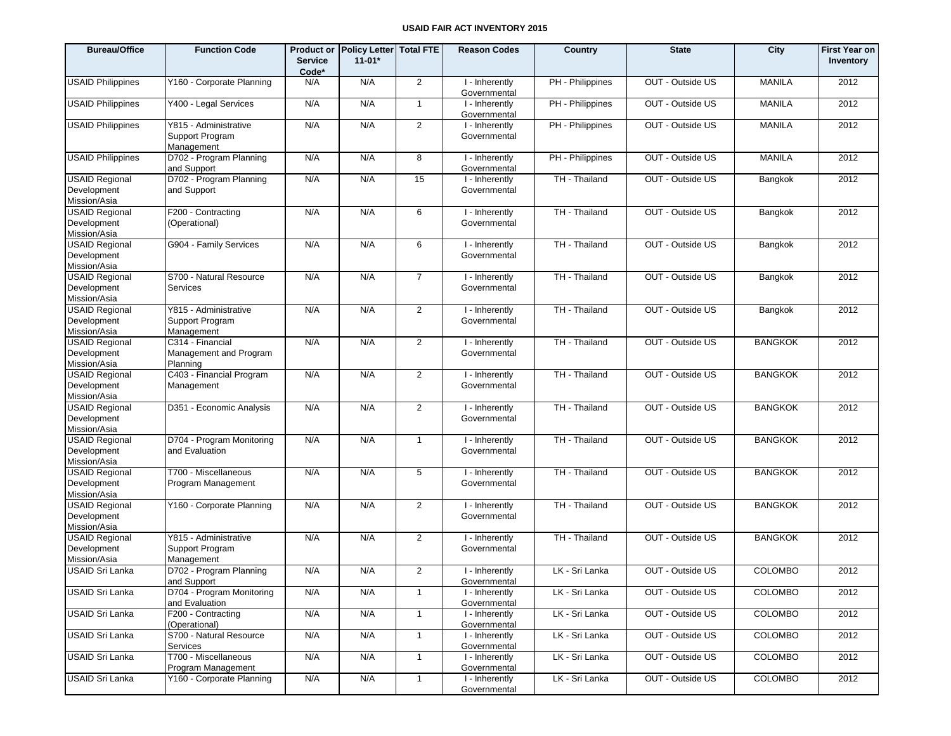| <b>Bureau/Office</b>                                 | <b>Function Code</b>                                   | <b>Service</b><br>Code* | Product or Policy Letter Total FTE<br>$11 - 01*$ |                | <b>Reason Codes</b>            | Country          | <b>State</b>     | City           | <b>First Year on</b><br>Inventory |
|------------------------------------------------------|--------------------------------------------------------|-------------------------|--------------------------------------------------|----------------|--------------------------------|------------------|------------------|----------------|-----------------------------------|
| <b>USAID Philippines</b>                             | Y160 - Corporate Planning                              | N/A                     | N/A                                              | $\overline{2}$ | I - Inherently<br>Governmental | PH - Philippines | OUT - Outside US | <b>MANILA</b>  | 2012                              |
| <b>USAID Philippines</b>                             | Y400 - Legal Services                                  | N/A                     | N/A                                              | $\overline{1}$ | I - Inherently<br>Governmental | PH - Philippines | OUT - Outside US | <b>MANILA</b>  | 2012                              |
| <b>USAID Philippines</b>                             | Y815 - Administrative<br>Support Program<br>Management | N/A                     | N/A                                              | 2              | I - Inherently<br>Governmental | PH - Philippines | OUT - Outside US | <b>MANILA</b>  | 2012                              |
| <b>USAID Philippines</b>                             | D702 - Program Planning<br>and Support                 | N/A                     | N/A                                              | 8              | I - Inherently<br>Governmental | PH - Philippines | OUT - Outside US | <b>MANILA</b>  | 2012                              |
| <b>USAID Regional</b><br>Development<br>Mission/Asia | D702 - Program Planning<br>and Support                 | N/A                     | N/A                                              | 15             | I - Inherently<br>Governmental | TH - Thailand    | OUT - Outside US | Bangkok        | 2012                              |
| <b>USAID Regional</b><br>Development<br>Mission/Asia | F200 - Contracting<br>(Operational)                    | N/A                     | N/A                                              | 6              | I - Inherently<br>Governmental | TH - Thailand    | OUT - Outside US | Bangkok        | 2012                              |
| <b>USAID Regional</b><br>Development<br>Mission/Asia | G904 - Family Services                                 | N/A                     | N/A                                              | 6              | I - Inherently<br>Governmental | TH - Thailand    | OUT - Outside US | Bangkok        | 2012                              |
| <b>USAID Regional</b><br>Development<br>Mission/Asia | S700 - Natural Resource<br>Services                    | N/A                     | N/A                                              | $\overline{7}$ | I - Inherently<br>Governmental | TH - Thailand    | OUT - Outside US | Bangkok        | 2012                              |
| <b>USAID Regional</b><br>Development<br>Mission/Asia | Y815 - Administrative<br>Support Program<br>Management | N/A                     | N/A                                              | 2              | I - Inherently<br>Governmental | TH - Thailand    | OUT - Outside US | Bangkok        | 2012                              |
| <b>USAID Regional</b><br>Development<br>Mission/Asia | C314 - Financial<br>Management and Program<br>Planning | N/A                     | N/A                                              | 2              | I - Inherently<br>Governmental | TH - Thailand    | OUT - Outside US | <b>BANGKOK</b> | 2012                              |
| <b>USAID Regional</b><br>Development<br>Mission/Asia | C403 - Financial Program<br>Management                 | N/A                     | N/A                                              | $\overline{2}$ | I - Inherently<br>Governmental | TH - Thailand    | OUT - Outside US | <b>BANGKOK</b> | 2012                              |
| <b>USAID Regional</b><br>Development<br>Mission/Asia | D351 - Economic Analysis                               | N/A                     | N/A                                              | 2              | I - Inherently<br>Governmental | TH - Thailand    | OUT - Outside US | <b>BANGKOK</b> | 2012                              |
| <b>USAID Regional</b><br>Development<br>Mission/Asia | D704 - Program Monitoring<br>and Evaluation            | N/A                     | N/A                                              | $\overline{1}$ | I - Inherently<br>Governmental | TH - Thailand    | OUT - Outside US | <b>BANGKOK</b> | 2012                              |
| <b>USAID Regional</b><br>Development<br>Mission/Asia | T700 - Miscellaneous<br>Program Management             | N/A                     | N/A                                              | 5              | I - Inherently<br>Governmental | TH - Thailand    | OUT - Outside US | <b>BANGKOK</b> | 2012                              |
| <b>USAID Regional</b><br>Development<br>Mission/Asia | Y160 - Corporate Planning                              | N/A                     | N/A                                              | 2              | I - Inherently<br>Governmental | TH - Thailand    | OUT - Outside US | <b>BANGKOK</b> | 2012                              |
| <b>USAID Regional</b><br>Development<br>Mission/Asia | Y815 - Administrative<br>Support Program<br>Management | N/A                     | N/A                                              | 2              | I - Inherently<br>Governmental | TH - Thailand    | OUT - Outside US | <b>BANGKOK</b> | 2012                              |
| <b>USAID Sri Lanka</b>                               | D702 - Program Planning<br>and Support                 | N/A                     | N/A                                              | 2              | I - Inherently<br>Governmental | LK - Sri Lanka   | OUT - Outside US | <b>COLOMBO</b> | 2012                              |
| <b>USAID Sri Lanka</b>                               | D704 - Program Monitoring<br>and Evaluation            | N/A                     | N/A                                              | $\mathbf{1}$   | I - Inherently<br>Governmental | LK - Sri Lanka   | OUT - Outside US | COLOMBO        | 2012                              |
| <b>USAID Sri Lanka</b>                               | F200 - Contracting<br>(Operational)                    | N/A                     | N/A                                              | $\mathbf{1}$   | I - Inherently<br>Governmental | LK - Sri Lanka   | OUT - Outside US | <b>COLOMBO</b> | 2012                              |
| <b>USAID Sri Lanka</b>                               | S700 - Natural Resource<br>Services                    | N/A                     | N/A                                              | $\overline{1}$ | I - Inherently<br>Governmental | LK - Sri Lanka   | OUT - Outside US | <b>COLOMBO</b> | 2012                              |
| <b>USAID Sri Lanka</b>                               | T700 - Miscellaneous<br>Program Management             | N/A                     | N/A                                              | $\mathbf{1}$   | I - Inherently<br>Governmental | LK - Sri Lanka   | OUT - Outside US | <b>COLOMBO</b> | 2012                              |
| <b>USAID Sri Lanka</b>                               | Y160 - Corporate Planning                              | N/A                     | N/A                                              | $\mathbf{1}$   | I - Inherently<br>Governmental | LK - Sri Lanka   | OUT - Outside US | <b>COLOMBO</b> | 2012                              |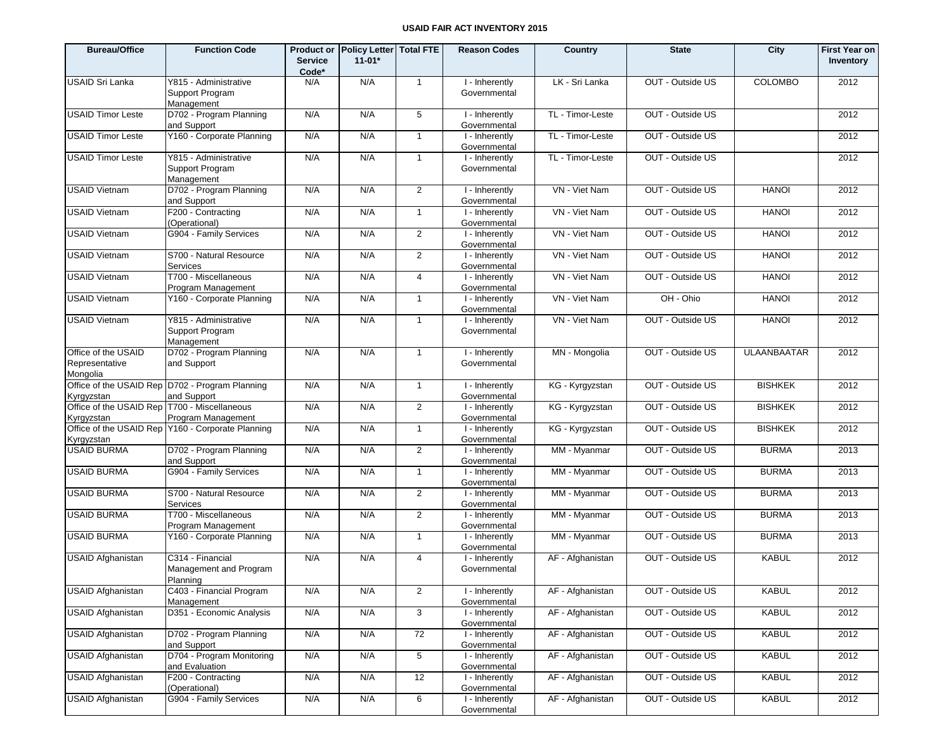| <b>Bureau/Office</b>                                         | <b>Function Code</b>                                           | <b>Product or</b><br><b>Service</b><br>Code* | Policy Letter Total FTE<br>$11-01*$ |                | <b>Reason Codes</b>            | Country          | <b>State</b>     | City               | <b>First Year on</b><br>Inventory |
|--------------------------------------------------------------|----------------------------------------------------------------|----------------------------------------------|-------------------------------------|----------------|--------------------------------|------------------|------------------|--------------------|-----------------------------------|
| <b>USAID Sri Lanka</b>                                       | Y815 - Administrative<br>Support Program<br>Management         | N/A                                          | N/A                                 | $\mathbf{1}$   | I - Inherently<br>Governmental | LK - Sri Lanka   | OUT - Outside US | <b>COLOMBO</b>     | 2012                              |
| <b>USAID Timor Leste</b>                                     | D702 - Program Planning<br>and Support                         | N/A                                          | N/A                                 | 5              | I - Inherently<br>Governmental | TL - Timor-Leste | OUT - Outside US |                    | 2012                              |
| <b>USAID Timor Leste</b>                                     | Y160 - Corporate Planning                                      | N/A                                          | N/A                                 | $\mathbf{1}$   | I - Inherently<br>Governmental | TL - Timor-Leste | OUT - Outside US |                    | 2012                              |
| <b>USAID Timor Leste</b>                                     | Y815 - Administrative<br>Support Program<br>Management         | N/A                                          | N/A                                 | $\mathbf{1}$   | I - Inherently<br>Governmental | TL - Timor-Leste | OUT - Outside US |                    | 2012                              |
| <b>USAID Vietnam</b>                                         | D702 - Program Planning<br>and Support                         | N/A                                          | N/A                                 | 2              | I - Inherently<br>Governmental | VN - Viet Nam    | OUT - Outside US | <b>HANOI</b>       | 2012                              |
| <b>USAID Vietnam</b>                                         | F200 - Contracting<br>(Operational)                            | N/A                                          | N/A                                 | $\mathbf{1}$   | I - Inherently<br>Governmental | VN - Viet Nam    | OUT - Outside US | <b>HANOI</b>       | 2012                              |
| <b>USAID Vietnam</b>                                         | G904 - Family Services                                         | N/A                                          | N/A                                 | 2              | I - Inherently<br>Governmental | VN - Viet Nam    | OUT - Outside US | <b>HANOI</b>       | 2012                              |
| <b>USAID Vietnam</b>                                         | S700 - Natural Resource<br>Services                            | N/A                                          | N/A                                 | $\overline{2}$ | I - Inherently<br>Governmental | VN - Viet Nam    | OUT - Outside US | <b>HANOI</b>       | 2012                              |
| <b>USAID Vietnam</b>                                         | T700 - Miscellaneous<br>Program Management                     | N/A                                          | N/A                                 | $\overline{4}$ | I - Inherently<br>Governmental | VN - Viet Nam    | OUT - Outside US | <b>HANOI</b>       | 2012                              |
| <b>USAID Vietnam</b>                                         | Y160 - Corporate Planning                                      | N/A                                          | N/A                                 | $\mathbf{1}$   | I - Inherently<br>Governmental | VN - Viet Nam    | OH - Ohio        | <b>HANOI</b>       | 2012                              |
| <b>USAID Vietnam</b>                                         | Y815 - Administrative<br>Support Program<br>Management         | N/A                                          | N/A                                 | $\mathbf{1}$   | I - Inherently<br>Governmental | VN - Viet Nam    | OUT - Outside US | <b>HANOI</b>       | 2012                              |
| Office of the USAID<br>Representative<br>Mongolia            | D702 - Program Planning<br>and Support                         | N/A                                          | N/A                                 | $\mathbf{1}$   | I - Inherently<br>Governmental | MN - Mongolia    | OUT - Outside US | <b>ULAANBAATAR</b> | 2012                              |
| Kyrgyzstan                                                   | Office of the USAID Rep D702 - Program Planning<br>and Support | N/A                                          | N/A                                 | $\mathbf{1}$   | I - Inherently<br>Governmental | KG - Kyrgyzstan  | OUT - Outside US | <b>BISHKEK</b>     | 2012                              |
| Office of the USAID Rep   T700 - Miscellaneous<br>Kyrgyzstan | Program Management                                             | N/A                                          | N/A                                 | $\overline{2}$ | I - Inherently<br>Governmental | KG - Kyrgyzstan  | OUT - Outside US | <b>BISHKEK</b>     | 2012                              |
| Kyrgyzstan                                                   | Office of the USAID Rep Y160 - Corporate Planning              | N/A                                          | N/A                                 | $\mathbf{1}$   | I - Inherently<br>Governmental | KG - Kyrgyzstan  | OUT - Outside US | <b>BISHKEK</b>     | 2012                              |
| <b>USAID BURMA</b>                                           | D702 - Program Planning<br>and Support                         | N/A                                          | N/A                                 | $\overline{2}$ | I - Inherently<br>Governmental | MM - Myanmar     | OUT - Outside US | <b>BURMA</b>       | 2013                              |
| <b>USAID BURMA</b>                                           | G904 - Family Services                                         | N/A                                          | N/A                                 | $\mathbf{1}$   | I - Inherently<br>Governmental | MM - Myanmar     | OUT - Outside US | <b>BURMA</b>       | 2013                              |
| <b>USAID BURMA</b>                                           | S700 - Natural Resource<br><b>Services</b>                     | N/A                                          | N/A                                 | $\overline{2}$ | I - Inherently<br>Governmental | MM - Myanmar     | OUT - Outside US | <b>BURMA</b>       | 2013                              |
| <b>USAID BURMA</b>                                           | T700 - Miscellaneous<br>Program Management                     | N/A                                          | N/A                                 | $\overline{2}$ | I - Inherently<br>Governmental | MM - Myanmar     | OUT - Outside US | <b>BURMA</b>       | 2013                              |
| <b>USAID BURMA</b>                                           | Y160 - Corporate Planning                                      | N/A                                          | N/A                                 | $\mathbf{1}$   | I - Inherently<br>Governmental | MM - Myanmar     | OUT - Outside US | <b>BURMA</b>       | 2013                              |
| <b>USAID Afghanistan</b>                                     | C314 - Financial<br>Management and Program<br>Planning         | N/A                                          | N/A                                 | $\overline{4}$ | I - Inherently<br>Governmental | AF - Afghanistan | OUT - Outside US | <b>KABUL</b>       | 2012                              |
| <b>USAID Afghanistan</b>                                     | C403 - Financial Program<br>Management                         | N/A                                          | N/A                                 | $\overline{c}$ | I - Inherently<br>Governmental | AF - Afghanistan | OUT - Outside US | KABUL              | 2012                              |
| <b>USAID Afghanistan</b>                                     | D351 - Economic Analysis                                       | N/A                                          | N/A                                 | 3              | I - Inherently<br>Governmental | AF - Afghanistan | OUT - Outside US | <b>KABUL</b>       | 2012                              |
| <b>USAID Afghanistan</b>                                     | D702 - Program Planning<br>and Support                         | N/A                                          | N/A                                 | 72             | I - Inherently<br>Governmental | AF - Afghanistan | OUT - Outside US | <b>KABUL</b>       | 2012                              |
| <b>USAID Afghanistan</b>                                     | D704 - Program Monitoring<br>and Evaluation                    | N/A                                          | N/A                                 | 5              | I - Inherently<br>Governmental | AF - Afghanistan | OUT - Outside US | <b>KABUL</b>       | 2012                              |
| <b>USAID Afghanistan</b>                                     | F200 - Contracting<br>(Operational)                            | N/A                                          | N/A                                 | 12             | I - Inherently<br>Governmental | AF - Afghanistan | OUT - Outside US | <b>KABUL</b>       | 2012                              |
| <b>USAID Afghanistan</b>                                     | G904 - Family Services                                         | N/A                                          | N/A                                 | 6              | I - Inherently<br>Governmental | AF - Afghanistan | OUT - Outside US | <b>KABUL</b>       | 2012                              |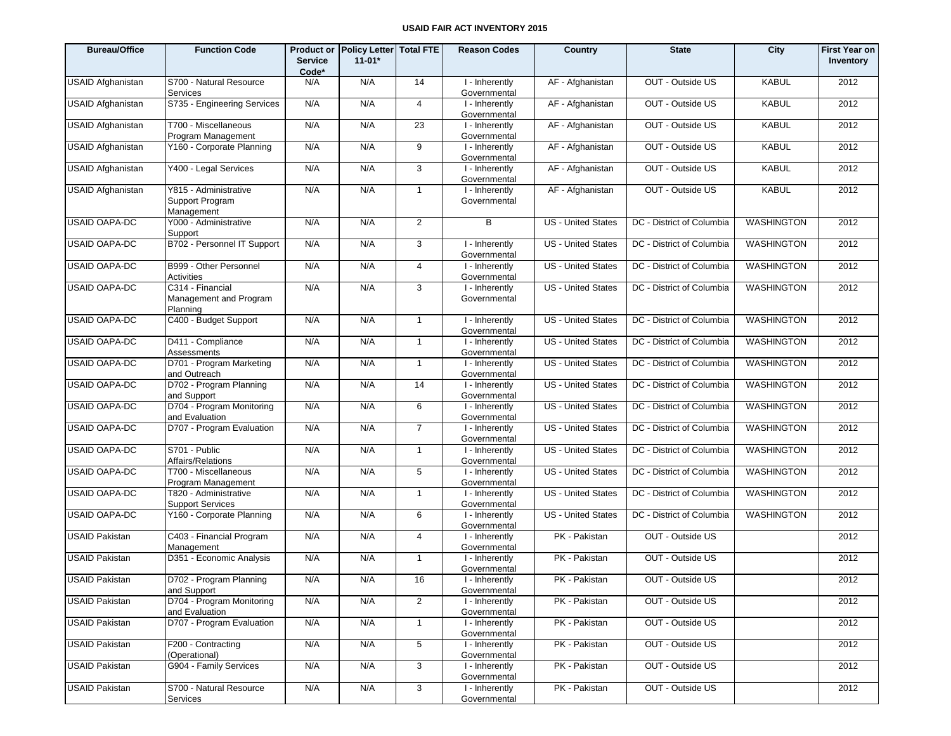| <b>Bureau/Office</b>     | <b>Function Code</b>                                   | <b>Service</b><br>Code* | Product or Policy Letter Total FTE<br>$11-01*$ |                 | <b>Reason Codes</b>            | Country                   | <b>State</b>              | City              | <b>First Year on</b><br>Inventory |
|--------------------------|--------------------------------------------------------|-------------------------|------------------------------------------------|-----------------|--------------------------------|---------------------------|---------------------------|-------------------|-----------------------------------|
| <b>USAID Afghanistan</b> | S700 - Natural Resource<br>Services                    | N/A                     | N/A                                            | 14              | I - Inherently<br>Governmental | AF - Afghanistan          | OUT - Outside US          | <b>KABUL</b>      | 2012                              |
| USAID Afghanistan        | S735 - Engineering Services                            | N/A                     | N/A                                            | $\overline{4}$  | I - Inherently<br>Governmental | AF - Afghanistan          | OUT - Outside US          | <b>KABUL</b>      | 2012                              |
| <b>USAID Afghanistan</b> | T700 - Miscellaneous<br>Program Management             | N/A                     | N/A                                            | 23              | I - Inherently<br>Governmental | AF - Afghanistan          | OUT - Outside US          | <b>KABUL</b>      | 2012                              |
| USAID Afghanistan        | Y160 - Corporate Planning                              | N/A                     | N/A                                            | 9               | I - Inherently<br>Governmental | AF - Afghanistan          | OUT - Outside US          | <b>KABUL</b>      | 2012                              |
| <b>USAID Afghanistan</b> | Y400 - Legal Services                                  | N/A                     | N/A                                            | $\mathbf{3}$    | I - Inherently<br>Governmental | AF - Afghanistan          | OUT - Outside US          | <b>KABUL</b>      | 2012                              |
| <b>USAID Afghanistan</b> | Y815 - Administrative<br>Support Program<br>Management | N/A                     | N/A                                            | $\mathbf{1}$    | I - Inherently<br>Governmental | AF - Afghanistan          | OUT - Outside US          | <b>KABUL</b>      | 2012                              |
| <b>USAID OAPA-DC</b>     | Y000 - Administrative<br>Support                       | N/A                     | N/A                                            | $\overline{2}$  | B                              | US - United States        | DC - District of Columbia | <b>WASHINGTON</b> | 2012                              |
| <b>USAID OAPA-DC</b>     | B702 - Personnel IT Support                            | N/A                     | N/A                                            | 3               | I - Inherently<br>Governmental | <b>US</b> - United States | DC - District of Columbia | <b>WASHINGTON</b> | 2012                              |
| <b>USAID OAPA-DC</b>     | B999 - Other Personnel<br>Activities                   | N/A                     | N/A                                            | 4               | I - Inherently<br>Governmental | <b>US</b> - United States | DC - District of Columbia | <b>WASHINGTON</b> | 2012                              |
| <b>USAID OAPA-DC</b>     | C314 - Financial<br>Management and Program<br>Planning | N/A                     | N/A                                            | 3               | I - Inherently<br>Governmental | <b>US</b> - United States | DC - District of Columbia | <b>WASHINGTON</b> | 2012                              |
| <b>USAID OAPA-DC</b>     | C400 - Budget Support                                  | N/A                     | N/A                                            | $\mathbf{1}$    | I - Inherently<br>Governmental | <b>US</b> - United States | DC - District of Columbia | <b>WASHINGTON</b> | 2012                              |
| <b>USAID OAPA-DC</b>     | D411 - Compliance<br>Assessments                       | N/A                     | N/A                                            | $\mathbf{1}$    | I - Inherently<br>Governmental | <b>US</b> - United States | DC - District of Columbia | <b>WASHINGTON</b> | 2012                              |
| <b>USAID OAPA-DC</b>     | D701 - Program Marketing<br>and Outreach               | N/A                     | N/A                                            | $\mathbf{1}$    | I - Inherently<br>Governmental | <b>US</b> - United States | DC - District of Columbia | <b>WASHINGTON</b> | 2012                              |
| <b>USAID OAPA-DC</b>     | D702 - Program Planning<br>and Support                 | N/A                     | N/A                                            | 14              | I - Inherently<br>Governmental | <b>US</b> - United States | DC - District of Columbia | <b>WASHINGTON</b> | 2012                              |
| <b>USAID OAPA-DC</b>     | D704 - Program Monitoring<br>and Evaluation            | N/A                     | N/A                                            | 6               | I - Inherently<br>Governmental | <b>US</b> - United States | DC - District of Columbia | <b>WASHINGTON</b> | 2012                              |
| <b>USAID OAPA-DC</b>     | D707 - Program Evaluation                              | N/A                     | N/A                                            | $\overline{7}$  | I - Inherently<br>Governmental | <b>US</b> - United States | DC - District of Columbia | <b>WASHINGTON</b> | 2012                              |
| <b>USAID OAPA-DC</b>     | S701 - Public<br>Affairs/Relations                     | N/A                     | N/A                                            | $\mathbf{1}$    | I - Inherently<br>Governmental | <b>US</b> - United States | DC - District of Columbia | <b>WASHINGTON</b> | 2012                              |
| <b>USAID OAPA-DC</b>     | T700 - Miscellaneous<br>Program Management             | N/A                     | N/A                                            | 5               | I - Inherently<br>Governmental | <b>US</b> - United States | DC - District of Columbia | <b>WASHINGTON</b> | 2012                              |
| <b>USAID OAPA-DC</b>     | T820 - Administrative<br><b>Support Services</b>       | N/A                     | N/A                                            | $\mathbf{1}$    | I - Inherently<br>Governmental | <b>US</b> - United States | DC - District of Columbia | <b>WASHINGTON</b> | 2012                              |
| <b>USAID OAPA-DC</b>     | Y160 - Corporate Planning                              | N/A                     | N/A                                            | 6               | I - Inherently<br>Governmental | <b>US</b> - United States | DC - District of Columbia | <b>WASHINGTON</b> | 2012                              |
| <b>USAID Pakistan</b>    | C403 - Financial Program<br>Management                 | N/A                     | N/A                                            | $\overline{4}$  | I - Inherently<br>Governmental | PK - Pakistan             | OUT - Outside US          |                   | 2012                              |
| <b>USAID Pakistan</b>    | D351 - Economic Analysis                               | N/A                     | N/A                                            | $\overline{1}$  | I - Inherently<br>Governmental | PK - Pakistan             | OUT - Outside US          |                   | 2012                              |
| <b>USAID Pakistan</b>    | D702 - Program Planning<br>and Support                 | N/A                     | N/A                                            | 16              | I - Inherently<br>Governmental | PK - Pakistan             | OUT - Outside US          |                   | 2012                              |
| <b>USAID Pakistan</b>    | D704 - Program Monitoring<br>and Evaluation            | N/A                     | N/A                                            | 2               | I - Inherently<br>Governmental | PK - Pakistan             | OUT - Outside US          |                   | 2012                              |
| <b>USAID Pakistan</b>    | D707 - Program Evaluation                              | N/A                     | N/A                                            | $\overline{1}$  | I - Inherently<br>Governmental | PK - Pakistan             | OUT - Outside US          |                   | 2012                              |
| <b>USAID Pakistan</b>    | F200 - Contracting<br>(Operational)                    | N/A                     | N/A                                            | $5\overline{5}$ | I - Inherently<br>Governmental | PK - Pakistan             | OUT - Outside US          |                   | 2012                              |
| <b>USAID Pakistan</b>    | G904 - Family Services                                 | N/A                     | N/A                                            | 3               | I - Inherently<br>Governmental | PK - Pakistan             | OUT - Outside US          |                   | 2012                              |
| <b>USAID Pakistan</b>    | S700 - Natural Resource<br>Services                    | N/A                     | N/A                                            | $\mathbf{3}$    | I - Inherently<br>Governmental | PK - Pakistan             | OUT - Outside US          |                   | 2012                              |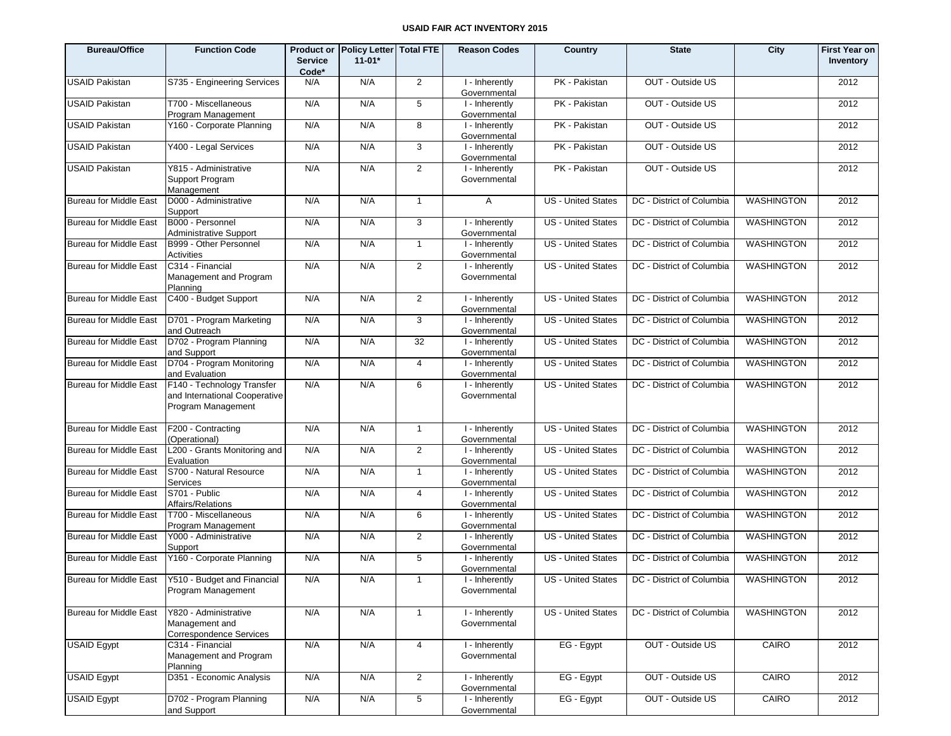| <b>Bureau/Office</b>          | <b>Function Code</b>                                                              | <b>Service</b><br>Code* | Product or Policy Letter Total FTE<br>$11 - 01*$ |                 | <b>Reason Codes</b>            | Country                   | <b>State</b>                                    | City              | <b>First Year on</b><br>Inventory |
|-------------------------------|-----------------------------------------------------------------------------------|-------------------------|--------------------------------------------------|-----------------|--------------------------------|---------------------------|-------------------------------------------------|-------------------|-----------------------------------|
| <b>USAID Pakistan</b>         | S735 - Engineering Services                                                       | N/A                     | N/A                                              | 2               | I - Inherently<br>Governmental | PK - Pakistan             | OUT - Outside US                                |                   | 2012                              |
| <b>USAID Pakistan</b>         | T700 - Miscellaneous<br>Program Management                                        | N/A                     | N/A                                              | $5\phantom{.0}$ | I - Inherently<br>Governmental | PK - Pakistan             | OUT - Outside US                                |                   | 2012                              |
| <b>USAID Pakistan</b>         | Y160 - Corporate Planning                                                         | N/A                     | N/A                                              | 8               | I - Inherently<br>Governmental | PK - Pakistan             | OUT - Outside US                                |                   | 2012                              |
| <b>USAID Pakistan</b>         | Y400 - Legal Services                                                             | N/A                     | N/A                                              | 3               | I - Inherently<br>Governmental | PK - Pakistan             | OUT - Outside US                                |                   | 2012                              |
| <b>USAID Pakistan</b>         | Y815 - Administrative<br>Support Program<br>Management                            | N/A                     | N/A                                              | $\overline{2}$  | I - Inherently<br>Governmental | PK - Pakistan             | OUT - Outside US                                |                   | 2012                              |
| <b>Bureau for Middle East</b> | D000 - Administrative<br>Support                                                  | N/A                     | N/A                                              | $\mathbf{1}$    | $\mathsf{A}$                   | <b>US</b> - United States | DC - District of Columbia                       | <b>WASHINGTON</b> | 2012                              |
| <b>Bureau for Middle East</b> | B000 - Personnel<br><b>Administrative Support</b>                                 | N/A                     | N/A                                              | 3               | I - Inherently<br>Governmental | <b>US - United States</b> | DC - District of Columbia                       | WASHINGTON        | 2012                              |
| <b>Bureau for Middle East</b> | B999 - Other Personnel<br>Activities                                              | N/A                     | N/A                                              | $\overline{1}$  | I - Inherently<br>Governmental | <b>US - United States</b> | DC - District of Columbia                       | <b>WASHINGTON</b> | 2012                              |
| <b>Bureau for Middle East</b> | C314 - Financial<br>Management and Program<br>Planning                            | N/A                     | N/A                                              | $\overline{2}$  | I - Inherently<br>Governmental | <b>US</b> - United States | DC - District of Columbia                       | <b>WASHINGTON</b> | 2012                              |
| <b>Bureau for Middle East</b> | C400 - Budget Support                                                             | N/A                     | N/A                                              | 2               | I - Inherently<br>Governmental | US - United States        | DC - District of Columbia                       | <b>WASHINGTON</b> | 2012                              |
| <b>Bureau for Middle East</b> | D701 - Program Marketing<br>and Outreach                                          | N/A                     | N/A                                              | 3               | I - Inherently<br>Governmental | <b>US</b> - United States | DC - District of Columbia                       | <b>WASHINGTON</b> | 2012                              |
| <b>Bureau for Middle East</b> | D702 - Program Planning<br>and Support                                            | N/A                     | N/A                                              | 32              | I - Inherently<br>Governmental | <b>US</b> - United States | DC - District of Columbia                       | <b>WASHINGTON</b> | 2012                              |
| <b>Bureau for Middle East</b> | D704 - Program Monitoring<br>and Evaluation                                       | N/A                     | N/A                                              | 4               | I - Inherently<br>Governmental | <b>US</b> - United States | DC - District of Columbia                       | <b>WASHINGTON</b> | 2012                              |
| <b>Bureau for Middle East</b> | F140 - Technology Transfer<br>and International Cooperative<br>Program Management | N/A                     | N/A                                              | 6               | I - Inherently<br>Governmental | <b>US</b> - United States | DC - District of Columbia                       | <b>WASHINGTON</b> | 2012                              |
| <b>Bureau for Middle East</b> | F200 - Contracting<br>(Operational)                                               | N/A                     | N/A                                              | $\overline{1}$  | I - Inherently<br>Governmental | <b>US</b> - United States | DC - District of Columbia                       | <b>WASHINGTON</b> | 2012                              |
| <b>Bureau for Middle East</b> | L200 - Grants Monitoring and<br>Evaluation                                        | N/A                     | N/A                                              | 2               | I - Inherently<br>Governmental | <b>US</b> - United States | DC - District of Columbia                       | <b>WASHINGTON</b> | 2012                              |
| <b>Bureau for Middle East</b> | S700 - Natural Resource<br><b>Services</b>                                        | N/A                     | N/A                                              | $\overline{1}$  | I - Inherently<br>Governmental | <b>US</b> - United States | DC - District of Columbia                       | <b>WASHINGTON</b> | 2012                              |
| <b>Bureau for Middle East</b> | S701 - Public<br>Affairs/Relations                                                | N/A                     | N/A                                              | $\overline{4}$  | I - Inherently<br>Governmental | <b>US</b> - United States | DC - District of Columbia                       | <b>WASHINGTON</b> | 2012                              |
| <b>Bureau for Middle East</b> | T700 - Miscellaneous<br>Program Management                                        | N/A                     | N/A                                              | 6               | I - Inherently<br>Governmental | <b>US</b> - United States | DC - District of Columbia                       | <b>WASHINGTON</b> | 2012                              |
| <b>Bureau for Middle East</b> | Y000 - Administrative<br>Support                                                  | N/A                     | N/A                                              | 2               | I - Inherently<br>Governmental | <b>US</b> - United States | DC - District of Columbia                       | WASHINGTON        | 2012                              |
| Bureau for Middle East        | Y160 - Corporate Planning                                                         | N/A                     | N/A                                              | 5               | I - Inherently<br>Governmental | <b>US</b> - United States | DC - District of Columbia                       | WASHINGTON        | 2012                              |
|                               | Bureau for Middle East Y510 - Budget and Financial<br>Program Management          | N/A                     | N/A                                              | $\mathbf{1}$    | I - Inherently<br>Governmental |                           | US - United States    DC - District of Columbia | WASHINGTON        | 2012                              |
| Bureau for Middle East        | Y820 - Administrative<br>Management and<br><b>Correspondence Services</b>         | N/A                     | N/A                                              | $\overline{1}$  | I - Inherently<br>Governmental | <b>US</b> - United States | DC - District of Columbia                       | <b>WASHINGTON</b> | 2012                              |
| <b>USAID Egypt</b>            | C314 - Financial<br>Management and Program<br>Planning                            | N/A                     | N/A                                              | $\overline{4}$  | I - Inherently<br>Governmental | EG - Egypt                | OUT - Outside US                                | CAIRO             | 2012                              |
| USAID Egypt                   | D351 - Economic Analysis                                                          | N/A                     | N/A                                              | $\overline{2}$  | I - Inherently<br>Governmental | EG - Egypt                | OUT - Outside US                                | CAIRO             | 2012                              |
| USAID Egypt                   | D702 - Program Planning<br>and Support                                            | N/A                     | N/A                                              | $\overline{5}$  | I - Inherently<br>Governmental | EG - Egypt                | OUT - Outside US                                | CAIRO             | 2012                              |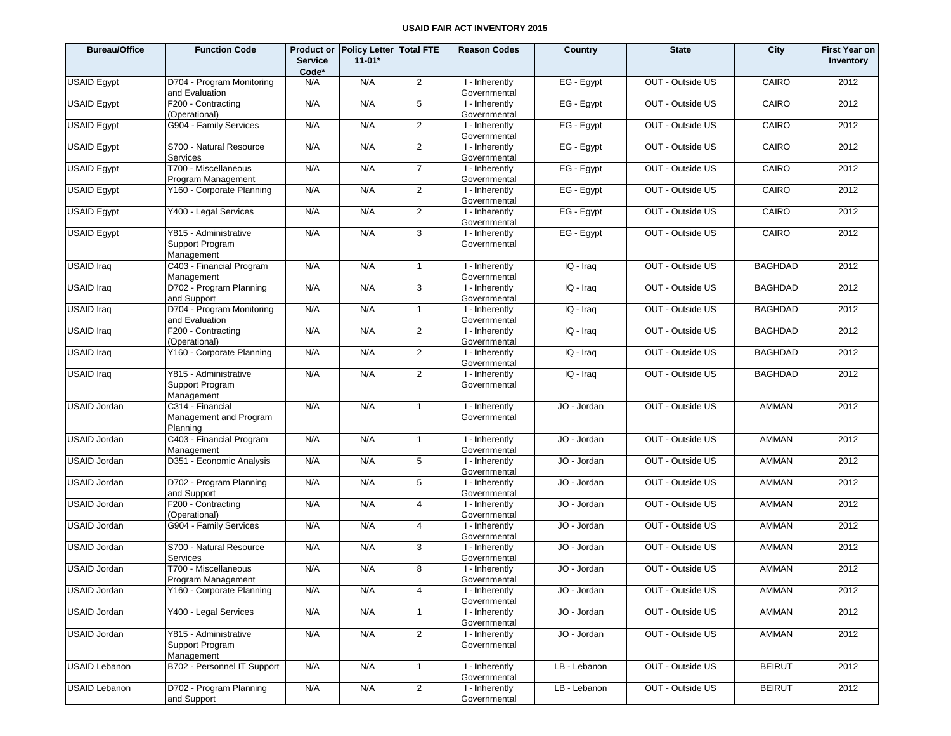| <b>Bureau/Office</b> | <b>Function Code</b>                                   | <b>Service</b><br>Code* | Product or Policy Letter Total FTE<br>$11-01*$ |                | <b>Reason Codes</b>            | Country      | <b>State</b>     | City           | <b>First Year on</b><br>Inventory |
|----------------------|--------------------------------------------------------|-------------------------|------------------------------------------------|----------------|--------------------------------|--------------|------------------|----------------|-----------------------------------|
| <b>USAID Eqypt</b>   | D704 - Program Monitoring<br>and Evaluation            | N/A                     | N/A                                            | 2              | I - Inherently<br>Governmental | EG - Egypt   | OUT - Outside US | CAIRO          | 2012                              |
| <b>USAID Egypt</b>   | F200 - Contracting<br>(Operational)                    | N/A                     | N/A                                            | 5              | I - Inherently<br>Governmental | EG - Egypt   | OUT - Outside US | CAIRO          | 2012                              |
| <b>USAID Egypt</b>   | G904 - Family Services                                 | N/A                     | N/A                                            | 2              | I - Inherently<br>Governmental | EG - Egypt   | OUT - Outside US | CAIRO          | 2012                              |
| <b>USAID Egypt</b>   | S700 - Natural Resource<br>Services                    | N/A                     | N/A                                            | $\overline{2}$ | I - Inherently<br>Governmental | EG - Egypt   | OUT - Outside US | CAIRO          | 2012                              |
| <b>USAID Egypt</b>   | T700 - Miscellaneous<br>Program Management             | N/A                     | N/A                                            | $\overline{7}$ | I - Inherently<br>Governmental | EG - Egypt   | OUT - Outside US | CAIRO          | 2012                              |
| <b>USAID Egypt</b>   | Y160 - Corporate Planning                              | N/A                     | N/A                                            | $\overline{2}$ | I - Inherently<br>Governmental | EG - Egypt   | OUT - Outside US | CAIRO          | 2012                              |
| USAID Egypt          | Y400 - Legal Services                                  | N/A                     | N/A                                            | 2              | I - Inherently<br>Governmental | EG - Egypt   | OUT - Outside US | CAIRO          | 2012                              |
| <b>USAID Egypt</b>   | Y815 - Administrative<br>Support Program<br>Management | N/A                     | N/A                                            | $\mathbf{3}$   | I - Inherently<br>Governmental | EG - Egypt   | OUT - Outside US | CAIRO          | 2012                              |
| <b>USAID</b> Iraq    | C403 - Financial Program<br>Management                 | N/A                     | N/A                                            | $\mathbf{1}$   | I - Inherently<br>Governmental | IQ - Iraq    | OUT - Outside US | <b>BAGHDAD</b> | 2012                              |
| <b>USAID Iraq</b>    | D702 - Program Planning<br>and Support                 | N/A                     | N/A                                            | 3              | I - Inherently<br>Governmental | IQ - Iraq    | OUT - Outside US | <b>BAGHDAD</b> | 2012                              |
| <b>USAID Iraq</b>    | D704 - Program Monitoring<br>and Evaluation            | N/A                     | N/A                                            | $\mathbf{1}$   | I - Inherently<br>Governmental | IQ - Iraq    | OUT - Outside US | <b>BAGHDAD</b> | 2012                              |
| <b>USAID Iraq</b>    | F200 - Contracting<br>(Operational)                    | N/A                     | N/A                                            | $\overline{2}$ | I - Inherently<br>Governmental | IQ - Iraq    | OUT - Outside US | <b>BAGHDAD</b> | 2012                              |
| <b>USAID</b> Iraq    | Y160 - Corporate Planning                              | N/A                     | N/A                                            | $\overline{2}$ | I - Inherently<br>Governmental | IQ - Iraq    | OUT - Outside US | <b>BAGHDAD</b> | 2012                              |
| <b>USAID Iraq</b>    | Y815 - Administrative<br>Support Program<br>Management | N/A                     | N/A                                            | $\overline{2}$ | I - Inherently<br>Governmental | IQ - Iraq    | OUT - Outside US | <b>BAGHDAD</b> | 2012                              |
| <b>USAID Jordan</b>  | C314 - Financial<br>Management and Program<br>Planning | N/A                     | N/A                                            | $\mathbf{1}$   | I - Inherently<br>Governmental | JO - Jordan  | OUT - Outside US | <b>AMMAN</b>   | 2012                              |
| <b>USAID Jordan</b>  | C403 - Financial Program<br>Management                 | N/A                     | N/A                                            | $\mathbf{1}$   | I - Inherently<br>Governmental | JO - Jordan  | OUT - Outside US | AMMAN          | 2012                              |
| <b>USAID Jordan</b>  | D351 - Economic Analysis                               | N/A                     | N/A                                            | 5              | I - Inherently<br>Governmental | JO - Jordan  | OUT - Outside US | AMMAN          | 2012                              |
| USAID Jordan         | D702 - Program Planning<br>and Support                 | N/A                     | N/A                                            | 5              | I - Inherently<br>Governmental | JO - Jordan  | OUT - Outside US | AMMAN          | 2012                              |
| <b>USAID Jordan</b>  | F200 - Contracting<br>(Operational)                    | N/A                     | N/A                                            | $\overline{4}$ | I - Inherently<br>Governmental | JO - Jordan  | OUT - Outside US | AMMAN          | 2012                              |
| USAID Jordan         | G904 - Family Services                                 | N/A                     | N/A                                            | 4              | I - Inherently<br>Governmental | JO - Jordan  | OUT - Outside US | AMMAN          | 2012                              |
| <b>USAID Jordan</b>  | S700 - Natural Resource<br>Services                    | N/A                     | N/A                                            | 3              | I - Inherently<br>Governmental | JO - Jordan  | OUT - Outside US | AMMAN          | 2012                              |
| <b>USAID Jordan</b>  | T700 - Miscellaneous<br>Program Management             | N/A                     | N/A                                            | 8              | I - Inherently<br>Governmental | JO - Jordan  | OUT - Outside US | AMMAN          | 2012                              |
| <b>USAID Jordan</b>  | Y160 - Corporate Planning                              | N/A                     | N/A                                            | 4              | I - Inherently<br>Governmental | JO - Jordan  | OUT - Outside US | AMMAN          | 2012                              |
| USAID Jordan         | Y400 - Legal Services                                  | N/A                     | N/A                                            | $\mathbf{1}$   | I - Inherently<br>Governmental | JO - Jordan  | OUT - Outside US | AMMAN          | 2012                              |
| <b>USAID Jordan</b>  | Y815 - Administrative<br>Support Program<br>Management | N/A                     | N/A                                            | $\overline{2}$ | I - Inherently<br>Governmental | JO - Jordan  | OUT - Outside US | AMMAN          | 2012                              |
| <b>USAID Lebanon</b> | B702 - Personnel IT Support                            | N/A                     | N/A                                            | $\mathbf{1}$   | I - Inherently<br>Governmental | LB - Lebanon | OUT - Outside US | <b>BEIRUT</b>  | 2012                              |
| <b>USAID Lebanon</b> | D702 - Program Planning<br>and Support                 | N/A                     | N/A                                            | $\overline{2}$ | I - Inherently<br>Governmental | LB - Lebanon | OUT - Outside US | <b>BEIRUT</b>  | 2012                              |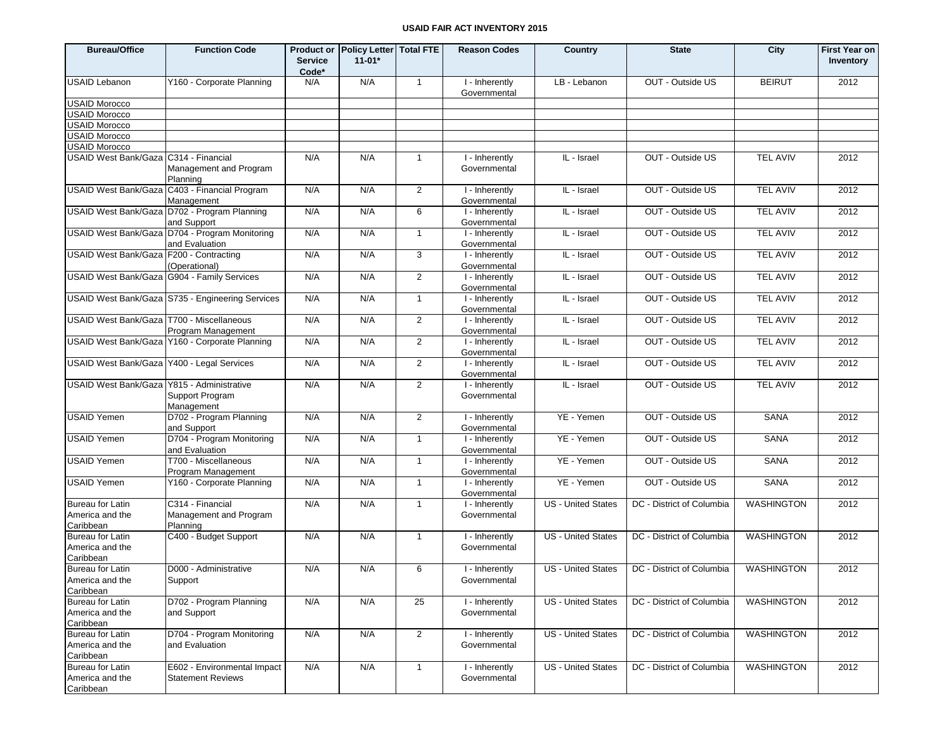| <b>Bureau/Office</b>                                    | <b>Function Code</b>                                             | <b>Service</b><br>Code* | Product or Policy Letter Total FTE<br>$11 - 01*$ |                | <b>Reason Codes</b>            | <b>Country</b>            | <b>State</b>              | City              | <b>First Year on</b><br>Inventory |
|---------------------------------------------------------|------------------------------------------------------------------|-------------------------|--------------------------------------------------|----------------|--------------------------------|---------------------------|---------------------------|-------------------|-----------------------------------|
| <b>USAID Lebanon</b>                                    | Y160 - Corporate Planning                                        | N/A                     | N/A                                              | $\mathbf{1}$   | I - Inherently<br>Governmental | LB - Lebanon              | OUT - Outside US          | <b>BEIRUT</b>     | 2012                              |
| <b>USAID Morocco</b>                                    |                                                                  |                         |                                                  |                |                                |                           |                           |                   |                                   |
| <b>USAID Morocco</b>                                    |                                                                  |                         |                                                  |                |                                |                           |                           |                   |                                   |
| <b>USAID Morocco</b>                                    |                                                                  |                         |                                                  |                |                                |                           |                           |                   |                                   |
| <b>USAID Morocco</b>                                    |                                                                  |                         |                                                  |                |                                |                           |                           |                   |                                   |
| <b>USAID Morocco</b>                                    |                                                                  |                         |                                                  |                |                                |                           |                           |                   |                                   |
| USAID West Bank/Gaza C314 - Financial                   | Management and Program<br>Planning                               | N/A                     | N/A                                              | $\overline{1}$ | I - Inherently<br>Governmental | IL - Israel               | OUT - Outside US          | <b>TEL AVIV</b>   | 2012                              |
| <b>USAID West Bank/Gaza</b>                             | C403 - Financial Program<br>Management                           | N/A                     | N/A                                              | 2              | I - Inherently<br>Governmental | IL - Israel               | OUT - Outside US          | <b>TEL AVIV</b>   | 2012                              |
|                                                         | USAID West Bank/Gaza D702 - Program Planning<br>and Support      | N/A                     | N/A                                              | 6              | I - Inherently<br>Governmental | IL - Israel               | OUT - Outside US          | <b>TEL AVIV</b>   | 2012                              |
|                                                         | USAID West Bank/Gaza D704 - Program Monitoring<br>and Evaluation | N/A                     | N/A                                              | $\mathbf{1}$   | I - Inherently<br>Governmental | IL - Israel               | OUT - Outside US          | <b>TEL AVIV</b>   | 2012                              |
| USAID West Bank/Gaza F200 - Contracting                 | (Operational)                                                    | N/A                     | N/A                                              | 3              | I - Inherently<br>Governmental | IL - Israel               | OUT - Outside US          | <b>TEL AVIV</b>   | 2012                              |
| USAID West Bank/Gaza G904 - Family Services             |                                                                  | N/A                     | N/A                                              | 2              | I - Inherently<br>Governmental | IL - Israel               | OUT - Outside US          | <b>TEL AVIV</b>   | 2012                              |
|                                                         | USAID West Bank/Gaza S735 - Engineering Services                 | N/A                     | N/A                                              | $\mathbf{1}$   | I - Inherently<br>Governmental | IL - Israel               | OUT - Outside US          | <b>TEL AVIV</b>   | 2012                              |
| USAID West Bank/Gaza   T700 - Miscellaneous             | Program Management                                               | N/A                     | N/A                                              | 2              | I - Inherently<br>Governmental | IL - Israel               | OUT - Outside US          | <b>TEL AVIV</b>   | 2012                              |
|                                                         | USAID West Bank/Gaza Y160 - Corporate Planning                   | N/A                     | N/A                                              | $\overline{2}$ | I - Inherently<br>Governmental | IL - Israel               | OUT - Outside US          | <b>TEL AVIV</b>   | 2012                              |
| USAID West Bank/Gaza Y400 - Legal Services              |                                                                  | N/A                     | N/A                                              | 2              | I - Inherently<br>Governmental | IL - Israel               | OUT - Outside US          | <b>TEL AVIV</b>   | 2012                              |
| <b>USAID West Bank/Gaza</b>                             | Y815 - Administrative<br>Support Program<br>Management           | N/A                     | N/A                                              | $\overline{2}$ | I - Inherently<br>Governmental | IL - Israel               | OUT - Outside US          | <b>TEL AVIV</b>   | 2012                              |
| <b>USAID Yemen</b>                                      | D702 - Program Planning<br>and Support                           | N/A                     | N/A                                              | 2              | I - Inherently<br>Governmental | YE - Yemen                | OUT - Outside US          | <b>SANA</b>       | 2012                              |
| <b>USAID Yemen</b>                                      | D704 - Program Monitoring<br>and Evaluation                      | N/A                     | N/A                                              | $\mathbf{1}$   | I - Inherently<br>Governmental | YE - Yemen                | OUT - Outside US          | <b>SANA</b>       | 2012                              |
| <b>USAID Yemen</b>                                      | T700 - Miscellaneous<br>Program Management                       | N/A                     | N/A                                              | $\overline{1}$ | I - Inherently<br>Governmental | YE - Yemen                | OUT - Outside US          | <b>SANA</b>       | 2012                              |
| <b>USAID Yemen</b>                                      | Y160 - Corporate Planning                                        | N/A                     | N/A                                              | $\mathbf{1}$   | I - Inherently<br>Governmental | YE - Yemen                | OUT - Outside US          | <b>SANA</b>       | 2012                              |
| Bureau for Latin<br>America and the<br>Caribbean        | C314 - Financial<br>Management and Program<br>Planning           | N/A                     | N/A                                              | $\overline{1}$ | I - Inherently<br>Governmental | <b>US</b> - United States | DC - District of Columbia | <b>WASHINGTON</b> | 2012                              |
| Bureau for Latin<br>America and the<br>Caribbean        | C400 - Budget Support                                            | N/A                     | N/A                                              | $\mathbf{1}$   | I - Inherently<br>Governmental | <b>US</b> - United States | DC - District of Columbia | <b>WASHINGTON</b> | 2012                              |
| <b>Bureau for Latin</b><br>America and the<br>Caribbean | D000 - Administrative<br>Support                                 | N/A                     | N/A                                              | 6              | I - Inherently<br>Governmental | <b>US</b> - United States | DC - District of Columbia | <b>WASHINGTON</b> | 2012                              |
| Bureau for Latin<br>America and the<br>Caribbean        | D702 - Program Planning<br>and Support                           | N/A                     | N/A                                              | 25             | I - Inherently<br>Governmental | <b>US</b> - United States | DC - District of Columbia | <b>WASHINGTON</b> | 2012                              |
| Bureau for Latin<br>America and the<br>Caribbean        | D704 - Program Monitoring<br>and Evaluation                      | N/A                     | N/A                                              | $\overline{2}$ | I - Inherently<br>Governmental | US - United States        | DC - District of Columbia | WASHINGTON        | 2012                              |
| <b>Bureau for Latin</b><br>America and the<br>Caribbean | E602 - Environmental Impact<br><b>Statement Reviews</b>          | N/A                     | N/A                                              | $\mathbf{1}$   | I - Inherently<br>Governmental | <b>US</b> - United States | DC - District of Columbia | <b>WASHINGTON</b> | 2012                              |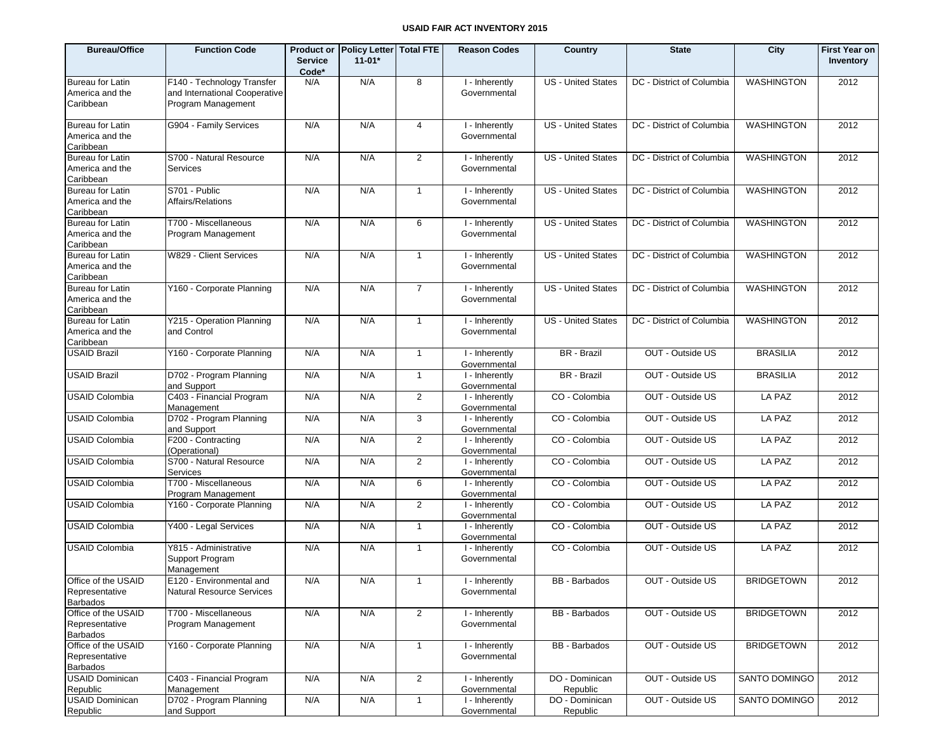| <b>Bureau/Office</b>                              | <b>Function Code</b>                                                              | <b>Service</b><br>Code* | Product or Policy Letter Total FTE<br>$11 - 01*$ |                         | <b>Reason Codes</b>                         | Country                    | <b>State</b>              | City              | <b>First Year on</b><br>Inventory |
|---------------------------------------------------|-----------------------------------------------------------------------------------|-------------------------|--------------------------------------------------|-------------------------|---------------------------------------------|----------------------------|---------------------------|-------------------|-----------------------------------|
| Bureau for Latin<br>America and the<br>Caribbean  | F140 - Technology Transfer<br>and International Cooperative<br>Program Management | N/A                     | N/A                                              | 8                       | I - Inherently<br>Governmental              | <b>US</b> - United States  | DC - District of Columbia | <b>WASHINGTON</b> | 2012                              |
| Bureau for Latin<br>America and the<br>Caribbean  | G904 - Family Services                                                            | N/A                     | N/A                                              | $\overline{4}$          | I - Inherently<br>Governmental              | <b>US</b> - United States  | DC - District of Columbia | <b>WASHINGTON</b> | 2012                              |
| Bureau for Latin<br>America and the<br>Caribbean  | S700 - Natural Resource<br>Services                                               | N/A                     | N/A                                              | $\overline{2}$          | I - Inherently<br>Governmental              | <b>US</b> - United States  | DC - District of Columbia | <b>WASHINGTON</b> | 2012                              |
| Bureau for Latin<br>America and the<br>Caribbean  | S701 - Public<br>Affairs/Relations                                                | N/A                     | N/A                                              | $\overline{1}$          | I - Inherently<br>Governmental              | <b>US</b> - United States  | DC - District of Columbia | <b>WASHINGTON</b> | 2012                              |
| Bureau for Latin<br>America and the<br>Caribbean  | T700 - Miscellaneous<br>Program Management                                        | N/A                     | N/A                                              | 6                       | I - Inherently<br>Governmental              | <b>US</b> - United States  | DC - District of Columbia | <b>WASHINGTON</b> | 2012                              |
| Bureau for Latin<br>America and the<br>Caribbean  | W829 - Client Services                                                            | N/A                     | N/A                                              | $\overline{1}$          | I - Inherently<br>Governmental              | <b>US</b> - United States  | DC - District of Columbia | <b>WASHINGTON</b> | 2012                              |
| Bureau for Latin<br>America and the<br>Caribbean  | Y160 - Corporate Planning                                                         | N/A                     | N/A                                              | $\overline{7}$          | I - Inherently<br>Governmental              | <b>US</b> - United States  | DC - District of Columbia | <b>WASHINGTON</b> | 2012                              |
| Bureau for Latin<br>America and the<br>Caribbean  | Y215 - Operation Planning<br>and Control                                          | N/A                     | N/A                                              | $\mathbf{1}$            | I - Inherently<br>Governmental              | <b>US</b> - United States  | DC - District of Columbia | <b>WASHINGTON</b> | 2012                              |
| <b>USAID Brazil</b>                               | Y160 - Corporate Planning                                                         | N/A                     | N/A                                              | $\mathbf{1}$            | I - Inherently<br>Governmental              | BR - Brazil                | OUT - Outside US          | <b>BRASILIA</b>   | 2012                              |
| <b>USAID Brazil</b>                               | D702 - Program Planning<br>and Support                                            | N/A                     | N/A                                              | $\mathbf{1}$            | $\overline{1}$ - Inherently<br>Governmental | BR - Brazil                | OUT - Outside US          | <b>BRASILIA</b>   | 2012                              |
| <b>USAID Colombia</b>                             | C403 - Financial Program<br>Management                                            | N/A                     | N/A                                              | $\overline{2}$          | $\overline{I}$ -Inherently<br>Governmental  | CO - Colombia              | OUT - Outside US          | LA PAZ            | 2012                              |
| <b>USAID Colombia</b>                             | D702 - Program Planning<br>and Support                                            | N/A                     | N/A                                              | 3                       | I - Inherently<br>Governmental              | CO - Colombia              | OUT - Outside US          | LA PAZ            | 2012                              |
| <b>USAID Colombia</b>                             | F200 - Contracting<br>(Operational)                                               | N/A                     | N/A                                              | $\overline{2}$          | I - Inherently<br>Governmental              | CO - Colombia              | OUT - Outside US          | LA PAZ            | 2012                              |
| <b>USAID Colombia</b>                             | S700 - Natural Resource<br>Services                                               | N/A                     | N/A                                              | $\overline{2}$          | I - Inherently<br>Governmental              | CO - Colombia              | OUT - Outside US          | LA PAZ            | 2012                              |
| <b>USAID Colombia</b>                             | T700 - Miscellaneous<br>Program Management                                        | N/A                     | N/A                                              | 6                       | I - Inherently<br>Governmental              | CO - Colombia              | OUT - Outside US          | LA PAZ            | 2012                              |
| <b>USAID Colombia</b>                             | Y160 - Corporate Planning                                                         | N/A                     | N/A                                              | $\overline{2}$          | I - Inherently<br>Governmental              | CO - Colombia              | OUT - Outside US          | LA PAZ            | 2012                              |
| <b>USAID Colombia</b>                             | Y400 - Legal Services                                                             | N/A                     | N/A                                              | 1                       | $\overline{I}$ -Inherently<br>Governmental  | CO - Colombia              | OUT - Outside US          | LA PAZ            | 2012                              |
| <b>USAID Colombia</b>                             | Y815 - Administrative<br>Support Program<br>Management                            | N/A                     | N/A                                              | $\mathbf{1}$            | I - Inherently<br>Governmental              | CO - Colombia              | OUT - Outside US          | LA PAZ            | 2012                              |
| Office of the USAID<br>Representative<br>Barbados | E120 - Environmental and<br><b>Natural Resource Services</b>                      | N/A                     | N/A                                              | $\mathbf{1}$            | I - Inherently<br>Governmental              | BB - Barbados              | OUT - Outside US          | <b>BRIDGETOWN</b> | 2012                              |
| Office of the USAID<br>Representative<br>Barbados | T700 - Miscellaneous<br>Program Management                                        | N/A                     | N/A                                              | $\overline{2}$          | I - Inherently<br>Governmental              | <b>BB</b> - Barbados       | OUT - Outside US          | <b>BRIDGETOWN</b> | 2012                              |
| Office of the USAID<br>Representative<br>Barbados | Y160 - Corporate Planning                                                         | N/A                     | N/A                                              | $\mathbf{1}$            | I - Inherently<br>Governmental              | <b>BB</b> - Barbados       | OUT - Outside US          | <b>BRIDGETOWN</b> | 2012                              |
| <b>USAID Dominican</b><br>Republic                | C403 - Financial Program<br>Management                                            | N/A                     | N/A                                              | $\overline{\mathbf{c}}$ | I - Inherently<br>Governmental              | DO - Dominican<br>Republic | OUT - Outside US          | SANTO DOMINGO     | 2012                              |
| <b>USAID Dominican</b><br>Republic                | D702 - Program Planning<br>and Support                                            | N/A                     | N/A                                              | $\mathbf{1}$            | I - Inherently<br>Governmental              | DO - Dominican<br>Republic | OUT - Outside US          | SANTO DOMINGO     | 2012                              |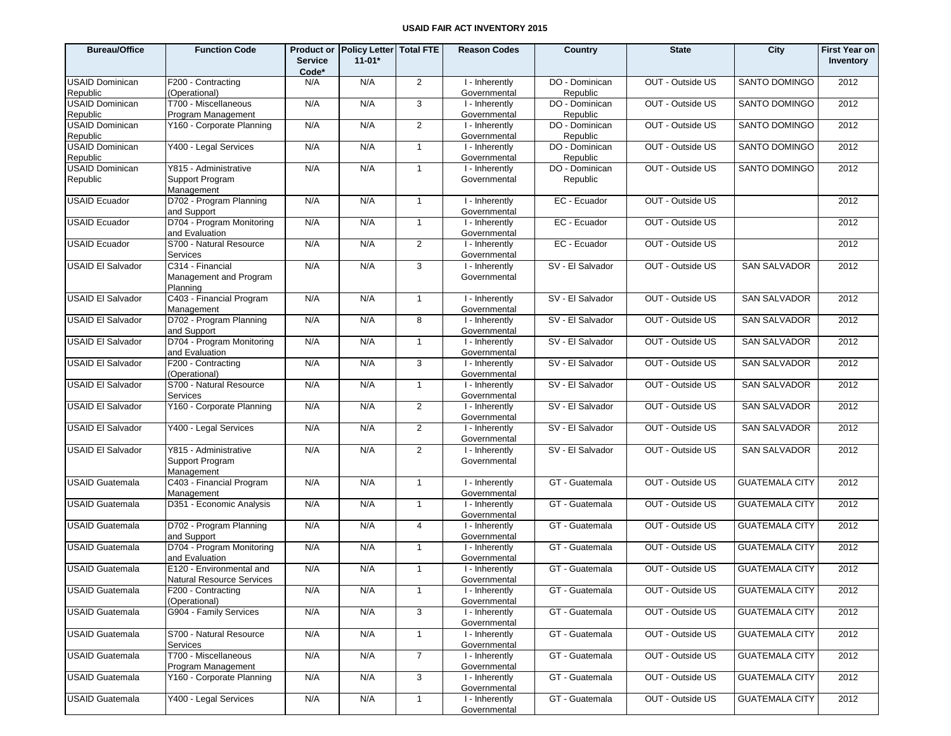| <b>Bureau/Office</b>     | <b>Function Code</b>                   | <b>Service</b><br>Code* | Product or Policy Letter Total FTE<br>$11 - 01*$ |                | <b>Reason Codes</b>            | Country          | <b>State</b>     | City                  | <b>First Year on</b><br>Inventory |
|--------------------------|----------------------------------------|-------------------------|--------------------------------------------------|----------------|--------------------------------|------------------|------------------|-----------------------|-----------------------------------|
| <b>USAID Dominican</b>   | F200 - Contracting                     | N/A                     | N/A                                              | 2              | I - Inherently                 | DO - Dominican   | OUT - Outside US | SANTO DOMINGO         | 2012                              |
| Republic                 | (Operational)                          |                         |                                                  |                | Governmental                   | Republic         |                  |                       |                                   |
| <b>USAID Dominican</b>   | T700 - Miscellaneous                   | N/A                     | N/A                                              | 3              | I - Inherently                 | DO - Dominican   | OUT - Outside US | SANTO DOMINGO         | 2012                              |
| Republic                 | Program Management                     |                         |                                                  |                | Governmental                   | Republic         |                  |                       |                                   |
| <b>USAID Dominican</b>   | Y160 - Corporate Planning              | N/A                     | N/A                                              | 2              | I - Inherently                 | DO - Dominican   | OUT - Outside US | SANTO DOMINGO         | 2012                              |
| Republic                 |                                        |                         |                                                  |                | Governmental                   | Republic         |                  |                       |                                   |
| <b>USAID Dominican</b>   | Y400 - Legal Services                  | N/A                     | N/A                                              | $\overline{1}$ | I - Inherently                 | DO - Dominican   | OUT - Outside US | <b>SANTO DOMINGO</b>  | 2012                              |
| Republic                 |                                        |                         |                                                  |                | Governmental                   | Republic         |                  |                       |                                   |
| <b>USAID Dominican</b>   | Y815 - Administrative                  | N/A                     | N/A                                              | $\mathbf{1}$   | I - Inherently                 | DO - Dominican   | OUT - Outside US | SANTO DOMINGO         | 2012                              |
| Republic                 | Support Program                        |                         |                                                  |                | Governmental                   | Republic         |                  |                       |                                   |
|                          | Management                             |                         |                                                  |                |                                |                  |                  |                       |                                   |
| <b>USAID Ecuador</b>     | D702 - Program Planning                | N/A                     | N/A                                              | $\mathbf{1}$   | I - Inherently                 | EC - Ecuador     | OUT - Outside US |                       | 2012                              |
|                          | and Support                            |                         |                                                  |                | Governmental                   |                  |                  |                       |                                   |
| <b>USAID Ecuador</b>     | D704 - Program Monitoring              | N/A                     | N/A                                              | $\mathbf{1}$   | I - Inherently                 | EC - Ecuador     | OUT - Outside US |                       | 2012                              |
| <b>USAID Ecuador</b>     | and Evaluation                         | N/A                     | N/A                                              | $\overline{2}$ | Governmental                   |                  |                  |                       |                                   |
|                          | S700 - Natural Resource<br>Services    |                         |                                                  |                | I - Inherently<br>Governmental | EC - Ecuador     | OUT - Outside US |                       | 2012                              |
| <b>USAID EI Salvador</b> | C314 - Financial                       | N/A                     | N/A                                              | 3              | I - Inherently                 | SV - El Salvador | OUT - Outside US | <b>SAN SALVADOR</b>   | 2012                              |
|                          | Management and Program                 |                         |                                                  |                | Governmental                   |                  |                  |                       |                                   |
|                          | Planning                               |                         |                                                  |                |                                |                  |                  |                       |                                   |
| <b>USAID El Salvador</b> | C403 - Financial Program               | N/A                     | N/A                                              | $\overline{1}$ | I - Inherently                 | SV - El Salvador | OUT - Outside US | <b>SAN SALVADOR</b>   | 2012                              |
|                          | Management                             |                         |                                                  |                | Governmental                   |                  |                  |                       |                                   |
| <b>USAID El Salvador</b> | D702 - Program Planning                | N/A                     | N/A                                              | 8              | I - Inherently                 | SV - El Salvador | OUT - Outside US | <b>SAN SALVADOR</b>   | 2012                              |
|                          | and Support                            |                         |                                                  |                | Governmental                   |                  |                  |                       |                                   |
| <b>USAID EI Salvador</b> | D704 - Program Monitoring              | N/A                     | N/A                                              | $\overline{1}$ | I - Inherently                 | SV - El Salvador | OUT - Outside US | <b>SAN SALVADOR</b>   | 2012                              |
|                          | and Evaluation                         |                         |                                                  |                | Governmental                   |                  |                  |                       |                                   |
| <b>USAID El Salvador</b> | F200 - Contracting                     | N/A                     | N/A                                              | 3              | I - Inherently                 | SV - El Salvador | OUT - Outside US | <b>SAN SALVADOR</b>   | 2012                              |
|                          | (Operational)                          |                         |                                                  |                | Governmental                   |                  |                  |                       |                                   |
| <b>USAID EI Salvador</b> | S700 - Natural Resource                | N/A                     | N/A                                              | $\overline{1}$ | I - Inherently                 | SV - El Salvador | OUT - Outside US | <b>SAN SALVADOR</b>   | 2012                              |
|                          | Services                               |                         |                                                  |                | Governmental                   |                  |                  |                       |                                   |
| <b>USAID El Salvador</b> | Y160 - Corporate Planning              | N/A                     | N/A                                              | $\overline{2}$ | I - Inherently                 | SV - El Salvador | OUT - Outside US | <b>SAN SALVADOR</b>   | 2012                              |
|                          |                                        |                         |                                                  |                | Governmental                   |                  |                  |                       |                                   |
| <b>USAID EI Salvador</b> | Y400 - Legal Services                  | N/A                     | N/A                                              | 2              | I - Inherently                 | SV - El Salvador | OUT - Outside US | <b>SAN SALVADOR</b>   | 2012                              |
|                          |                                        |                         |                                                  |                | Governmental                   |                  |                  |                       |                                   |
| <b>USAID EI Salvador</b> | Y815 - Administrative                  | N/A                     | N/A                                              | 2              | I - Inherently                 | SV - El Salvador | OUT - Outside US | <b>SAN SALVADOR</b>   | 2012                              |
|                          | Support Program                        |                         |                                                  |                | Governmental                   |                  |                  |                       |                                   |
|                          | Management                             |                         |                                                  |                |                                |                  |                  |                       |                                   |
| <b>USAID Guatemala</b>   | C403 - Financial Program               | N/A                     | N/A                                              | $\overline{1}$ | I - Inherently                 | GT - Guatemala   | OUT - Outside US | <b>GUATEMALA CITY</b> | 2012                              |
|                          | Management                             |                         |                                                  |                | Governmental                   |                  |                  |                       |                                   |
| USAID Guatemala          | D351 - Economic Analysis               | N/A                     | N/A                                              | $\mathbf{1}$   | I - Inherently                 | GT - Guatemala   | OUT - Outside US | <b>GUATEMALA CITY</b> | 2012                              |
|                          |                                        |                         |                                                  |                | Governmental                   |                  |                  |                       |                                   |
| <b>USAID Guatemala</b>   | D702 - Program Planning<br>and Support | N/A                     | N/A                                              | $\overline{4}$ | I - Inherently<br>Governmental | GT - Guatemala   | OUT - Outside US | <b>GUATEMALA CITY</b> | 2012                              |
| <b>USAID Guatemala</b>   | D704 - Program Monitoring              | N/A                     | N/A                                              | $\mathbf{1}$   | I - Inherently                 | GT - Guatemala   | OUT - Outside US | <b>GUATEMALA CITY</b> | 2012                              |
|                          | and Evaluation                         |                         |                                                  |                | Governmental                   |                  |                  |                       |                                   |
| <b>USAID Guatemala</b>   | E120 - Environmental and               | N/A                     | N/A                                              | $\mathbf{1}$   | I - Inherently                 | GT - Guatemala   | OUT - Outside US | <b>GUATEMALA CITY</b> | 2012                              |
|                          | Natural Resource Services              |                         |                                                  |                | Governmental                   |                  |                  |                       |                                   |
| <b>USAID Guatemala</b>   | F200 - Contracting                     | N/A                     | N/A                                              | $\overline{1}$ | I - Inherently                 | GT - Guatemala   | OUT - Outside US | <b>GUATEMALA CITY</b> | 2012                              |
|                          | (Operational)                          |                         |                                                  |                | Governmental                   |                  |                  |                       |                                   |
| <b>USAID Guatemala</b>   | G904 - Family Services                 | N/A                     | N/A                                              | 3              | I - Inherently                 | GT - Guatemala   | OUT - Outside US | <b>GUATEMALA CITY</b> | 2012                              |
|                          |                                        |                         |                                                  |                | Governmental                   |                  |                  |                       |                                   |
| <b>USAID Guatemala</b>   | S700 - Natural Resource                | N/A                     | N/A                                              | $\overline{1}$ | I - Inherently                 | GT - Guatemala   | OUT - Outside US | <b>GUATEMALA CITY</b> | 2012                              |
|                          | Services                               |                         |                                                  |                | Governmental                   |                  |                  |                       |                                   |
| <b>USAID Guatemala</b>   | T700 - Miscellaneous                   | N/A                     | N/A                                              | $\overline{7}$ | I - Inherently                 | GT - Guatemala   | OUT - Outside US | <b>GUATEMALA CITY</b> | 2012                              |
|                          | Program Management                     |                         |                                                  |                | Governmental                   |                  |                  |                       |                                   |
| <b>USAID Guatemala</b>   | Y160 - Corporate Planning              | N/A                     | N/A                                              | 3              | I - Inherently                 | GT - Guatemala   | OUT - Outside US | <b>GUATEMALA CITY</b> | 2012                              |
|                          |                                        |                         |                                                  |                | Governmental                   |                  |                  |                       |                                   |
| <b>USAID Guatemala</b>   | Y400 - Legal Services                  | N/A                     | N/A                                              | $\overline{1}$ | I - Inherently                 | GT - Guatemala   | OUT - Outside US | <b>GUATEMALA CITY</b> | 2012                              |
|                          |                                        |                         |                                                  |                | Governmental                   |                  |                  |                       |                                   |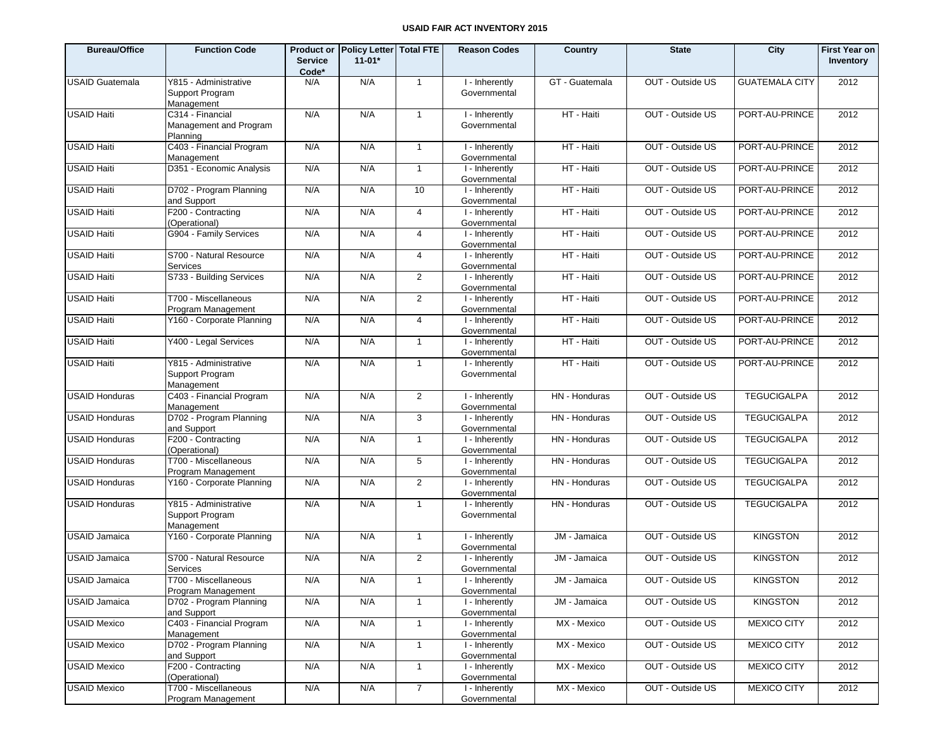| <b>Bureau/Office</b>   | <b>Function Code</b>                                   | <b>Service</b><br>Code* | Product or Policy Letter Total FTE<br>$11-01*$ |                | <b>Reason Codes</b>                         | Country        | <b>State</b>     | City                  | <b>First Year on</b><br>Inventory |
|------------------------|--------------------------------------------------------|-------------------------|------------------------------------------------|----------------|---------------------------------------------|----------------|------------------|-----------------------|-----------------------------------|
| <b>USAID Guatemala</b> | Y815 - Administrative<br>Support Program<br>Management | N/A                     | N/A                                            | $\overline{1}$ | I - Inherently<br>Governmental              | GT - Guatemala | OUT - Outside US | <b>GUATEMALA CITY</b> | 2012                              |
| <b>USAID Haiti</b>     | C314 - Financial<br>Management and Program<br>Planning | N/A                     | N/A                                            | $\mathbf{1}$   | I - Inherently<br>Governmental              | HT - Haiti     | OUT - Outside US | PORT-AU-PRINCE        | 2012                              |
| <b>USAID Haiti</b>     | C403 - Financial Program<br>Management                 | N/A                     | N/A                                            | $\mathbf{1}$   | $\overline{1}$ - Inherently<br>Governmental | HT - Haiti     | OUT - Outside US | PORT-AU-PRINCE        | 2012                              |
| <b>USAID Haiti</b>     | D351 - Economic Analysis                               | N/A                     | N/A                                            | $\overline{1}$ | I - Inherently<br>Governmental              | HT - Haiti     | OUT - Outside US | PORT-AU-PRINCE        | 2012                              |
| USAID Haiti            | D702 - Program Planning<br>and Support                 | N/A                     | N/A                                            | 10             | I - Inherently<br>Governmental              | HT - Haiti     | OUT - Outside US | PORT-AU-PRINCE        | 2012                              |
| <b>USAID Haiti</b>     | F200 - Contracting<br>(Operational)                    | N/A                     | N/A                                            | $\overline{4}$ | I - Inherently<br>Governmental              | HT - Haiti     | OUT - Outside US | PORT-AU-PRINCE        | 2012                              |
| <b>USAID Haiti</b>     | G904 - Family Services                                 | N/A                     | N/A                                            | $\overline{4}$ | I - Inherently<br>Governmental              | HT - Haiti     | OUT - Outside US | PORT-AU-PRINCE        | 2012                              |
| <b>USAID Haiti</b>     | S700 - Natural Resource<br>Services                    | N/A                     | N/A                                            | $\overline{4}$ | I - Inherently<br>Governmental              | HT - Haiti     | OUT - Outside US | PORT-AU-PRINCE        | 2012                              |
| <b>USAID Haiti</b>     | S733 - Building Services                               | N/A                     | N/A                                            | 2              | I - Inherently<br>Governmental              | HT - Haiti     | OUT - Outside US | PORT-AU-PRINCE        | 2012                              |
| <b>USAID Haiti</b>     | T700 - Miscellaneous<br>Program Management             | N/A                     | N/A                                            | $\overline{2}$ | I - Inherently<br>Governmental              | HT - Haiti     | OUT - Outside US | PORT-AU-PRINCE        | 2012                              |
| <b>USAID Haiti</b>     | Y160 - Corporate Planning                              | N/A                     | N/A                                            | $\overline{4}$ | I - Inherently<br>Governmental              | HT - Haiti     | OUT - Outside US | PORT-AU-PRINCE        | 2012                              |
| <b>USAID Haiti</b>     | Y400 - Legal Services                                  | N/A                     | N/A                                            | $\mathbf{1}$   | I - Inherently<br>Governmental              | HT - Haiti     | OUT - Outside US | PORT-AU-PRINCE        | 2012                              |
| <b>USAID Haiti</b>     | Y815 - Administrative<br>Support Program<br>Management | N/A                     | N/A                                            | $\mathbf{1}$   | I - Inherently<br>Governmental              | HT - Haiti     | OUT - Outside US | PORT-AU-PRINCE        | 2012                              |
| <b>USAID Honduras</b>  | C403 - Financial Program<br>Management                 | N/A                     | N/A                                            | $\overline{2}$ | I - Inherently<br>Governmental              | HN - Honduras  | OUT - Outside US | <b>TEGUCIGALPA</b>    | 2012                              |
| <b>USAID Honduras</b>  | D702 - Program Planning<br>and Support                 | N/A                     | N/A                                            | 3              | I - Inherently<br>Governmental              | HN - Honduras  | OUT - Outside US | <b>TEGUCIGALPA</b>    | 2012                              |
| <b>USAID Honduras</b>  | F200 - Contracting<br>(Operational)                    | N/A                     | N/A                                            | $\mathbf{1}$   | I - Inherently<br>Governmental              | HN - Honduras  | OUT - Outside US | <b>TEGUCIGALPA</b>    | 2012                              |
| <b>USAID Honduras</b>  | T700 - Miscellaneous<br>Program Management             | N/A                     | N/A                                            | 5              | I - Inherently<br>Governmental              | HN - Honduras  | OUT - Outside US | <b>TEGUCIGALPA</b>    | 2012                              |
| <b>USAID Honduras</b>  | Y160 - Corporate Planning                              | N/A                     | N/A                                            | $\overline{2}$ | I - Inherently<br>Governmental              | HN - Honduras  | OUT - Outside US | <b>TEGUCIGALPA</b>    | 2012                              |
| <b>USAID Honduras</b>  | Y815 - Administrative<br>Support Program<br>Management | N/A                     | N/A                                            | $\mathbf{1}$   | I - Inherently<br>Governmental              | HN - Honduras  | OUT - Outside US | <b>TEGUCIGALPA</b>    | 2012                              |
| <b>USAID Jamaica</b>   | Y160 - Corporate Planning                              | N/A                     | N/A                                            | $\mathbf{1}$   | I - Inherently<br>Governmental              | JM - Jamaica   | OUT - Outside US | <b>KINGSTON</b>       | 2012                              |
| <b>USAID Jamaica</b>   | S700 - Natural Resource<br>Services                    | N/A                     | N/A                                            | $\overline{2}$ | I - Inherently<br>Governmental              | JM - Jamaica   | OUT - Outside US | <b>KINGSTON</b>       | 2012                              |
| <b>USAID Jamaica</b>   | T700 - Miscellaneous<br>Program Management             | N/A                     | N/A                                            | $\mathbf{1}$   | I - Inherently<br>Governmental              | JM - Jamaica   | OUT - Outside US | <b>KINGSTON</b>       | 2012                              |
| <b>USAID Jamaica</b>   | D702 - Program Planning<br>and Support                 | N/A                     | N/A                                            | $\mathbf{1}$   | I - Inherently<br>Governmental              | JM - Jamaica   | OUT - Outside US | <b>KINGSTON</b>       | 2012                              |
| <b>USAID Mexico</b>    | C403 - Financial Program<br>Management                 | N/A                     | N/A                                            | $\mathbf{1}$   | I - Inherently<br>Governmental              | MX - Mexico    | OUT - Outside US | <b>MEXICO CITY</b>    | 2012                              |
| <b>USAID Mexico</b>    | D702 - Program Planning<br>and Support                 | N/A                     | N/A                                            | $\mathbf{1}$   | I - Inherently<br>Governmental              | MX - Mexico    | OUT - Outside US | <b>MEXICO CITY</b>    | 2012                              |
| <b>USAID Mexico</b>    | F200 - Contracting<br>(Operational)                    | N/A                     | N/A                                            | $\mathbf{1}$   | I - Inherently<br>Governmental              | MX - Mexico    | OUT - Outside US | <b>MEXICO CITY</b>    | 2012                              |
| <b>USAID Mexico</b>    | T700 - Miscellaneous<br>Program Management             | N/A                     | N/A                                            | $\overline{7}$ | I - Inherently<br>Governmental              | MX - Mexico    | OUT - Outside US | <b>MEXICO CITY</b>    | 2012                              |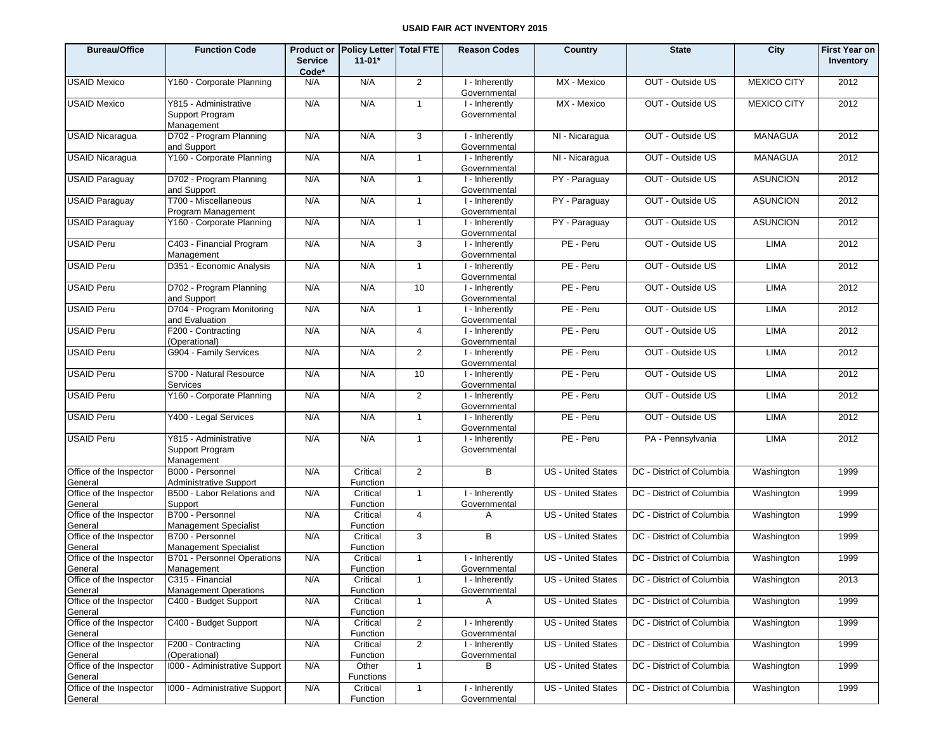| <b>Bureau/Office</b>               | <b>Function Code</b>                                   | <b>Service</b><br>Code* | Product or   Policy Letter  Total FTE<br>$11-01*$ |                | <b>Reason Codes</b>            | Country                   | <b>State</b>                                   | City               | <b>First Year on</b><br>Inventory |
|------------------------------------|--------------------------------------------------------|-------------------------|---------------------------------------------------|----------------|--------------------------------|---------------------------|------------------------------------------------|--------------------|-----------------------------------|
| <b>USAID Mexico</b>                | Y160 - Corporate Planning                              | N/A                     | N/A                                               | 2              | I - Inherently<br>Governmental | MX - Mexico               | OUT - Outside US                               | <b>MEXICO CITY</b> | 2012                              |
| <b>USAID Mexico</b>                | Y815 - Administrative<br>Support Program<br>Management | N/A                     | N/A                                               | $\mathbf{1}$   | I - Inherently<br>Governmental | MX - Mexico               | OUT - Outside US                               | <b>MEXICO CITY</b> | 2012                              |
| <b>USAID Nicaragua</b>             | D702 - Program Planning<br>and Support                 | N/A                     | N/A                                               | 3              | I - Inherently<br>Governmental | NI - Nicaragua            | OUT - Outside US                               | <b>MANAGUA</b>     | 2012                              |
| <b>USAID Nicaragua</b>             | Y160 - Corporate Planning                              | N/A                     | N/A                                               | $\mathbf{1}$   | I - Inherently<br>Governmental | NI - Nicaragua            | OUT - Outside US                               | <b>MANAGUA</b>     | 2012                              |
| <b>USAID Paraguay</b>              | D702 - Program Planning<br>and Support                 | N/A                     | N/A                                               | $\mathbf{1}$   | I - Inherently<br>Governmental | PY - Paraguay             | OUT - Outside US                               | <b>ASUNCION</b>    | 2012                              |
| <b>USAID Paraguay</b>              | T700 - Miscellaneous<br>Program Management             | N/A                     | N/A                                               | $\mathbf{1}$   | I - Inherently<br>Governmental | PY - Paraguay             | OUT - Outside US                               | <b>ASUNCION</b>    | 2012                              |
| <b>USAID Paraguay</b>              | Y160 - Corporate Planning                              | N/A                     | N/A                                               | $\mathbf{1}$   | I - Inherently<br>Governmental | PY - Paraguay             | OUT - Outside US                               | <b>ASUNCION</b>    | 2012                              |
| <b>USAID Peru</b>                  | C403 - Financial Program<br>Management                 | N/A                     | N/A                                               | 3              | I - Inherently<br>Governmental | PE - Peru                 | OUT - Outside US                               | <b>LIMA</b>        | 2012                              |
| <b>USAID Peru</b>                  | D351 - Economic Analysis                               | N/A                     | N/A                                               | $\mathbf{1}$   | I - Inherently<br>Governmental | PE - Peru                 | OUT - Outside US                               | <b>LIMA</b>        | 2012                              |
| <b>USAID Peru</b>                  | D702 - Program Planning<br>and Support                 | N/A                     | N/A                                               | 10             | I - Inherently<br>Governmental | PE - Peru                 | OUT - Outside US                               | <b>LIMA</b>        | 2012                              |
| <b>USAID Peru</b>                  | D704 - Program Monitoring<br>and Evaluation            | N/A                     | N/A                                               | $\mathbf{1}$   | I - Inherently<br>Governmental | PE - Peru                 | OUT - Outside US                               | <b>LIMA</b>        | 2012                              |
| <b>USAID Peru</b>                  | F200 - Contracting<br>(Operational)                    | N/A                     | N/A                                               | $\overline{4}$ | I - Inherently<br>Governmental | PE - Peru                 | OUT - Outside US                               | <b>LIMA</b>        | 2012                              |
| <b>USAID Peru</b>                  | G904 - Family Services                                 | N/A                     | N/A                                               | $\overline{2}$ | I - Inherently<br>Governmental | PE - Peru                 | OUT - Outside US                               | <b>LIMA</b>        | 2012                              |
| <b>USAID Peru</b>                  | S700 - Natural Resource<br>Services                    | N/A                     | N/A                                               | 10             | I - Inherently<br>Governmental | PE - Peru                 | OUT - Outside US                               | LIMA               | 2012                              |
| <b>USAID Peru</b>                  | Y160 - Corporate Planning                              | N/A                     | N/A                                               | $\overline{2}$ | I - Inherently<br>Governmental | PE - Peru                 | OUT - Outside US                               | <b>LIMA</b>        | 2012                              |
| <b>USAID Peru</b>                  | Y400 - Legal Services                                  | N/A                     | N/A                                               | $\mathbf{1}$   | I - Inherently<br>Governmental | PE - Peru                 | OUT - Outside US                               | <b>LIMA</b>        | 2012                              |
| <b>USAID Peru</b>                  | Y815 - Administrative<br>Support Program<br>Management | N/A                     | N/A                                               | $\mathbf{1}$   | I - Inherently<br>Governmental | PE - Peru                 | PA - Pennsylvania                              | <b>LIMA</b>        | 2012                              |
| Office of the Inspector<br>General | B000 - Personnel<br><b>Administrative Support</b>      | N/A                     | Critical<br>Function                              | 2              | B                              | <b>US</b> - United States | DC - District of Columbia                      | Washington         | 1999                              |
| Office of the Inspector<br>General | B500 - Labor Relations and<br>Support                  | N/A                     | Critical<br>Function                              | $\mathbf{1}$   | I - Inherently<br>Governmental | <b>US - United States</b> | DC - District of Columbia                      | Washington         | 1999                              |
| Office of the Inspector<br>General | B700 - Personnel<br><b>Management Specialist</b>       | N/A                     | Critical<br>Function                              | $\overline{4}$ | A                              | <b>US</b> - United States | DC - District of Columbia                      | Washington         | 1999                              |
| Office of the Inspector<br>General | B700 - Personnel<br><b>Management Specialist</b>       | N/A                     | Critical<br>Function                              | 3              | B                              | US - United States        | DC - District of Columbia                      | Washington         | 1999                              |
| Office of the Inspector<br>General | <b>B701 - Personnel Operations</b><br>Management       | N/A                     | Critical<br>Function                              | $\mathbf{1}$   | I - Inherently<br>Governmental | <b>US</b> - United States | DC - District of Columbia                      | Washington         | 1999                              |
| Office of the Inspector            | C315 - Financial                                       | N/A                     | Critical                                          | $\mathbf{1}$   | I - Inherently                 |                           | US - United States   DC - District of Columbia | Washington         | 2013                              |
| General                            | <b>Management Operations</b>                           |                         | Function                                          |                | Governmental                   |                           |                                                |                    |                                   |
| Office of the Inspector<br>General | C400 - Budget Support                                  | N/A                     | Critical<br>Function                              | $\mathbf{1}$   | A                              | US - United States        | DC - District of Columbia                      | Washington         | 1999                              |
| Office of the Inspector<br>General | C400 - Budget Support                                  | N/A                     | Critical<br>Function                              | $\overline{2}$ | I - Inherently<br>Governmental | US - United States        | DC - District of Columbia                      | Washington         | 1999                              |
| Office of the Inspector<br>General | F200 - Contracting<br>(Operational)                    | N/A                     | Critical<br>Function                              | $\overline{2}$ | I - Inherently<br>Governmental | US - United States        | DC - District of Columbia                      | Washington         | 1999                              |
| Office of the Inspector<br>General | 1000 - Administrative Support                          | N/A                     | Other<br><b>Functions</b>                         | $\mathbf{1}$   | В                              | US - United States        | DC - District of Columbia                      | Washington         | 1999                              |
| Office of the Inspector<br>General | 1000 - Administrative Support                          | N/A                     | Critical<br>Function                              | $\mathbf{1}$   | I - Inherently<br>Governmental | <b>US</b> - United States | DC - District of Columbia                      | Washington         | 1999                              |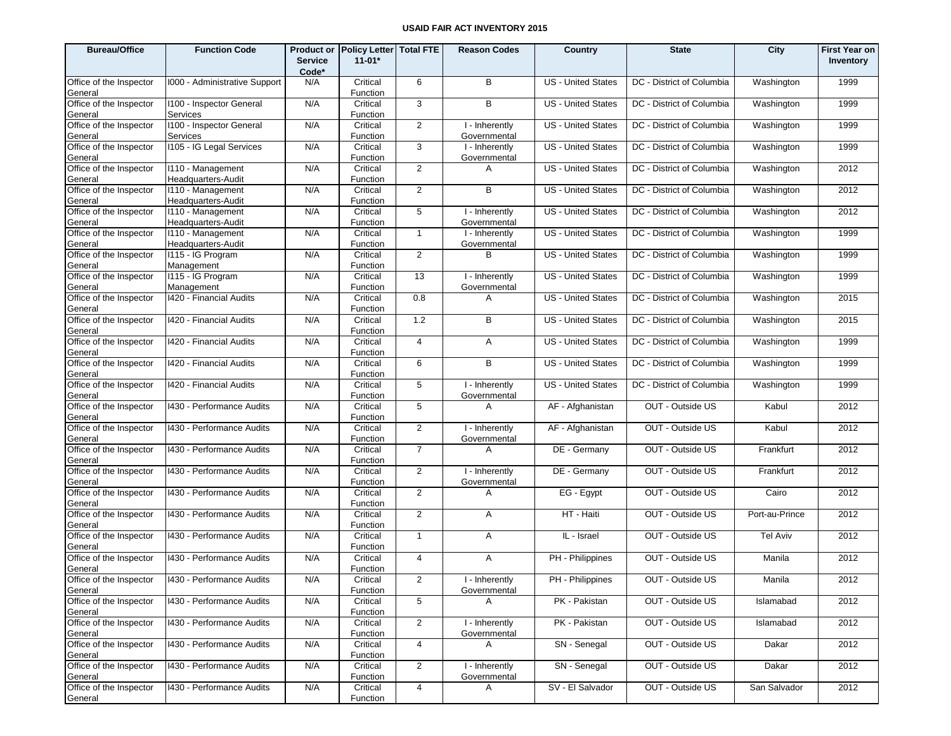| <b>Bureau/Office</b>               | <b>Function Code</b>                        | <b>Service</b><br>Code* | Product or Policy Letter Total FTE<br>$11 - 01*$ |                | <b>Reason Codes</b>            | Country                   | <b>State</b>              | City           | <b>First Year on</b><br>Inventory |
|------------------------------------|---------------------------------------------|-------------------------|--------------------------------------------------|----------------|--------------------------------|---------------------------|---------------------------|----------------|-----------------------------------|
| Office of the Inspector<br>General | 1000 - Administrative Support               | N/A                     | Critical<br>Function                             | 6              | B                              | <b>US</b> - United States | DC - District of Columbia | Washington     | 1999                              |
| Office of the Inspector<br>General | 1100 - Inspector General<br><b>Services</b> | N/A                     | Critical<br>Function                             | 3              | B                              | <b>US</b> - United States | DC - District of Columbia | Washington     | 1999                              |
| Office of the Inspector<br>General | 1100 - Inspector General<br>Services        | N/A                     | Critical<br>Function                             | 2              | I - Inherently<br>Governmental | <b>US</b> - United States | DC - District of Columbia | Washington     | 1999                              |
| Office of the Inspector<br>General | 1105 - IG Legal Services                    | N/A                     | Critical<br>Function                             | 3              | I - Inherently<br>Governmental | <b>US</b> - United States | DC - District of Columbia | Washington     | 1999                              |
| Office of the Inspector<br>General | I110 - Management<br>Headquarters-Audit     | N/A                     | Critical<br>Function                             | 2              | A                              | <b>US</b> - United States | DC - District of Columbia | Washington     | 2012                              |
| Office of the Inspector<br>General | 1110 - Management<br>Headquarters-Audit     | N/A                     | Critical<br>Function                             | 2              | B                              | <b>US</b> - United States | DC - District of Columbia | Washington     | 2012                              |
| Office of the Inspector<br>General | I110 - Management<br>Headquarters-Audit     | N/A                     | Critical<br>Function                             | 5              | I - Inherently<br>Governmental | <b>US</b> - United States | DC - District of Columbia | Washington     | 2012                              |
| Office of the Inspector<br>General | I110 - Management<br>Headquarters-Audit     | N/A                     | Critical<br>Function                             | $\overline{1}$ | I - Inherently<br>Governmental | <b>US</b> - United States | DC - District of Columbia | Washington     | 1999                              |
| Office of the Inspector<br>General | I115 - IG Program<br>Management             | N/A                     | Critical<br>Function                             | 2              | B                              | <b>US</b> - United States | DC - District of Columbia | Washington     | 1999                              |
| Office of the Inspector<br>General | I115 - IG Program<br>Management             | N/A                     | Critical<br>Function                             | 13             | I - Inherently<br>Governmental | <b>US</b> - United States | DC - District of Columbia | Washington     | 1999                              |
| Office of the Inspector<br>General | 1420 - Financial Audits                     | N/A                     | Critical<br>Function                             | 0.8            | A                              | <b>US</b> - United States | DC - District of Columbia | Washington     | 2015                              |
| Office of the Inspector<br>General | 1420 - Financial Audits                     | N/A                     | Critical<br>Function                             | 1.2            | B                              | <b>US</b> - United States | DC - District of Columbia | Washington     | 2015                              |
| Office of the Inspector<br>General | 1420 - Financial Audits                     | N/A                     | Critical<br>Function                             | $\overline{4}$ | A                              | <b>US</b> - United States | DC - District of Columbia | Washington     | 1999                              |
| Office of the Inspector<br>General | 1420 - Financial Audits                     | N/A                     | Critical<br>Function                             | 6              | B                              | <b>US</b> - United States | DC - District of Columbia | Washington     | 1999                              |
| Office of the Inspector<br>General | 1420 - Financial Audits                     | N/A                     | Critical<br>Function                             | 5              | I - Inherently<br>Governmental | <b>US</b> - United States | DC - District of Columbia | Washington     | 1999                              |
| Office of the Inspector<br>General | 1430 - Performance Audits                   | N/A                     | Critical<br>Function                             | 5              | A                              | AF - Afghanistan          | OUT - Outside US          | Kabul          | 2012                              |
| Office of the Inspector<br>General | 1430 - Performance Audits                   | N/A                     | Critical<br>Function                             | 2              | I - Inherently<br>Governmental | AF - Afghanistan          | OUT - Outside US          | Kabul          | 2012                              |
| Office of the Inspector<br>General | 1430 - Performance Audits                   | N/A                     | Critical<br>Function                             | $\overline{7}$ | A                              | DE - Germany              | OUT - Outside US          | Frankfurt      | 2012                              |
| Office of the Inspector<br>General | 1430 - Performance Audits                   | N/A                     | Critical<br>Function                             | 2              | I - Inherently<br>Governmental | DE - Germany              | OUT - Outside US          | Frankfurt      | 2012                              |
| Office of the Inspector<br>General | 1430 - Performance Audits                   | N/A                     | Critical<br>Function                             | $\overline{2}$ | A                              | EG - Egypt                | OUT - Outside US          | Cairo          | 2012                              |
| Office of the Inspector<br>General | 1430 - Performance Audits                   | N/A                     | Critical<br>Function                             | 2              | A                              | HT - Haiti                | OUT - Outside US          | Port-au-Prince | 2012                              |
| Office of the Inspector<br>General | 1430 - Performance Audits                   | N/A                     | Critical<br>Function                             | $\overline{1}$ | A                              | IL - Israel               | OUT - Outside US          | Tel Aviv       | 2012                              |
| Office of the Inspector<br>General | 1430 - Performance Audits                   | N/A                     | Critical<br>Function                             | $\overline{4}$ | A                              | PH - Philippines          | OUT - Outside US          | Manila         | 2012                              |
| Office of the Inspector<br>General | 1430 - Performance Audits                   | N/A                     | Critical<br>Function                             | $\mathcal{P}$  | I - Inherently<br>Governmental | PH - Philippines          | OUT - Outside US          | Manila         | 2012                              |
| Office of the Inspector<br>General | 1430 - Performance Audits                   | N/A                     | Critical<br>Function                             | 5              | A                              | PK - Pakistan             | OUT - Outside US          | Islamabad      | 2012                              |
| Office of the Inspector<br>General | 1430 - Performance Audits                   | N/A                     | Critical<br>Function                             | $\overline{2}$ | I - Inherently<br>Governmental | PK - Pakistan             | OUT - Outside US          | Islamabad      | 2012                              |
| Office of the Inspector<br>General | 1430 - Performance Audits                   | N/A                     | Critical<br>Function                             | $\overline{4}$ | A                              | SN - Senegal              | OUT - Outside US          | Dakar          | 2012                              |
| Office of the Inspector<br>General | 1430 - Performance Audits                   | N/A                     | Critical<br>Function                             | 2              | I - Inherently<br>Governmental | SN - Senegal              | OUT - Outside US          | Dakar          | 2012                              |
| Office of the Inspector<br>General | 1430 - Performance Audits                   | N/A                     | Critical<br>Function                             | $\overline{4}$ | A                              | SV - El Salvador          | OUT - Outside US          | San Salvador   | 2012                              |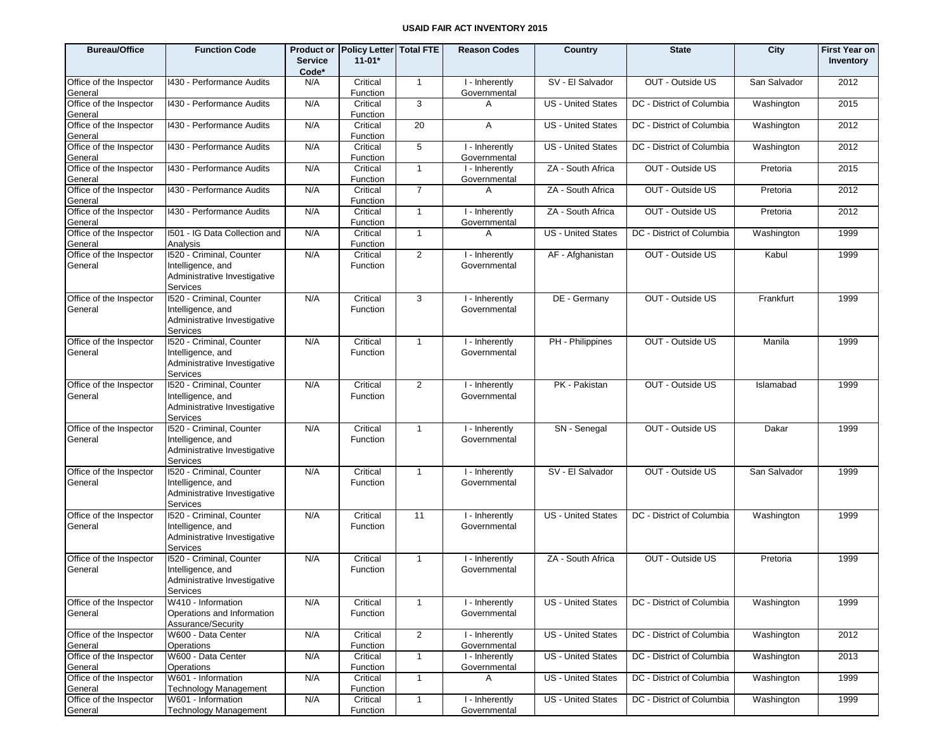| <b>Bureau/Office</b>               | <b>Function Code</b>                                                                      | <b>Service</b><br>Code* | Product or   Policy Letter  Total FTE<br>$11-01*$ |                | <b>Reason Codes</b>            | Country                   | <b>State</b>              | City         | <b>First Year on</b><br>Inventory |
|------------------------------------|-------------------------------------------------------------------------------------------|-------------------------|---------------------------------------------------|----------------|--------------------------------|---------------------------|---------------------------|--------------|-----------------------------------|
| Office of the Inspector<br>General | 1430 - Performance Audits                                                                 | N/A                     | Critical<br>Function                              | $\overline{1}$ | I - Inherently<br>Governmental | SV - El Salvador          | OUT - Outside US          | San Salvador | 2012                              |
| Office of the Inspector<br>General | 1430 - Performance Audits                                                                 | N/A                     | Critical<br>Function                              | 3              | A                              | <b>US - United States</b> | DC - District of Columbia | Washington   | 2015                              |
| Office of the Inspector<br>General | 1430 - Performance Audits                                                                 | N/A                     | Critical<br>Function                              | 20             | A                              | <b>US</b> - United States | DC - District of Columbia | Washington   | 2012                              |
| Office of the Inspector<br>General | 1430 - Performance Audits                                                                 | N/A                     | Critical<br>Function                              | 5              | I - Inherently<br>Governmental | <b>US - United States</b> | DC - District of Columbia | Washington   | 2012                              |
| Office of the Inspector<br>General | 1430 - Performance Audits                                                                 | N/A                     | Critical<br>Function                              | $\mathbf{1}$   | I - Inherently<br>Governmental | ZA - South Africa         | OUT - Outside US          | Pretoria     | 2015                              |
| Office of the Inspector<br>General | 1430 - Performance Audits                                                                 | N/A                     | Critical<br>Function                              | $\overline{7}$ | A                              | ZA - South Africa         | OUT - Outside US          | Pretoria     | 2012                              |
| Office of the Inspector<br>General | 1430 - Performance Audits                                                                 | N/A                     | Critical<br>Function                              | $\mathbf{1}$   | I - Inherently<br>Governmental | ZA - South Africa         | OUT - Outside US          | Pretoria     | 2012                              |
| Office of the Inspector<br>General | I501 - IG Data Collection and<br>Analysis                                                 | N/A                     | Critical<br>Function                              | $\mathbf{1}$   | A                              | <b>US - United States</b> | DC - District of Columbia | Washington   | 1999                              |
| Office of the Inspector<br>General | 1520 - Criminal, Counter<br>Intelligence, and<br>Administrative Investigative<br>Services | N/A                     | Critical<br>Function                              | $\overline{2}$ | I - Inherently<br>Governmental | AF - Afghanistan          | OUT - Outside US          | Kabul        | 1999                              |
| Office of the Inspector<br>General | 1520 - Criminal, Counter<br>Intelligence, and<br>Administrative Investigative<br>Services | N/A                     | Critical<br>Function                              | 3              | I - Inherently<br>Governmental | DE - Germany              | OUT - Outside US          | Frankfurt    | 1999                              |
| Office of the Inspector<br>General | 1520 - Criminal, Counter<br>Intelligence, and<br>Administrative Investigative<br>Services | N/A                     | Critical<br>Function                              | $\mathbf{1}$   | I - Inherently<br>Governmental | PH - Philippines          | OUT - Outside US          | Manila       | 1999                              |
| Office of the Inspector<br>General | 1520 - Criminal, Counter<br>Intelligence, and<br>Administrative Investigative<br>Services | N/A                     | Critical<br>Function                              | $\overline{2}$ | I - Inherently<br>Governmental | PK - Pakistan             | OUT - Outside US          | Islamabad    | 1999                              |
| Office of the Inspector<br>General | 1520 - Criminal, Counter<br>Intelligence, and<br>Administrative Investigative<br>Services | N/A                     | Critical<br>Function                              | $\mathbf{1}$   | I - Inherently<br>Governmental | SN - Senegal              | OUT - Outside US          | Dakar        | 1999                              |
| Office of the Inspector<br>General | 1520 - Criminal, Counter<br>Intelligence, and<br>Administrative Investigative<br>Services | N/A                     | Critical<br>Function                              | $\mathbf{1}$   | I - Inherently<br>Governmental | SV - El Salvador          | OUT - Outside US          | San Salvador | 1999                              |
| Office of the Inspector<br>General | 1520 - Criminal, Counter<br>Intelligence, and<br>Administrative Investigative<br>Services | N/A                     | Critical<br>Function                              | 11             | I - Inherently<br>Governmental | <b>US</b> - United States | DC - District of Columbia | Washington   | 1999                              |
| Office of the Inspector<br>General | 1520 - Criminal, Counter<br>Intelligence, and<br>Administrative Investigative<br>Services | N/A                     | Critical<br>Function                              | $\mathbf{1}$   | I - Inherently<br>Governmental | ZA - South Africa         | OUT - Outside US          | Pretoria     | 1999                              |
| Office of the Inspector<br>General | W410 - Information<br>Operations and Information<br>Assurance/Security                    | N/A                     | Critical<br>Function                              | $\mathbf{1}$   | I - Inherently<br>Governmental | <b>US - United States</b> | DC - District of Columbia | Washington   | 1999                              |
| Office of the Inspector<br>General | W600 - Data Center<br>Operations                                                          | N/A                     | Critical<br>Function                              | $\overline{2}$ | I - Inherently<br>Governmental | US - United States        | DC - District of Columbia | Washington   | 2012                              |
| Office of the Inspector<br>General | W600 - Data Center<br>Operations                                                          | N/A                     | Critical<br>Function                              | $\mathbf{1}$   | I - Inherently<br>Governmental | US - United States        | DC - District of Columbia | Washington   | 2013                              |
| Office of the Inspector<br>General | W601 - Information<br><b>Technology Management</b>                                        | N/A                     | Critical<br>Function                              | $\mathbf{1}$   | A                              | <b>US</b> - United States | DC - District of Columbia | Washington   | 1999                              |
| Office of the Inspector<br>General | W601 - Information<br>Technology Management                                               | N/A                     | Critical<br>Function                              | $\mathbf{1}$   | I - Inherently<br>Governmental | US - United States        | DC - District of Columbia | Washington   | 1999                              |